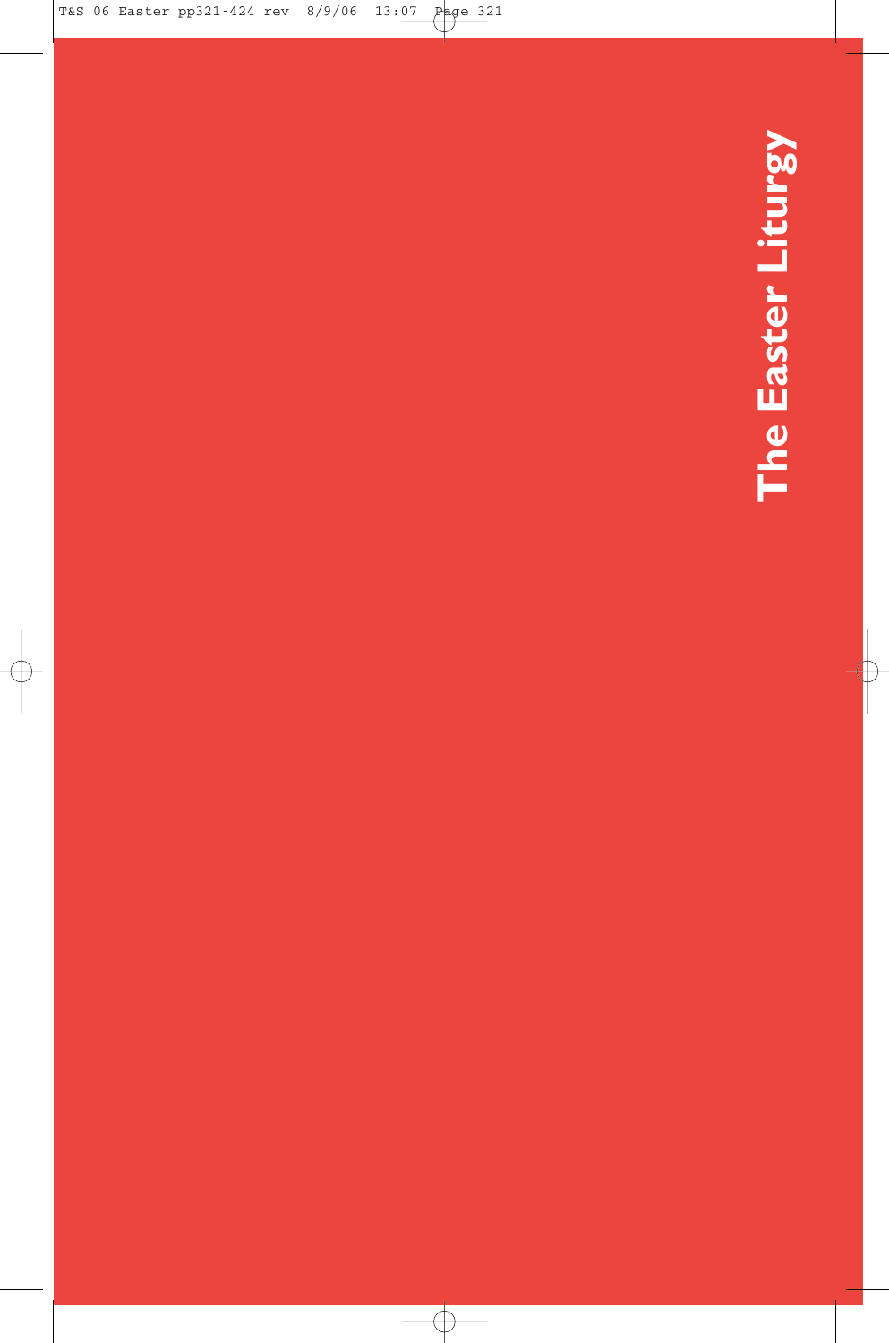# The Easter Liturgy **The Easter Liturgy**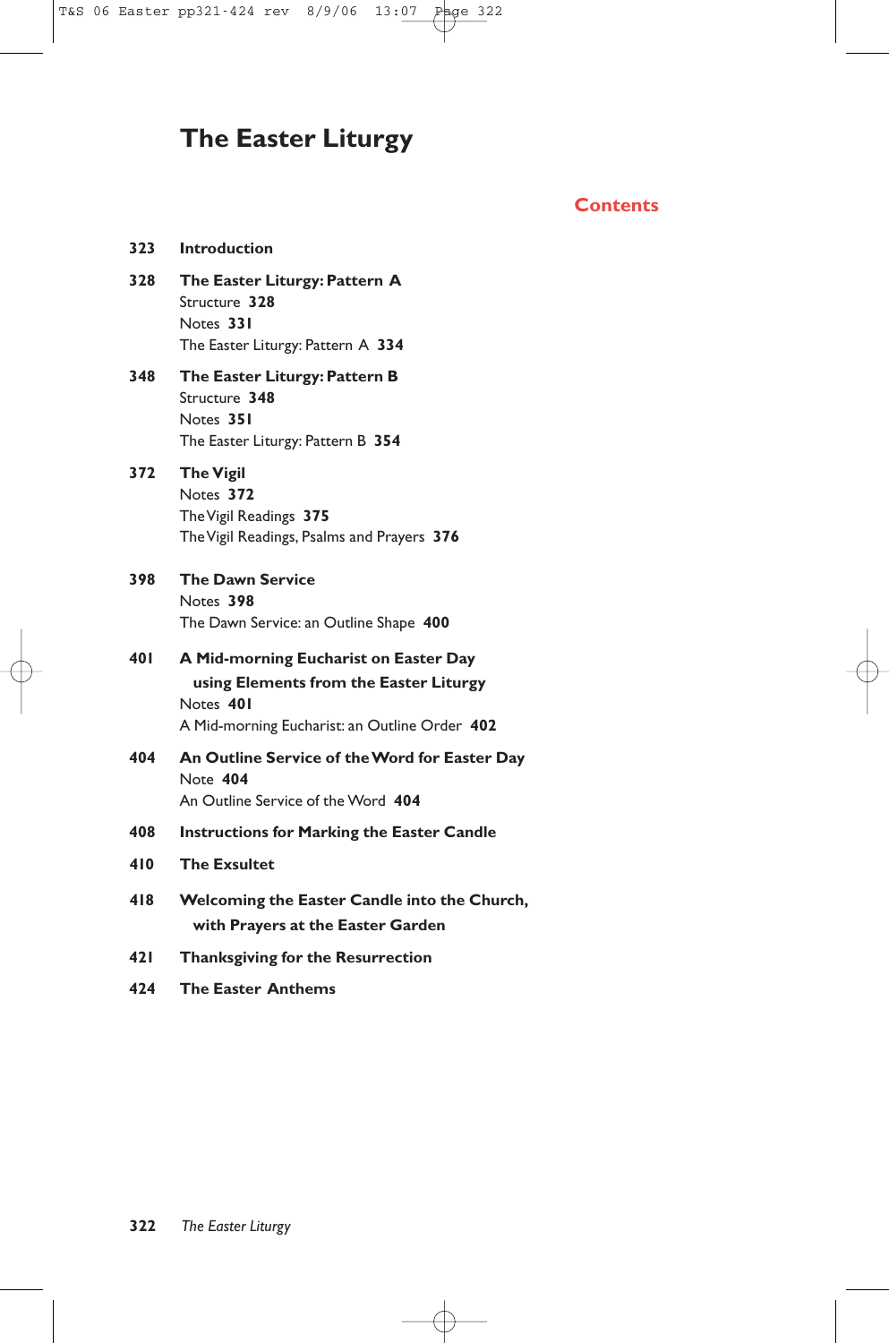# **The Easter Liturgy**

# **Contents**

| <b>Introduction</b>                                                                                                                           |
|-----------------------------------------------------------------------------------------------------------------------------------------------|
| The Easter Liturgy: Pattern A<br>Structure 328<br>Notes 331<br>The Easter Liturgy: Pattern A 334                                              |
| The Easter Liturgy: Pattern B<br>Structure 348<br>Notes 351<br>The Easter Liturgy: Pattern B 354                                              |
| <b>The Vigil</b><br>Notes 372<br>The Vigil Readings 375<br>The Vigil Readings, Psalms and Prayers 376                                         |
| <b>The Dawn Service</b><br>Notes 398<br>The Dawn Service: an Outline Shape 400                                                                |
| A Mid-morning Eucharist on Easter Day<br>using Elements from the Easter Liturgy<br>Notes 401<br>A Mid-morning Eucharist: an Outline Order 402 |
| An Outline Service of the Word for Easter Day<br>Note 404<br>An Outline Service of the Word 404                                               |
| <b>Instructions for Marking the Easter Candle</b>                                                                                             |
| <b>The Exsultet</b>                                                                                                                           |
| Welcoming the Easter Candle into the Church,<br>with Prayers at the Easter Garden                                                             |
| <b>Thanksgiving for the Resurrection</b>                                                                                                      |
| <b>The Easter Anthems</b>                                                                                                                     |
|                                                                                                                                               |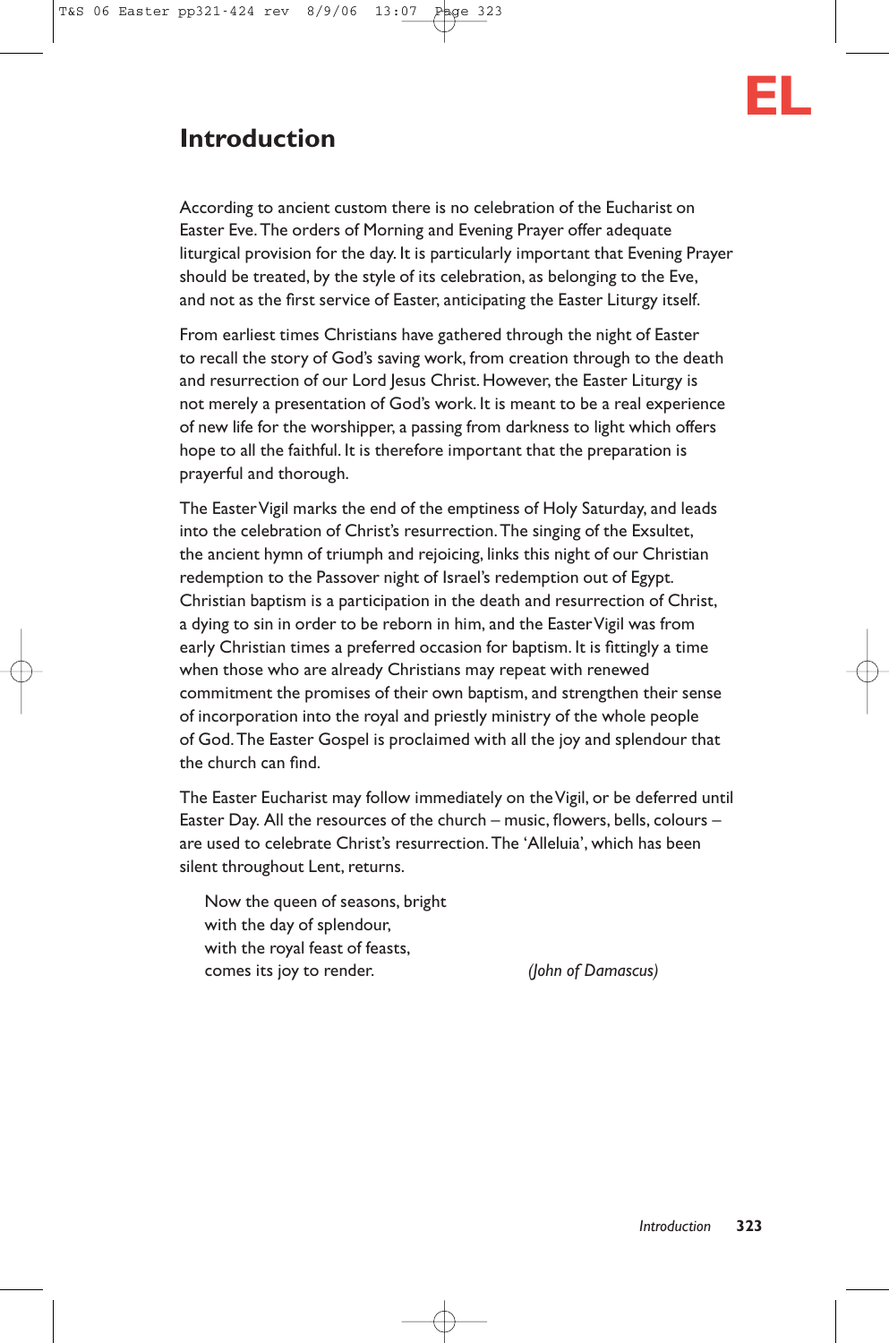

# **Introduction**

According to ancient custom there is no celebration of the Eucharist on Easter Eve.The orders of Morning and Evening Prayer offer adequate liturgical provision for the day. It is particularly important that Evening Prayer should be treated, by the style of its celebration, as belonging to the Eve, and not as the first service of Easter, anticipating the Easter Liturgy itself.

From earliest times Christians have gathered through the night of Easter to recall the story of God's saving work, from creation through to the death and resurrection of our Lord Jesus Christ. However, the Easter Liturgy is not merely a presentation of God's work. It is meant to be a real experience of new life for the worshipper, a passing from darkness to light which offers hope to all the faithful. It is therefore important that the preparation is prayerful and thorough.

The EasterVigil marks the end of the emptiness of Holy Saturday, and leads into the celebration of Christ's resurrection.The singing of the Exsultet, the ancient hymn of triumph and rejoicing, links this night of our Christian redemption to the Passover night of Israel's redemption out of Egypt. Christian baptism is a participation in the death and resurrection of Christ, a dying to sin in order to be reborn in him, and the Easter Vigil was from early Christian times a preferred occasion for baptism. It is fittingly a time when those who are already Christians may repeat with renewed commitment the promises of their own baptism, and strengthen their sense of incorporation into the royal and priestly ministry of the whole people of God.The Easter Gospel is proclaimed with all the joy and splendour that the church can find.

The Easter Eucharist may follow immediately on the Vigil, or be deferred until Easter Day. All the resources of the church – music, flowers, bells, colours – are used to celebrate Christ's resurrection.The 'Alleluia', which has been silent throughout Lent, returns.

Now the queen of seasons, bright with the day of splendour, with the royal feast of feasts, comes its joy to render. *(John of Damascus)*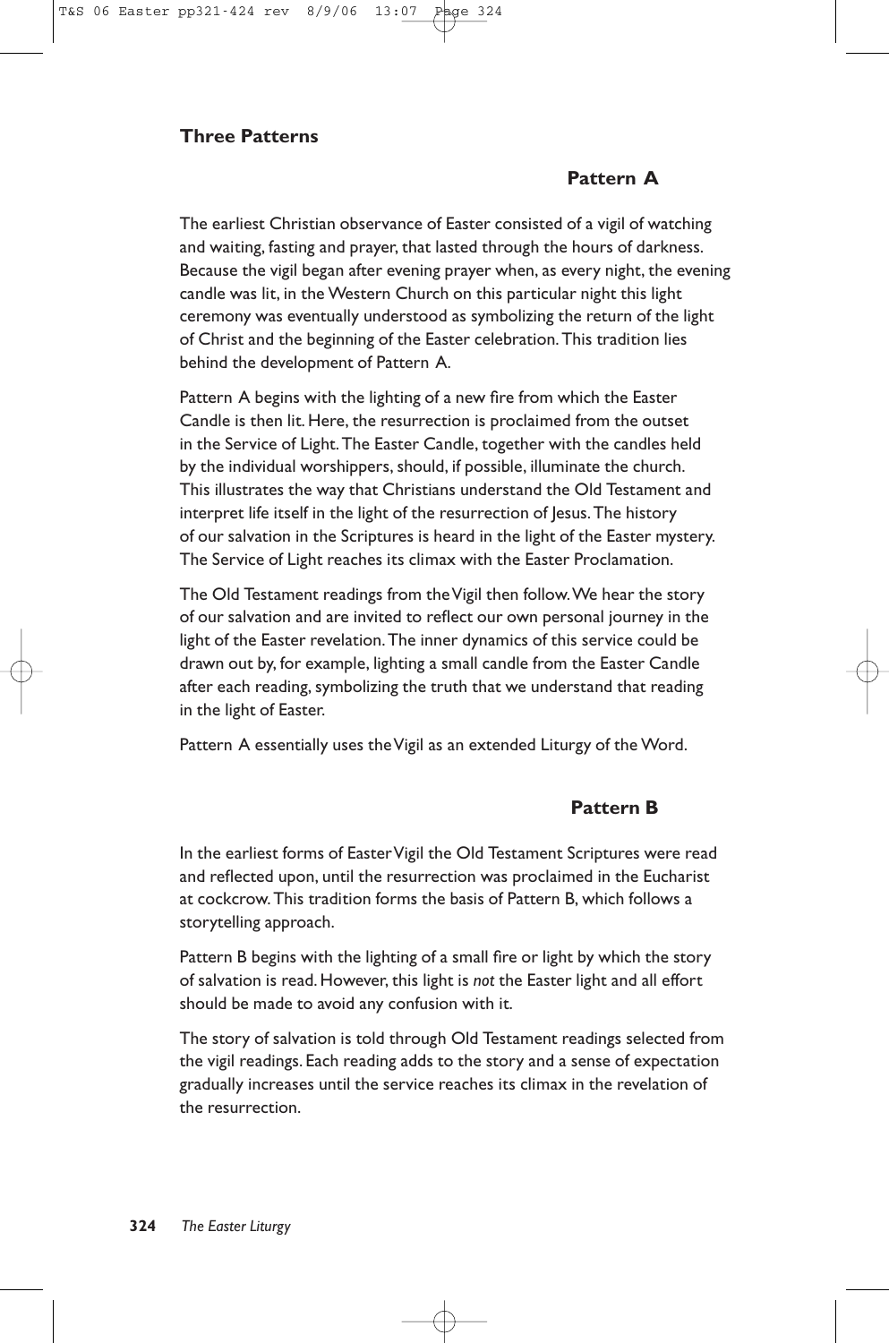# **Three Patterns**

# **Pattern A**

The earliest Christian observance of Easter consisted of a vigil of watching and waiting, fasting and prayer, that lasted through the hours of darkness. Because the vigil began after evening prayer when, as every night, the evening candle was lit, in the Western Church on this particular night this light ceremony was eventually understood as symbolizing the return of the light of Christ and the beginning of the Easter celebration.This tradition lies behind the development of Pattern A.

Pattern A begins with the lighting of a new fire from which the Easter Candle is then lit. Here, the resurrection is proclaimed from the outset in the Service of Light. The Easter Candle, together with the candles held by the individual worshippers, should, if possible, illuminate the church. This illustrates the way that Christians understand the Old Testament and interpret life itself in the light of the resurrection of Jesus. The history of our salvation in the Scriptures is heard in the light of the Easter mystery. The Service of Light reaches its climax with the Easter Proclamation.

The Old Testament readings from the Vigil then follow.We hear the story of our salvation and are invited to reflect our own personal journey in the light of the Easter revelation.The inner dynamics of this service could be drawn out by, for example, lighting a small candle from the Easter Candle after each reading, symbolizing the truth that we understand that reading in the light of Easter.

Pattern A essentially uses the Vigil as an extended Liturgy of the Word.

# **Pattern B**

In the earliest forms of Easter Vigil the Old Testament Scriptures were read and reflected upon, until the resurrection was proclaimed in the Eucharist at cockcrow.This tradition forms the basis of Pattern B, which follows a storytelling approach.

Pattern B begins with the lighting of a small fire or light by which the story of salvation is read. However, this light is *not* the Easter light and all effort should be made to avoid any confusion with it.

The story of salvation is told through Old Testament readings selected from the vigil readings. Each reading adds to the story and a sense of expectation gradually increases until the service reaches its climax in the revelation of the resurrection.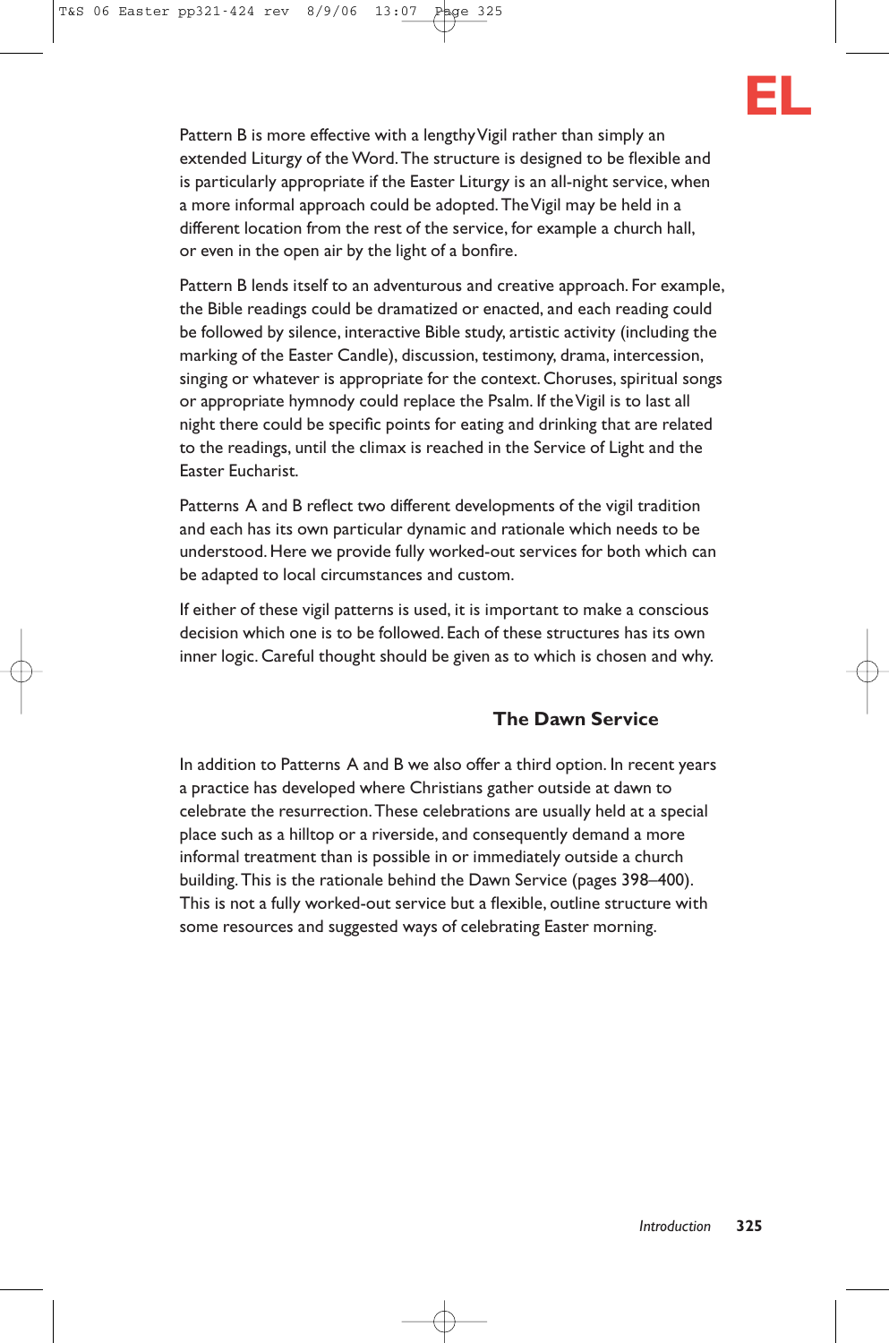

Pattern B is more effective with a lengthy Vigil rather than simply an extended Liturgy of the Word.The structure is designed to be flexible and is particularly appropriate if the Easter Liturgy is an all-night service, when a more informal approach could be adopted.The Vigil may be held in a different location from the rest of the service, for example a church hall, or even in the open air by the light of a bonfire.

Pattern B lends itself to an adventurous and creative approach. For example, the Bible readings could be dramatized or enacted, and each reading could be followed by silence, interactive Bible study, artistic activity (including the marking of the Easter Candle), discussion, testimony, drama, intercession, singing or whatever is appropriate for the context. Choruses, spiritual songs or appropriate hymnody could replace the Psalm. If the Vigil is to last all night there could be specific points for eating and drinking that are related to the readings, until the climax is reached in the Service of Light and the Easter Eucharist.

Patterns A and B reflect two different developments of the vigil tradition and each has its own particular dynamic and rationale which needs to be understood. Here we provide fully worked-out services for both which can be adapted to local circumstances and custom.

If either of these vigil patterns is used, it is important to make a conscious decision which one is to be followed. Each of these structures has its own inner logic. Careful thought should be given as to which is chosen and why.

# **The Dawn Service**

In addition to Patterns A and B we also offer a third option. In recent years a practice has developed where Christians gather outside at dawn to celebrate the resurrection.These celebrations are usually held at a special place such as a hilltop or a riverside, and consequently demand a more informal treatment than is possible in or immediately outside a church building.This is the rationale behind the Dawn Service (pages 398–400). This is not a fully worked-out service but a flexible, outline structure with some resources and suggested ways of celebrating Easter morning.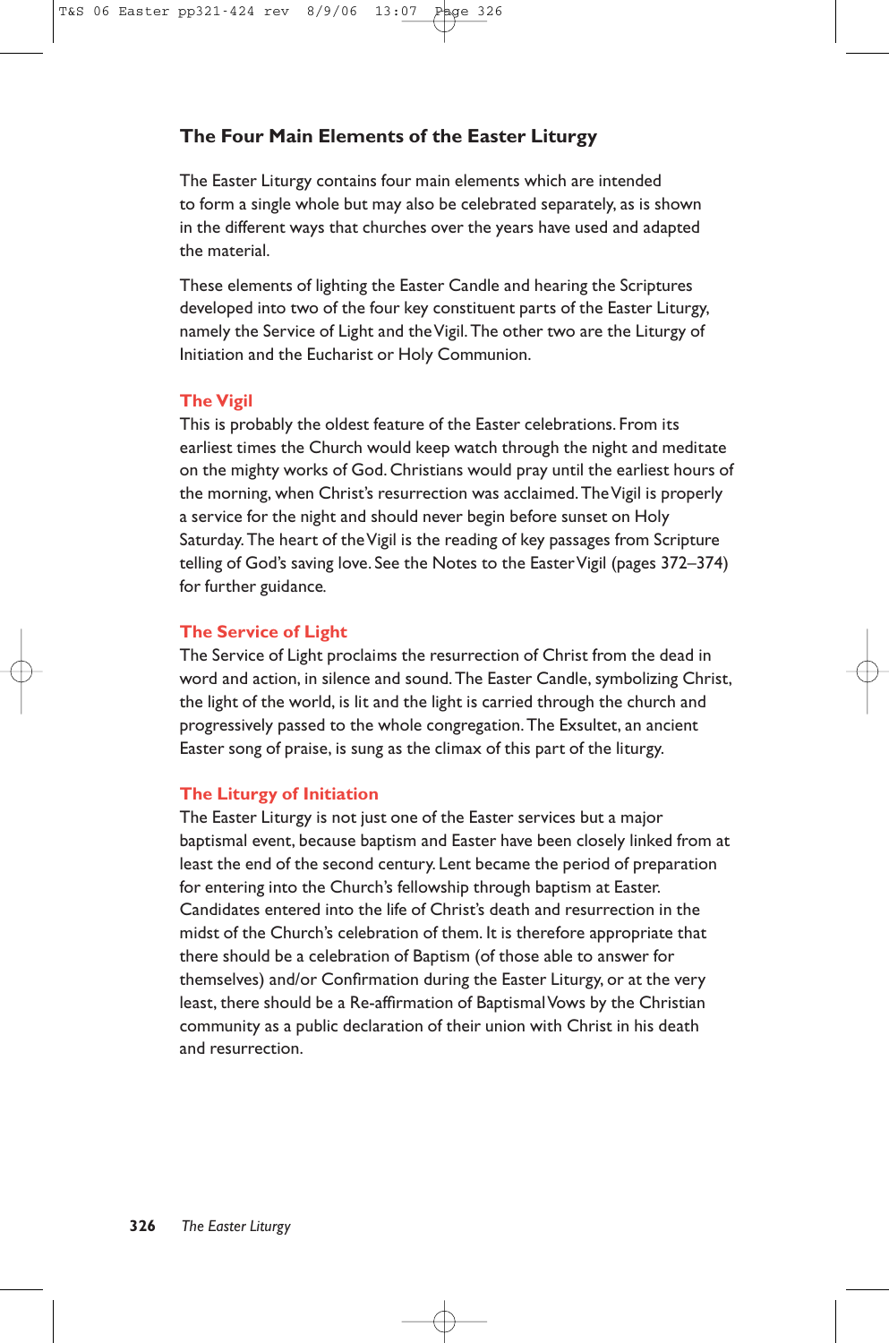# **The Four Main Elements of the Easter Liturgy**

The Easter Liturgy contains four main elements which are intended to form a single whole but may also be celebrated separately, as is shown in the different ways that churches over the years have used and adapted the material.

These elements of lighting the Easter Candle and hearing the Scriptures developed into two of the four key constituent parts of the Easter Liturgy, namely the Service of Light and the Vigil.The other two are the Liturgy of Initiation and the Eucharist or Holy Communion.

## **The Vigil**

This is probably the oldest feature of the Easter celebrations. From its earliest times the Church would keep watch through the night and meditate on the mighty works of God. Christians would pray until the earliest hours of the morning, when Christ's resurrection was acclaimed.The Vigil is properly a service for the night and should never begin before sunset on Holy Saturday.The heart of the Vigil is the reading of key passages from Scripture telling of God's saving love. See the Notes to the EasterVigil (pages 372–374) for further guidance*.*

# **The Service of Light**

The Service of Light proclaims the resurrection of Christ from the dead in word and action, in silence and sound.The Easter Candle, symbolizing Christ, the light of the world, is lit and the light is carried through the church and progressively passed to the whole congregation.The Exsultet, an ancient Easter song of praise, is sung as the climax of this part of the liturgy.

# **The Liturgy of Initiation**

The Easter Liturgy is not just one of the Easter services but a major baptismal event, because baptism and Easter have been closely linked from at least the end of the second century. Lent became the period of preparation for entering into the Church's fellowship through baptism at Easter. Candidates entered into the life of Christ's death and resurrection in the midst of the Church's celebration of them. It is therefore appropriate that there should be a celebration of Baptism (of those able to answer for themselves) and/or Confirmation during the Easter Liturgy, or at the very least, there should be a Re-affirmation of Baptismal Vows by the Christian community as a public declaration of their union with Christ in his death and resurrection.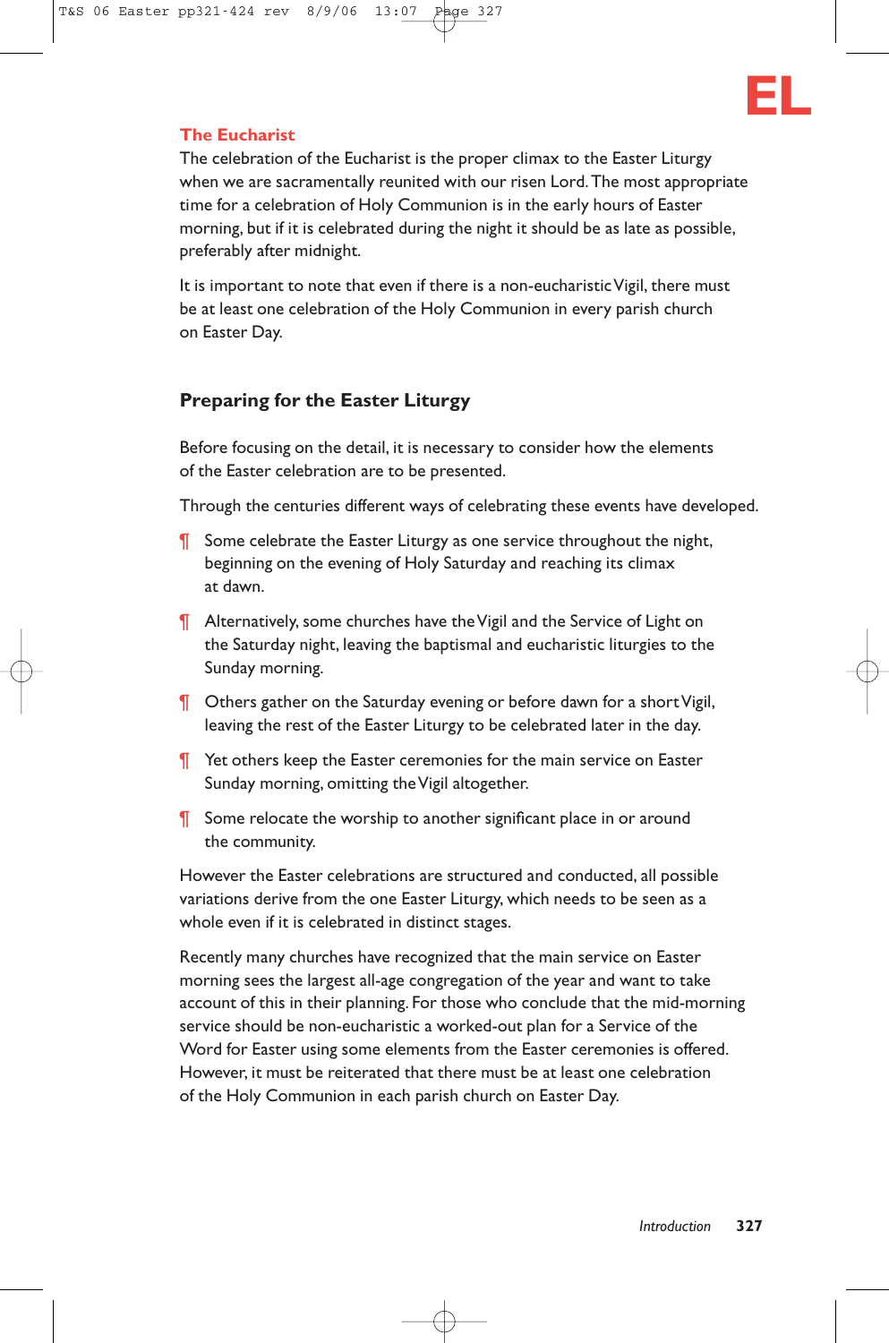

## **The Eucharist**

The celebration of the Eucharist is the proper climax to the Easter Liturgy when we are sacramentally reunited with our risen Lord.The most appropriate time for a celebration of Holy Communion is in the early hours of Easter morning, but if it is celebrated during the night it should be as late as possible, preferably after midnight.

It is important to note that even if there is a non-eucharistic Vigil, there must be at least one celebration of the Holy Communion in every parish church on Easter Day.

# **Preparing for the Easter Liturgy**

Before focusing on the detail, it is necessary to consider how the elements of the Easter celebration are to be presented.

Through the centuries different ways of celebrating these events have developed.

- **T** Some celebrate the Easter Liturgy as one service throughout the night, beginning on the evening of Holy Saturday and reaching its climax at dawn.
- ¶ Alternatively, some churches have the Vigil and the Service of Light on the Saturday night, leaving the baptismal and eucharistic liturgies to the Sunday morning.
- **T** Others gather on the Saturday evening or before dawn for a short Vigil, leaving the rest of the Easter Liturgy to be celebrated later in the day.
- ¶ Yet others keep the Easter ceremonies for the main service on Easter Sunday morning, omitting the Vigil altogether.
- ¶ Some relocate the worship to another significant place in or around the community.

However the Easter celebrations are structured and conducted, all possible variations derive from the one Easter Liturgy, which needs to be seen as a whole even if it is celebrated in distinct stages.

Recently many churches have recognized that the main service on Easter morning sees the largest all-age congregation of the year and want to take account of this in their planning. For those who conclude that the mid-morning service should be non-eucharistic a worked-out plan for a Service of the Word for Easter using some elements from the Easter ceremonies is offered. However, it must be reiterated that there must be at least one celebration of the Holy Communion in each parish church on Easter Day.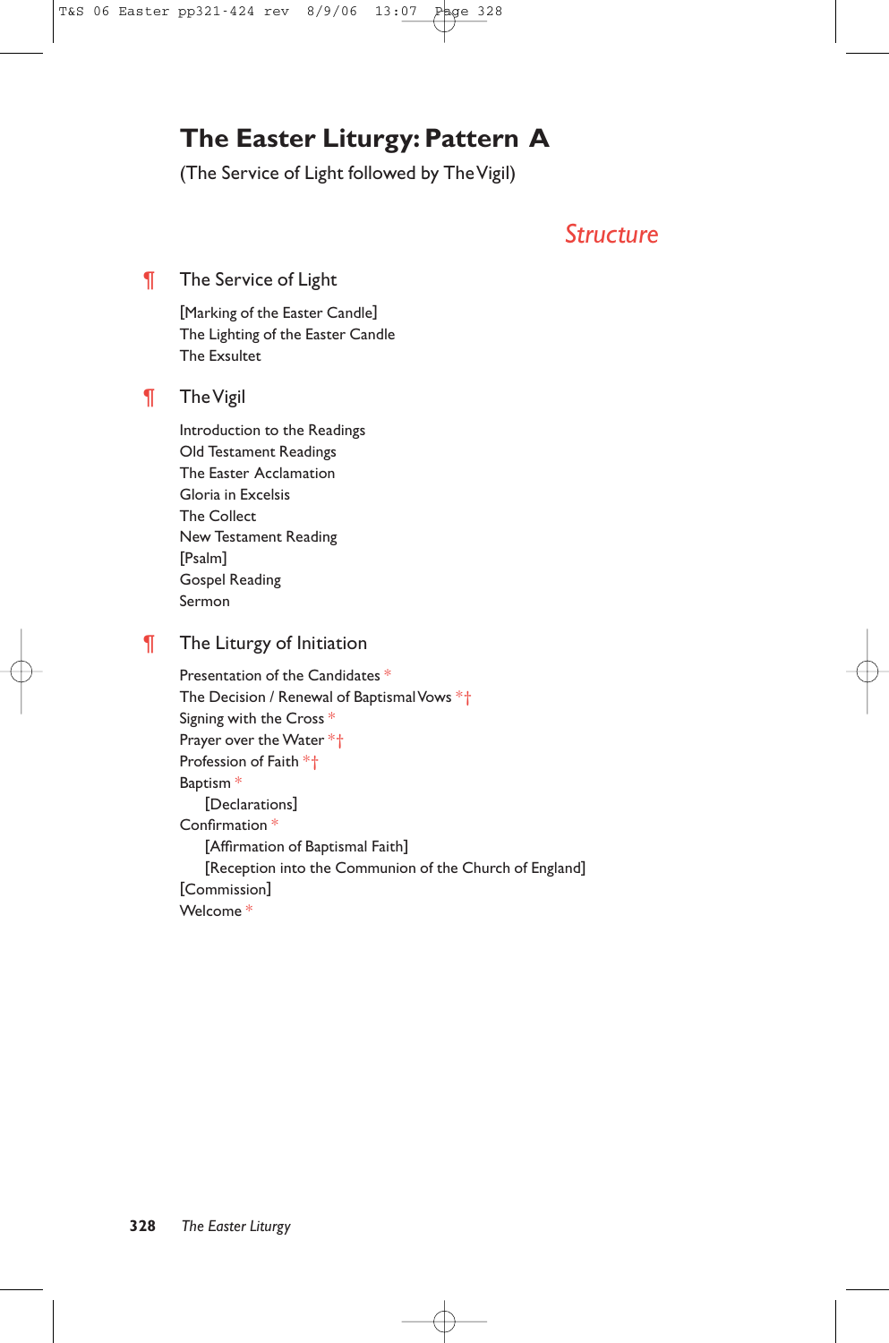# **The Easter Liturgy: Pattern A**

(The Service of Light followed by The Vigil)

# *Structure*

# **The Service of Light**

[Marking of the Easter Candle] The Lighting of the Easter Candle The Exsultet

# ¶ The Vigil

Introduction to the Readings Old Testament Readings The Easter Acclamation Gloria in Excelsis The Collect New Testament Reading [Psalm] Gospel Reading Sermon

# **The Liturgy of Initiation**

Presentation of the Candidates \* The Decision / Renewal of Baptismal Vows \*† Signing with the Cross \* Prayer over the Water \*† Profession of Faith \*† Baptism \* [Declarations] Confirmation \* [Affirmation of Baptismal Faith] [Reception into the Communion of the Church of England] [Commission] Welcome \*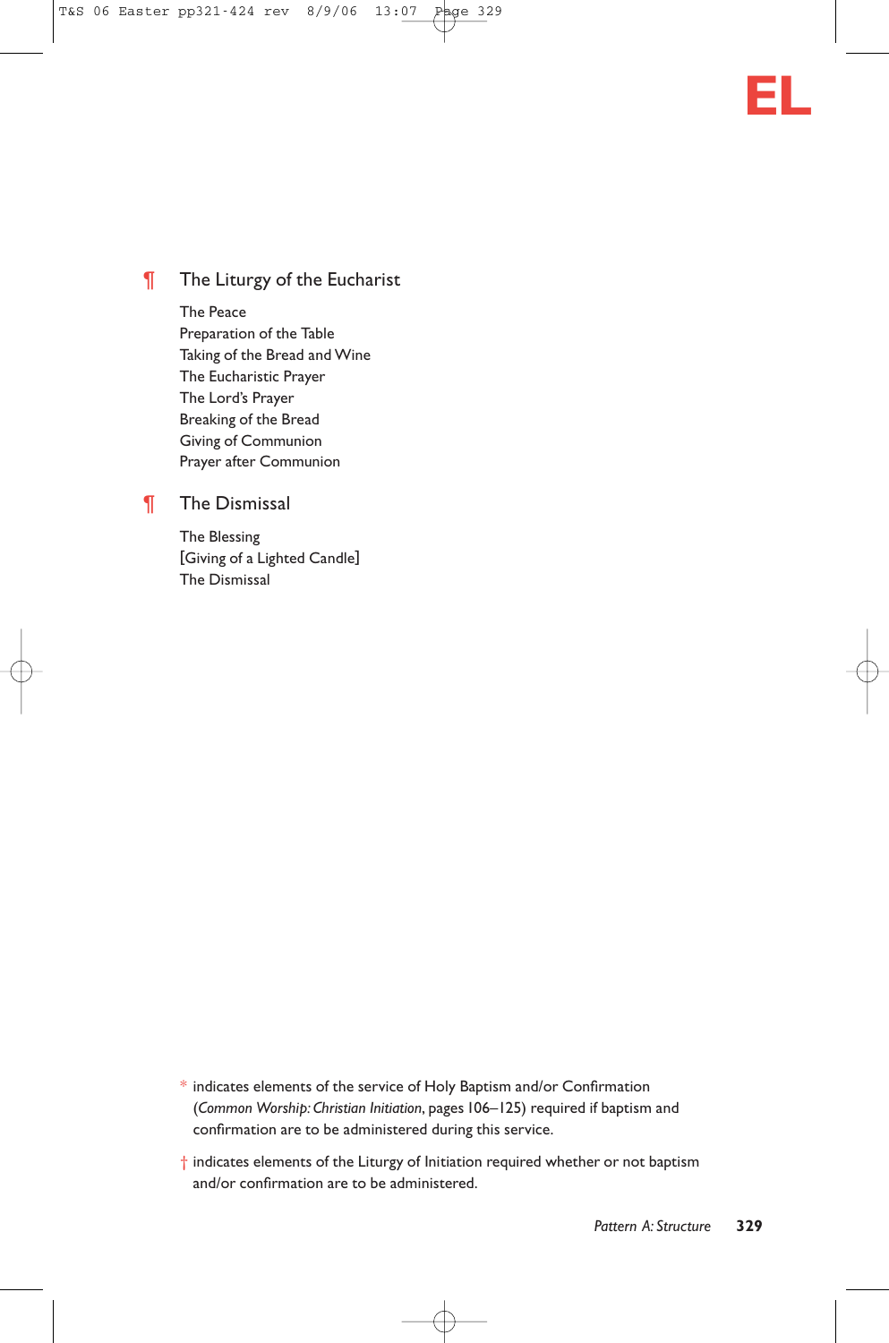

# **The Liturgy of the Eucharist**

The Peace Preparation of the Table Taking of the Bread and Wine The Eucharistic Prayer The Lord's Prayer Breaking of the Bread Giving of Communion Prayer after Communion

## ¶ The Dismissal

The Blessing [Giving of a Lighted Candle] The Dismissal

- \* indicates elements of the service of Holy Baptism and/or Confirmation (*Common Worship: Christian Initiation*, pages 106–125) required if baptism and confirmation are to be administered during this service.
- † indicates elements of the Liturgy of Initiation required whether or not baptism and/or confirmation are to be administered.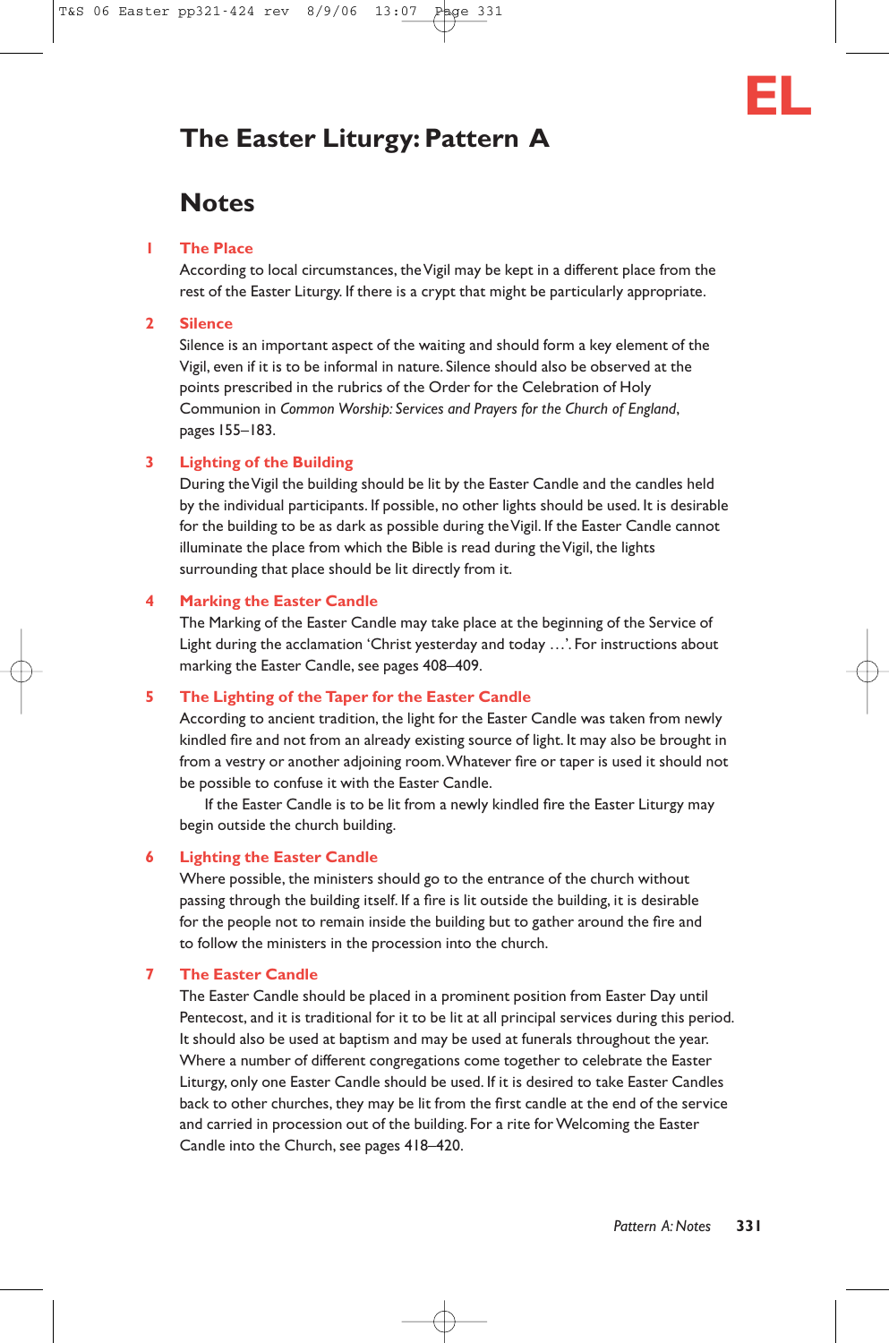# **The Easter Liturgy: Pattern A**

# **Notes**

#### **1 The Place**

According to local circumstances, the Vigil may be kept in a different place from the rest of the Easter Liturgy. If there is a crypt that might be particularly appropriate.

#### **2 Silence**

Silence is an important aspect of the waiting and should form a key element of the Vigil, even if it is to be informal in nature. Silence should also be observed at the points prescribed in the rubrics of the Order for the Celebration of Holy Communion in *Common Worship: Services and Prayers for the Church of England*, pages 155–183.

#### **3 Lighting of the Building**

During the Vigil the building should be lit by the Easter Candle and the candles held by the individual participants. If possible, no other lights should be used. It is desirable for the building to be as dark as possible during the Vigil. If the Easter Candle cannot illuminate the place from which the Bible is read during the Vigil, the lights surrounding that place should be lit directly from it.

#### **4 Marking the Easter Candle**

The Marking of the Easter Candle may take place at the beginning of the Service of Light during the acclamation 'Christ yesterday and today …'*.* For instructions about marking the Easter Candle, see pages 408–409.

## **5 The Lighting of the Taper for the Easter Candle**

According to ancient tradition, the light for the Easter Candle was taken from newly kindled fire and not from an already existing source of light. It may also be brought in from a vestry or another adjoining room.Whatever fire or taper is used it should not be possible to confuse it with the Easter Candle.

If the Easter Candle is to be lit from a newly kindled fire the Easter Liturgy may begin outside the church building.

#### **6 Lighting the Easter Candle**

Where possible, the ministers should go to the entrance of the church without passing through the building itself. If a fire is lit outside the building, it is desirable for the people not to remain inside the building but to gather around the fire and to follow the ministers in the procession into the church.

## **7 The Easter Candle**

The Easter Candle should be placed in a prominent position from Easter Day until Pentecost, and it is traditional for it to be lit at all principal services during this period. It should also be used at baptism and may be used at funerals throughout the year. Where a number of different congregations come together to celebrate the Easter Liturgy, only one Easter Candle should be used. If it is desired to take Easter Candles back to other churches, they may be lit from the first candle at the end of the service and carried in procession out of the building. For a rite for Welcoming the Easter Candle into the Church, see pages 418–420.

**EL**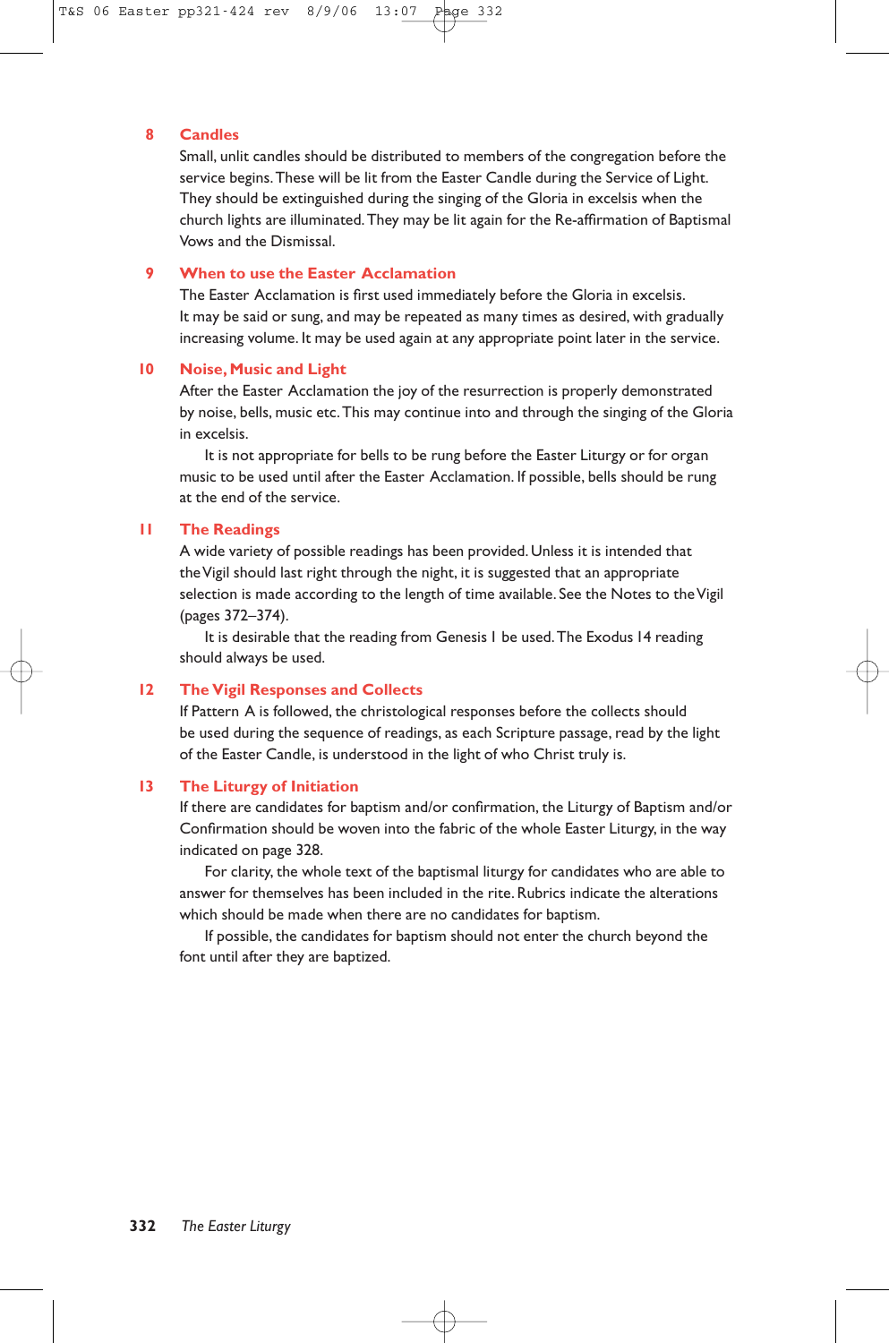#### **8 Candles**

Small, unlit candles should be distributed to members of the congregation before the service begins.These will be lit from the Easter Candle during the Service of Light. They should be extinguished during the singing of the Gloria in excelsis when the church lights are illuminated.They may be lit again for the Re-affirmation of Baptismal Vows and the Dismissal.

#### **9 When to use the Easter Acclamation**

The Easter Acclamation is first used immediately before the Gloria in excelsis. It may be said or sung, and may be repeated as many times as desired, with gradually increasing volume. It may be used again at any appropriate point later in the service.

#### **10 Noise, Music and Light**

After the Easter Acclamation the joy of the resurrection is properly demonstrated by noise, bells, music etc.This may continue into and through the singing of the Gloria in excelsis.

It is not appropriate for bells to be rung before the Easter Liturgy or for organ music to be used until after the Easter Acclamation. If possible, bells should be rung at the end of the service.

#### **11 The Readings**

A wide variety of possible readings has been provided. Unless it is intended that the Vigil should last right through the night, it is suggested that an appropriate selection is made according to the length of time available. See the Notes to the Vigil (pages 372–374).

It is desirable that the reading from Genesis 1 be used.The Exodus 14 reading should always be used.

#### **12 The Vigil Responses and Collects**

If Pattern A is followed, the christological responses before the collects should be used during the sequence of readings, as each Scripture passage, read by the light of the Easter Candle, is understood in the light of who Christ truly is.

#### **13 The Liturgy of Initiation**

If there are candidates for baptism and/or confirmation, the Liturgy of Baptism and/or Confirmation should be woven into the fabric of the whole Easter Liturgy, in the way indicated on page 328.

For clarity, the whole text of the baptismal liturgy for candidates who are able to answer for themselves has been included in the rite. Rubrics indicate the alterations which should be made when there are no candidates for baptism.

If possible, the candidates for baptism should not enter the church beyond the font until after they are baptized.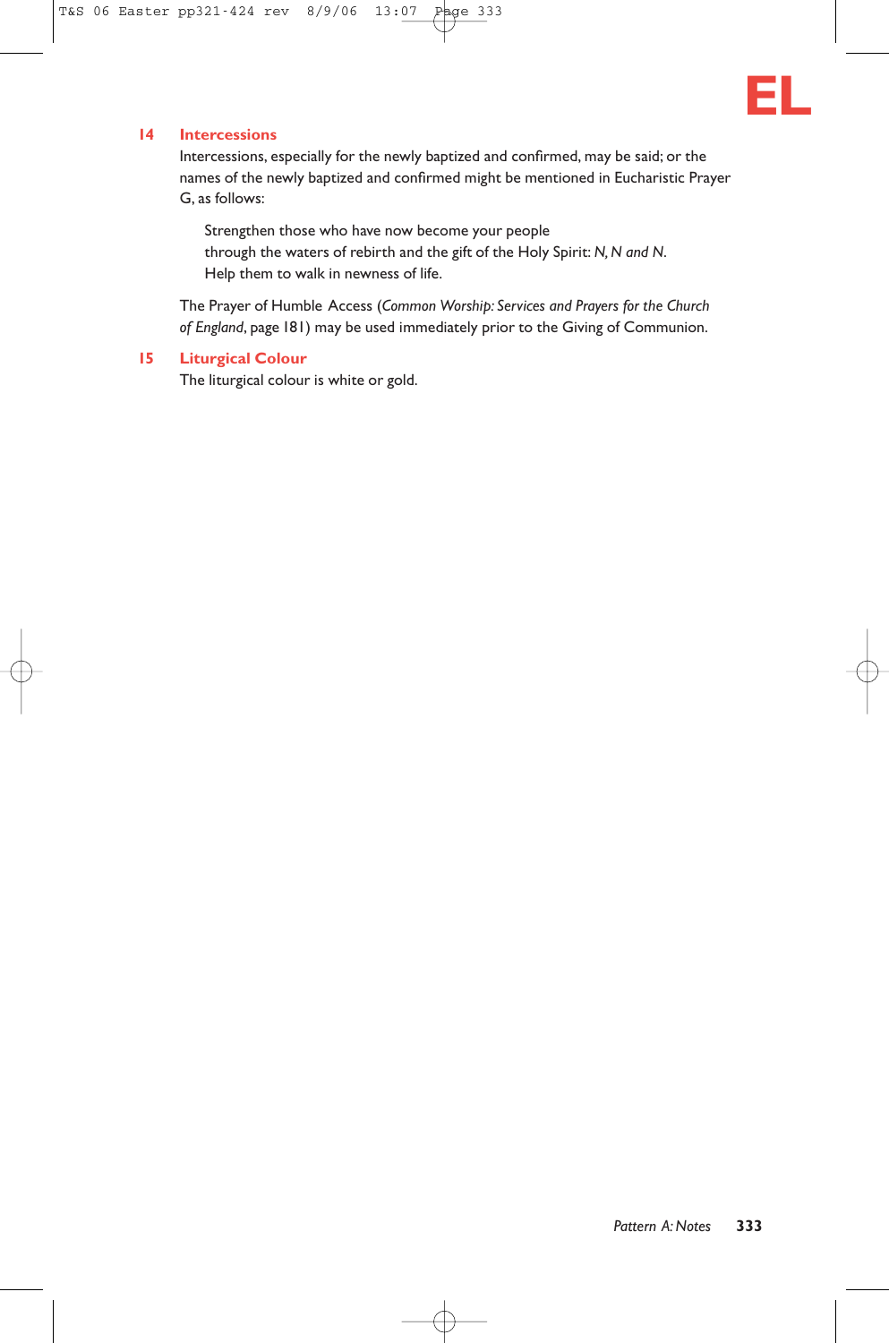

#### **14 Intercessions**

Intercessions, especially for the newly baptized and confirmed, may be said; or the names of the newly baptized and confirmed might be mentioned in Eucharistic Prayer G, as follows:

Strengthen those who have now become your people through the waters of rebirth and the gift of the Holy Spirit: *N, N and N*. Help them to walk in newness of life.

The Prayer of Humble Access (*Common Worship: Services and Prayers for the Church of England*, page 181) may be used immediately prior to the Giving of Communion.

#### **15 Liturgical Colour**

The liturgical colour is white or gold.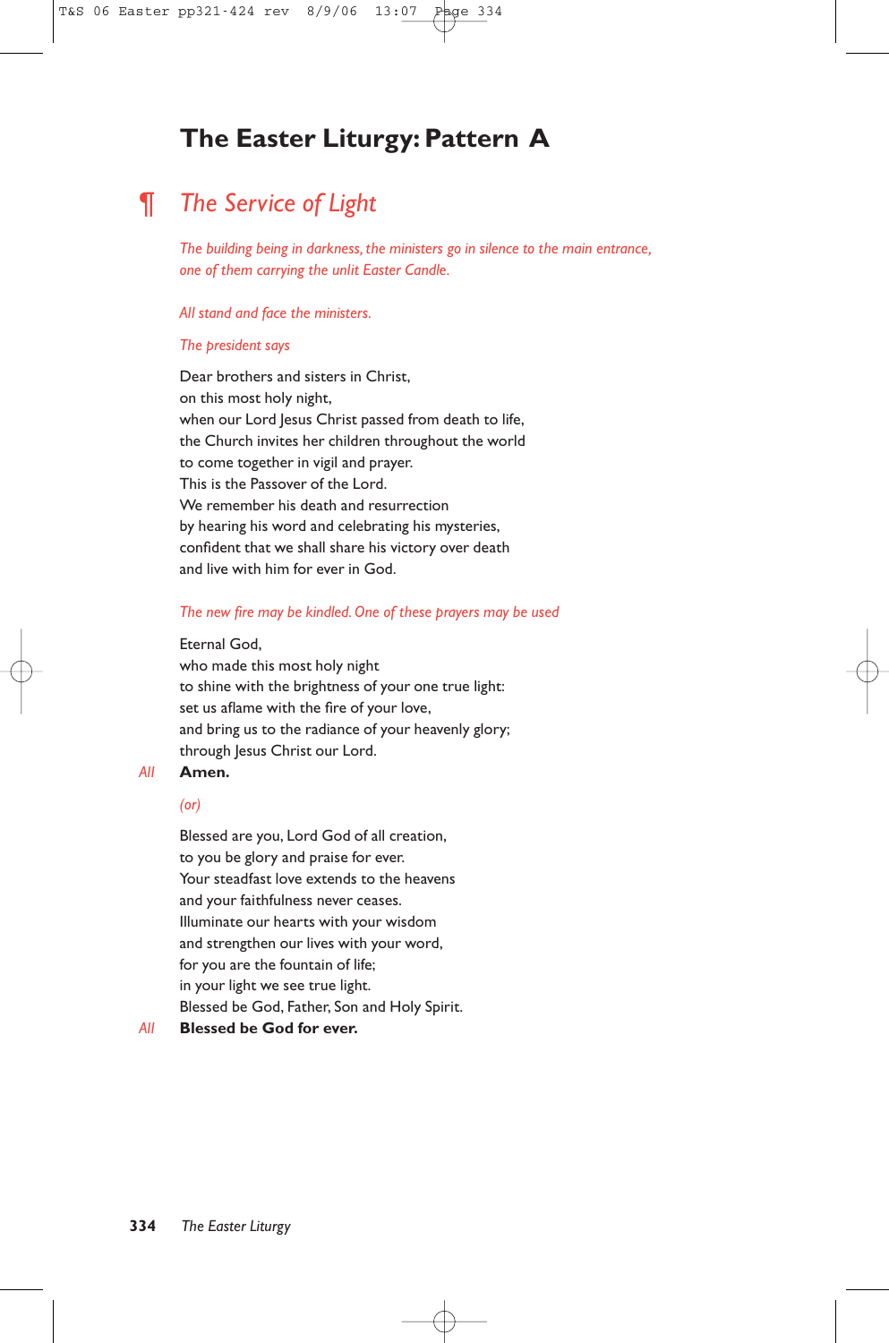# **The Easter Liturgy: Pattern A**

# ¶ *The Service of Light*

*The building being in darkness, the ministers go in silence to the main entrance, one of them carrying the unlit Easter Candle.*

#### *All stand and face the ministers.*

#### *The president says*

Dear brothers and sisters in Christ, on this most holy night, when our Lord Jesus Christ passed from death to life, the Church invites her children throughout the world to come together in vigil and prayer. This is the Passover of the Lord. We remember his death and resurrection by hearing his word and celebrating his mysteries, confident that we shall share his victory over death and live with him for ever in God.

#### *The new fire may be kindled.One of these prayers may be used*

#### Eternal God,

who made this most holy night to shine with the brightness of your one true light: set us aflame with the fire of your love, and bring us to the radiance of your heavenly glory; through Jesus Christ our Lord.

#### *All* **Amen.**

#### *(or)*

Blessed are you, Lord God of all creation, to you be glory and praise for ever. Your steadfast love extends to the heavens and your faithfulness never ceases. Illuminate our hearts with your wisdom and strengthen our lives with your word, for you are the fountain of life; in your light we see true light. Blessed be God, Father, Son and Holy Spirit.

#### *All* **Blessed be God for ever.**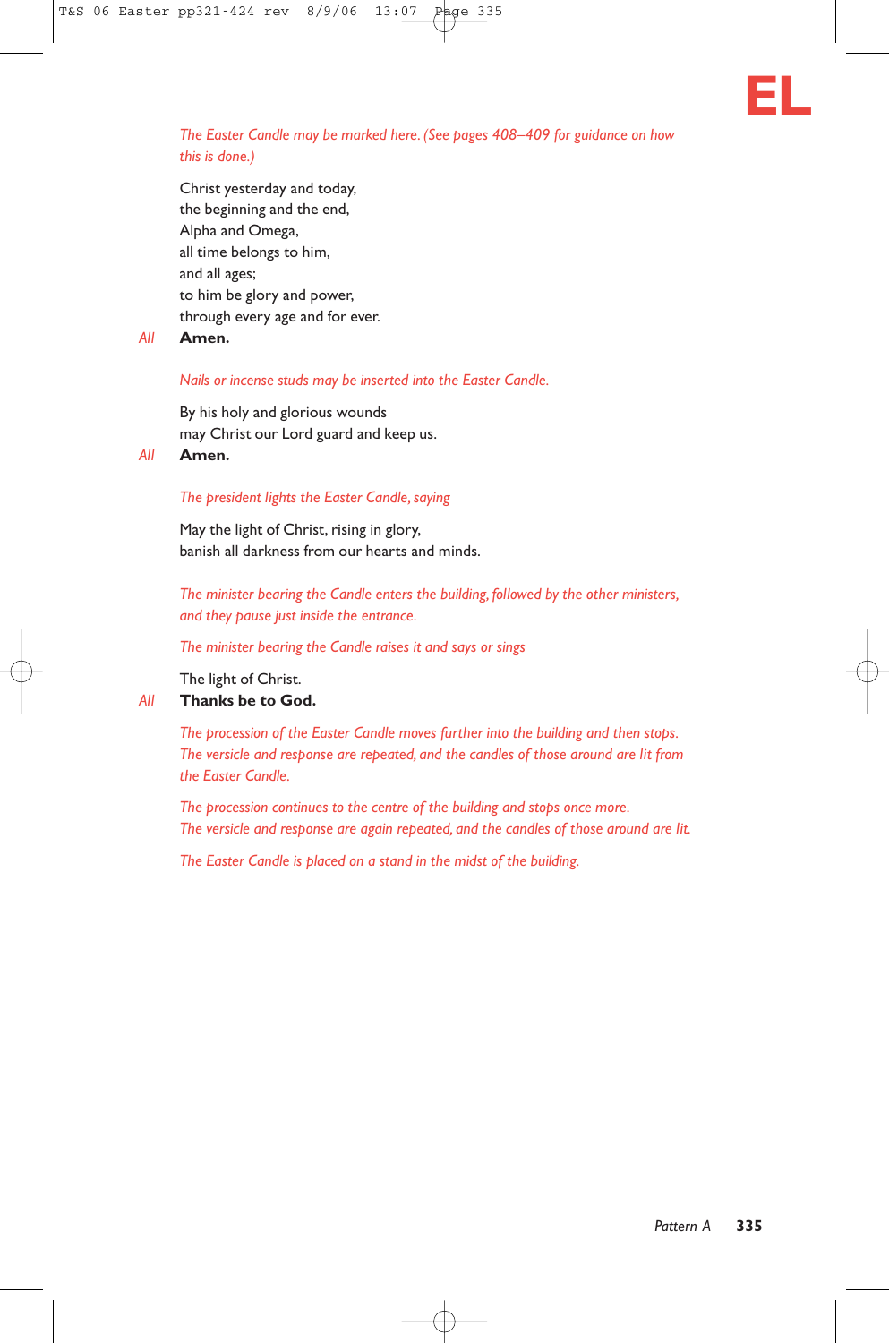

*The Easter Candle may be marked here. (See pages 408–409 for guidance on how this is done.)*

Christ yesterday and today, the beginning and the end, Alpha and Omega, all time belongs to him, and all ages; to him be glory and power, through every age and for ever.

*All* **Amen.**

#### *Nails or incense studs may be inserted into the Easter Candle.*

By his holy and glorious wounds may Christ our Lord guard and keep us.

*All* **Amen.**

#### *The president lights the Easter Candle, saying*

May the light of Christ, rising in glory, banish all darkness from our hearts and minds.

*The minister bearing the Candle enters the building, followed by the other ministers, and they pause just inside the entrance.*

*The minister bearing the Candle raises it and says or sings*

The light of Christ.

#### *All* **Thanks be to God.**

*The procession of the Easter Candle moves further into the building and then stops. The versicle and response are repeated, and the candles of those around are lit from the Easter Candle.*

*The procession continues to the centre of the building and stops once more. The versicle and response are again repeated, and the candles of those around are lit.*

*The Easter Candle is placed on a stand in the midst of the building.*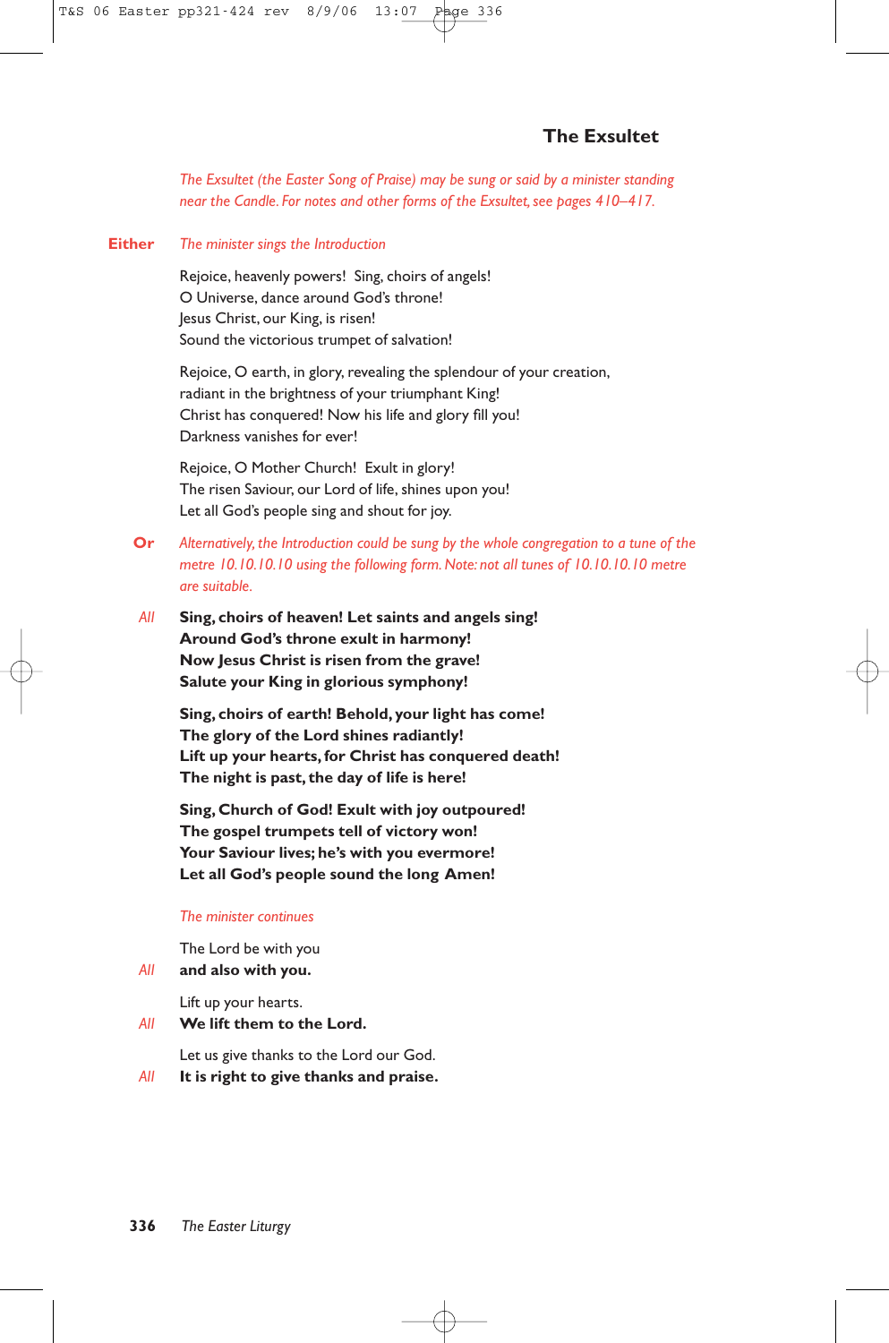*The Exsultet (the Easter Song of Praise) may be sung or said by a minister standing near the Candle. For notes and other forms of the Exsultet, see pages 410–417.*

**Either** *The minister sings the Introduction*

Rejoice, heavenly powers! Sing, choirs of angels! O Universe, dance around God's throne! Jesus Christ, our King, is risen! Sound the victorious trumpet of salvation!

Rejoice, O earth, in glory, revealing the splendour of your creation, radiant in the brightness of your triumphant King! Christ has conquered! Now his life and glory fill you! Darkness vanishes for ever!

Rejoice, O Mother Church! Exult in glory! The risen Saviour, our Lord of life, shines upon you! Let all God's people sing and shout for joy.

- **Or** *Alternatively, the Introduction could be sung by the whole congregation to a tune of the metre 10.10.10.10 using the following form. Note: not all tunes of 10.10.10.10 metre are suitable.*
- *All* **Sing, choirs of heaven! Let saints and angels sing! Around God's throne exult in harmony! Now Jesus Christ is risen from the grave! Salute your King in glorious symphony!**

**Sing, choirs of earth! Behold, your light has come! The glory of the Lord shines radiantly! Lift up your hearts, for Christ has conquered death! The night is past, the day of life is here!**

**Sing, Church of God! Exult with joy outpoured! The gospel trumpets tell of victory won! Your Saviour lives; he's with you evermore! Let all God's people sound the long Amen!**

#### *The minister continues*

The Lord be with you

*All* **and also with you.**

Lift up your hearts.

*All* **We lift them to the Lord.**

Let us give thanks to the Lord our God.

*All* **It is right to give thanks and praise.**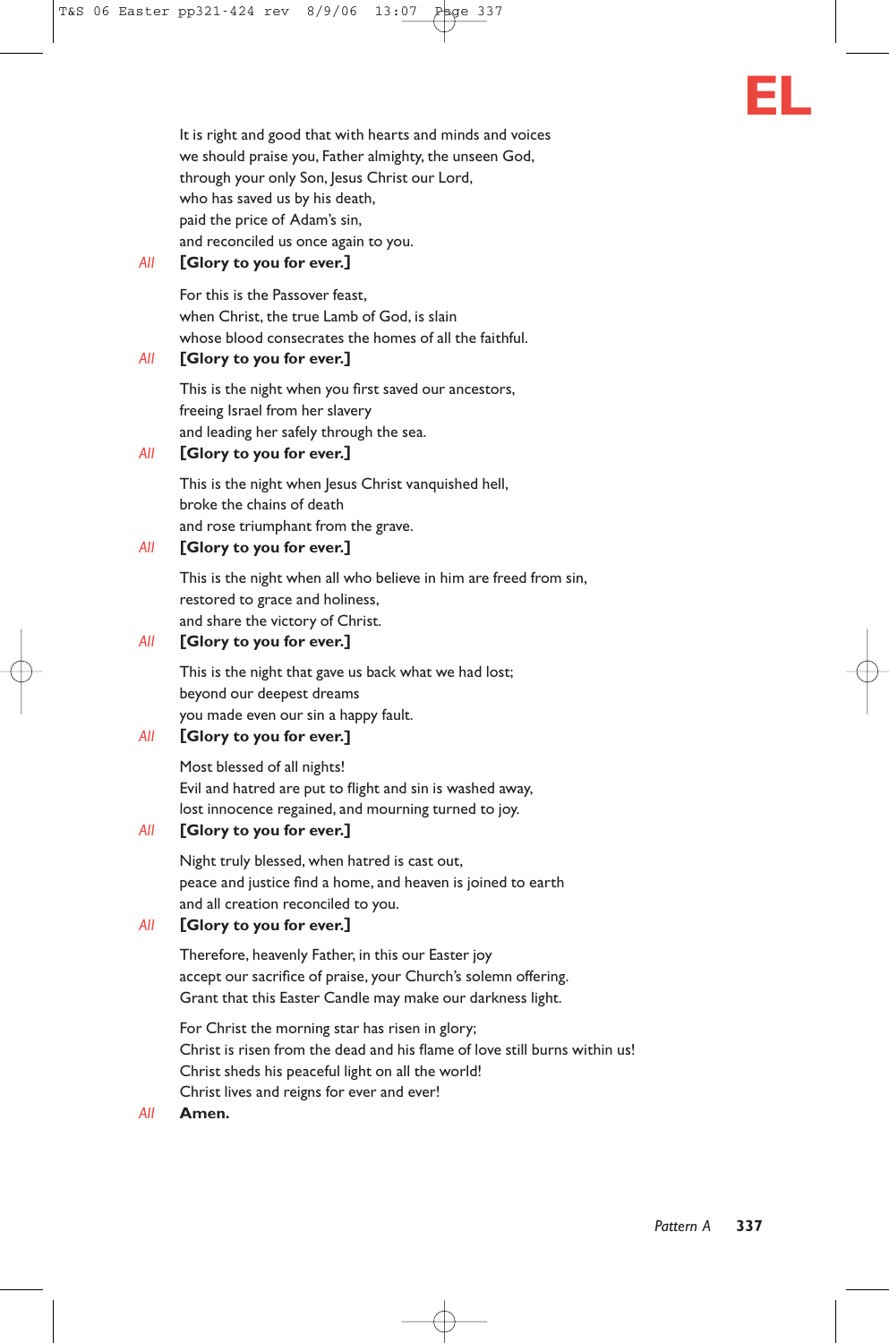

It is right and good that with hearts and minds and voices we should praise you, Father almighty, the unseen God, through your only Son, Jesus Christ our Lord, who has saved us by his death, paid the price of Adam's sin, and reconciled us once again to you.

## *All* **[Glory to you for ever.]**

For this is the Passover feast, when Christ, the true Lamb of God, is slain whose blood consecrates the homes of all the faithful.

#### *All* **[Glory to you for ever.]**

This is the night when you first saved our ancestors, freeing Israel from her slavery and leading her safely through the sea.

#### *All* **[Glory to you for ever.]**

This is the night when Jesus Christ vanquished hell, broke the chains of death and rose triumphant from the grave.

#### *All* **[Glory to you for ever.]**

This is the night when all who believe in him are freed from sin, restored to grace and holiness, and share the victory of Christ.

## *All* **[Glory to you for ever.]**

This is the night that gave us back what we had lost; beyond our deepest dreams you made even our sin a happy fault.

## *All* **[Glory to you for ever.]**

Most blessed of all nights! Evil and hatred are put to flight and sin is washed away, lost innocence regained, and mourning turned to joy.

## *All* **[Glory to you for ever.]**

Night truly blessed, when hatred is cast out, peace and justice find a home, and heaven is joined to earth and all creation reconciled to you.

## *All* **[Glory to you for ever.]**

Therefore, heavenly Father, in this our Easter joy accept our sacrifice of praise, your Church's solemn offering. Grant that this Easter Candle may make our darkness light.

For Christ the morning star has risen in glory; Christ is risen from the dead and his flame of love still burns within us! Christ sheds his peaceful light on all the world! Christ lives and reigns for ever and ever!

*All* **Amen.**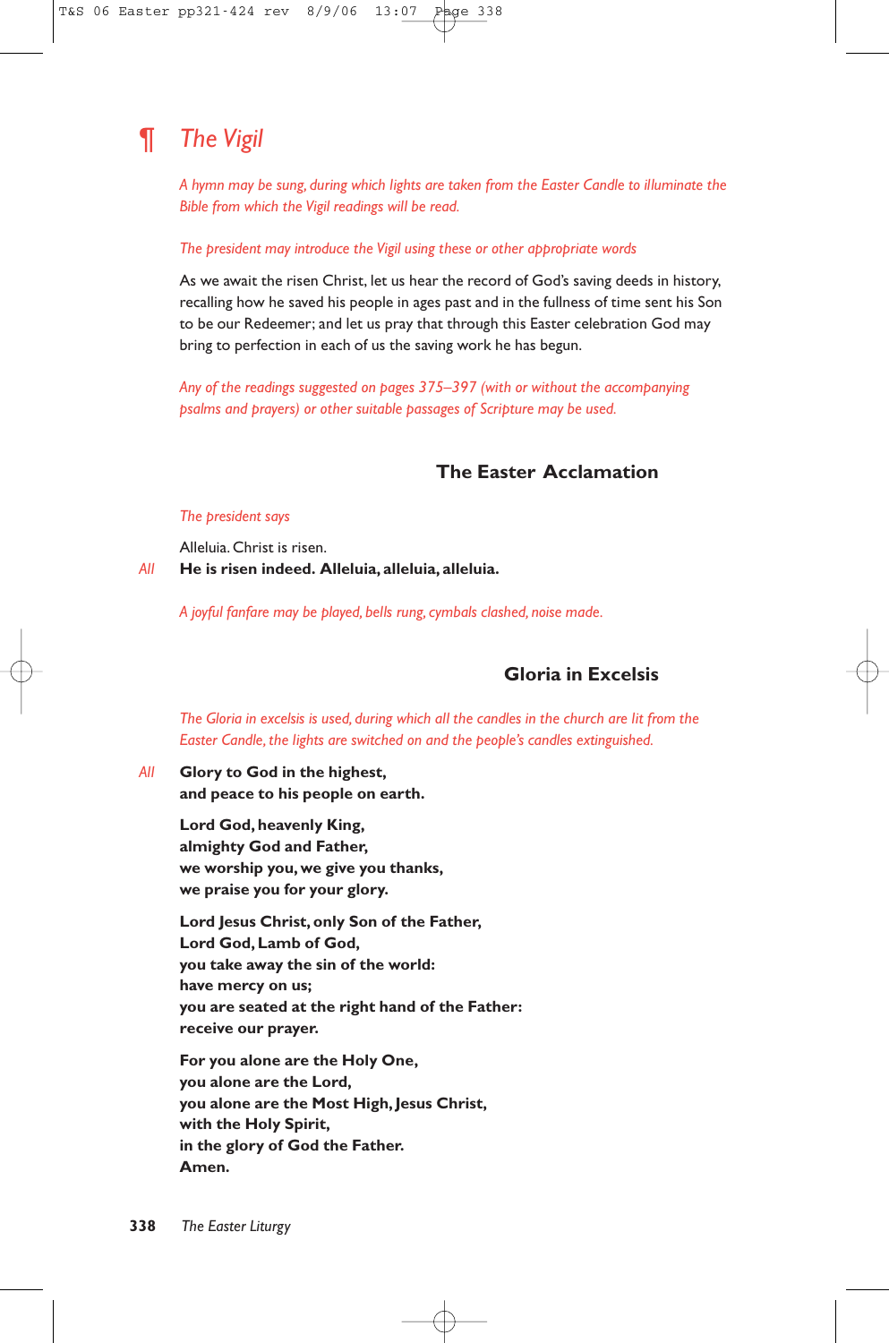# ¶ *The Vigil*

*A hymn may be sung, during which lights are taken from the Easter Candle to illuminate the Bible from which the Vigil readings will be read.*

#### *The president may introduce the Vigil using these or other appropriate words*

As we await the risen Christ, let us hear the record of God's saving deeds in history, recalling how he saved his people in ages past and in the fullness of time sent his Son to be our Redeemer; and let us pray that through this Easter celebration God may bring to perfection in each of us the saving work he has begun.

*Any of the readings suggested on pages 375–397 (with or without the accompanying psalms and prayers) or other suitable passages of Scripture may be used.*

# **The Easter Acclamation**

#### *The president says*

Alleluia. Christ is risen. *All* **He is risen indeed. Alleluia, alleluia, alleluia.**

*A joyful fanfare may be played, bells rung, cymbals clashed, noise made.*

# **Gloria in Excelsis**

*The Gloria in excelsis is used, during which all the candles in the church are lit from the Easter Candle, the lights are switched on and the people's candles extinguished.*

#### *All* **Glory to God in the highest, and peace to his people on earth.**

**Lord God, heavenly King, almighty God and Father, we worship you, we give you thanks, we praise you for your glory.**

**Lord Jesus Christ, only Son of the Father, Lord God, Lamb of God, you take away the sin of the world: have mercy on us; you are seated at the right hand of the Father: receive our prayer.**

**For you alone are the Holy One, you alone are the Lord, you alone are the Most High, Jesus Christ, with the Holy Spirit, in the glory of God the Father. Amen.**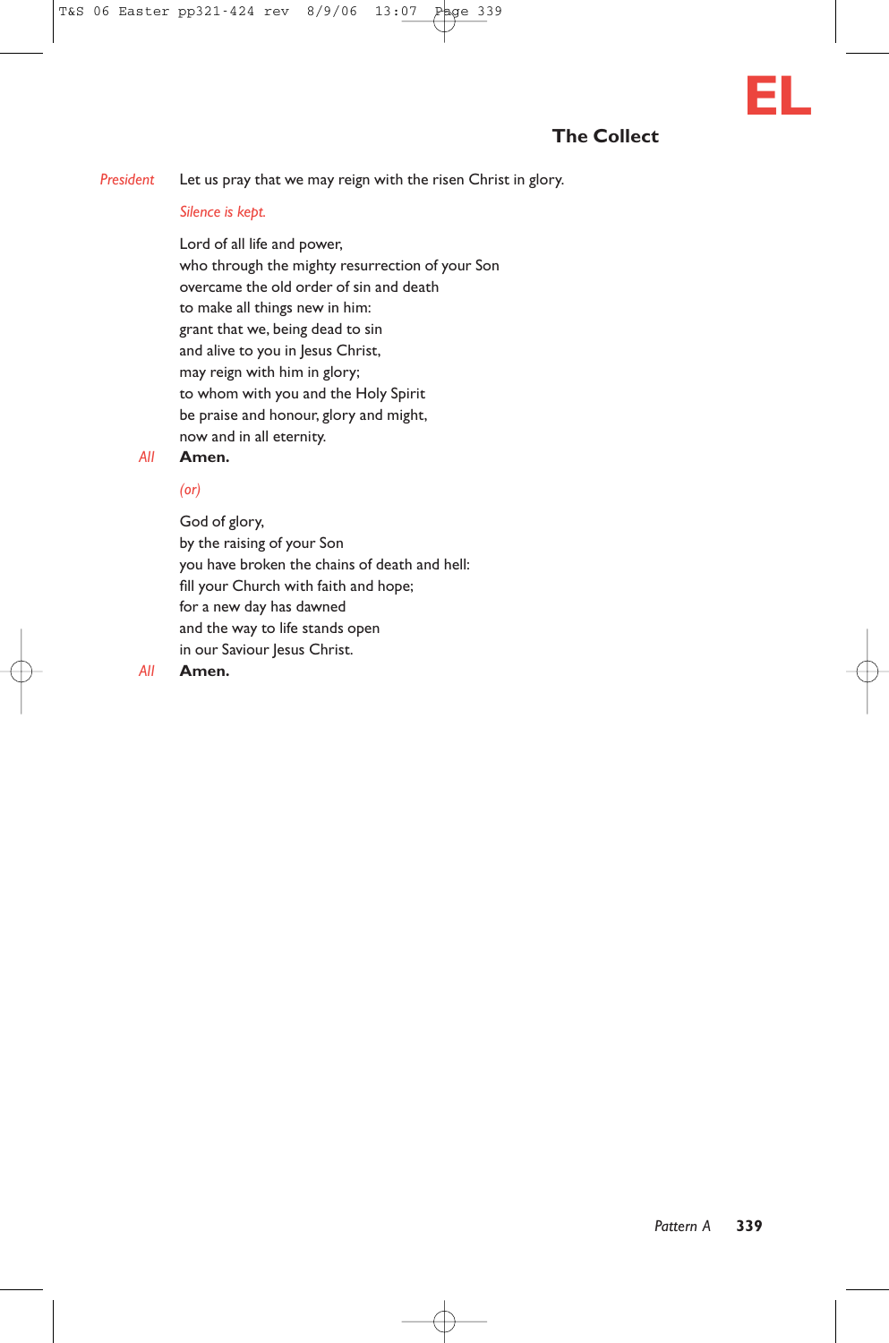*President* Let us pray that we may reign with the risen Christ in glory.

#### *Silence is kept.*

Lord of all life and power, who through the mighty resurrection of your Son overcame the old order of sin and death to make all things new in him: grant that we, being dead to sin and alive to you in Jesus Christ, may reign with him in glory; to whom with you and the Holy Spirit be praise and honour, glory and might, now and in all eternity.

#### *All* **Amen.**

#### *(or)*

God of glory, by the raising of your Son you have broken the chains of death and hell: fill your Church with faith and hope; for a new day has dawned and the way to life stands open in our Saviour Jesus Christ.

#### *All* **Amen.**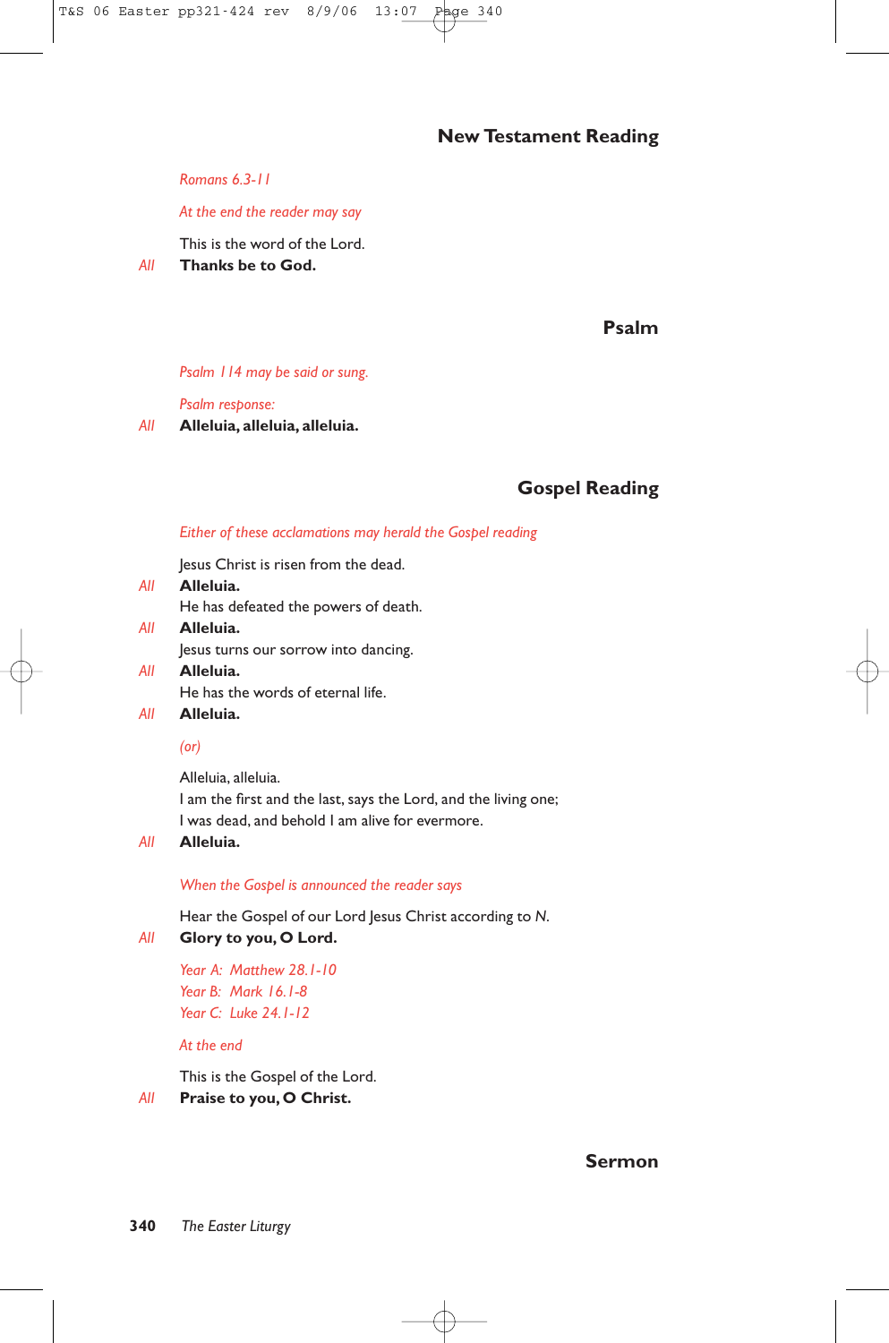# **New Testament Reading**

*Romans 6.3-11*

#### *At the end the reader may say*

This is the word of the Lord.

*All* **Thanks be to God.**

**Psalm**

#### *Psalm 114 may be said or sung.*

*Psalm response:*

*All* **Alleluia, alleluia, alleluia.**

# **Gospel Reading**

#### *Either of these acclamations may herald the Gospel reading*

Jesus Christ is risen from the dead.

- *All* **Alleluia.** He has defeated the powers of death. *All* **Alleluia.**
	- Jesus turns our sorrow into dancing.
- *All* **Alleluia.** He has the words of eternal life.

# *All* **Alleluia.**

#### *(or)*

Alleluia, alleluia. I am the first and the last, says the Lord, and the living one; I was dead, and behold I am alive for evermore.

#### *All* **Alleluia.**

*When the Gospel is announced the reader says*

Hear the Gospel of our Lord Jesus Christ according to *N*.

#### *All* **Glory to you, O Lord.**

*Year A: Matthew 28.1-10 Year B: Mark 16.1-8 Year C: Luke 24.1-12*

#### *At the end*

This is the Gospel of the Lord.

*All* **Praise to you, O Christ.**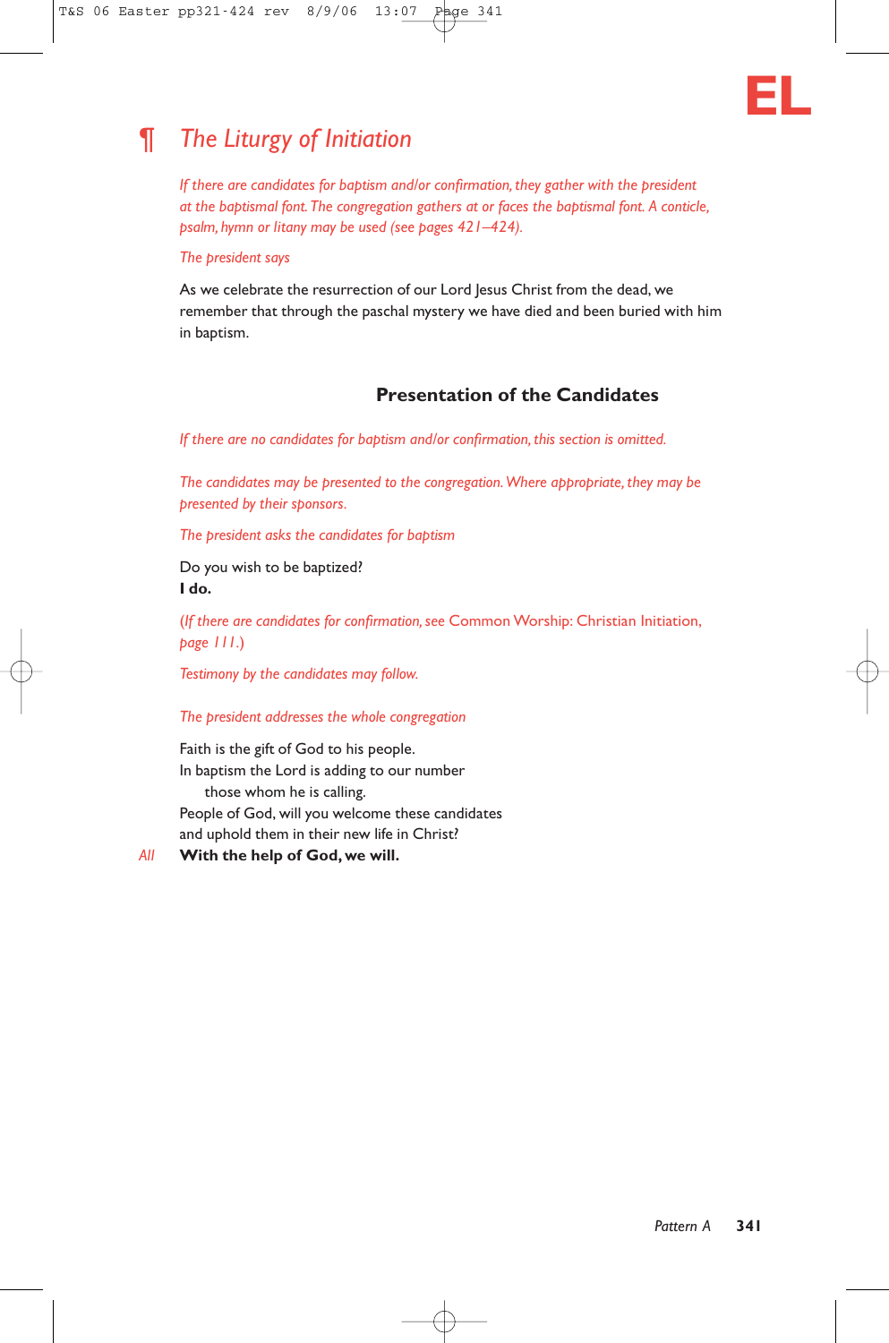

# ¶ *The Liturgy of Initiation*

*If there are candidates for baptism and/or confirmation, they gather with the president at the baptismal font.The congregation gathers at or faces the baptismal font. A conticle, psalm, hymn or litany may be used (see pages 421–424).*

#### *The president says*

As we celebrate the resurrection of our Lord Jesus Christ from the dead, we remember that through the paschal mystery we have died and been buried with him in baptism.

# **Presentation of the Candidates**

*If there are no candidates for baptism and/or confirmation, this section is omitted.*

*The candidates may be presented to the congregation.Where appropriate, they may be presented by their sponsors.*

*The president asks the candidates for baptism*

Do you wish to be baptized? **I do.**

(*If there are candidates for confirmation, see* Common Worship: Christian Initiation, *page 111.*)

*Testimony by the candidates may follow.*

#### *The president addresses the whole congregation*

Faith is the gift of God to his people. In baptism the Lord is adding to our number those whom he is calling. People of God, will you welcome these candidates and uphold them in their new life in Christ?

*All* **With the help of God, we will.**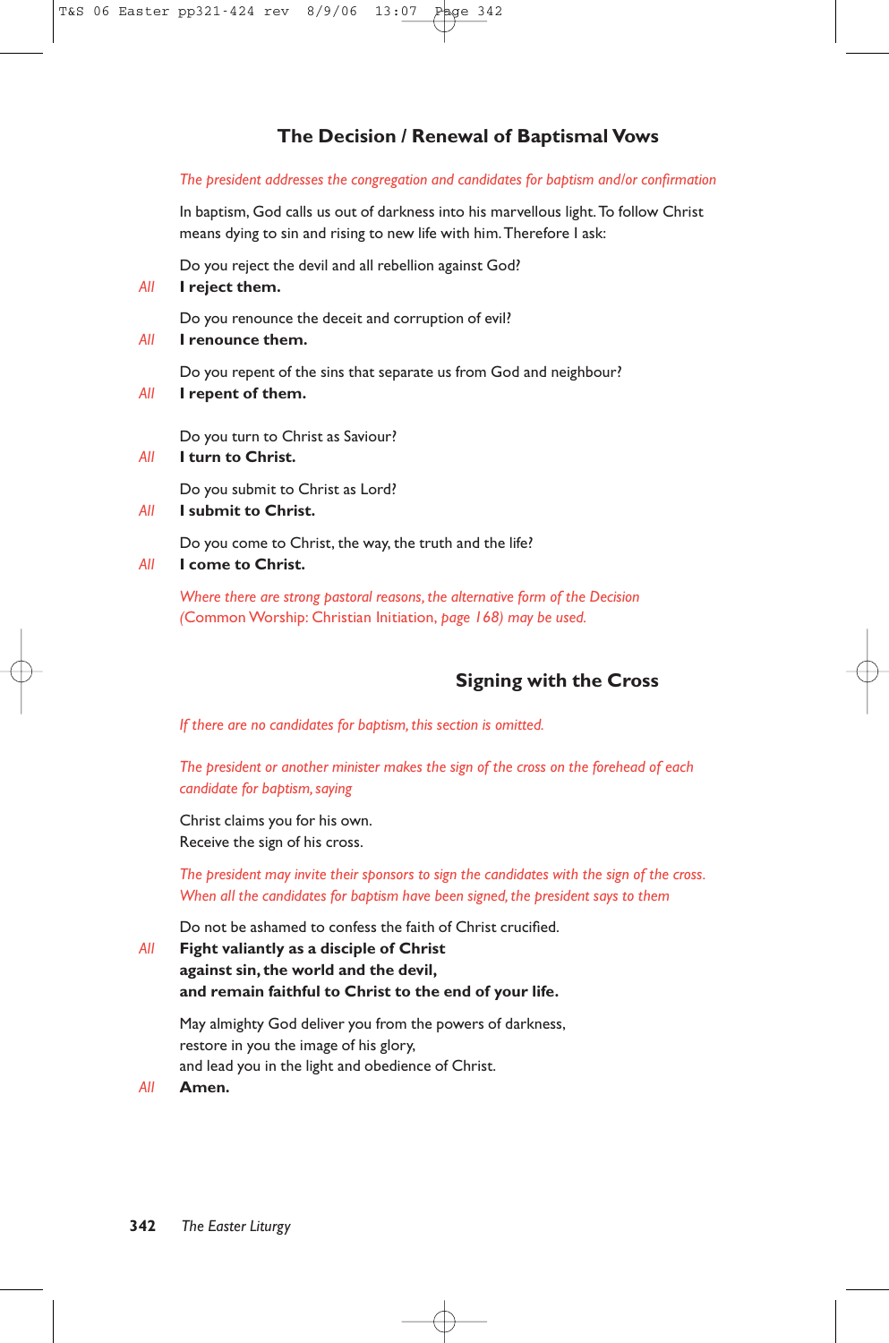# **The Decision / Renewal of Baptismal Vows**

#### *The president addresses the congregation and candidates for baptism and/or confirmation*

In baptism, God calls us out of darkness into his marvellous light. To follow Christ means dying to sin and rising to new life with him.Therefore I ask:

Do you reject the devil and all rebellion against God?

#### *All* **I reject them.**

Do you renounce the deceit and corruption of evil?

*All* **I renounce them.**

Do you repent of the sins that separate us from God and neighbour?

*All* **I repent of them.**

Do you turn to Christ as Saviour?

#### *All* **I turn to Christ.**

Do you submit to Christ as Lord?

#### *All* **I submit to Christ.**

Do you come to Christ, the way, the truth and the life?

#### *All* **I come to Christ.**

*Where there are strong pastoral reasons, the alternative form of the Decision (*Common Worship: Christian Initiation, *page 168) may be used.*

# **Signing with the Cross**

*If there are no candidates for baptism, this section is omitted.*

*The president or another minister makes the sign of the cross on the forehead of each candidate for baptism, saying*

Christ claims you for his own. Receive the sign of his cross.

*The president may invite their sponsors to sign the candidates with the sign of the cross. When all the candidates for baptism have been signed, the president says to them*

Do not be ashamed to confess the faith of Christ crucified.

*All* **Fight valiantly as a disciple of Christ against sin, the world and the devil, and remain faithful to Christ to the end of your life.**

May almighty God deliver you from the powers of darkness, restore in you the image of his glory, and lead you in the light and obedience of Christ.

*All* **Amen.**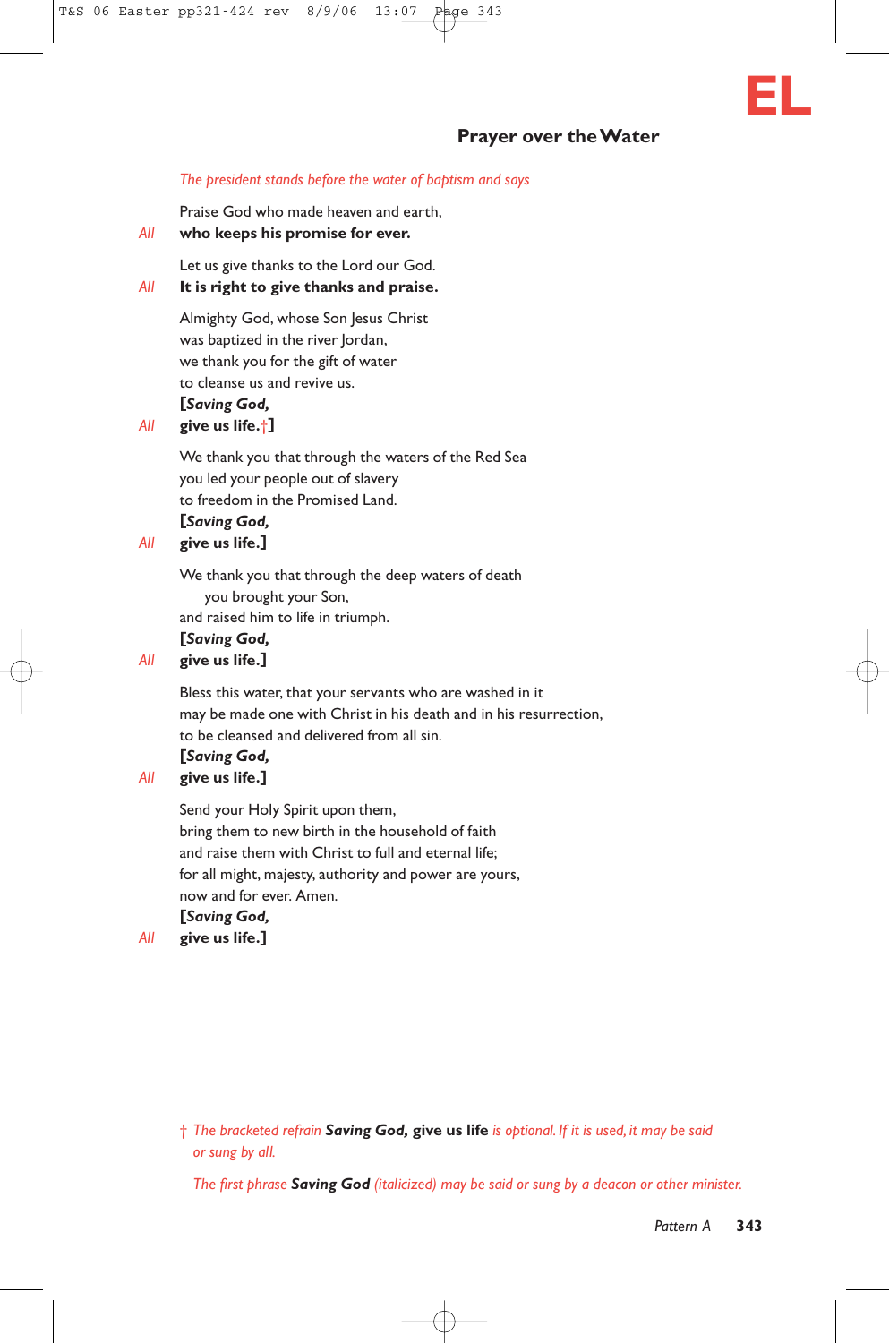

## **Prayer over the Water**

#### *The president stands before the water of baptism and says*

Praise God who made heaven and earth,

*All* **who keeps his promise for ever.**

Let us give thanks to the Lord our God.

## *All* **It is right to give thanks and praise.**

Almighty God, whose Son Jesus Christ was baptized in the river Jordan, we thank you for the gift of water to cleanse us and revive us. **[***Saving God,*

#### *All* **give us life.**†**]**

We thank you that through the waters of the Red Sea you led your people out of slavery to freedom in the Promised Land. **[***Saving God,*

#### *All* **give us life.]**

We thank you that through the deep waters of death you brought your Son, and raised him to life in triumph.

#### **[***Saving God,*

#### *All* **give us life.]**

Bless this water, that your servants who are washed in it may be made one with Christ in his death and in his resurrection, to be cleansed and delivered from all sin.

# **[***Saving God,*

## *All* **give us life.]**

Send your Holy Spirit upon them, bring them to new birth in the household of faith and raise them with Christ to full and eternal life; for all might, majesty, authority and power are yours, now and for ever. Amen.

## **[***Saving God,*

*All* **give us life.]**

*The first phrase Saving God (italicized) may be said or sung by a deacon or other minister.*

<sup>†</sup> *The bracketed refrain Saving God,* **give us life** *is optional. If it is used, it may be said or sung by all.*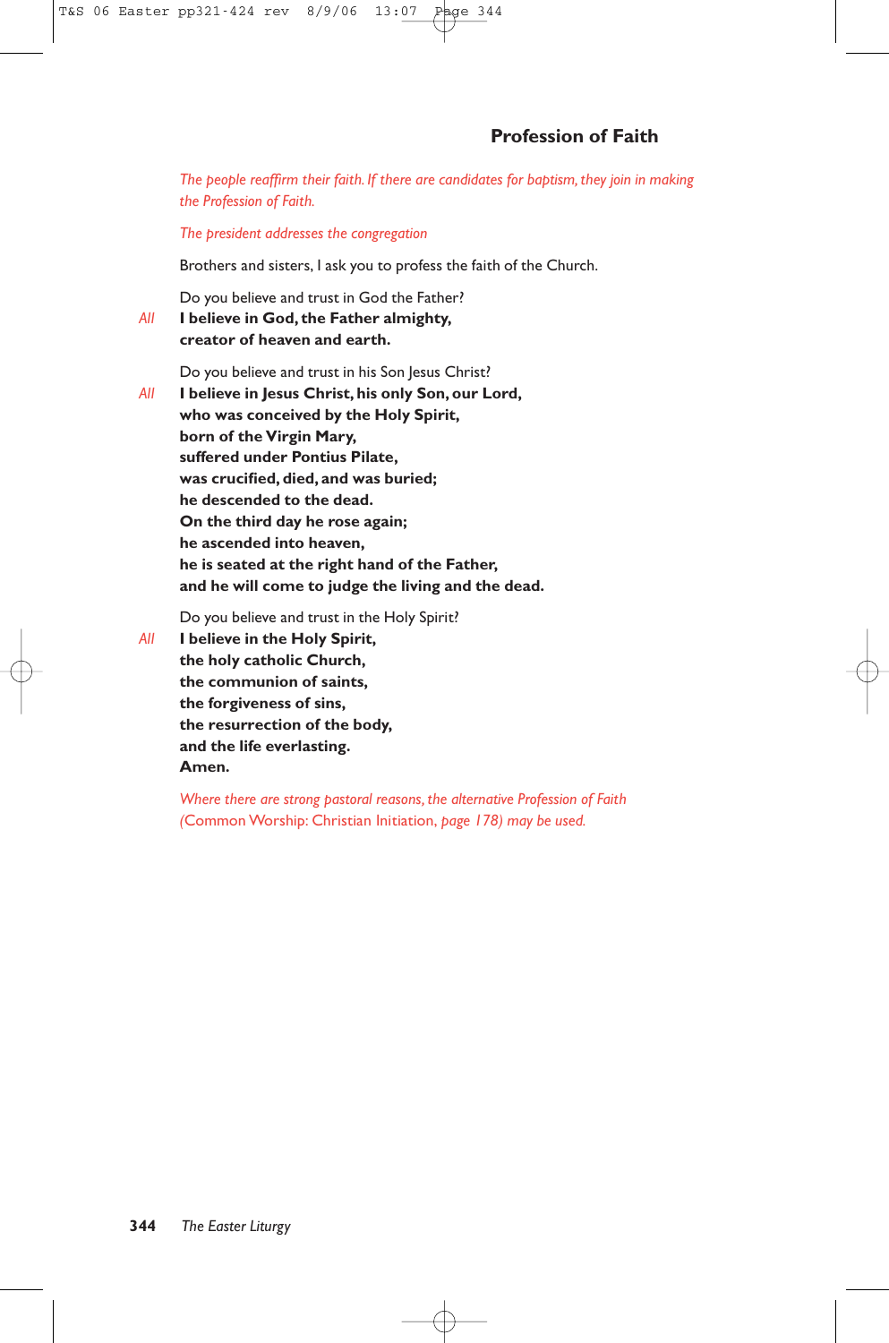*The people reaffirm their faith. If there are candidates for baptism, they join in making the Profession of Faith.*

*The president addresses the congregation*

Brothers and sisters, I ask you to profess the faith of the Church.

Do you believe and trust in God the Father?

*All* **I believe in God, the Father almighty, creator of heaven and earth.**

Do you believe and trust in his Son Jesus Christ?

*All* **I believe in Jesus Christ, his only Son, our Lord, who was conceived by the Holy Spirit, born of the Virgin Mary, suffered under Pontius Pilate, was crucified, died, and was buried; he descended to the dead. On the third day he rose again; he ascended into heaven, he is seated at the right hand of the Father, and he will come to judge the living and the dead.**

Do you believe and trust in the Holy Spirit?

*All* **I believe in the Holy Spirit, the holy catholic Church, the communion of saints, the forgiveness of sins, the resurrection of the body, and the life everlasting. Amen.**

> *Where there are strong pastoral reasons, the alternative Profession of Faith (*Common Worship: Christian Initiation, *page 178) may be used.*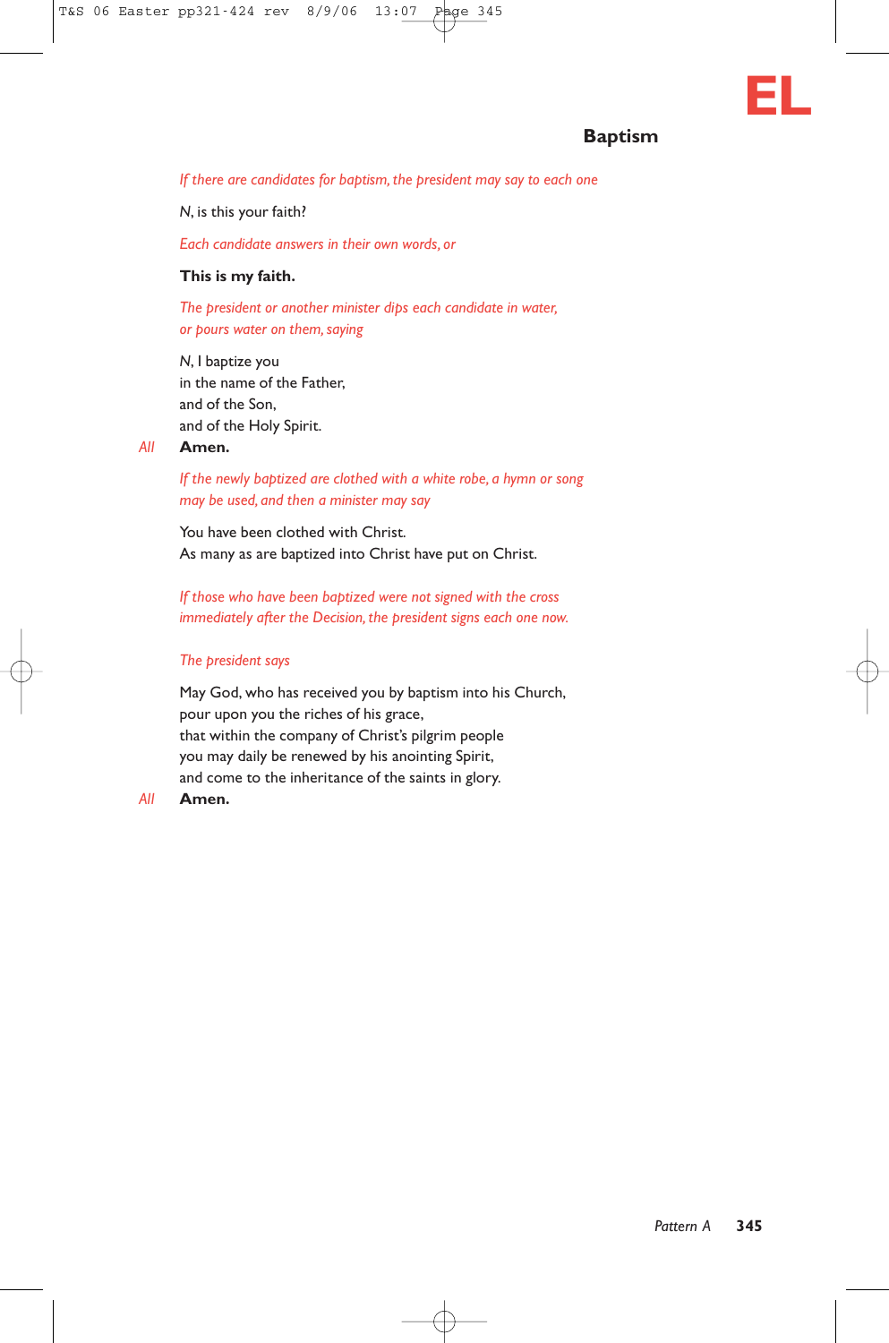# **Baptism**

**EL**

*If there are candidates for baptism, the president may say to each one*

*N*, is this your faith?

*Each candidate answers in their own words, or*

#### **This is my faith.**

*The president or another minister dips each candidate in water, or pours water on them, saying*

*N*, I baptize you in the name of the Father, and of the Son, and of the Holy Spirit.

#### *All* **Amen.**

*If the newly baptized are clothed with a white robe, a hymn or song may be used, and then a minister may say*

You have been clothed with Christ. As many as are baptized into Christ have put on Christ.

*If those who have been baptized were not signed with the cross immediately after the Decision, the president signs each one now.*

#### *The president says*

May God, who has received you by baptism into his Church, pour upon you the riches of his grace, that within the company of Christ's pilgrim people you may daily be renewed by his anointing Spirit, and come to the inheritance of the saints in glory.

#### *All* **Amen.**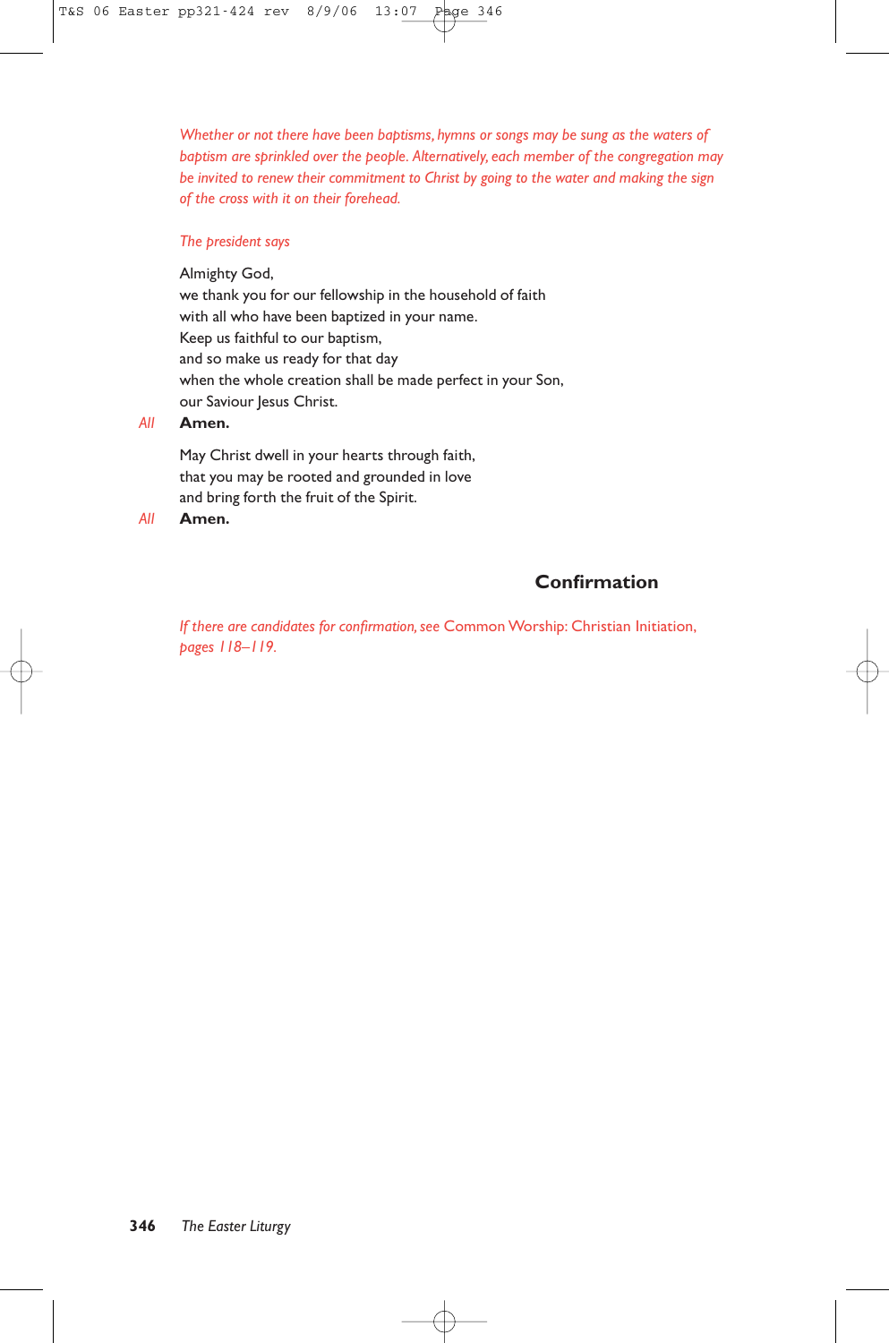*Whether or not there have been baptisms, hymns or songs may be sung as the waters of baptism are sprinkled over the people. Alternatively, each member of the congregation may be invited to renew their commitment to Christ by going to the water and making the sign of the cross with it on their forehead.*

#### *The president says*

Almighty God, we thank you for our fellowship in the household of faith with all who have been baptized in your name. Keep us faithful to our baptism, and so make us ready for that day when the whole creation shall be made perfect in your Son, our Saviour Jesus Christ.

#### *All* **Amen.**

May Christ dwell in your hearts through faith, that you may be rooted and grounded in love and bring forth the fruit of the Spirit.

*All* **Amen.**

# **Confirmation**

*If there are candidates for confirmation, see* Common Worship: Christian Initiation, *pages 118–119.*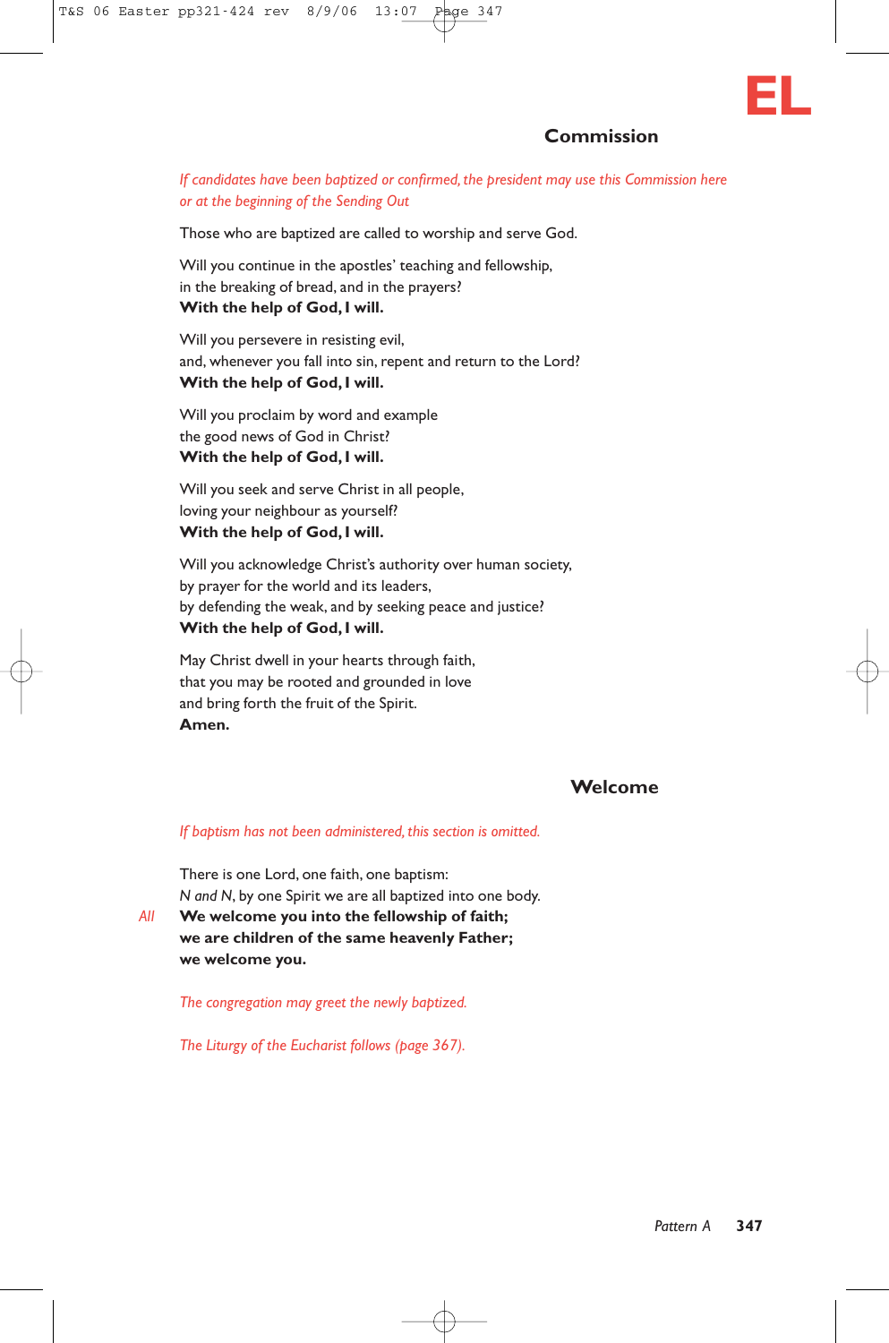

## **Commission**

#### *If candidates have been baptized or confirmed, the president may use this Commission here or at the beginning of the Sending Out*

Those who are baptized are called to worship and serve God.

Will you continue in the apostles' teaching and fellowship, in the breaking of bread, and in the prayers? **With the help of God, I will.**

Will you persevere in resisting evil, and, whenever you fall into sin, repent and return to the Lord? **With the help of God, I will.**

Will you proclaim by word and example the good news of God in Christ? **With the help of God, I will.**

Will you seek and serve Christ in all people, loving your neighbour as yourself? **With the help of God, I will.**

Will you acknowledge Christ's authority over human society, by prayer for the world and its leaders, by defending the weak, and by seeking peace and justice? **With the help of God, I will.**

May Christ dwell in your hearts through faith, that you may be rooted and grounded in love and bring forth the fruit of the Spirit. **Amen.**

## **Welcome**

#### *If baptism has not been administered, this section is omitted.*

There is one Lord, one faith, one baptism: *N and N*, by one Spirit we are all baptized into one body. *All* **We welcome you into the fellowship of faith;**

**we are children of the same heavenly Father; we welcome you.**

*The congregation may greet the newly baptized.*

*The Liturgy of the Eucharist follows (page 367).*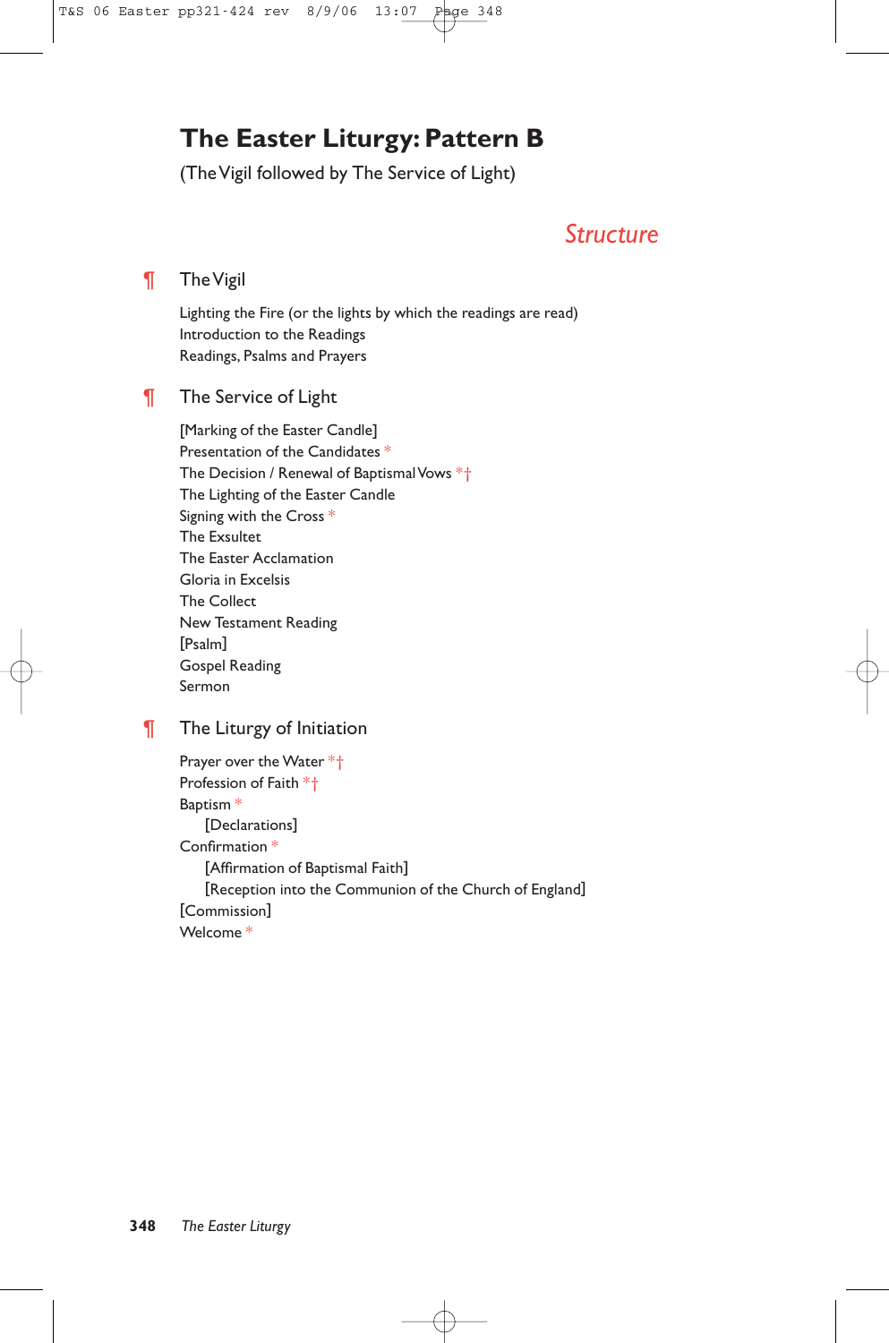# **The Easter Liturgy: Pattern B**

(The Vigil followed by The Service of Light)

# *Structure*

# ¶ The Vigil

Lighting the Fire (or the lights by which the readings are read) Introduction to the Readings Readings, Psalms and Prayers

# **The Service of Light**

[Marking of the Easter Candle] Presentation of the Candidates \* The Decision / Renewal of Baptismal Vows \*† The Lighting of the Easter Candle Signing with the Cross \* The Exsultet The Easter Acclamation Gloria in Excelsis The Collect New Testament Reading [Psalm] Gospel Reading Sermon

# **The Liturgy of Initiation**

Prayer over the Water \*† Profession of Faith \*† Baptism \* [Declarations] Confirmation \* [Affirmation of Baptismal Faith] [Reception into the Communion of the Church of England] [Commission] Welcome \*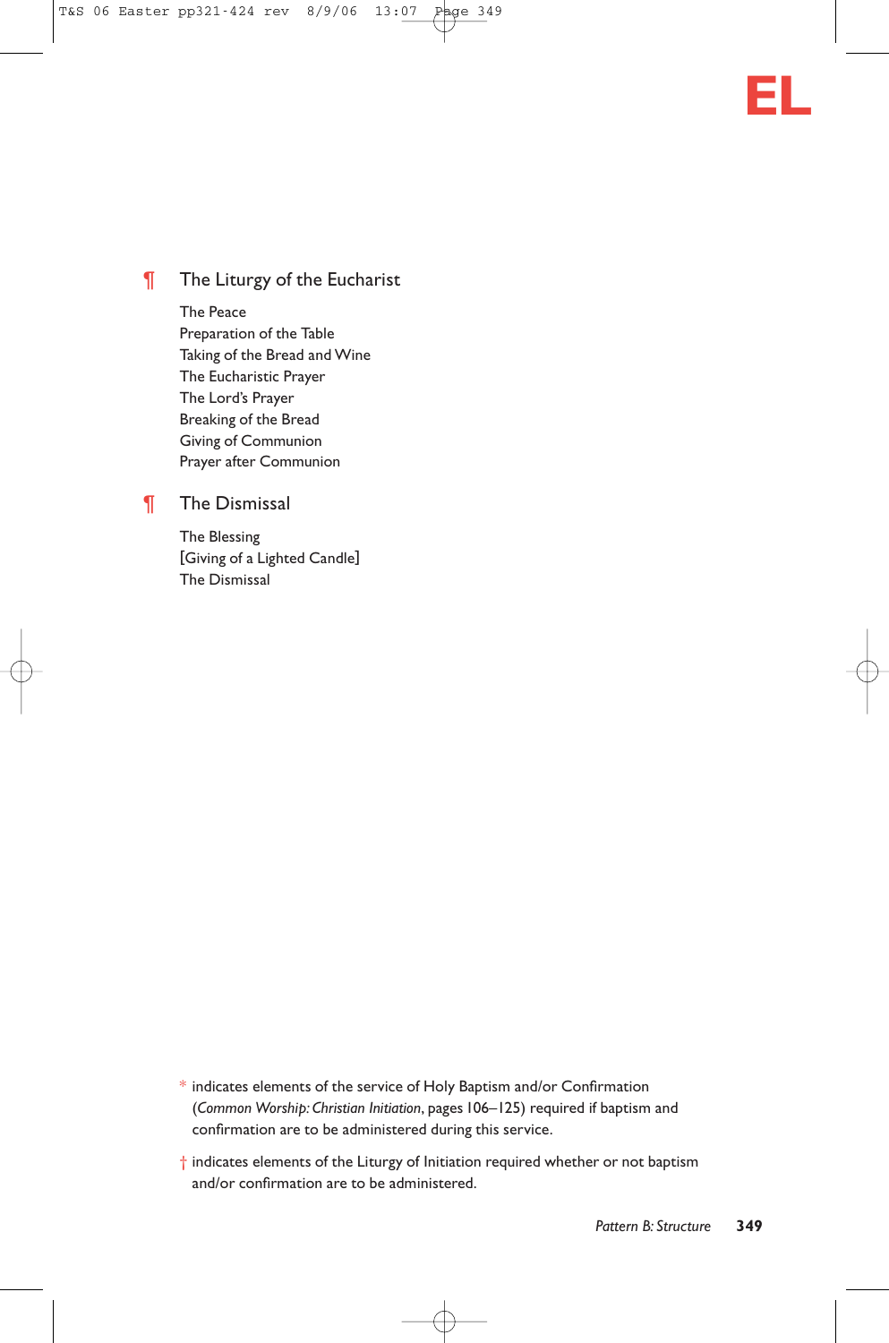

# **The Liturgy of the Eucharist**

The Peace Preparation of the Table Taking of the Bread and Wine The Eucharistic Prayer The Lord's Prayer Breaking of the Bread Giving of Communion Prayer after Communion

# ¶ The Dismissal

The Blessing [Giving of a Lighted Candle] The Dismissal

- $*$  indicates elements of the service of Holy Baptism and/or Confirmation (*Common Worship: Christian Initiation*, pages 106–125) required if baptism and confirmation are to be administered during this service.
- † indicates elements of the Liturgy of Initiation required whether or not baptism and/or confirmation are to be administered.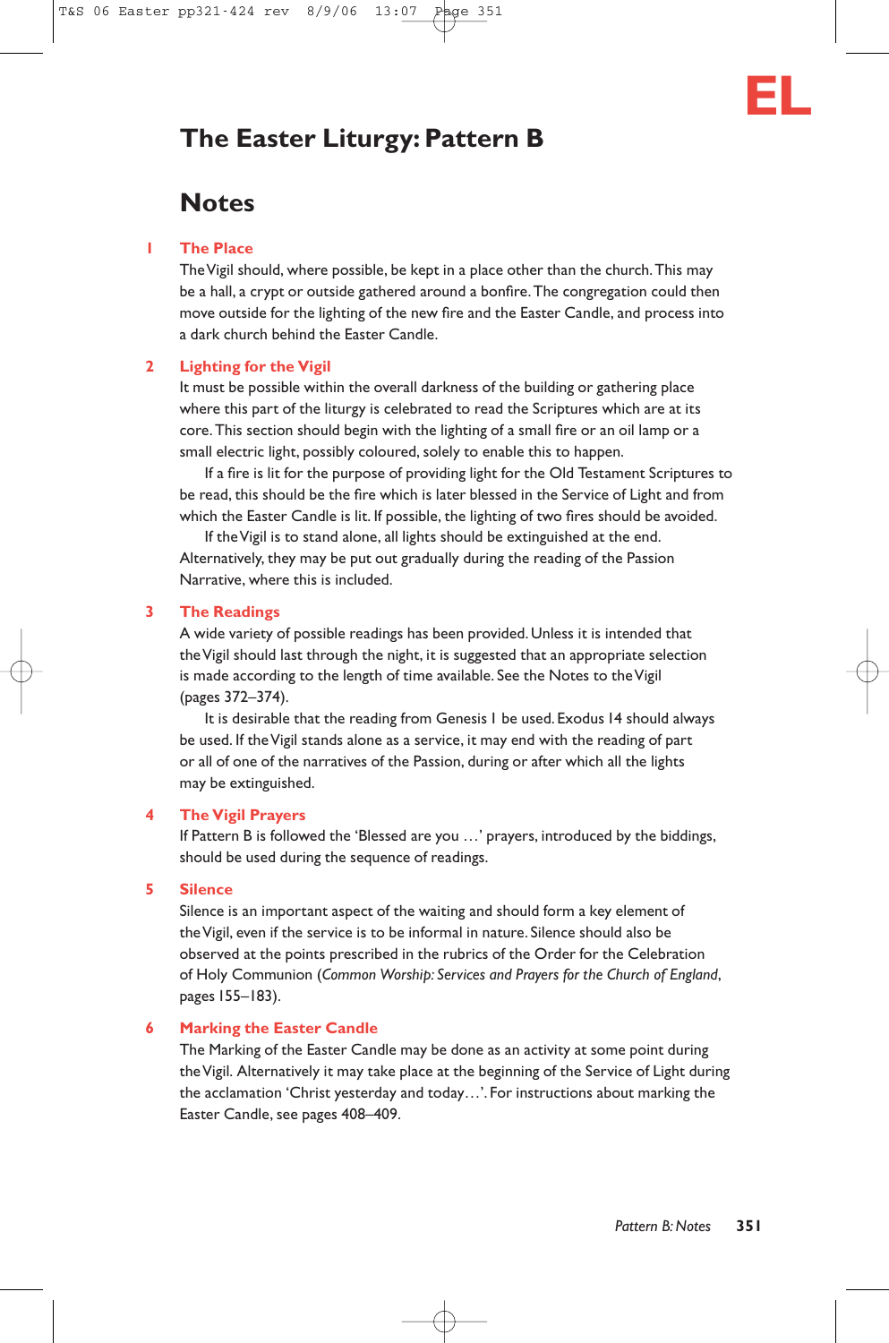# **The Easter Liturgy: Pattern B**

# **Notes**

#### **1 The Place**

The Vigil should, where possible, be kept in a place other than the church.This may be a hall, a crypt or outside gathered around a bonfire.The congregation could then move outside for the lighting of the new fire and the Easter Candle, and process into a dark church behind the Easter Candle.

#### **2 Lighting for the Vigil**

It must be possible within the overall darkness of the building or gathering place where this part of the liturgy is celebrated to read the Scriptures which are at its core.This section should begin with the lighting of a small fire or an oil lamp or a small electric light, possibly coloured, solely to enable this to happen.

If a fire is lit for the purpose of providing light for the Old Testament Scriptures to be read, this should be the fire which is later blessed in the Service of Light and from which the Easter Candle is lit. If possible, the lighting of two fires should be avoided.

If the Vigil is to stand alone, all lights should be extinguished at the end. Alternatively, they may be put out gradually during the reading of the Passion Narrative, where this is included.

#### **3 The Readings**

A wide variety of possible readings has been provided. Unless it is intended that the Vigil should last through the night, it is suggested that an appropriate selection is made according to the length of time available. See the Notes to the Vigil (pages 372–374).

It is desirable that the reading from Genesis 1 be used. Exodus 14 should always be used. If the Vigil stands alone as a service, it may end with the reading of part or all of one of the narratives of the Passion, during or after which all the lights may be extinguished.

#### **4 The Vigil Prayers**

If Pattern B is followed the 'Blessed are you …' prayers, introduced by the biddings, should be used during the sequence of readings.

#### **5 Silence**

Silence is an important aspect of the waiting and should form a key element of the Vigil, even if the service is to be informal in nature. Silence should also be observed at the points prescribed in the rubrics of the Order for the Celebration of Holy Communion (*Common Worship: Services and Prayers for the Church of England*, pages 155–183).

#### **6 Marking the Easter Candle**

The Marking of the Easter Candle may be done as an activity at some point during the Vigil. Alternatively it may take place at the beginning of the Service of Light during the acclamation 'Christ yesterday and today…'. For instructions about marking the Easter Candle, see pages 408–409.

**EL**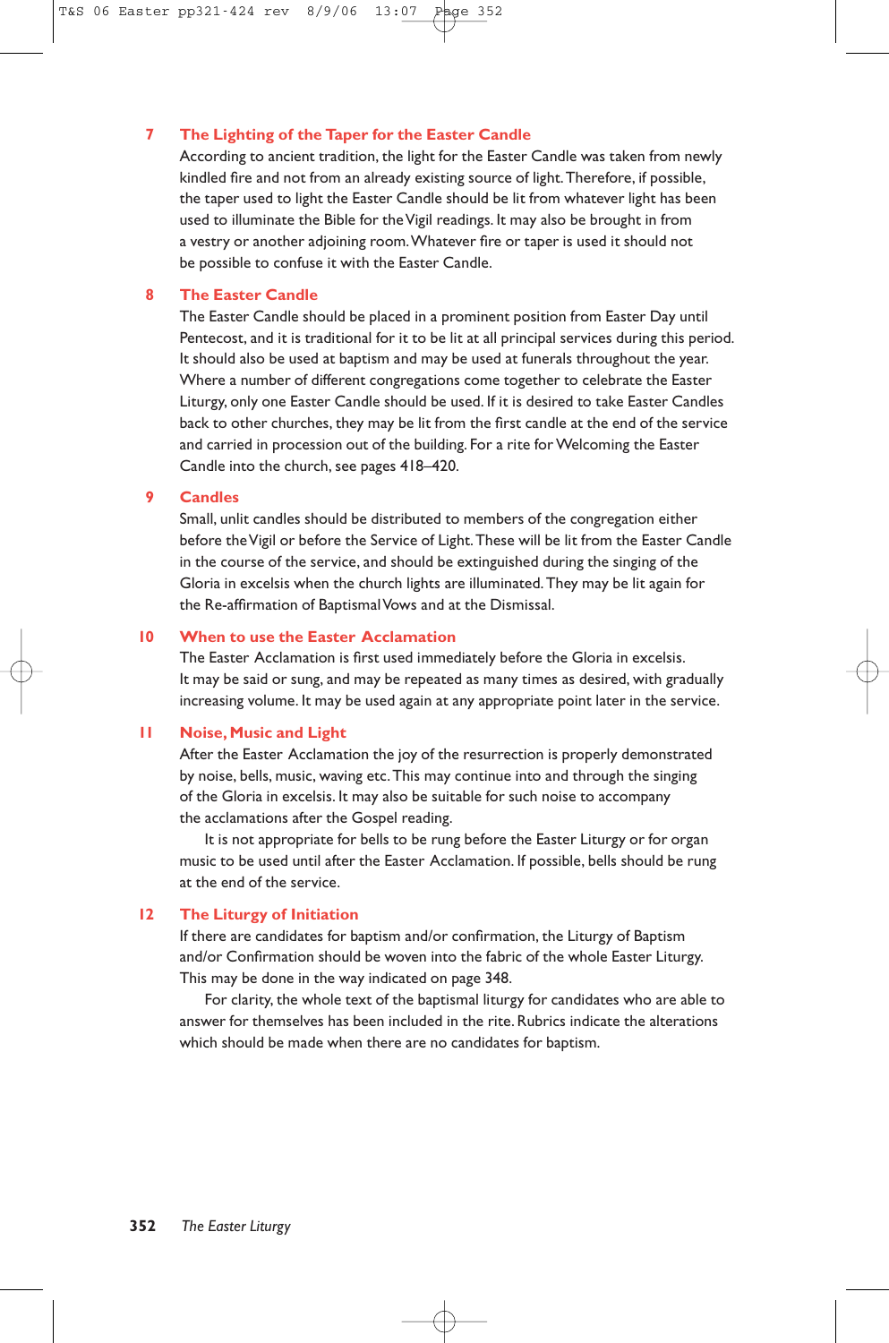#### **7 The Lighting of the Taper for the Easter Candle**

According to ancient tradition, the light for the Easter Candle was taken from newly kindled fire and not from an already existing source of light.Therefore, if possible, the taper used to light the Easter Candle should be lit from whatever light has been used to illuminate the Bible for the Vigil readings. It may also be brought in from a vestry or another adjoining room.Whatever fire or taper is used it should not be possible to confuse it with the Easter Candle.

#### **8 The Easter Candle**

The Easter Candle should be placed in a prominent position from Easter Day until Pentecost, and it is traditional for it to be lit at all principal services during this period. It should also be used at baptism and may be used at funerals throughout the year. Where a number of different congregations come together to celebrate the Easter Liturgy, only one Easter Candle should be used. If it is desired to take Easter Candles back to other churches, they may be lit from the first candle at the end of the service and carried in procession out of the building. For a rite for Welcoming the Easter Candle into the church, see pages 418–420.

#### **9 Candles**

Small, unlit candles should be distributed to members of the congregation either before the Vigil or before the Service of Light. These will be lit from the Easter Candle in the course of the service, and should be extinguished during the singing of the Gloria in excelsis when the church lights are illuminated.They may be lit again for the Re-affirmation of Baptismal Vows and at the Dismissal.

#### **10 When to use the Easter Acclamation**

The Easter Acclamation is first used immediately before the Gloria in excelsis. It may be said or sung, and may be repeated as many times as desired, with gradually increasing volume. It may be used again at any appropriate point later in the service.

#### **11 Noise, Music and Light**

After the Easter Acclamation the joy of the resurrection is properly demonstrated by noise, bells, music, waving etc.This may continue into and through the singing of the Gloria in excelsis. It may also be suitable for such noise to accompany the acclamations after the Gospel reading.

It is not appropriate for bells to be rung before the Easter Liturgy or for organ music to be used until after the Easter Acclamation. If possible, bells should be rung at the end of the service.

#### **12 The Liturgy of Initiation**

If there are candidates for baptism and/or confirmation, the Liturgy of Baptism and/or Confirmation should be woven into the fabric of the whole Easter Liturgy. This may be done in the way indicated on page 348.

For clarity, the whole text of the baptismal liturgy for candidates who are able to answer for themselves has been included in the rite. Rubrics indicate the alterations which should be made when there are no candidates for baptism.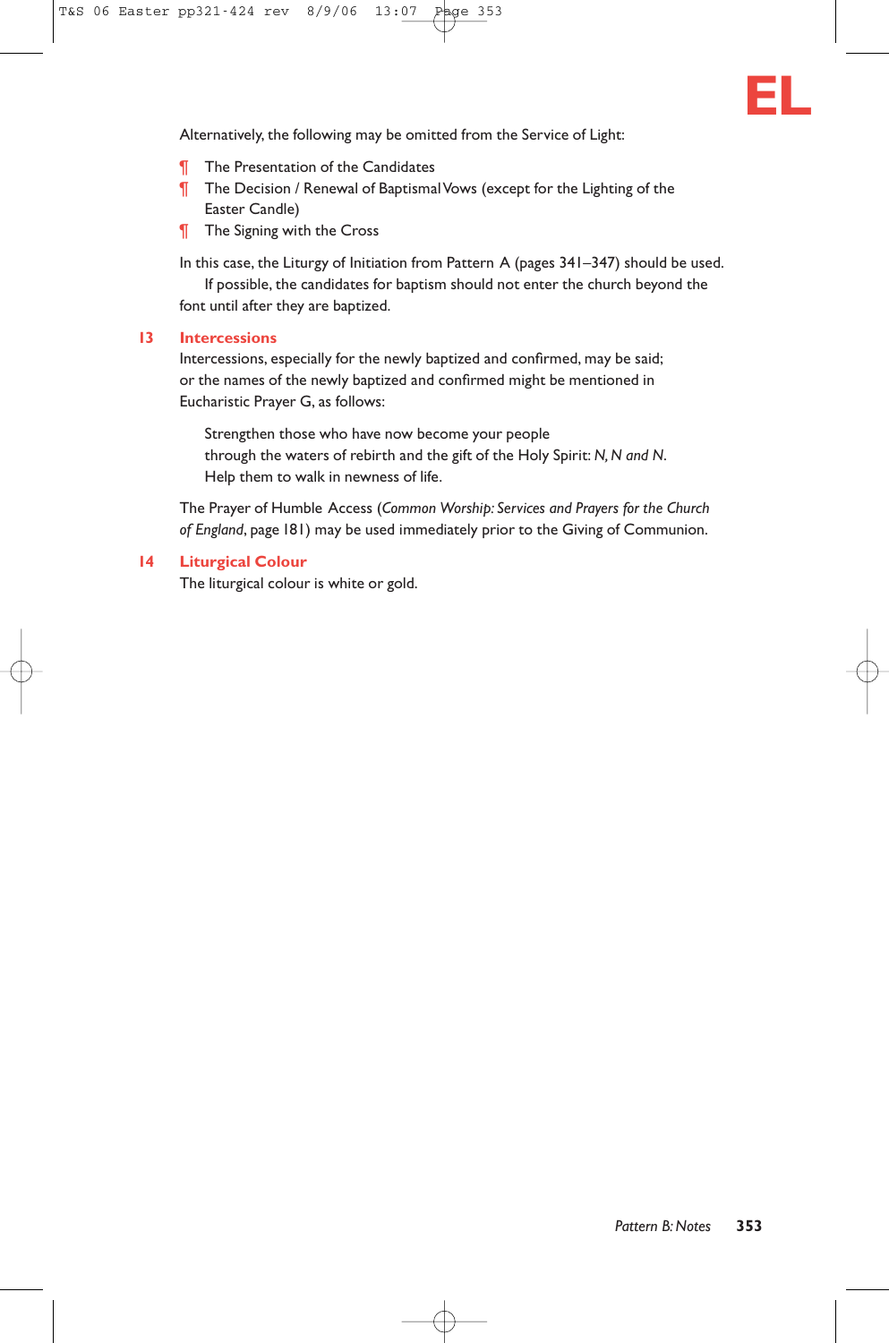

Alternatively, the following may be omitted from the Service of Light:

- **T** The Presentation of the Candidates
- ¶ The Decision / Renewal of Baptismal Vows (except for the Lighting of the Easter Candle)
- **T** The Signing with the Cross

In this case, the Liturgy of Initiation from Pattern A (pages 341–347) should be used. If possible, the candidates for baptism should not enter the church beyond the font until after they are baptized.

#### **13 Intercessions**

Intercessions, especially for the newly baptized and confirmed, may be said; or the names of the newly baptized and confirmed might be mentioned in Eucharistic Prayer G, as follows:

Strengthen those who have now become your people through the waters of rebirth and the gift of the Holy Spirit: *N, N and N*. Help them to walk in newness of life.

The Prayer of Humble Access (*Common Worship: Services and Prayers for the Church of England*, page 181) may be used immediately prior to the Giving of Communion.

#### **14 Liturgical Colour**

The liturgical colour is white or gold.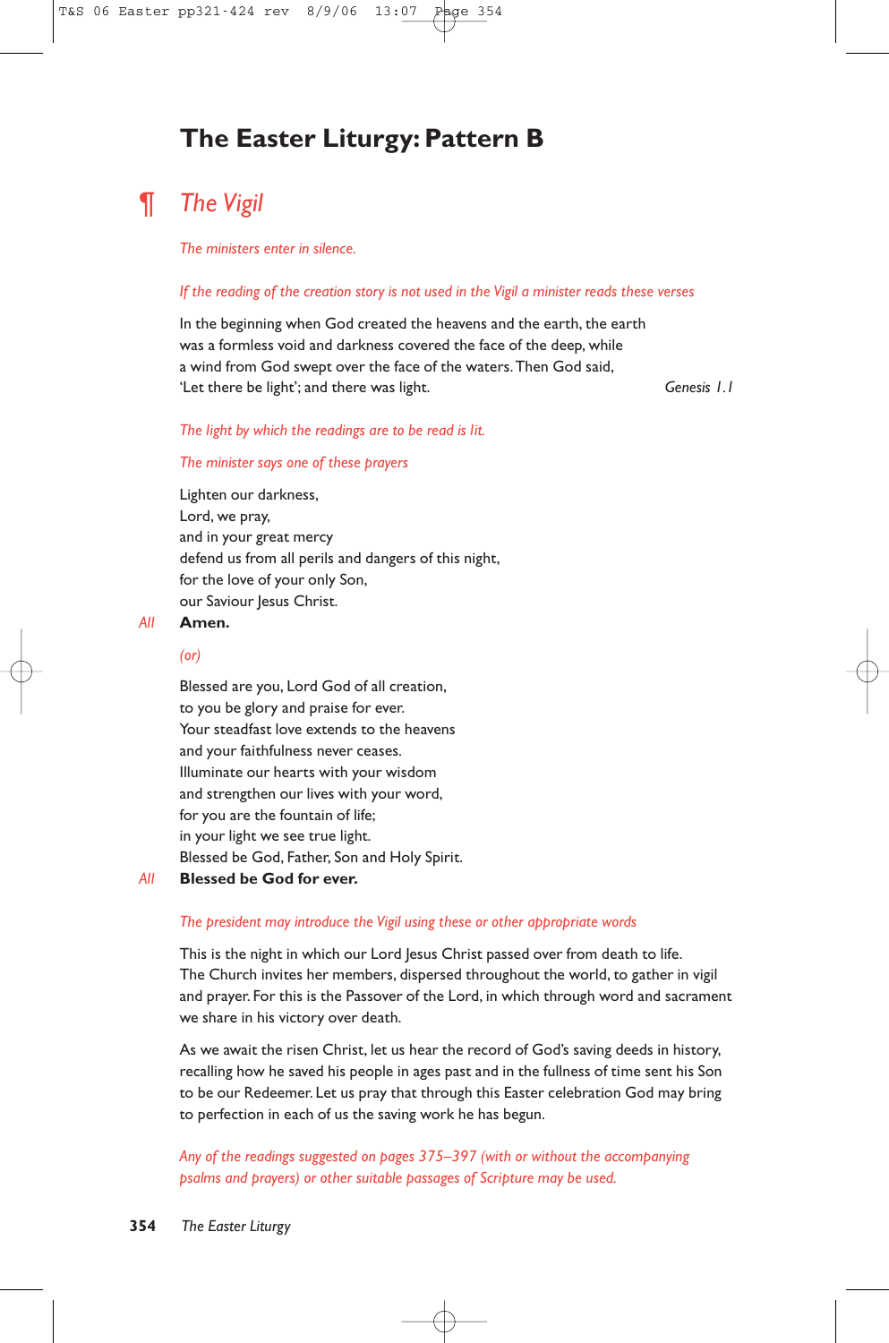# **The Easter Liturgy: Pattern B**

# ¶ *The Vigil*

#### *The ministers enter in silence.*

#### *If the reading of the creation story is not used in the Vigil a minister reads these verses*

In the beginning when God created the heavens and the earth, the earth was a formless void and darkness covered the face of the deep, while a wind from God swept over the face of the waters.Then God said, 'Let there be light'; and there was light. *Genesis 1.1*

#### *The light by which the readings are to be read is lit.*

#### *The minister says one of these prayers*

Lighten our darkness, Lord, we pray, and in your great mercy defend us from all perils and dangers of this night, for the love of your only Son, our Saviour Jesus Christ.

#### *All* **Amen.**

#### *(or)*

Blessed are you, Lord God of all creation, to you be glory and praise for ever. Your steadfast love extends to the heavens and your faithfulness never ceases. Illuminate our hearts with your wisdom and strengthen our lives with your word, for you are the fountain of life; in your light we see true light. Blessed be God, Father, Son and Holy Spirit.

#### *All* **Blessed be God for ever.**

#### *The president may introduce the Vigil using these or other appropriate words*

This is the night in which our Lord Jesus Christ passed over from death to life. The Church invites her members, dispersed throughout the world, to gather in vigil and prayer. For this is the Passover of the Lord, in which through word and sacrament we share in his victory over death.

As we await the risen Christ, let us hear the record of God's saving deeds in history, recalling how he saved his people in ages past and in the fullness of time sent his Son to be our Redeemer. Let us pray that through this Easter celebration God may bring to perfection in each of us the saving work he has begun.

*Any of the readings suggested on pages 375–397 (with or without the accompanying psalms and prayers) or other suitable passages of Scripture may be used.*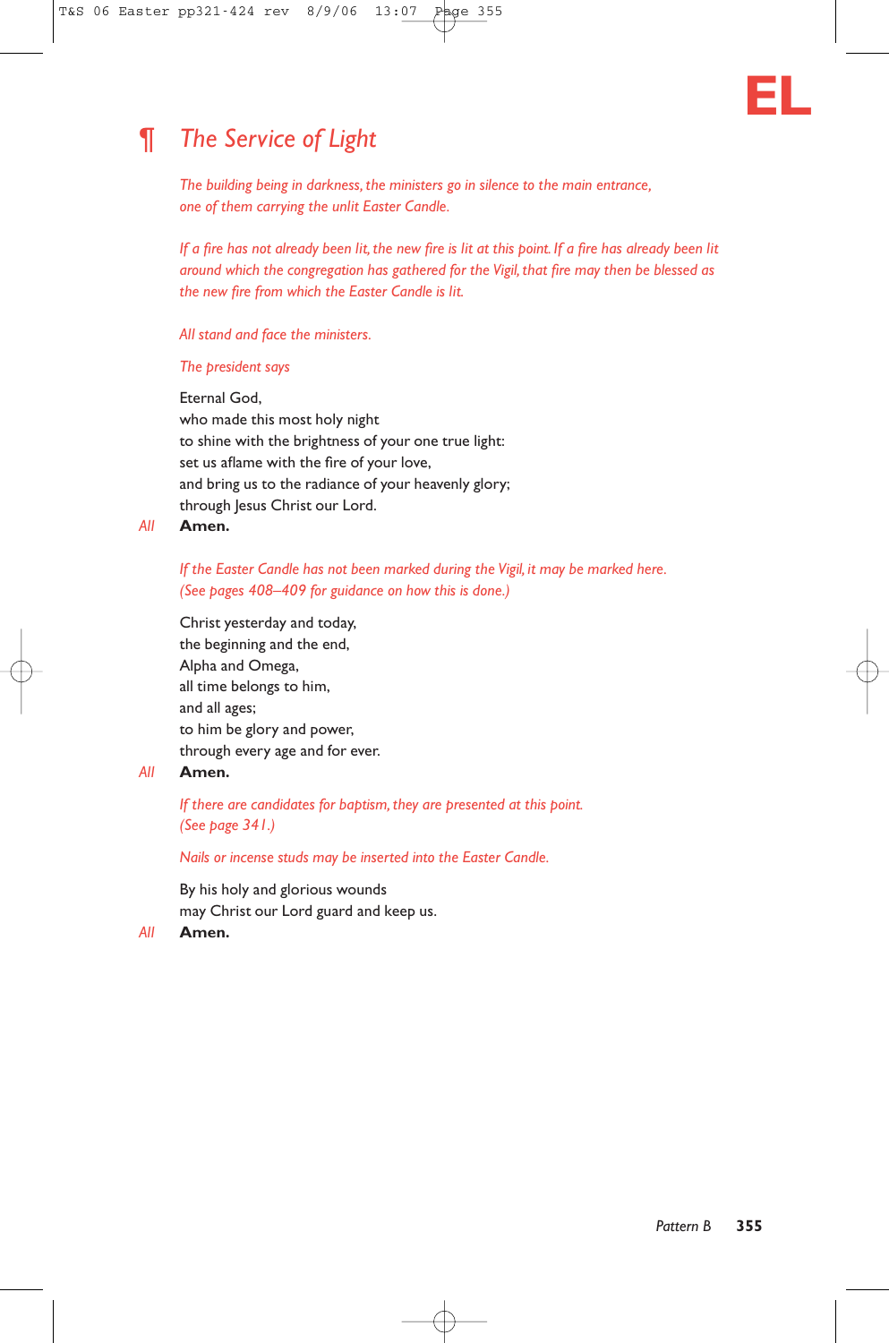

# ¶ *The Service of Light*

*The building being in darkness, the ministers go in silence to the main entrance, one of them carrying the unlit Easter Candle.*

*If a fire has not already been lit, the new fire is lit at this point. If a fire has already been lit around which the congregation has gathered for the Vigil, that fire may then be blessed as the new fire from which the Easter Candle is lit.*

#### *All stand and face the ministers.*

#### *The president says*

Eternal God, who made this most holy night to shine with the brightness of your one true light: set us aflame with the fire of your love, and bring us to the radiance of your heavenly glory; through Jesus Christ our Lord.

*All* **Amen.**

#### *If the Easter Candle has not been marked during the Vigil, it may be marked here. (See pages 408–409 for guidance on how this is done.)*

Christ yesterday and today, the beginning and the end, Alpha and Omega, all time belongs to him, and all ages; to him be glory and power, through every age and for ever.

## *All* **Amen.**

*If there are candidates for baptism, they are presented at this point. (See page 341.)*

*Nails or incense studs may be inserted into the Easter Candle.*

By his holy and glorious wounds may Christ our Lord guard and keep us.

*All* **Amen.**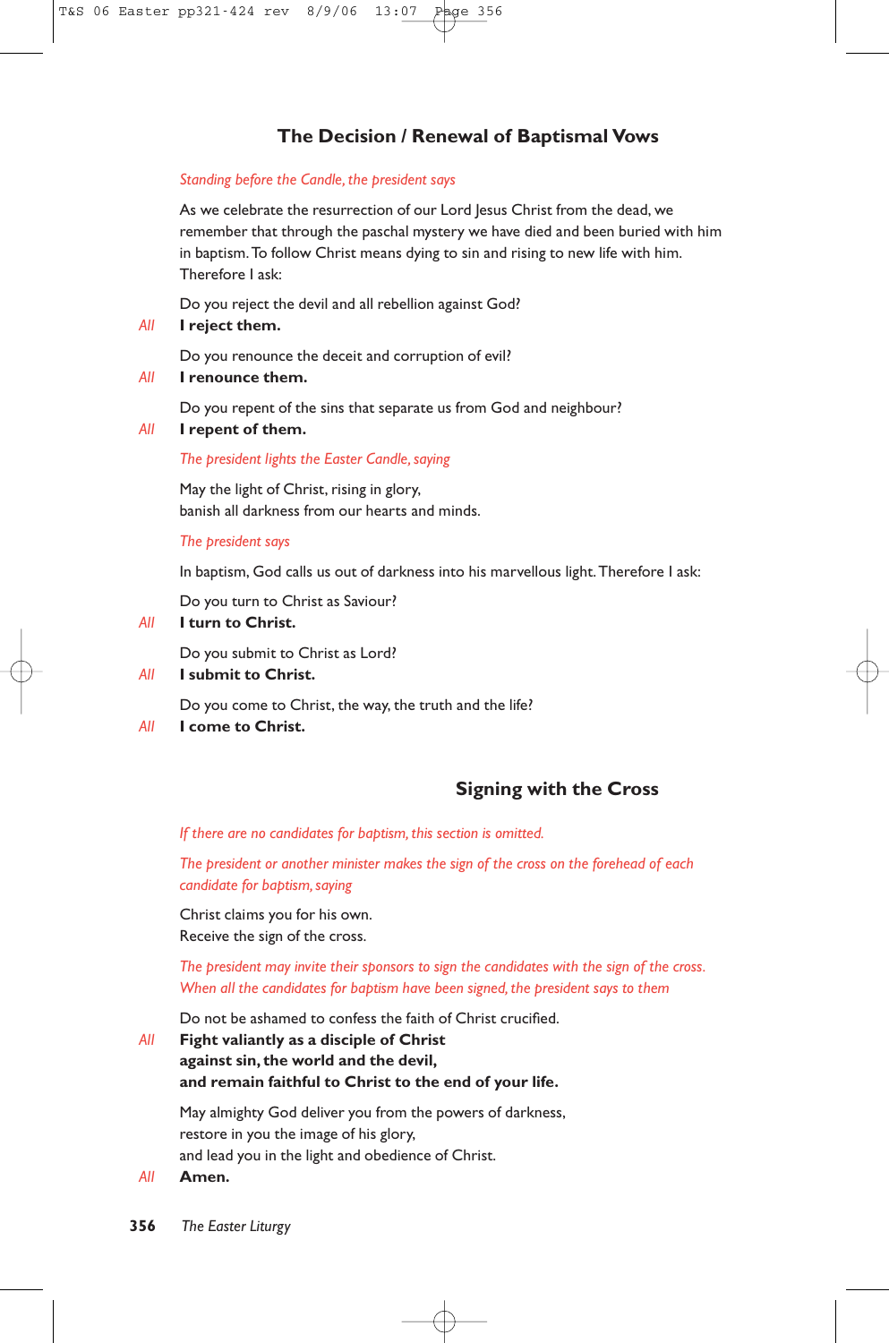# **The Decision / Renewal of Baptismal Vows**

#### *Standing before the Candle, the president says*

As we celebrate the resurrection of our Lord Jesus Christ from the dead, we remember that through the paschal mystery we have died and been buried with him in baptism.To follow Christ means dying to sin and rising to new life with him. Therefore I ask:

Do you reject the devil and all rebellion against God?

#### *All* **I reject them.**

Do you renounce the deceit and corruption of evil?

*All* **I renounce them.**

Do you repent of the sins that separate us from God and neighbour?

*All* **I repent of them.**

#### *The president lights the Easter Candle, saying*

May the light of Christ, rising in glory, banish all darkness from our hearts and minds.

#### *The president says*

In baptism, God calls us out of darkness into his marvellous light. Therefore I ask:

Do you turn to Christ as Saviour?

#### *All* **I turn to Christ.**

Do you submit to Christ as Lord?

*All* **I submit to Christ.**

Do you come to Christ, the way, the truth and the life?

*All* **I come to Christ.**

# **Signing with the Cross**

*If there are no candidates for baptism, this section is omitted.*

*The president or another minister makes the sign of the cross on the forehead of each candidate for baptism, saying*

Christ claims you for his own. Receive the sign of the cross.

*The president may invite their sponsors to sign the candidates with the sign of the cross. When all the candidates for baptism have been signed, the president says to them*

Do not be ashamed to confess the faith of Christ crucified.

*All* **Fight valiantly as a disciple of Christ against sin, the world and the devil, and remain faithful to Christ to the end of your life.**

May almighty God deliver you from the powers of darkness, restore in you the image of his glory, and lead you in the light and obedience of Christ.

*All* **Amen.**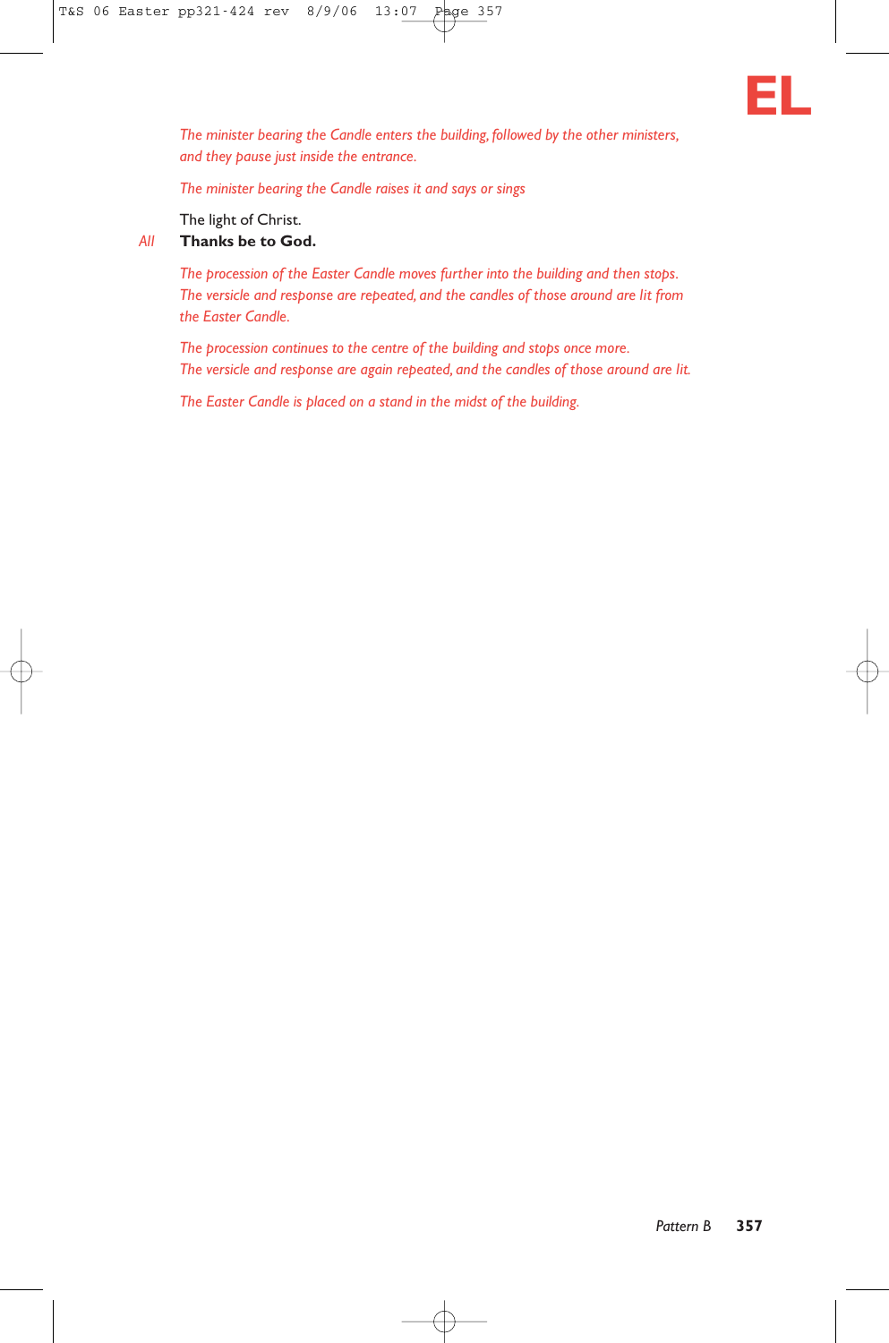

*The minister bearing the Candle enters the building, followed by the other ministers, and they pause just inside the entrance.*

*The minister bearing the Candle raises it and says or sings*

The light of Christ.

#### *All* **Thanks be to God.**

*The procession of the Easter Candle moves further into the building and then stops. The versicle and response are repeated, and the candles of those around are lit from the Easter Candle.*

*The procession continues to the centre of the building and stops once more. The versicle and response are again repeated, and the candles of those around are lit.*

*The Easter Candle is placed on a stand in the midst of the building.*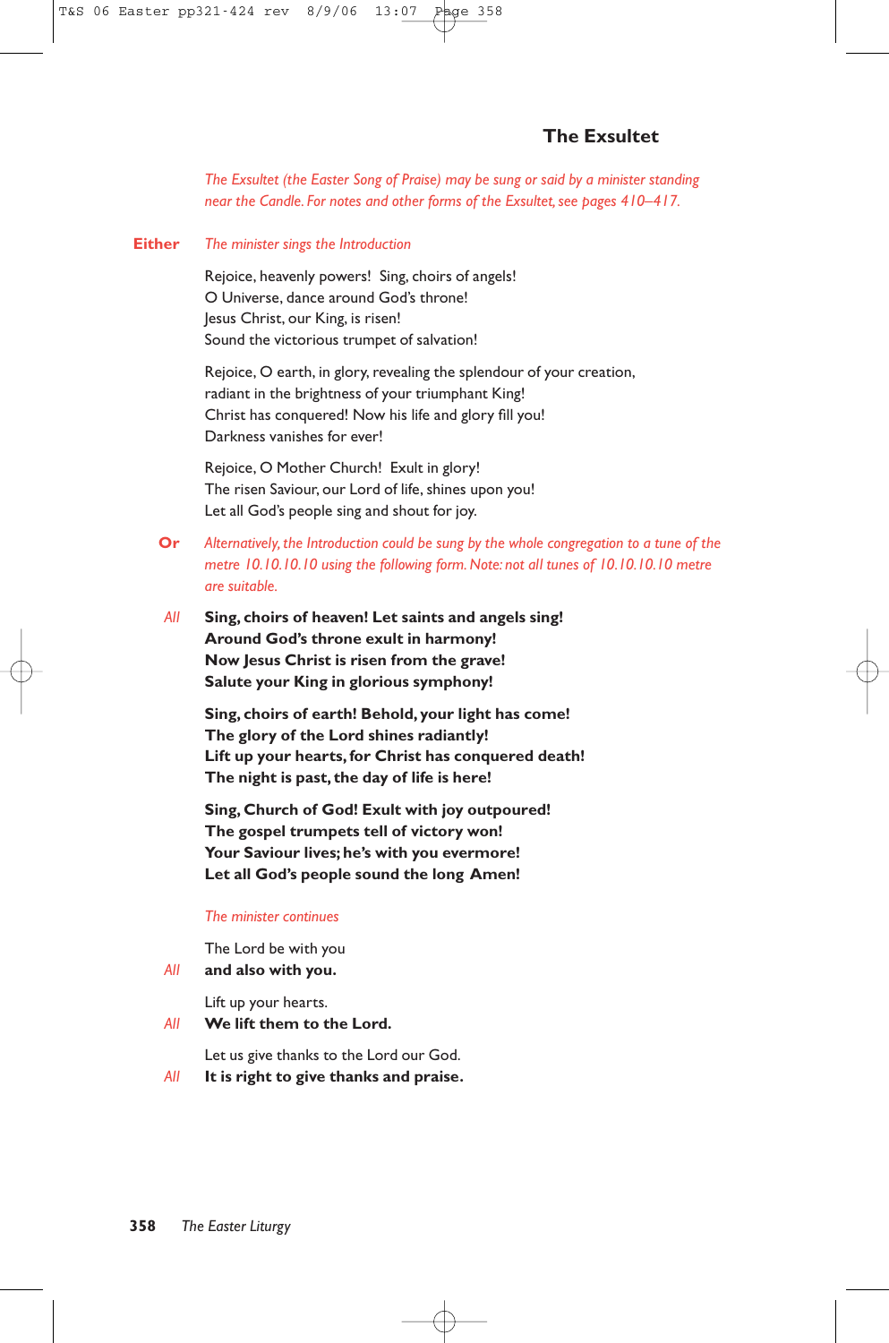# **The Exsultet**

*The Exsultet (the Easter Song of Praise) may be sung or said by a minister standing near the Candle. For notes and other forms of the Exsultet, see pages 410–417.*

#### **Either** *The minister sings the Introduction*

Rejoice, heavenly powers! Sing, choirs of angels! O Universe, dance around God's throne! Jesus Christ, our King, is risen! Sound the victorious trumpet of salvation!

Rejoice, O earth, in glory, revealing the splendour of your creation, radiant in the brightness of your triumphant King! Christ has conquered! Now his life and glory fill you! Darkness vanishes for ever!

Rejoice, O Mother Church! Exult in glory! The risen Saviour, our Lord of life, shines upon you! Let all God's people sing and shout for joy.

- **Or** *Alternatively, the Introduction could be sung by the whole congregation to a tune of the metre 10.10.10.10 using the following form. Note: not all tunes of 10.10.10.10 metre are suitable.*
- *All* **Sing, choirs of heaven! Let saints and angels sing! Around God's throne exult in harmony! Now Jesus Christ is risen from the grave! Salute your King in glorious symphony!**

**Sing, choirs of earth! Behold, your light has come! The glory of the Lord shines radiantly! Lift up your hearts, for Christ has conquered death! The night is past, the day of life is here!**

**Sing, Church of God! Exult with joy outpoured! The gospel trumpets tell of victory won! Your Saviour lives; he's with you evermore! Let all God's people sound the long Amen!**

#### *The minister continues*

The Lord be with you

*All* **and also with you.**

Lift up your hearts.

*All* **We lift them to the Lord.**

Let us give thanks to the Lord our God.

*All* **It is right to give thanks and praise.**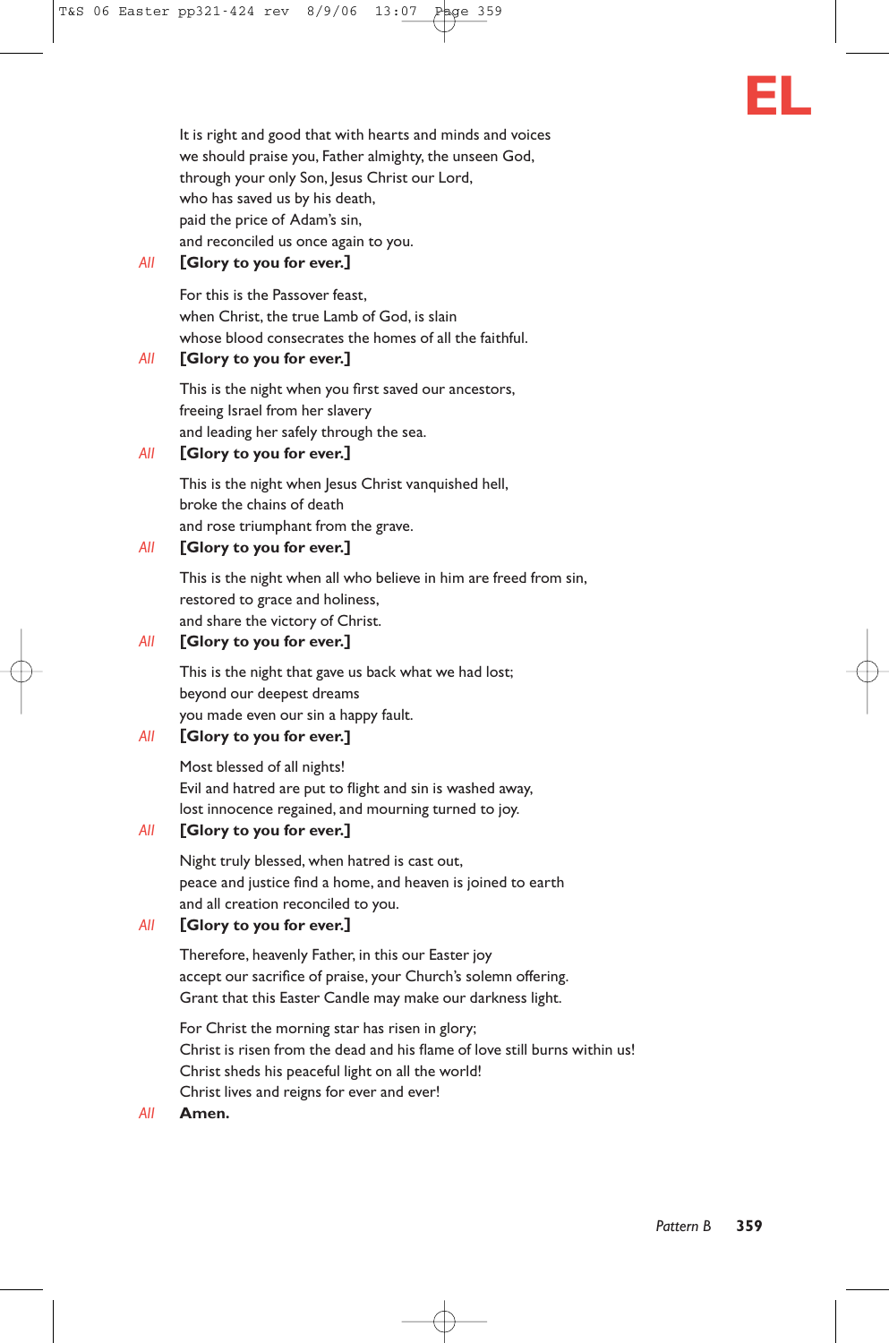

It is right and good that with hearts and minds and voices we should praise you, Father almighty, the unseen God, through your only Son, Jesus Christ our Lord, who has saved us by his death, paid the price of Adam's sin, and reconciled us once again to you.

### *All* **[Glory to you for ever.]**

For this is the Passover feast, when Christ, the true Lamb of God, is slain whose blood consecrates the homes of all the faithful.

#### *All* **[Glory to you for ever.]**

This is the night when you first saved our ancestors, freeing Israel from her slavery and leading her safely through the sea.

#### *All* **[Glory to you for ever.]**

This is the night when Jesus Christ vanquished hell, broke the chains of death and rose triumphant from the grave.

#### *All* **[Glory to you for ever.]**

This is the night when all who believe in him are freed from sin, restored to grace and holiness, and share the victory of Christ.

### *All* **[Glory to you for ever.]**

This is the night that gave us back what we had lost; beyond our deepest dreams you made even our sin a happy fault.

# *All* **[Glory to you for ever.]**

Most blessed of all nights! Evil and hatred are put to flight and sin is washed away, lost innocence regained, and mourning turned to joy.

### *All* **[Glory to you for ever.]**

Night truly blessed, when hatred is cast out, peace and justice find a home, and heaven is joined to earth and all creation reconciled to you.

### *All* **[Glory to you for ever.]**

Therefore, heavenly Father, in this our Easter joy accept our sacrifice of praise, your Church's solemn offering. Grant that this Easter Candle may make our darkness light.

For Christ the morning star has risen in glory; Christ is risen from the dead and his flame of love still burns within us! Christ sheds his peaceful light on all the world! Christ lives and reigns for ever and ever!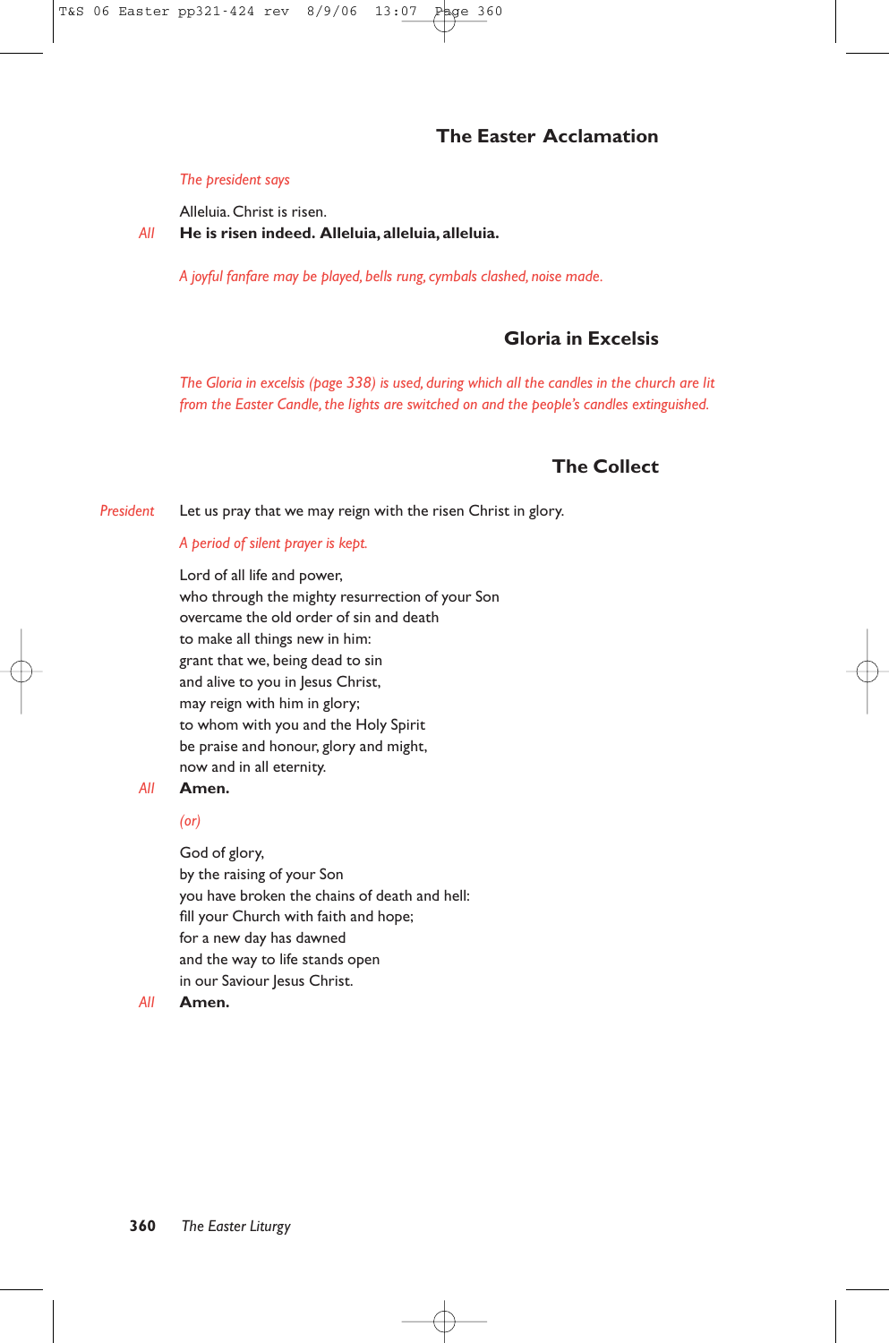# **The Easter Acclamation**

#### *The president says*

Alleluia. Christ is risen.

*All* **He is risen indeed. Alleluia, alleluia, alleluia.**

*A joyful fanfare may be played, bells rung, cymbals clashed, noise made.*

# **Gloria in Excelsis**

*The Gloria in excelsis (page 338) is used, during which all the candles in the church are lit from the Easter Candle, the lights are switched on and the people's candles extinguished.*

# **The Collect**

*President* Let us pray that we may reign with the risen Christ in glory.

#### *A period of silent prayer is kept.*

Lord of all life and power, who through the mighty resurrection of your Son overcame the old order of sin and death to make all things new in him: grant that we, being dead to sin and alive to you in Jesus Christ, may reign with him in glory; to whom with you and the Holy Spirit be praise and honour, glory and might, now and in all eternity.

#### *All* **Amen.**

*(or)*

God of glory, by the raising of your Son you have broken the chains of death and hell: fill your Church with faith and hope; for a new day has dawned and the way to life stands open in our Saviour Jesus Christ.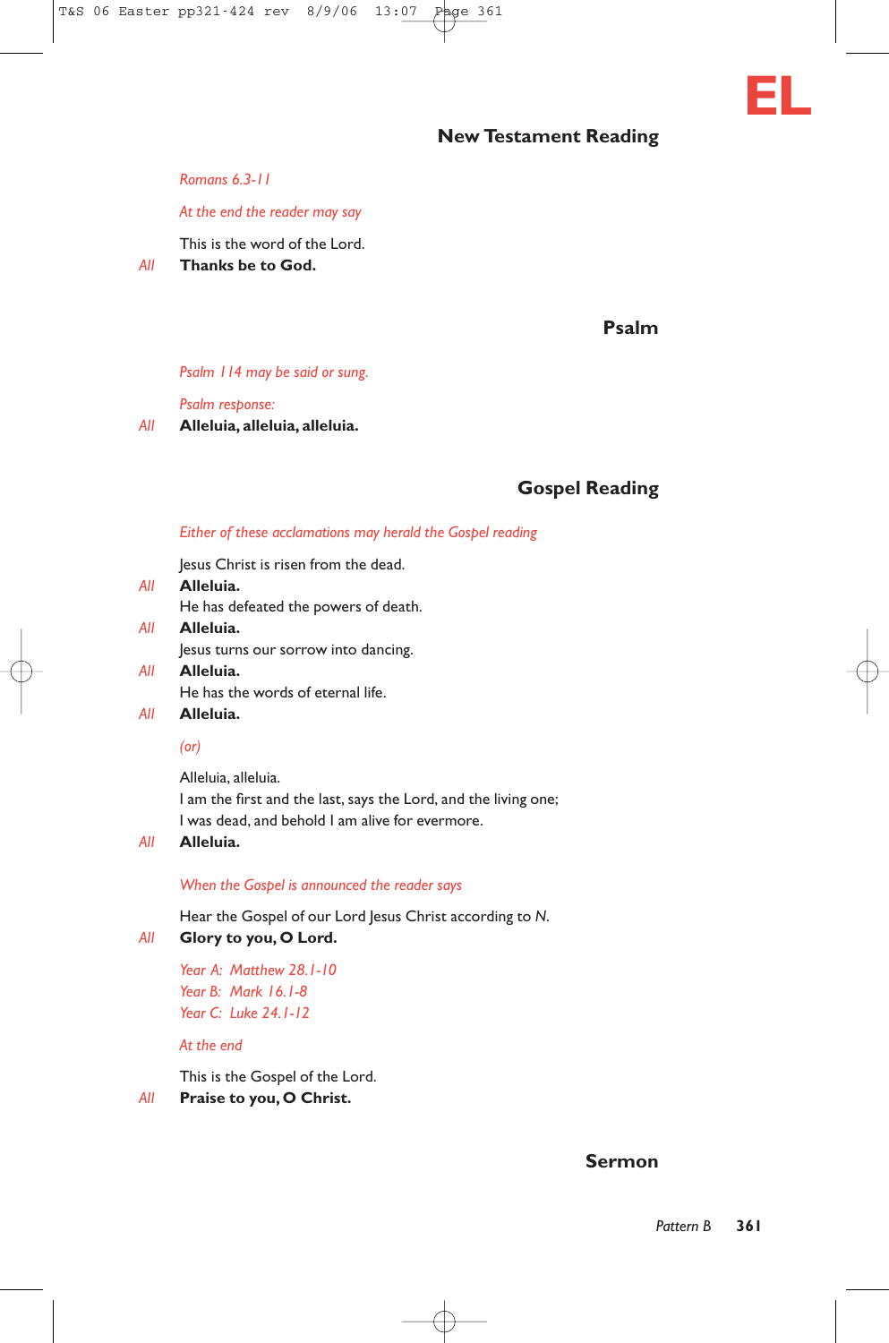

#### *At the end the reader may say*

This is the word of the Lord.

*All* **Thanks be to God.**

**Psalm**

**EL**

#### *Psalm 114 may be said or sung.*

*Psalm response:*

*All* **Alleluia, alleluia, alleluia.**

# **Gospel Reading**

#### *Either of these acclamations may herald the Gospel reading*

Jesus Christ is risen from the dead.

- *All* **Alleluia.** He has defeated the powers of death. *All* **Alleluia.**
	- Jesus turns our sorrow into dancing.
- *All* **Alleluia.** He has the words of eternal life.

# *All* **Alleluia.**

#### *(or)*

Alleluia, alleluia. I am the first and the last, says the Lord, and the living one; I was dead, and behold I am alive for evermore.

#### *All* **Alleluia.**

*When the Gospel is announced the reader says*

Hear the Gospel of our Lord Jesus Christ according to *N*.

#### *All* **Glory to you, O Lord.**

*Year A: Matthew 28.1-10 Year B: Mark 16.1-8 Year C: Luke 24.1-12*

#### *At the end*

This is the Gospel of the Lord.

*All* **Praise to you, O Christ.**

#### **Sermon**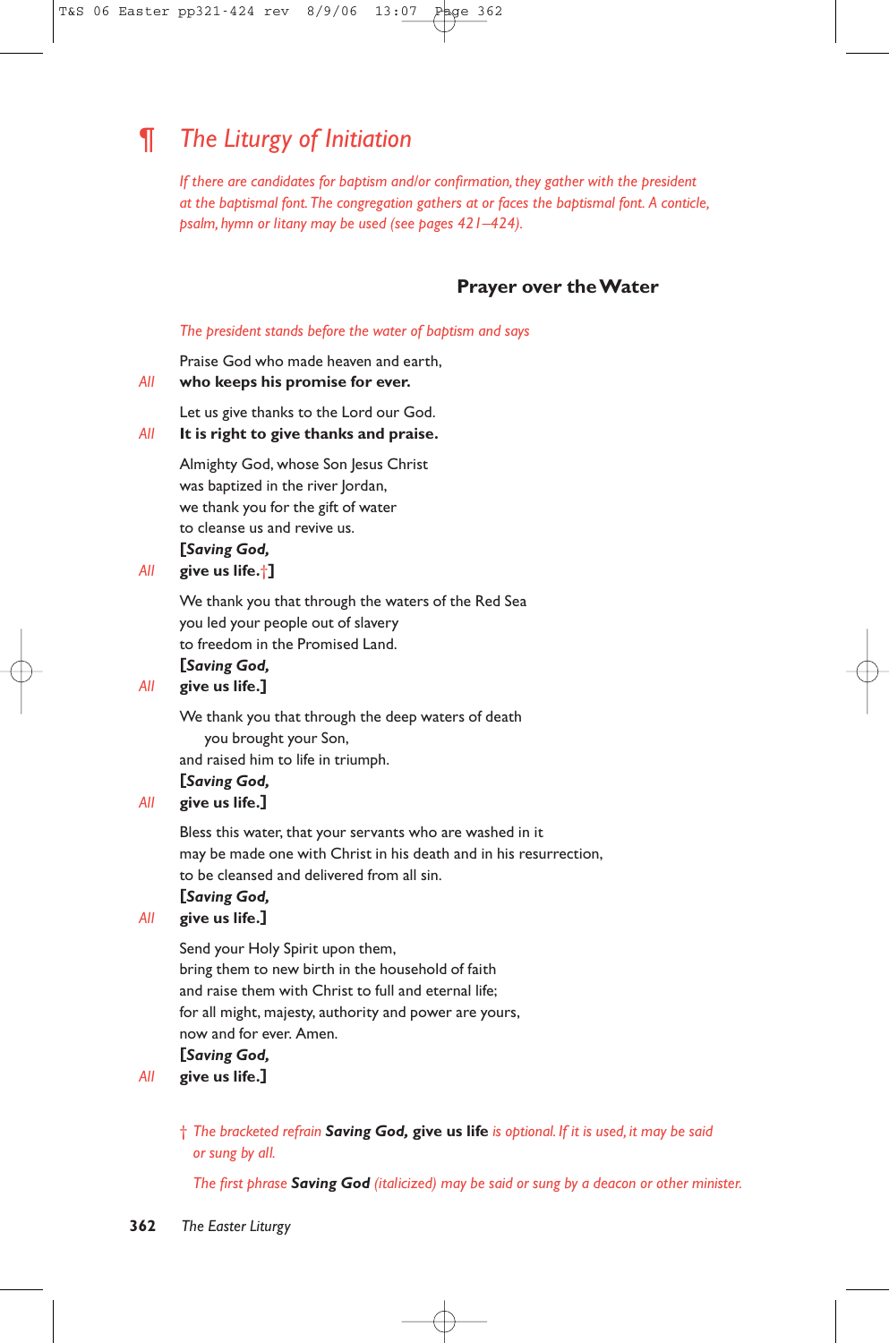# ¶ *The Liturgy of Initiation*

*If there are candidates for baptism and/or confirmation, they gather with the president at the baptismal font.The congregation gathers at or faces the baptismal font. A conticle, psalm, hymn or litany may be used (see pages 421–424).*

### **Prayer over the Water**

#### *The president stands before the water of baptism and says*

Praise God who made heaven and earth,

### *All* **who keeps his promise for ever.**

Let us give thanks to the Lord our God.

# *All* **It is right to give thanks and praise.**

Almighty God, whose Son Jesus Christ was baptized in the river Jordan, we thank you for the gift of water to cleanse us and revive us. **[***Saving God,*

#### *All* **give us life.**†**]**

We thank you that through the waters of the Red Sea you led your people out of slavery to freedom in the Promised Land.

# **[***Saving God,*

### *All* **give us life.]**

We thank you that through the deep waters of death you brought your Son, and raised him to life in triumph. **[***Saving God,*

# *All* **give us life.]**

Bless this water, that your servants who are washed in it may be made one with Christ in his death and in his resurrection, to be cleansed and delivered from all sin.

### **[***Saving God,*

# *All* **give us life.]**

Send your Holy Spirit upon them, bring them to new birth in the household of faith and raise them with Christ to full and eternal life; for all might, majesty, authority and power are yours, now and for ever. Amen.

# **[***Saving God,*

# *All* **give us life.]**

† *The bracketed refrain Saving God,* **give us life** *is optional. If it is used, it may be said or sung by all.*

*The first phrase Saving God (italicized) may be said or sung by a deacon or other minister.*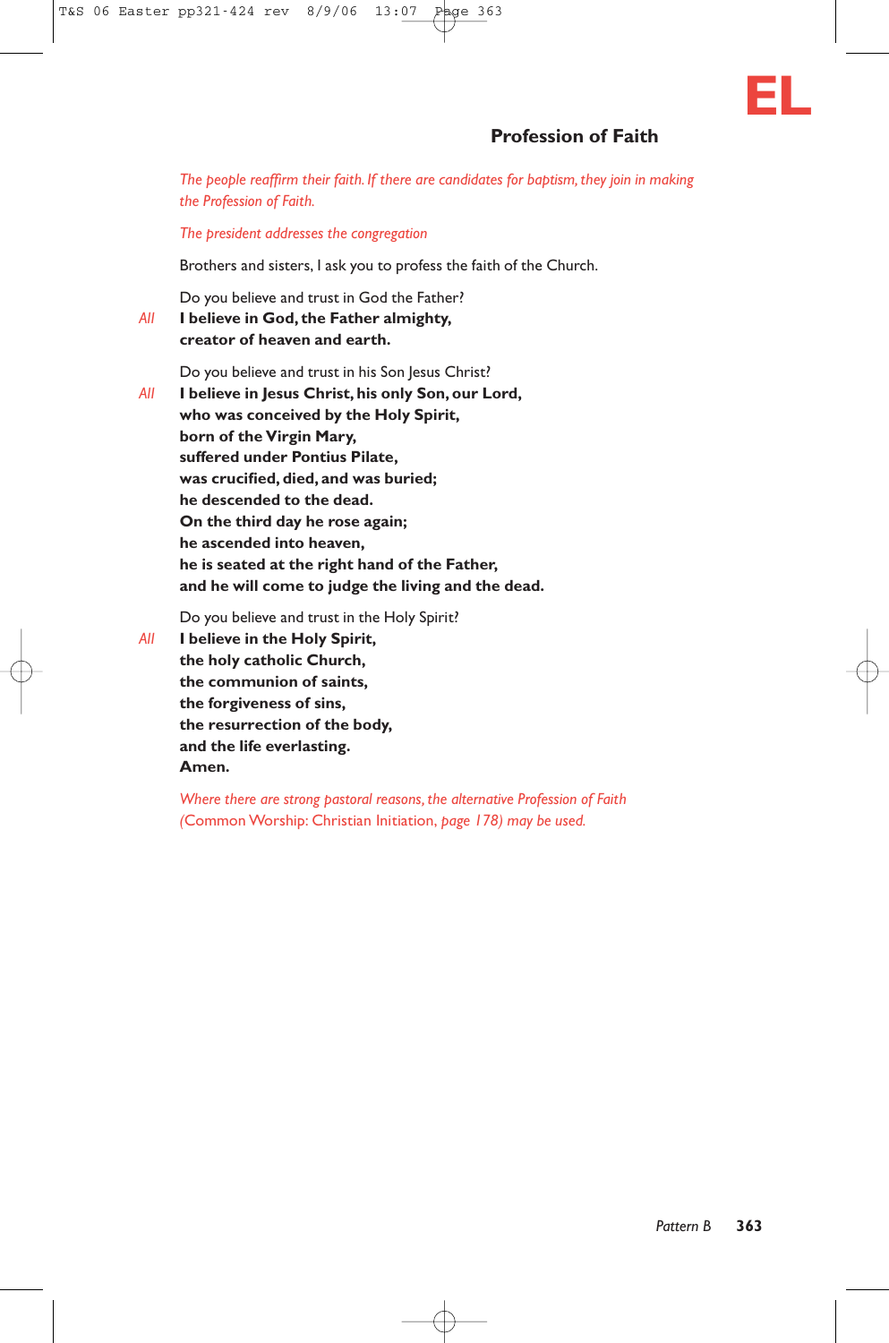# **Profession of Faith**

*The people reaffirm their faith. If there are candidates for baptism, they join in making the Profession of Faith.*

*The president addresses the congregation*

Brothers and sisters, I ask you to profess the faith of the Church.

Do you believe and trust in God the Father?

*All* **I believe in God, the Father almighty, creator of heaven and earth.**

Do you believe and trust in his Son Jesus Christ?

*All* **I believe in Jesus Christ, his only Son, our Lord, who was conceived by the Holy Spirit, born of the Virgin Mary, suffered under Pontius Pilate, was crucified, died, and was buried; he descended to the dead. On the third day he rose again; he ascended into heaven, he is seated at the right hand of the Father, and he will come to judge the living and the dead.**

Do you believe and trust in the Holy Spirit?

*All* **I believe in the Holy Spirit, the holy catholic Church, the communion of saints, the forgiveness of sins, the resurrection of the body, and the life everlasting. Amen.**

> *Where there are strong pastoral reasons, the alternative Profession of Faith (*Common Worship: Christian Initiation, *page 178) may be used.*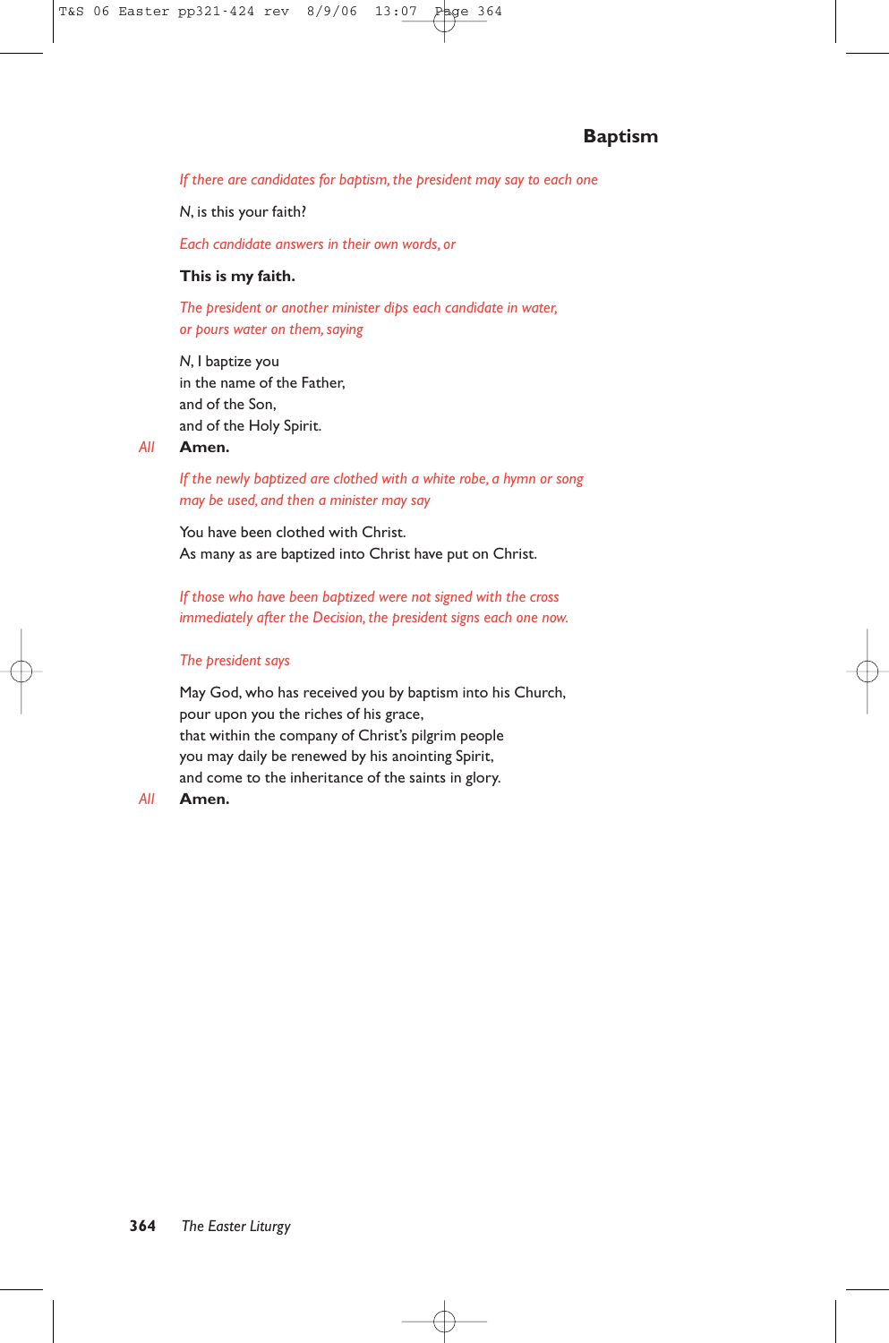# **Baptism**

*If there are candidates for baptism, the president may say to each one*

*N*, is this your faith?

*Each candidate answers in their own words, or*

#### **This is my faith.**

*The president or another minister dips each candidate in water, or pours water on them, saying*

*N*, I baptize you in the name of the Father, and of the Son, and of the Holy Spirit.

#### *All* **Amen.**

*If the newly baptized are clothed with a white robe, a hymn or song may be used, and then a minister may say*

You have been clothed with Christ. As many as are baptized into Christ have put on Christ.

*If those who have been baptized were not signed with the cross immediately after the Decision, the president signs each one now.*

#### *The president says*

May God, who has received you by baptism into his Church, pour upon you the riches of his grace, that within the company of Christ's pilgrim people you may daily be renewed by his anointing Spirit, and come to the inheritance of the saints in glory.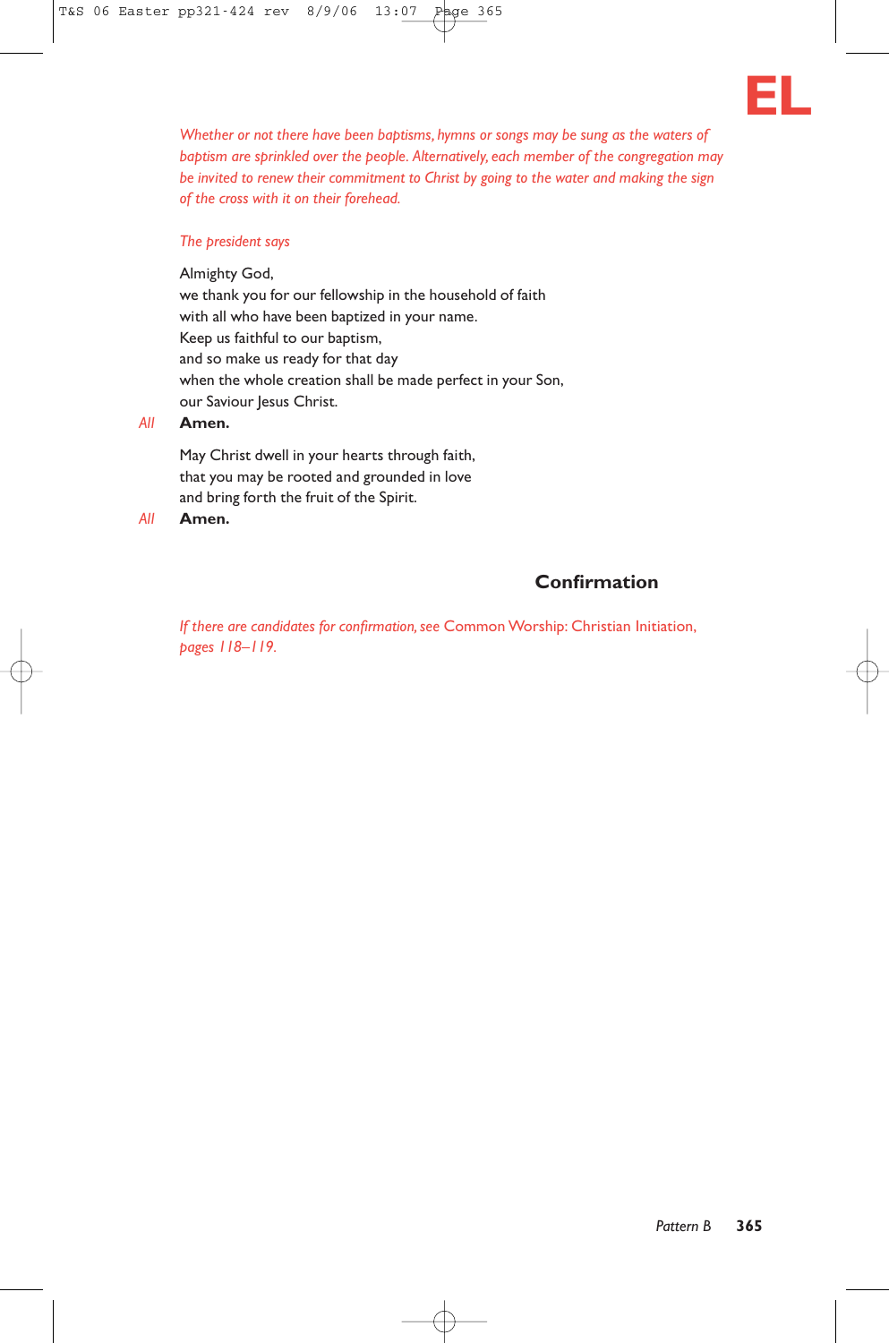

*Whether or not there have been baptisms, hymns or songs may be sung as the waters of baptism are sprinkled over the people. Alternatively, each member of the congregation may be invited to renew their commitment to Christ by going to the water and making the sign of the cross with it on their forehead.*

#### *The president says*

Almighty God, we thank you for our fellowship in the household of faith with all who have been baptized in your name. Keep us faithful to our baptism, and so make us ready for that day when the whole creation shall be made perfect in your Son, our Saviour Jesus Christ.

### *All* **Amen.**

May Christ dwell in your hearts through faith, that you may be rooted and grounded in love and bring forth the fruit of the Spirit.

*All* **Amen.**

# **Confirmation**

*If there are candidates for confirmation, see* Common Worship: Christian Initiation, *pages 118–119.*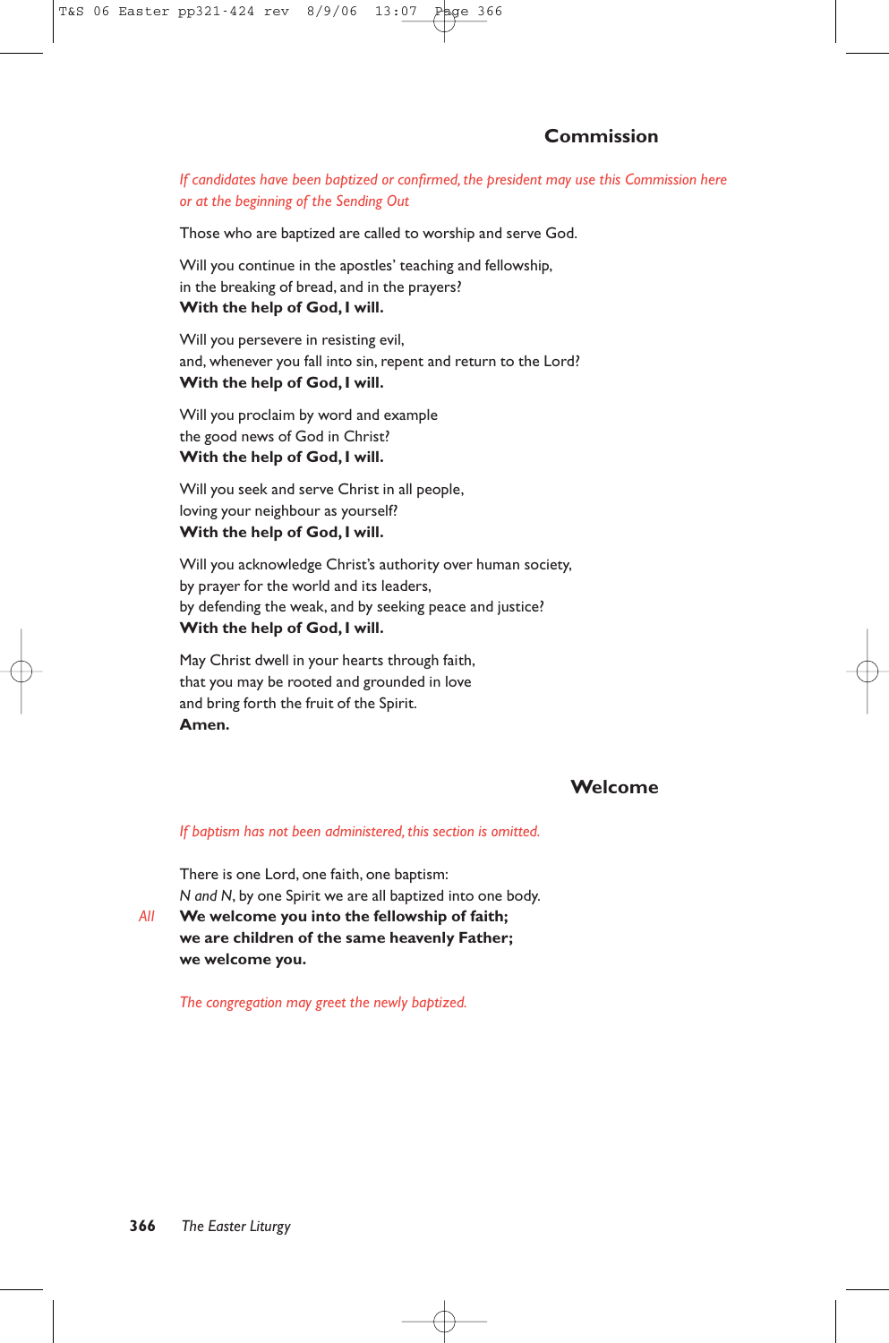#### *If candidates have been baptized or confirmed, the president may use this Commission here or at the beginning of the Sending Out*

Those who are baptized are called to worship and serve God.

Will you continue in the apostles' teaching and fellowship, in the breaking of bread, and in the prayers? **With the help of God, I will.**

Will you persevere in resisting evil, and, whenever you fall into sin, repent and return to the Lord? **With the help of God, I will.**

Will you proclaim by word and example the good news of God in Christ? **With the help of God, I will.**

Will you seek and serve Christ in all people, loving your neighbour as yourself? **With the help of God, I will.**

Will you acknowledge Christ's authority over human society, by prayer for the world and its leaders, by defending the weak, and by seeking peace and justice? **With the help of God, I will.**

May Christ dwell in your hearts through faith, that you may be rooted and grounded in love and bring forth the fruit of the Spirit. **Amen.**

### **Welcome**

#### *If baptism has not been administered, this section is omitted.*

There is one Lord, one faith, one baptism: *N and N*, by one Spirit we are all baptized into one body.

*All* **We welcome you into the fellowship of faith; we are children of the same heavenly Father; we welcome you.**

*The congregation may greet the newly baptized.*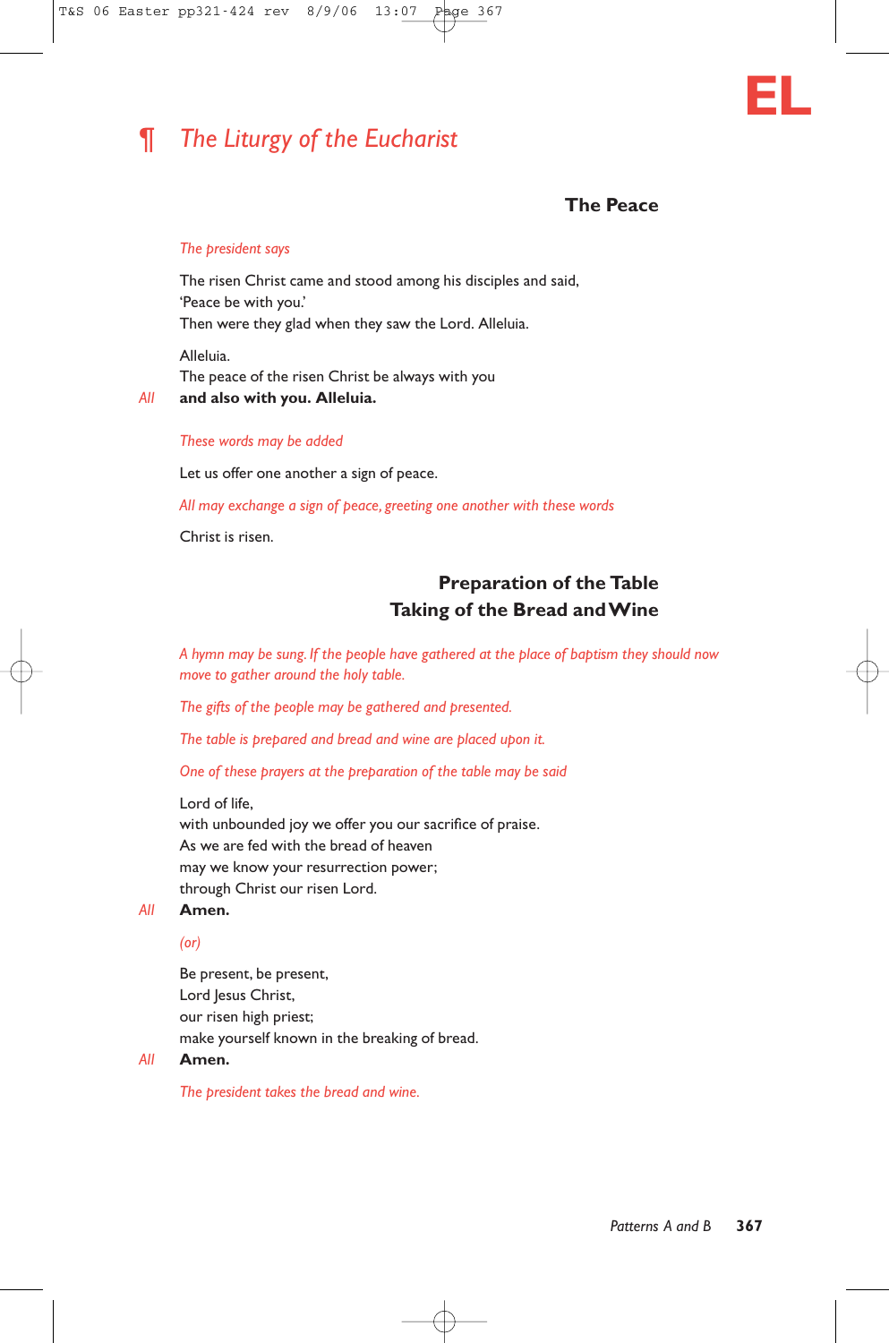# ¶ *The Liturgy of the Eucharist*



# **The Peace**

#### *The president says*

The risen Christ came and stood among his disciples and said, 'Peace be with you.' Then were they glad when they saw the Lord. Alleluia.

Alleluia. The peace of the risen Christ be always with you *All* **and also with you. Alleluia.**

#### *These words may be added*

Let us offer one another a sign of peace.

*All may exchange a sign of peace, greeting one another with these words*

Christ is risen.

# **Preparation of the Table Taking of the Bread and Wine**

*A hymn may be sung. If the people have gathered at the place of baptism they should now move to gather around the holy table.*

*The gifts of the people may be gathered and presented.*

*The table is prepared and bread and wine are placed upon it.*

*One of these prayers at the preparation of the table may be said*

Lord of life,

with unbounded joy we offer you our sacrifice of praise. As we are fed with the bread of heaven may we know your resurrection power; through Christ our risen Lord.

#### *All* **Amen.**

*(or)*

Be present, be present, Lord Jesus Christ, our risen high priest; make yourself known in the breaking of bread.

*All* **Amen.**

*The president takes the bread and wine.*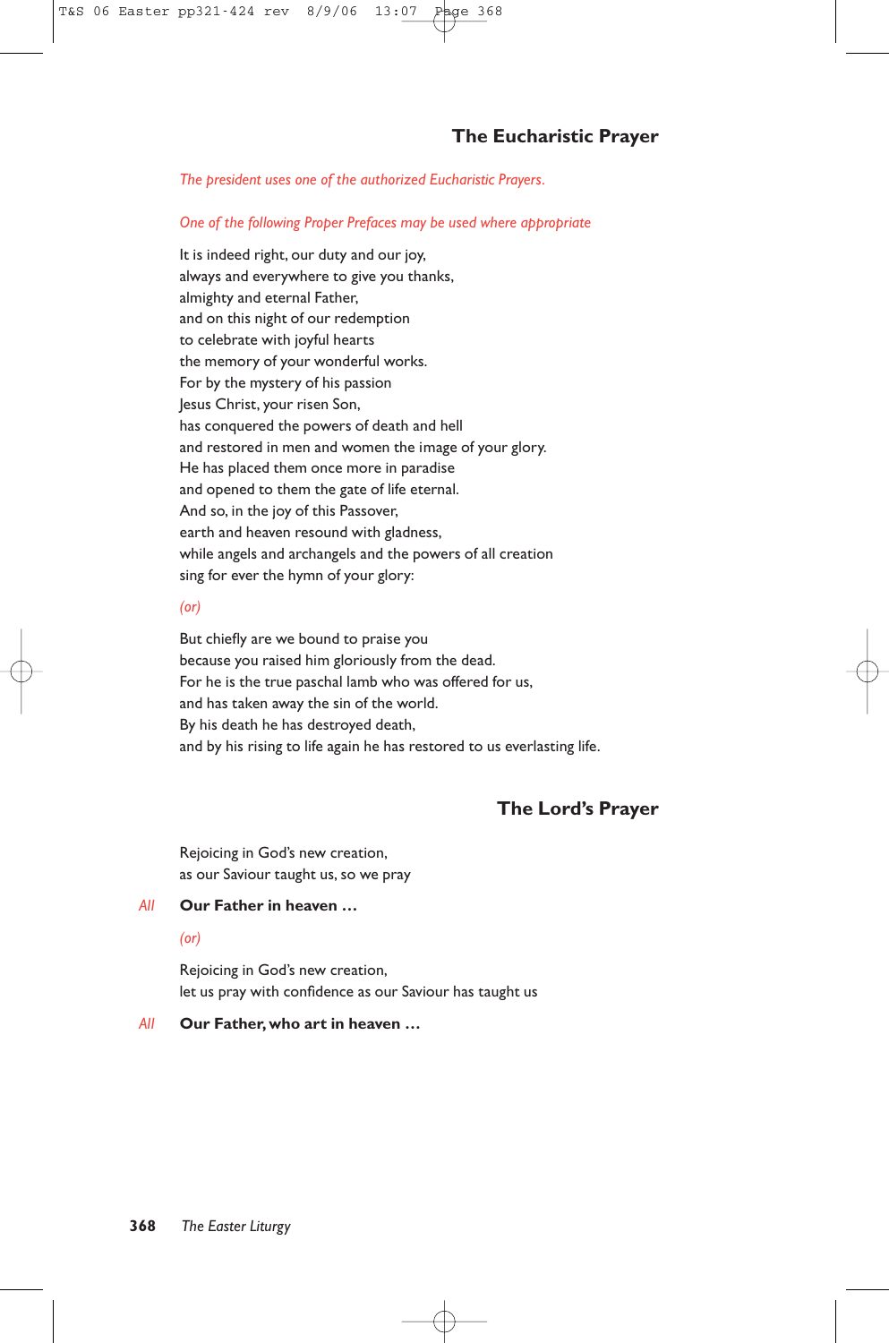*The president uses one of the authorized Eucharistic Prayers.*

#### *One of the following Proper Prefaces may be used where appropriate*

It is indeed right, our duty and our joy, always and everywhere to give you thanks, almighty and eternal Father, and on this night of our redemption to celebrate with joyful hearts the memory of your wonderful works. For by the mystery of his passion Jesus Christ, your risen Son, has conquered the powers of death and hell and restored in men and women the image of your glory. He has placed them once more in paradise and opened to them the gate of life eternal. And so, in the joy of this Passover, earth and heaven resound with gladness, while angels and archangels and the powers of all creation sing for ever the hymn of your glory:

#### *(or)*

But chiefly are we bound to praise you because you raised him gloriously from the dead. For he is the true paschal lamb who was offered for us, and has taken away the sin of the world. By his death he has destroyed death, and by his rising to life again he has restored to us everlasting life.

# **The Lord's Prayer**

Rejoicing in God's new creation, as our Saviour taught us, so we pray

#### *All* **Our Father in heaven …**

#### *(or)*

Rejoicing in God's new creation, let us pray with confidence as our Saviour has taught us

#### *All* **Our Father, who art in heaven …**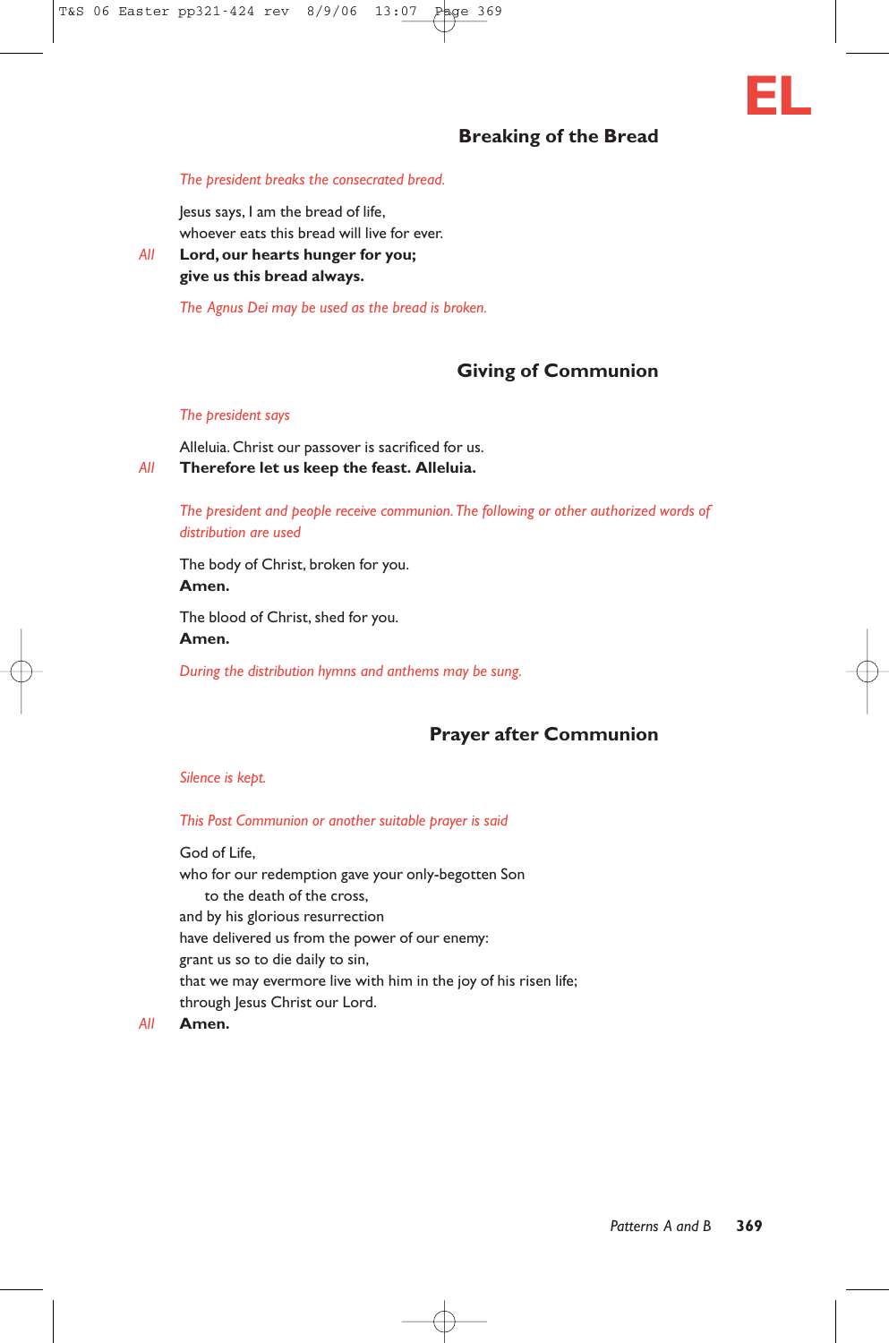# **Breaking of the Bread**

**EL**

# *The president breaks the consecrated bread.*

Jesus says, I am the bread of life,

whoever eats this bread will live for ever.

#### *All* **Lord, our hearts hunger for you; give us this bread always.**

*The Agnus Dei may be used as the bread is broken.*

# **Giving of Communion**

#### *The president says*

Alleluia. Christ our passover is sacrificed for us. *All* **Therefore let us keep the feast. Alleluia.**

#### *The president and people receive communion.The following or other authorized words of distribution are used*

The body of Christ, broken for you. **Amen.**

The blood of Christ, shed for you. **Amen.**

*During the distribution hymns and anthems may be sung.*

# **Prayer after Communion**

#### *Silence is kept.*

#### *This Post Communion or another suitable prayer is said*

God of Life, who for our redemption gave your only-begotten Son to the death of the cross, and by his glorious resurrection have delivered us from the power of our enemy: grant us so to die daily to sin, that we may evermore live with him in the joy of his risen life; through Jesus Christ our Lord.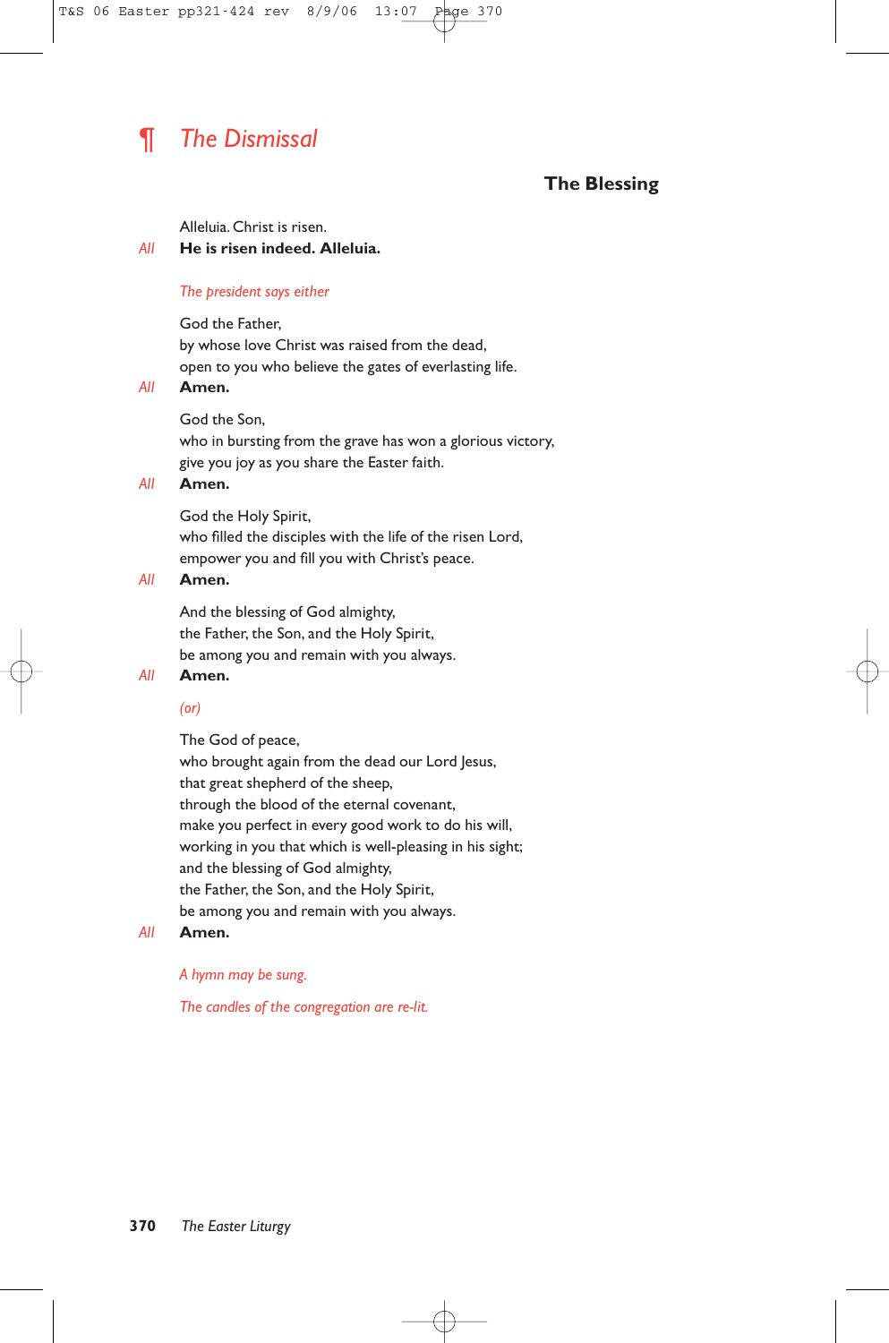# ¶ *The Dismissal*

# **The Blessing**

Alleluia. Christ is risen.

#### *All* **He is risen indeed. Alleluia.**

#### *The president says either*

God the Father, by whose love Christ was raised from the dead, open to you who believe the gates of everlasting life.

#### *All* **Amen.**

God the Son,

who in bursting from the grave has won a glorious victory, give you joy as you share the Easter faith.

### *All* **Amen.**

God the Holy Spirit,

who filled the disciples with the life of the risen Lord, empower you and fill you with Christ's peace.

#### *All* **Amen.**

And the blessing of God almighty, the Father, the Son, and the Holy Spirit, be among you and remain with you always.

#### *All* **Amen.**

#### *(or)*

The God of peace,

who brought again from the dead our Lord Jesus, that great shepherd of the sheep, through the blood of the eternal covenant, make you perfect in every good work to do his will, working in you that which is well-pleasing in his sight; and the blessing of God almighty, the Father, the Son, and the Holy Spirit, be among you and remain with you always.

#### *All* **Amen.**

#### *A hymn may be sung.*

*The candles of the congregation are re-lit.*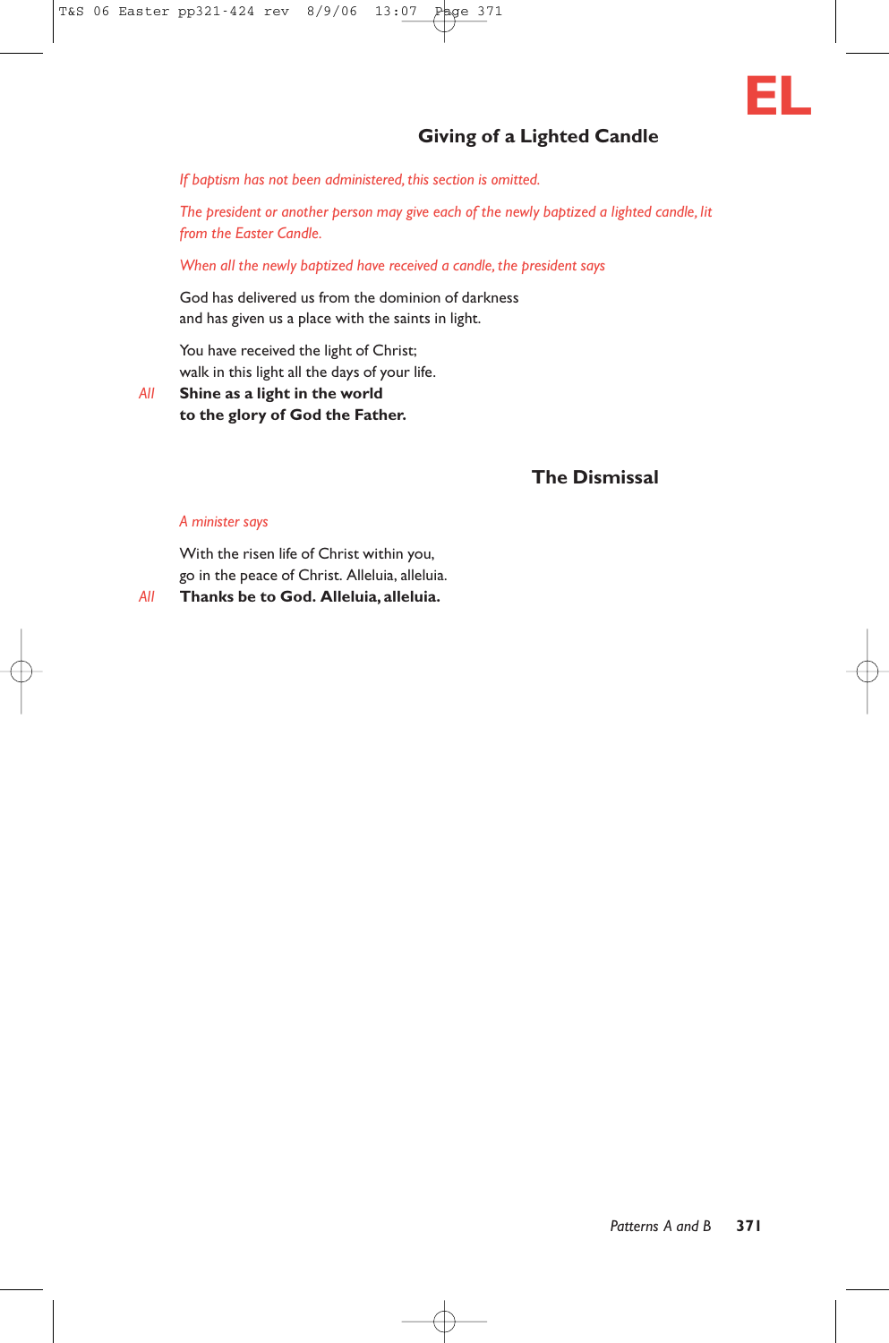

# **Giving of a Lighted Candle**

*If baptism has not been administered, this section is omitted.*

*The president or another person may give each of the newly baptized a lighted candle, lit from the Easter Candle.*

*When all the newly baptized have received a candle, the president says*

God has delivered us from the dominion of darkness and has given us a place with the saints in light.

You have received the light of Christ; walk in this light all the days of your life.

*All* **Shine as a light in the world to the glory of God the Father.**

# **The Dismissal**

#### *A minister says*

With the risen life of Christ within you, go in the peace of Christ. Alleluia, alleluia.

*All* **Thanks be to God. Alleluia, alleluia.**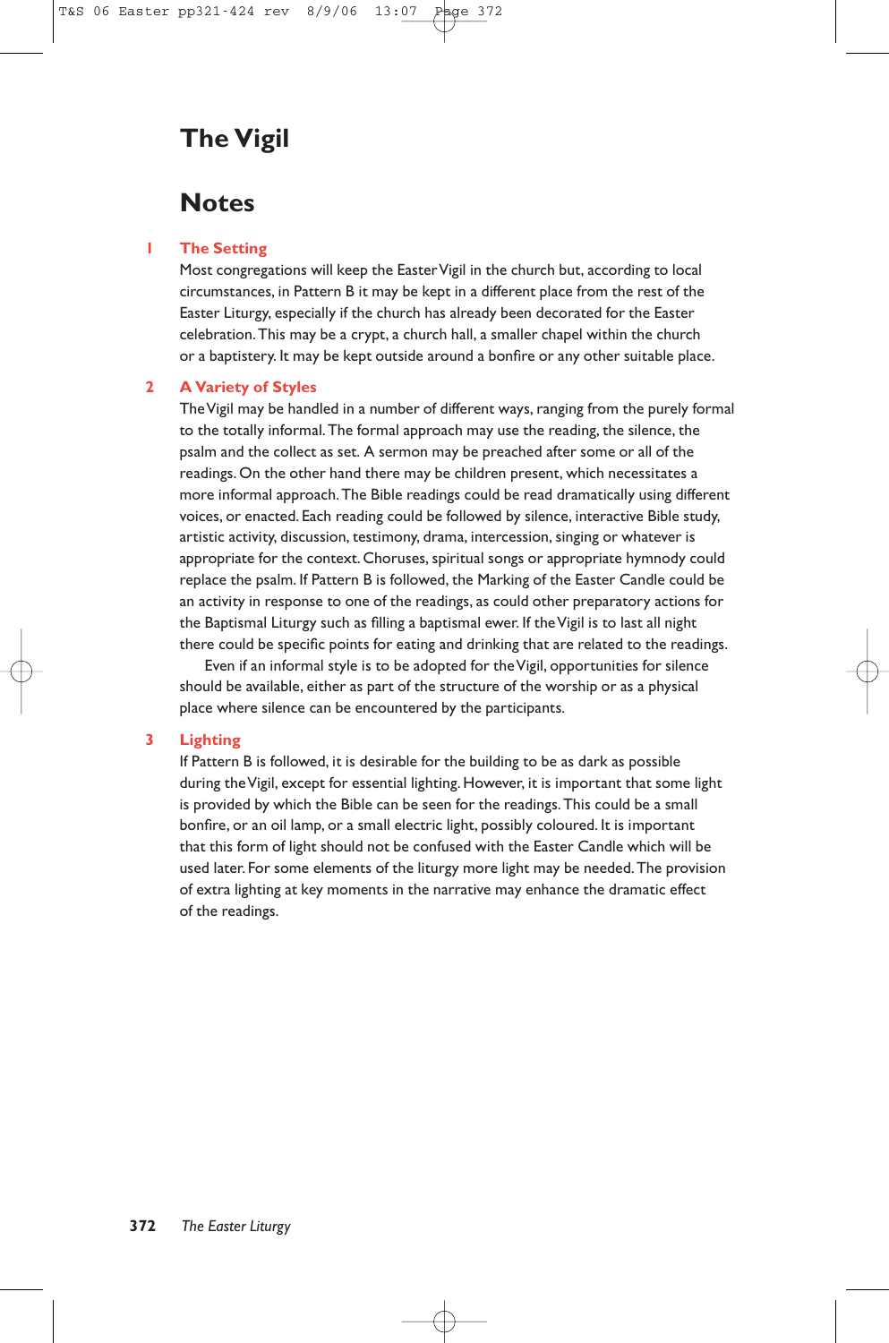# **The Vigil**

# **Notes**

#### **1 The Setting**

Most congregations will keep the EasterVigil in the church but, according to local circumstances, in Pattern B it may be kept in a different place from the rest of the Easter Liturgy, especially if the church has already been decorated for the Easter celebration.This may be a crypt, a church hall, a smaller chapel within the church or a baptistery. It may be kept outside around a bonfire or any other suitable place.

#### **2 A Variety of Styles**

The Vigil may be handled in a number of different ways, ranging from the purely formal to the totally informal.The formal approach may use the reading, the silence, the psalm and the collect as set. A sermon may be preached after some or all of the readings. On the other hand there may be children present, which necessitates a more informal approach.The Bible readings could be read dramatically using different voices, or enacted. Each reading could be followed by silence, interactive Bible study, artistic activity, discussion, testimony, drama, intercession, singing or whatever is appropriate for the context. Choruses, spiritual songs or appropriate hymnody could replace the psalm. If Pattern B is followed, the Marking of the Easter Candle could be an activity in response to one of the readings, as could other preparatory actions for the Baptismal Liturgy such as filling a baptismal ewer. If the Vigil is to last all night there could be specific points for eating and drinking that are related to the readings.

Even if an informal style is to be adopted for the Vigil, opportunities for silence should be available, either as part of the structure of the worship or as a physical place where silence can be encountered by the participants.

#### **3 Lighting**

If Pattern B is followed, it is desirable for the building to be as dark as possible during the Vigil, except for essential lighting. However, it is important that some light is provided by which the Bible can be seen for the readings.This could be a small bonfire, or an oil lamp, or a small electric light, possibly coloured. It is important that this form of light should not be confused with the Easter Candle which will be used later. For some elements of the liturgy more light may be needed.The provision of extra lighting at key moments in the narrative may enhance the dramatic effect of the readings.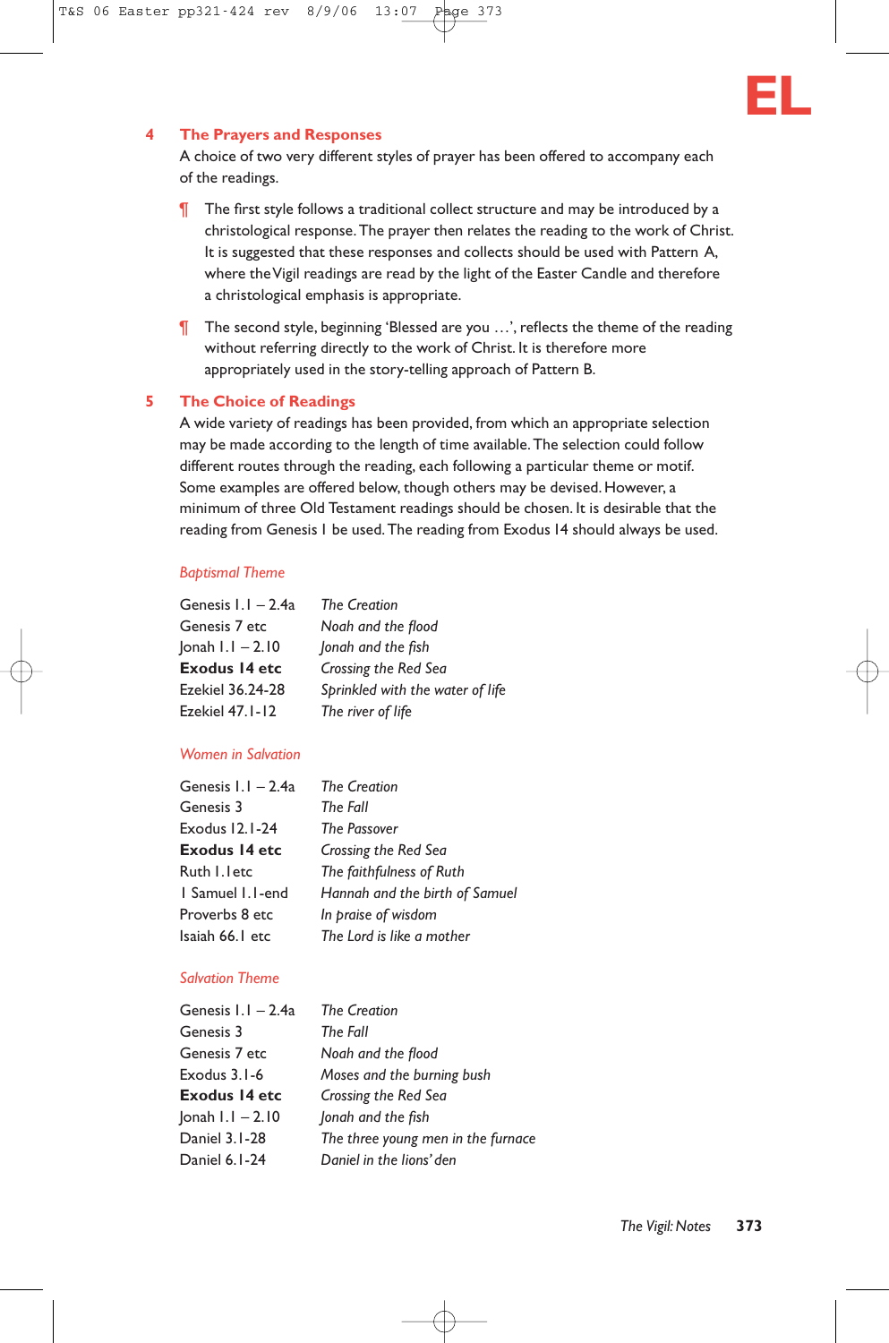

#### **4 The Prayers and Responses**

A choice of two very different styles of prayer has been offered to accompany each of the readings.

- ¶ The first style follows a traditional collect structure and may be introduced by a christological response.The prayer then relates the reading to the work of Christ. It is suggested that these responses and collects should be used with Pattern A, where the Vigil readings are read by the light of the Easter Candle and therefore a christological emphasis is appropriate.
- ¶ The second style, beginning 'Blessed are you …', reflects the theme of the reading without referring directly to the work of Christ. It is therefore more appropriately used in the story-telling approach of Pattern B.

#### **5 The Choice of Readings**

A wide variety of readings has been provided, from which an appropriate selection may be made according to the length of time available.The selection could follow different routes through the reading, each following a particular theme or motif. Some examples are offered below, though others may be devised. However, a minimum of three Old Testament readings should be chosen. It is desirable that the reading from Genesis 1 be used.The reading from Exodus 14 should always be used.

#### *Baptismal Theme*

| Genesis $1.1 - 2.4a$  | <b>The Creation</b>              |
|-----------------------|----------------------------------|
| Genesis 7 etc         | Noah and the flood               |
| $ $ onah $1.1 - 2.10$ | Jonah and the fish               |
| Exodus 14 etc         | Crossing the Red Sea             |
| Ezekiel 36.24-28      | Sprinkled with the water of life |
| Ezekiel 47.1-12       | The river of life                |

#### *Women in Salvation*

| Genesis $1.1 - 2.4a$ | <b>The Creation</b>            |
|----------------------|--------------------------------|
| Genesis 3            | The Fall                       |
| Exodus 12.1-24       | The Passover                   |
| Exodus 14 etc        | Crossing the Red Sea           |
| Ruth I. letc         | The faithfulness of Ruth       |
| 1 Samuel 1.1-end     | Hannah and the birth of Samuel |
| Proverbs 8 etc       | In praise of wisdom            |
| Isaiah 66.1 etc      | The Lord is like a mother      |

#### *Salvation Theme*

| Genesis $1.1 - 2.4a$      | <b>The Creation</b>                |
|---------------------------|------------------------------------|
| Genesis 3                 | The Fall                           |
| Genesis 7 etc             | Noah and the flood                 |
| Exodus $3.1 - 6$          | Moses and the burning bush         |
| Exodus 14 etc             | Crossing the Red Sea               |
| $ $ onah $ $ . $ $ – 2.10 | Jonah and the fish                 |
| Daniel 3.1-28             | The three young men in the furnace |
| Daniel 6.1-24             | Daniel in the lions' den           |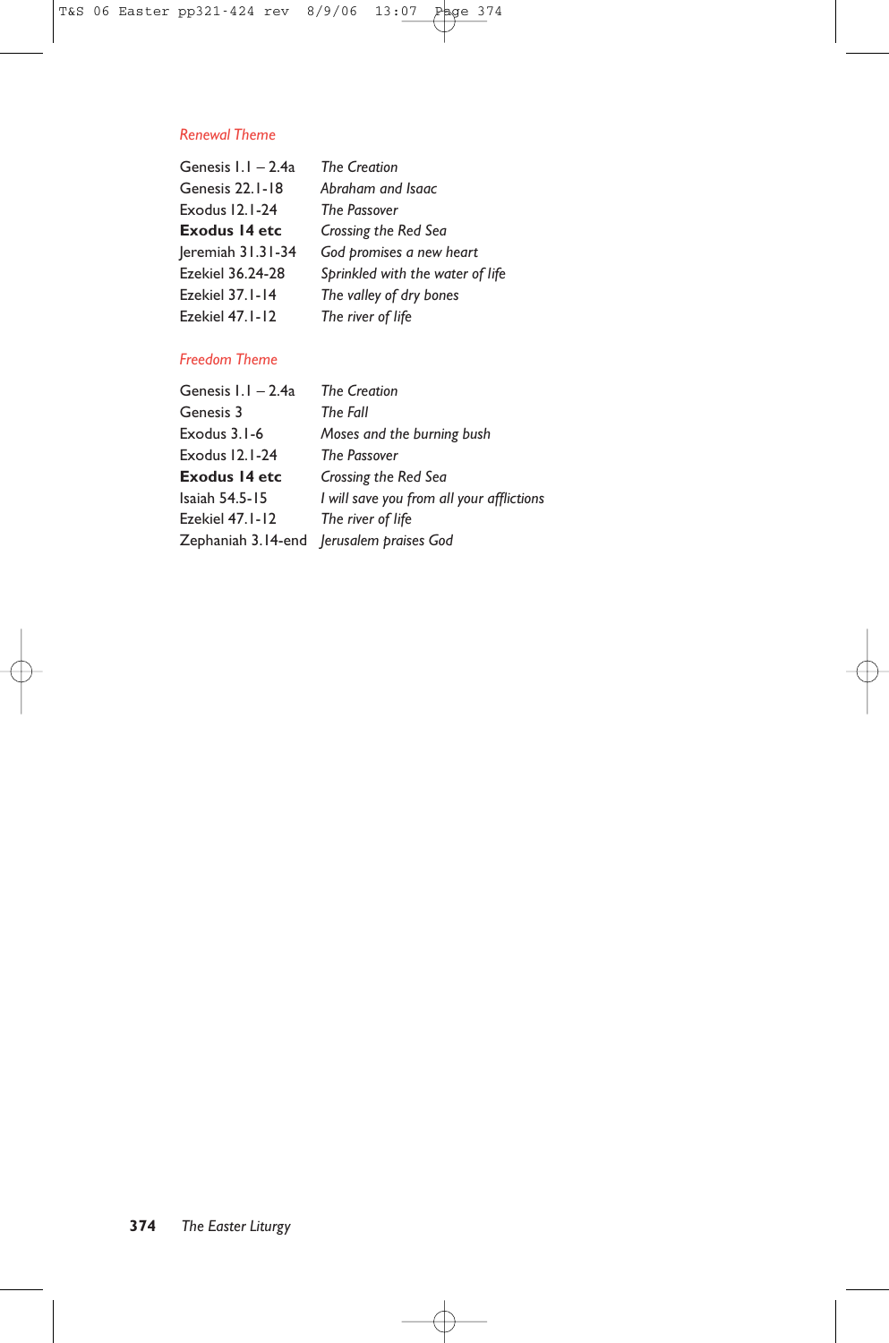#### *Renewal Theme*

| Genesis $1.1 - 2.4a$    | <b>The Creation</b>              |
|-------------------------|----------------------------------|
| Genesis 22.1-18         | Abraham and Isaac                |
| Exodus 12.1-24          | <b>The Passover</b>              |
| <b>Exodus 14 etc</b>    | Crossing the Red Sea             |
| $ $ eremiah $31.31-34$  | God promises a new heart         |
| <b>Ezekiel 36.24-28</b> | Sprinkled with the water of life |
| Ezekiel 37.1-14         | The valley of dry bones          |
| Ezekiel 47.1-12         | The river of life                |

# *Freedom Theme*

| <b>The Creation</b>                       |
|-------------------------------------------|
| The Fall                                  |
| Moses and the burning bush                |
| <b>The Passover</b>                       |
| Crossing the Red Sea                      |
| I will save you from all your afflictions |
| The river of life                         |
| Zephaniah 3.14-end Jerusalem praises God  |
|                                           |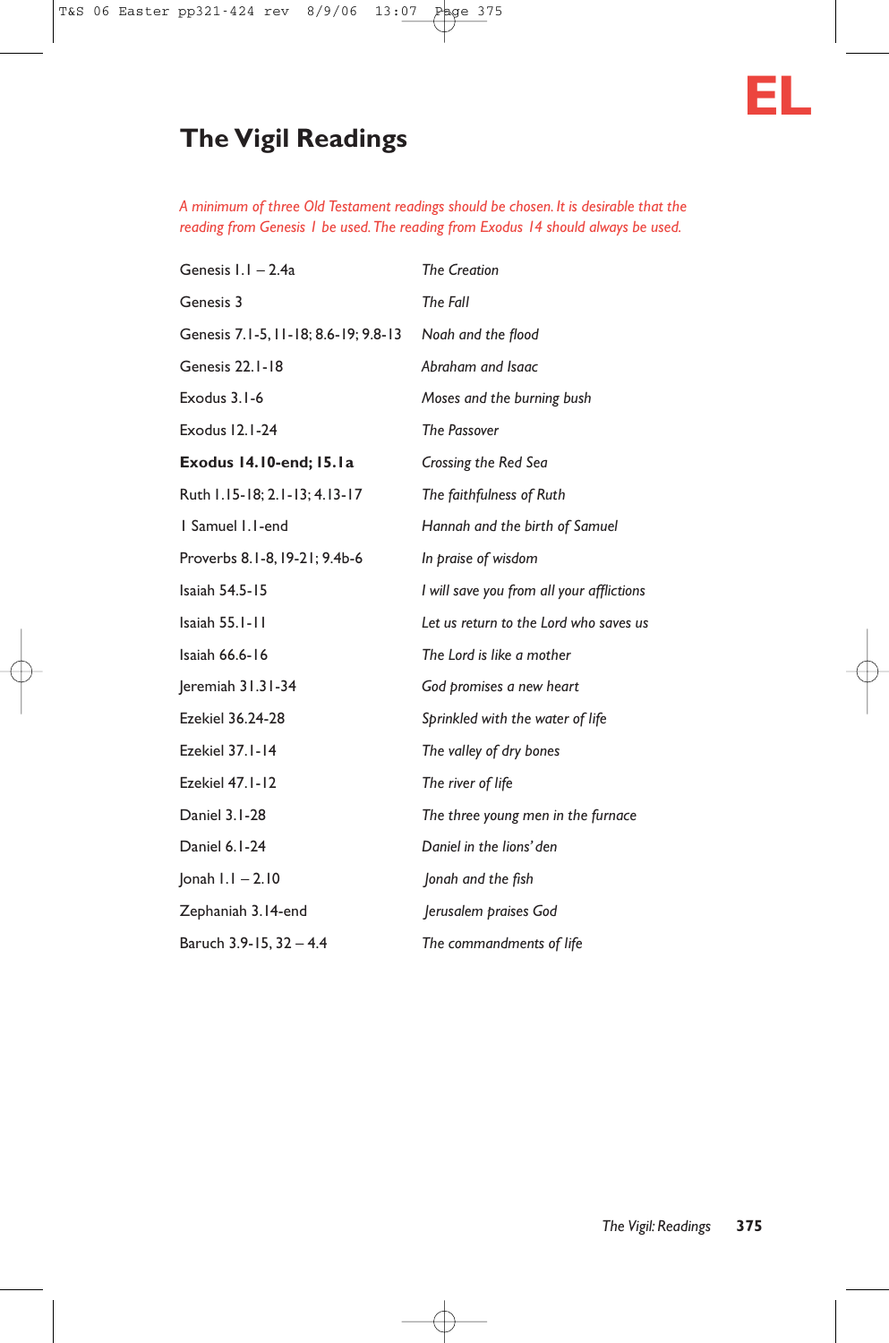

# **The Vigil Readings**

*A minimum of three Old Testament readings should be chosen. It is desirable that the reading from Genesis 1 be used.The reading from Exodus 14 should always be used.*

| Genesis I.I - 2.4a                   | <b>The Creation</b>                       |
|--------------------------------------|-------------------------------------------|
| Genesis 3                            | The Fall                                  |
| Genesis 7.1-5, 11-18; 8.6-19; 9.8-13 | Noah and the flood                        |
| Genesis 22.1-18                      | Abraham and Isaac                         |
| Exodus 3.1-6                         | Moses and the burning bush                |
| Exodus 12.1-24                       | <b>The Passover</b>                       |
| Exodus 14.10-end; 15.1a              | Crossing the Red Sea                      |
| Ruth 1.15-18; 2.1-13; 4.13-17        | The faithfulness of Ruth                  |
| 1 Samuel 1.1-end                     | Hannah and the birth of Samuel            |
| Proverbs 8.1-8, 19-21; 9.4b-6        | In praise of wisdom                       |
| Isaiah 54.5-15                       | I will save you from all your afflictions |
| Isaiah 55.1-11                       | Let us return to the Lord who saves us    |
| Isaiah 66.6-16                       | The Lord is like a mother                 |
| Jeremiah 31.31-34                    | God promises a new heart                  |
| Ezekiel 36.24-28                     | Sprinkled with the water of life          |
| Ezekiel 37.1-14                      | The valley of dry bones                   |
| Ezekiel 47.1-12                      | The river of life                         |
| Daniel 3.1-28                        | The three young men in the furnace        |
| Daniel 6.1-24                        | Daniel in the lions' den                  |
| $ $ onah $  .   - 2.10$              | Jonah and the fish                        |
| Zephaniah 3.14-end                   | Jerusalem praises God                     |
| Baruch 3.9-15, 32 - 4.4              | The commandments of life                  |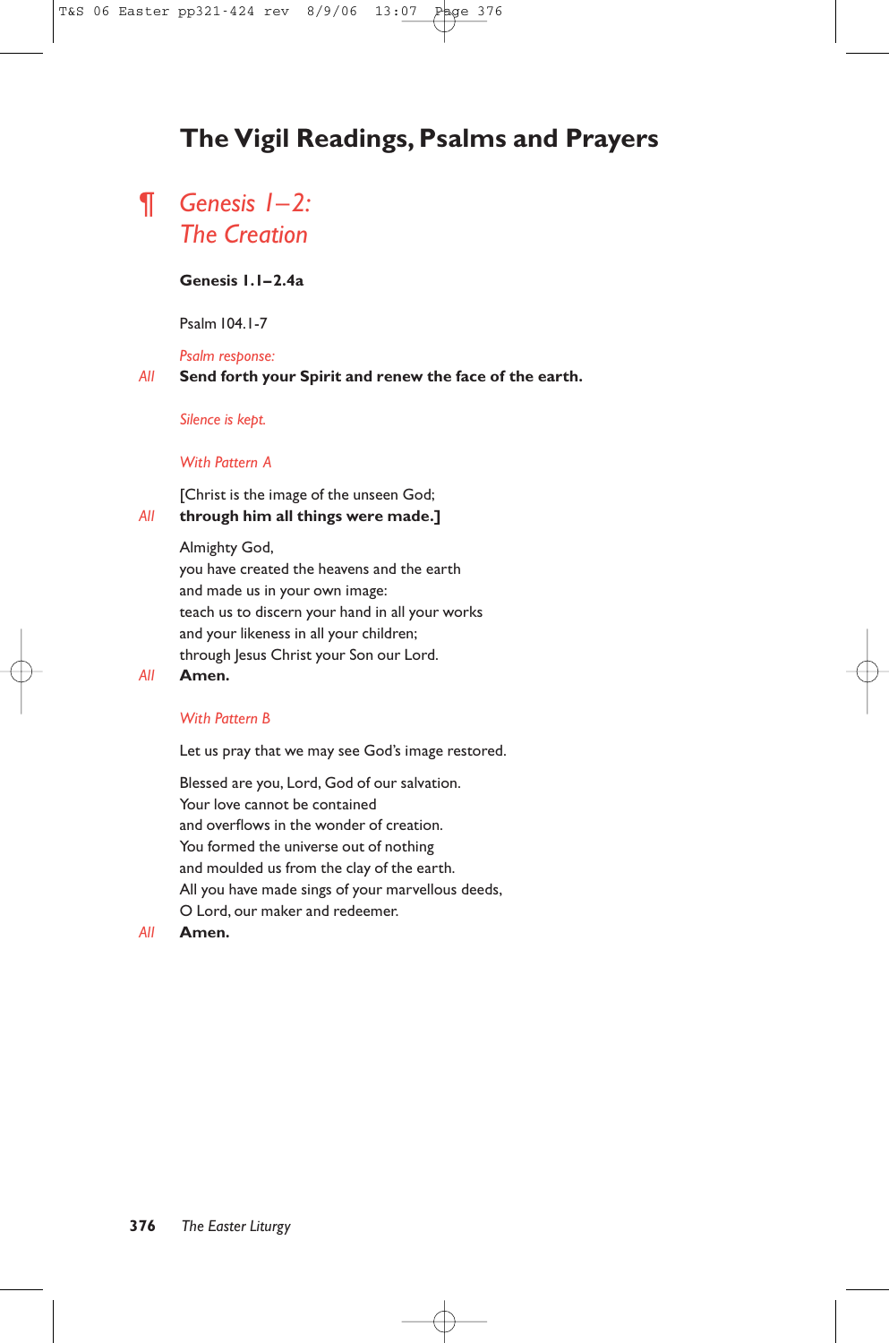# **The Vigil Readings, Psalms and Prayers**

# ¶ *Genesis 1–2: The Creation*

#### **Genesis 1.1–2.4a**

Psalm 104.1-7

*Psalm response:*

#### *All* **Send forth your Spirit and renew the face of the earth.**

#### *Silence is kept.*

#### *With Pattern A*

[Christ is the image of the unseen God;

# *All* **through him all things were made.]**

Almighty God,

you have created the heavens and the earth and made us in your own image: teach us to discern your hand in all your works and your likeness in all your children; through Jesus Christ your Son our Lord.

#### *All* **Amen.**

#### *With Pattern B*

Let us pray that we may see God's image restored.

Blessed are you, Lord, God of our salvation. Your love cannot be contained and overflows in the wonder of creation. You formed the universe out of nothing and moulded us from the clay of the earth. All you have made sings of your marvellous deeds, O Lord, our maker and redeemer.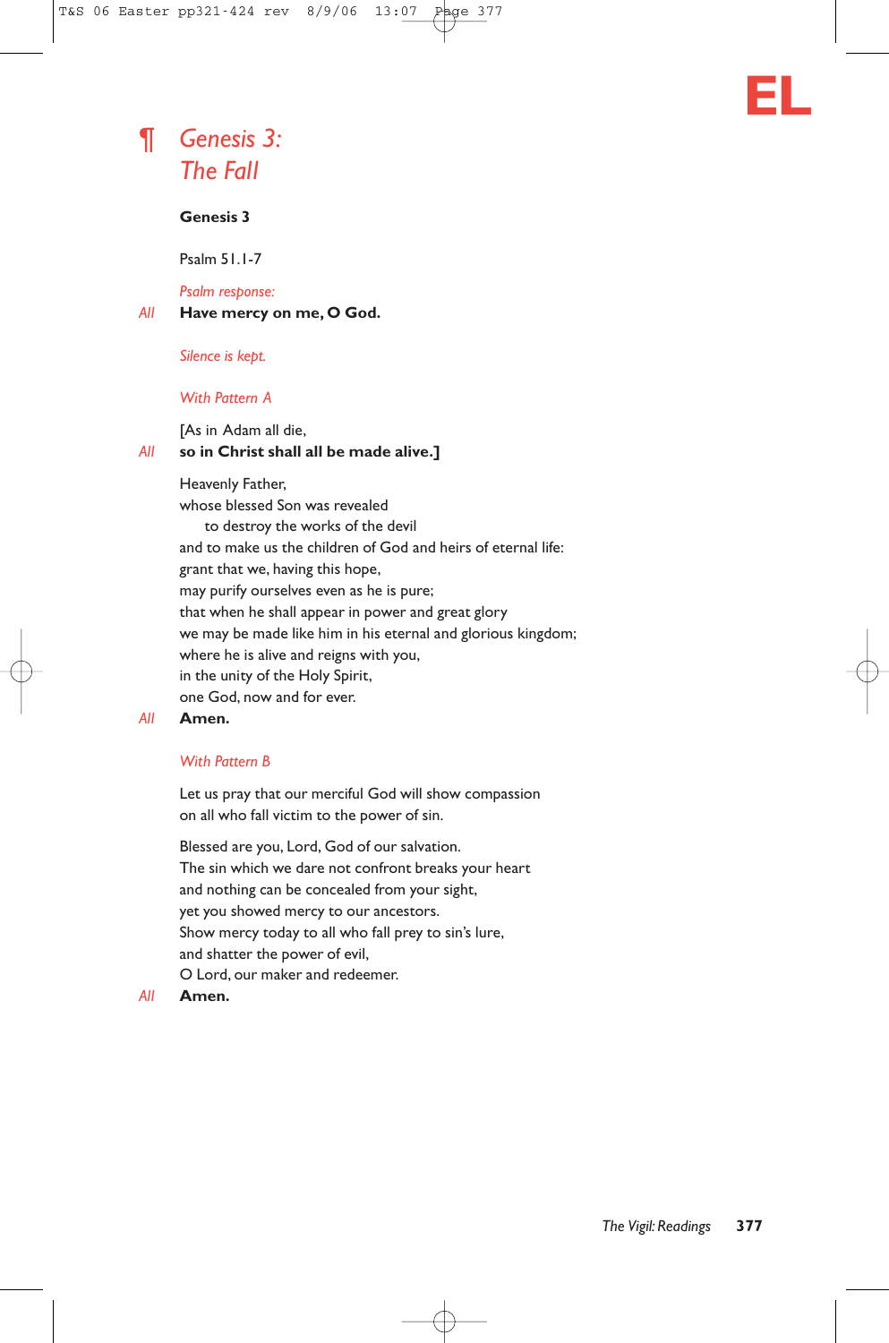

# ¶ *Genesis 3: The Fall*

### **Genesis 3**

Psalm 51.1-7

*Psalm response:*

*All* **Have mercy on me, O God.**

*Silence is kept.*

#### *With Pattern A*

[As in Adam all die,

#### *All* **so in Christ shall all be made alive.]**

Heavenly Father,

whose blessed Son was revealed to destroy the works of the devil and to make us the children of God and heirs of eternal life: grant that we, having this hope, may purify ourselves even as he is pure; that when he shall appear in power and great glory we may be made like him in his eternal and glorious kingdom; where he is alive and reigns with you, in the unity of the Holy Spirit, one God, now and for ever.

#### *All* **Amen.**

#### *With Pattern B*

Let us pray that our merciful God will show compassion on all who fall victim to the power of sin.

Blessed are you, Lord, God of our salvation. The sin which we dare not confront breaks your heart and nothing can be concealed from your sight, yet you showed mercy to our ancestors. Show mercy today to all who fall prey to sin's lure, and shatter the power of evil, O Lord, our maker and redeemer.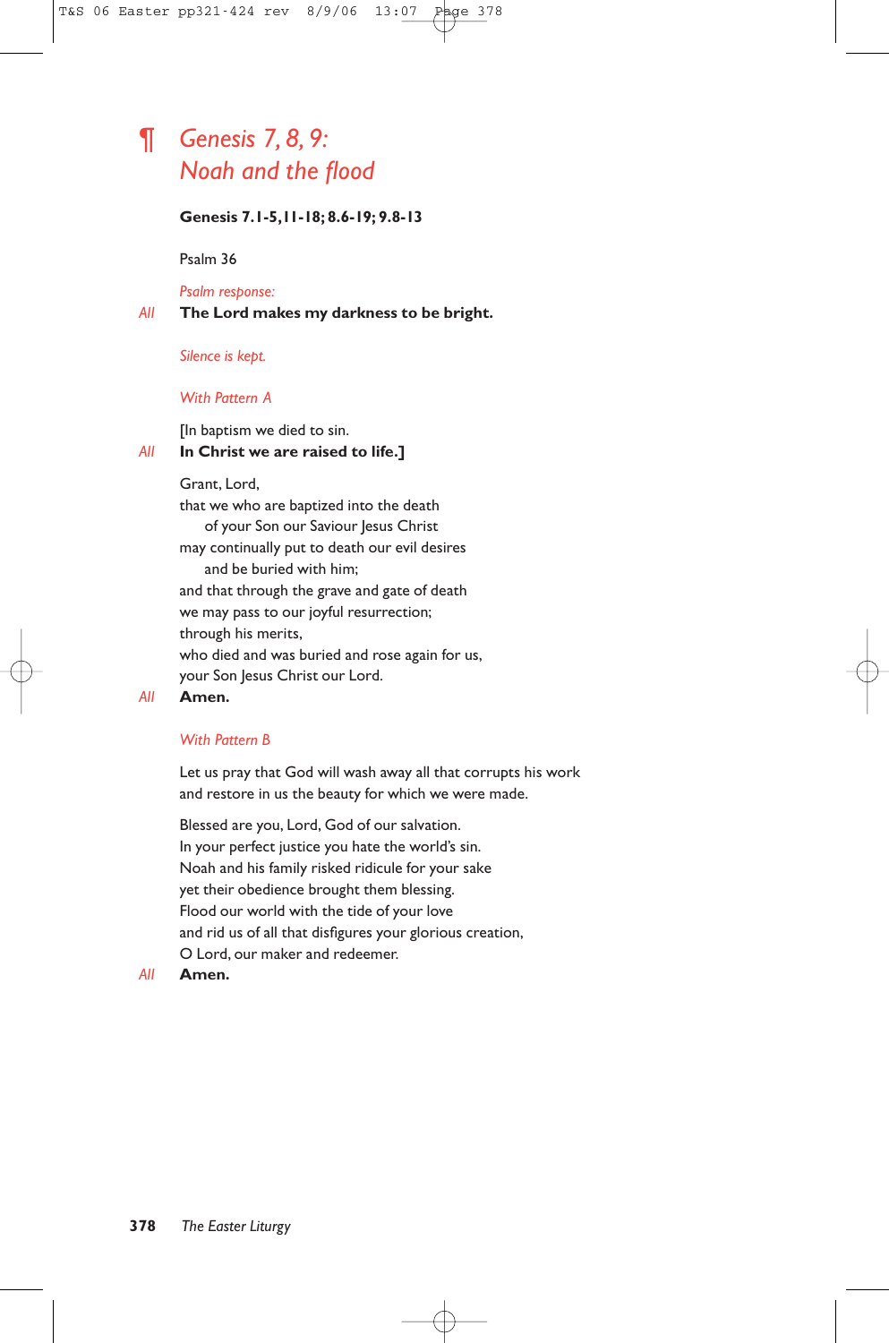# ¶ *Genesis 7, 8, 9: Noah and the flood*

#### **Genesis 7.1-5,11-18; 8.6-19; 9.8-13**

Psalm 36

*Psalm response:*

*All* **The Lord makes my darkness to be bright.**

*Silence is kept.*

#### *With Pattern A*

[In baptism we died to sin.

### *All* **In Christ we are raised to life.]**

Grant, Lord,

that we who are baptized into the death of your Son our Saviour Jesus Christ may continually put to death our evil desires and be buried with him; and that through the grave and gate of death we may pass to our joyful resurrection; through his merits, who died and was buried and rose again for us, your Son Jesus Christ our Lord.

#### *All* **Amen.**

### *With Pattern B*

Let us pray that God will wash away all that corrupts his work and restore in us the beauty for which we were made.

Blessed are you, Lord, God of our salvation. In your perfect justice you hate the world's sin. Noah and his family risked ridicule for your sake yet their obedience brought them blessing. Flood our world with the tide of your love and rid us of all that disfigures your glorious creation, O Lord, our maker and redeemer.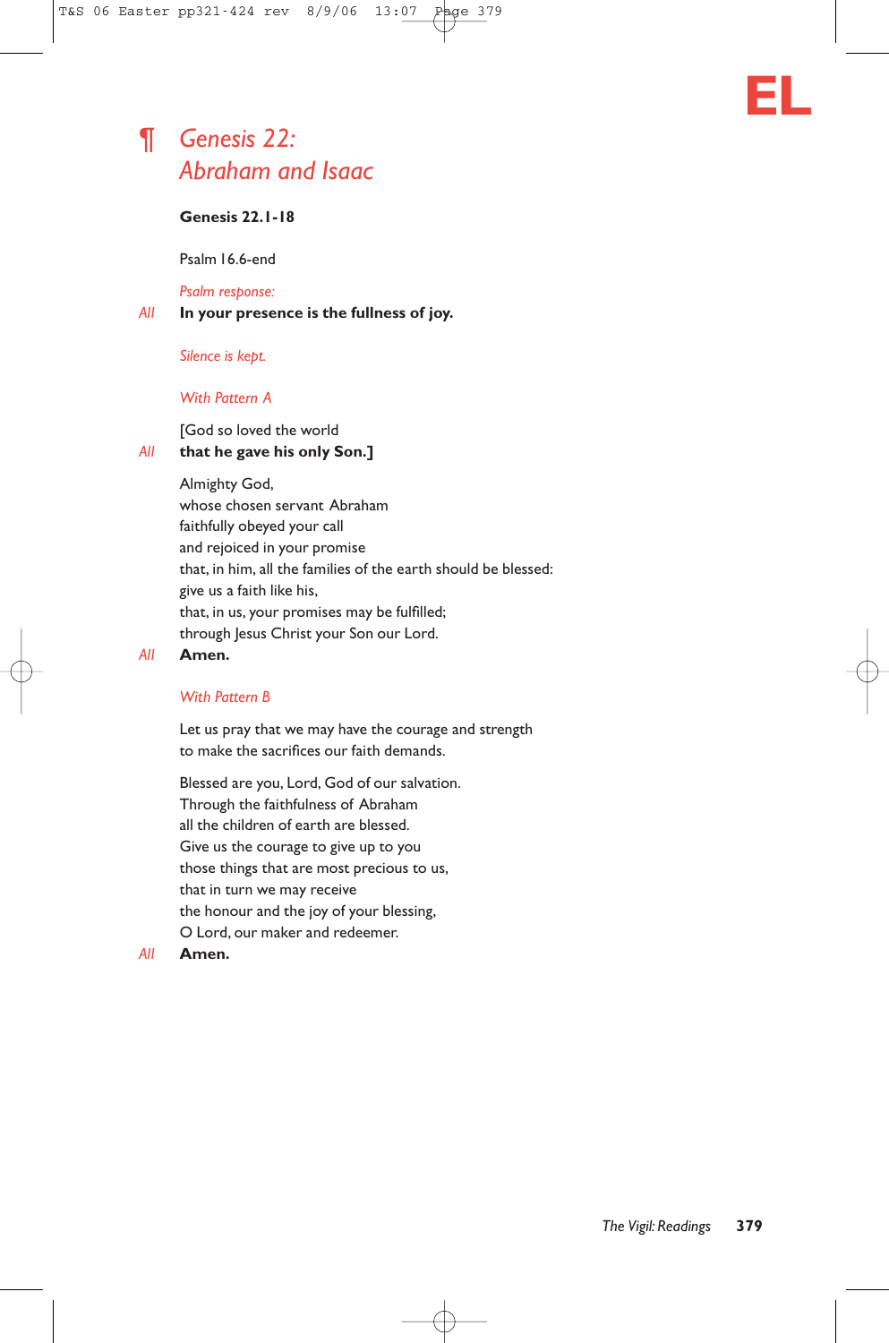# ¶ *Genesis 22: Abraham and Isaac*

# **Genesis 22.1-18**

Psalm 16.6-end

#### *Psalm response:*

#### *All* **In your presence is the fullness of joy.**

#### *Silence is kept.*

#### *With Pattern A*

### [God so loved the world

#### *All* **that he gave his only Son.]**

Almighty God,

whose chosen servant Abraham faithfully obeyed your call and rejoiced in your promise that, in him, all the families of the earth should be blessed: give us a faith like his, that, in us, your promises may be fulfilled; through Jesus Christ your Son our Lord.

#### *All* **Amen.**

#### *With Pattern B*

Let us pray that we may have the courage and strength to make the sacrifices our faith demands.

Blessed are you, Lord, God of our salvation. Through the faithfulness of Abraham all the children of earth are blessed. Give us the courage to give up to you those things that are most precious to us, that in turn we may receive the honour and the joy of your blessing, O Lord, our maker and redeemer.

#### *All* **Amen.**

**EL**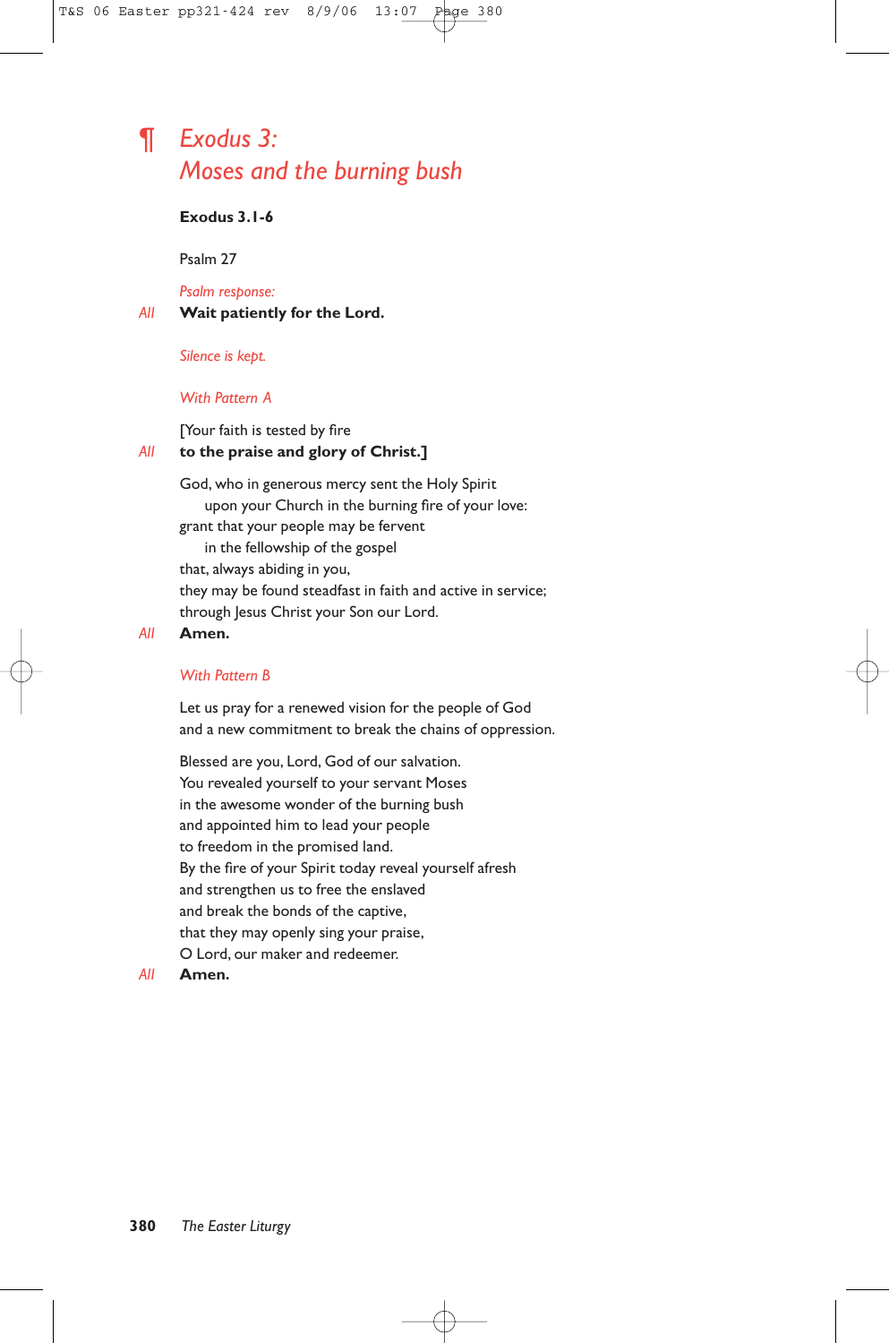# ¶ *Exodus 3: Moses and the burning bush*

### **Exodus 3.1-6**

Psalm 27

*Psalm response:*

*All* **Wait patiently for the Lord.**

*Silence is kept.*

#### *With Pattern A*

#### [Your faith is tested by fire *All* **to the praise and glory of Christ.]**

God, who in generous mercy sent the Holy Spirit upon your Church in the burning fire of your love: grant that your people may be fervent in the fellowship of the gospel that, always abiding in you, they may be found steadfast in faith and active in service; through Jesus Christ your Son our Lord.

#### *All* **Amen.**

#### *With Pattern B*

Let us pray for a renewed vision for the people of God and a new commitment to break the chains of oppression.

Blessed are you, Lord, God of our salvation. You revealed yourself to your servant Moses in the awesome wonder of the burning bush and appointed him to lead your people to freedom in the promised land. By the fire of your Spirit today reveal yourself afresh and strengthen us to free the enslaved and break the bonds of the captive, that they may openly sing your praise, O Lord, our maker and redeemer.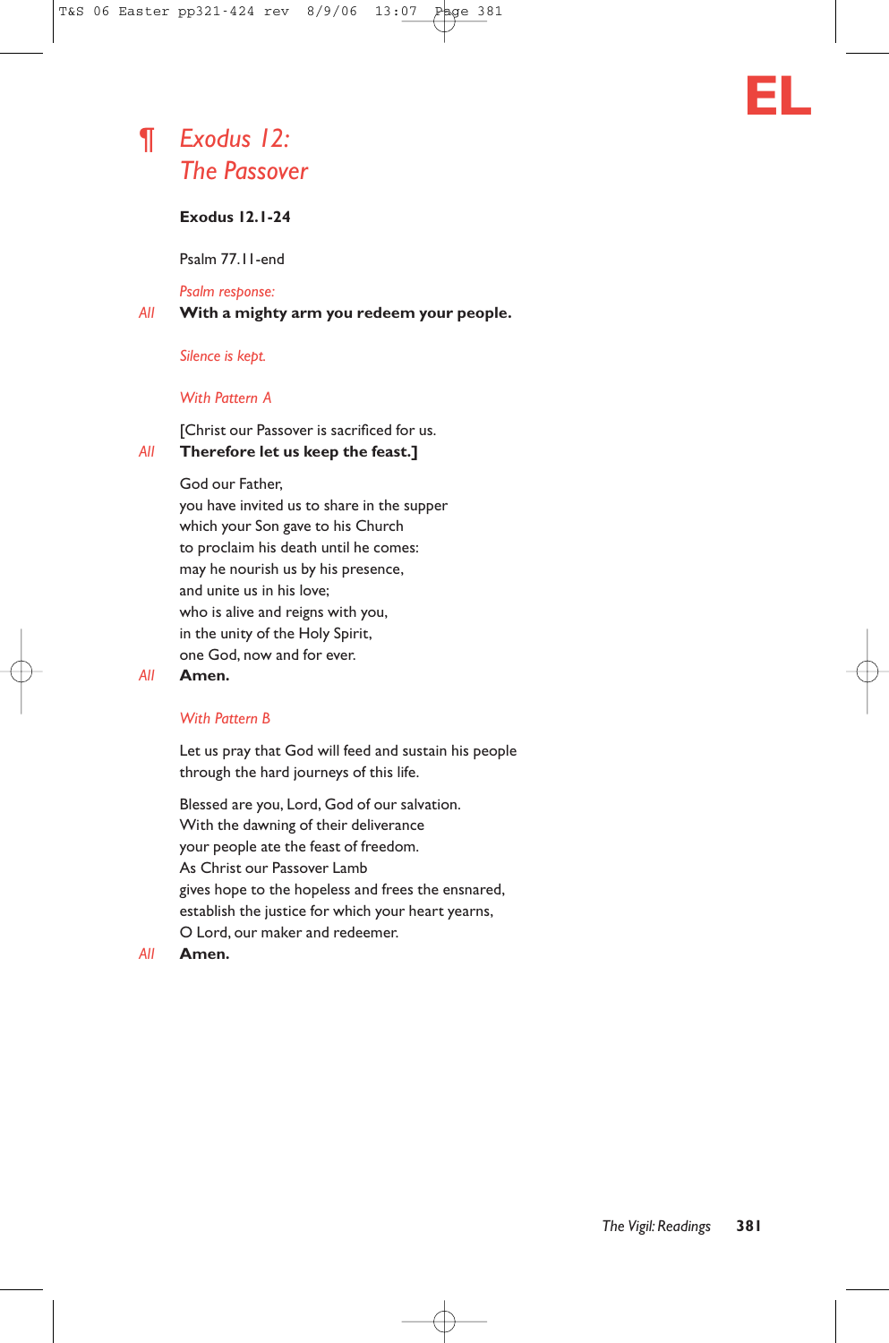



# *The Passover*

# **Exodus 12.1-24**

Psalm 77.11-end

*Psalm response:*

*All* **With a mighty arm you redeem your people.**

*Silence is kept.*

#### *With Pattern A*

[Christ our Passover is sacrificed for us. *All* **Therefore let us keep the feast.]**

God our Father,

you have invited us to share in the supper which your Son gave to his Church to proclaim his death until he comes: may he nourish us by his presence, and unite us in his love; who is alive and reigns with you, in the unity of the Holy Spirit, one God, now and for ever.

### *All* **Amen.**

### *With Pattern B*

Let us pray that God will feed and sustain his people through the hard journeys of this life.

Blessed are you, Lord, God of our salvation. With the dawning of their deliverance your people ate the feast of freedom. As Christ our Passover Lamb gives hope to the hopeless and frees the ensnared, establish the justice for which your heart yearns, O Lord, our maker and redeemer.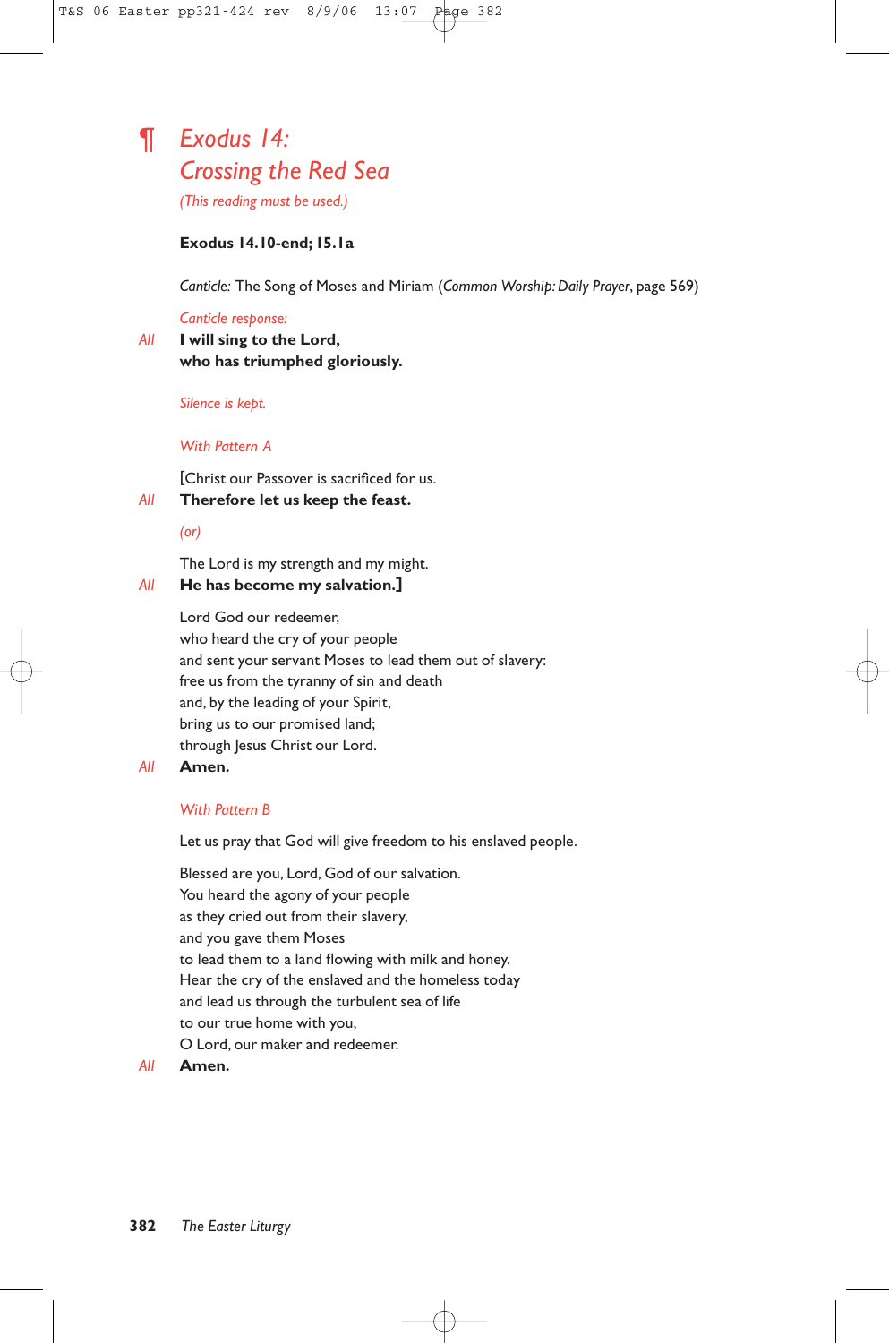# ¶ *Exodus 14: Crossing the Red Sea*

*(This reading must be used.)*

#### **Exodus 14.10-end; 15.1a**

*Canticle:* The Song of Moses and Miriam (*Common Worship: Daily Prayer*, page 569)

#### *Canticle response:*

*All* **I will sing to the Lord, who has triumphed gloriously.**

#### *Silence is kept.*

#### *With Pattern A*

[Christ our Passover is sacrificed for us.

### *All* **Therefore let us keep the feast.**

#### *(or)*

The Lord is my strength and my might.

#### *All* **He has become my salvation.]**

Lord God our redeemer, who heard the cry of your people and sent your servant Moses to lead them out of slavery: free us from the tyranny of sin and death and, by the leading of your Spirit, bring us to our promised land; through Jesus Christ our Lord.

#### *All* **Amen.**

#### *With Pattern B*

Let us pray that God will give freedom to his enslaved people.

Blessed are you, Lord, God of our salvation. You heard the agony of your people as they cried out from their slavery, and you gave them Moses to lead them to a land flowing with milk and honey. Hear the cry of the enslaved and the homeless today and lead us through the turbulent sea of life to our true home with you, O Lord, our maker and redeemer.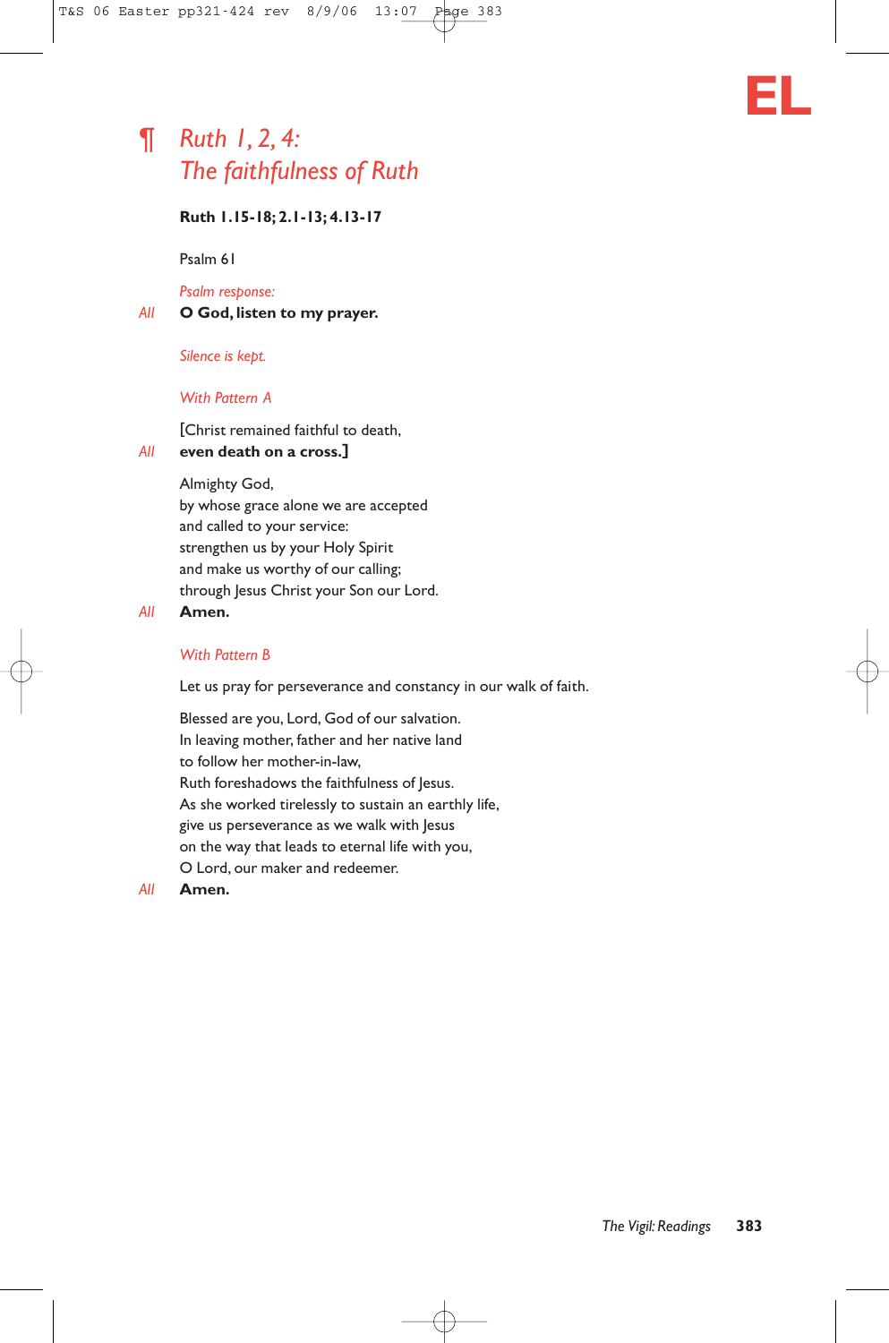# ¶ *Ruth 1, 2, 4: The faithfulness of Ruth*



Psalm 61

*Psalm response:*

*All* **O God, listen to my prayer.**

*Silence is kept.*

#### *With Pattern A*

[Christ remained faithful to death,

#### *All* **even death on a cross.]**

Almighty God,

by whose grace alone we are accepted and called to your service: strengthen us by your Holy Spirit and make us worthy of our calling; through Jesus Christ your Son our Lord.

#### *All* **Amen.**

#### *With Pattern B*

Let us pray for perseverance and constancy in our walk of faith.

Blessed are you, Lord, God of our salvation. In leaving mother, father and her native land to follow her mother-in-law, Ruth foreshadows the faithfulness of Jesus. As she worked tirelessly to sustain an earthly life, give us perseverance as we walk with Jesus on the way that leads to eternal life with you, O Lord, our maker and redeemer.

#### *All* **Amen.**

**EL**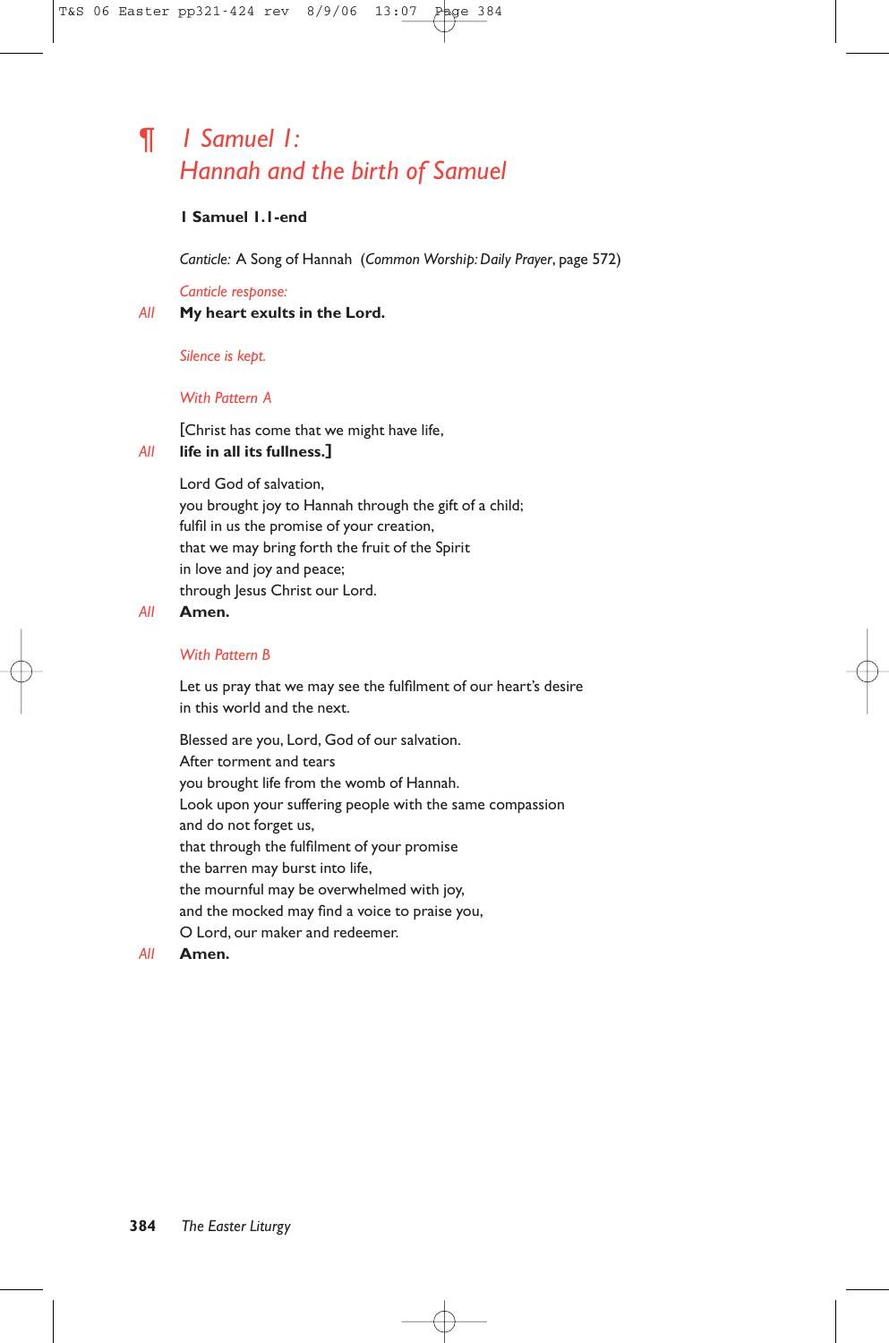# ¶ *1 Samuel 1: Hannah and the birth of Samuel*

#### **1 Samuel 1.1-end**

*Canticle:* A Song of Hannah (*Common Worship: Daily Prayer*, page 572)

#### *Canticle response:*

#### *All* **My heart exults in the Lord.**

*Silence is kept.*

#### *With Pattern A*

[Christ has come that we might have life,

#### *All* **life in all its fullness.]**

Lord God of salvation, you brought joy to Hannah through the gift of a child; fulfil in us the promise of your creation, that we may bring forth the fruit of the Spirit in love and joy and peace; through Jesus Christ our Lord.

#### *All* **Amen.**

#### *With Pattern B*

Let us pray that we may see the fulfilment of our heart's desire in this world and the next.

Blessed are you, Lord, God of our salvation. After torment and tears you brought life from the womb of Hannah. Look upon your suffering people with the same compassion and do not forget us, that through the fulfilment of your promise the barren may burst into life, the mournful may be overwhelmed with joy, and the mocked may find a voice to praise you, O Lord, our maker and redeemer.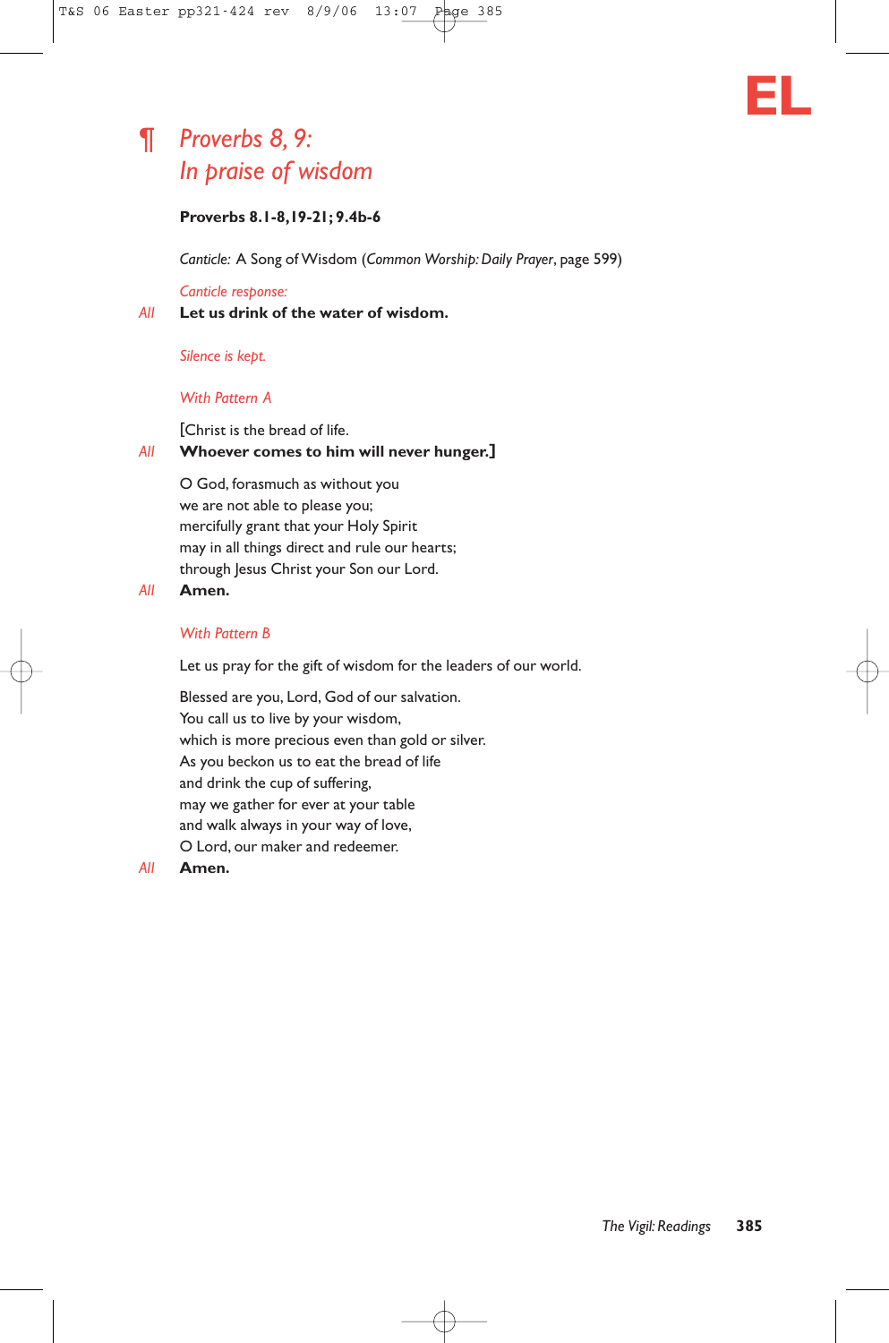# ¶ *Proverbs 8, 9: In praise of wisdom*

*Canticle:* A Song of Wisdom (*Common Worship: Daily Prayer*, page 599)

#### *Canticle response:*

*All* **Let us drink of the water of wisdom.**

#### *Silence is kept.*

#### *With Pattern A*

#### [Christ is the bread of life. *All* **Whoever comes to him will never hunger.]**

O God, forasmuch as without you we are not able to please you; mercifully grant that your Holy Spirit may in all things direct and rule our hearts; through Jesus Christ your Son our Lord.

#### *All* **Amen.**

#### *With Pattern B*

Let us pray for the gift of wisdom for the leaders of our world.

Blessed are you, Lord, God of our salvation. You call us to live by your wisdom, which is more precious even than gold or silver. As you beckon us to eat the bread of life and drink the cup of suffering, may we gather for ever at your table and walk always in your way of love, O Lord, our maker and redeemer.

#### *All* **Amen.**

**EL**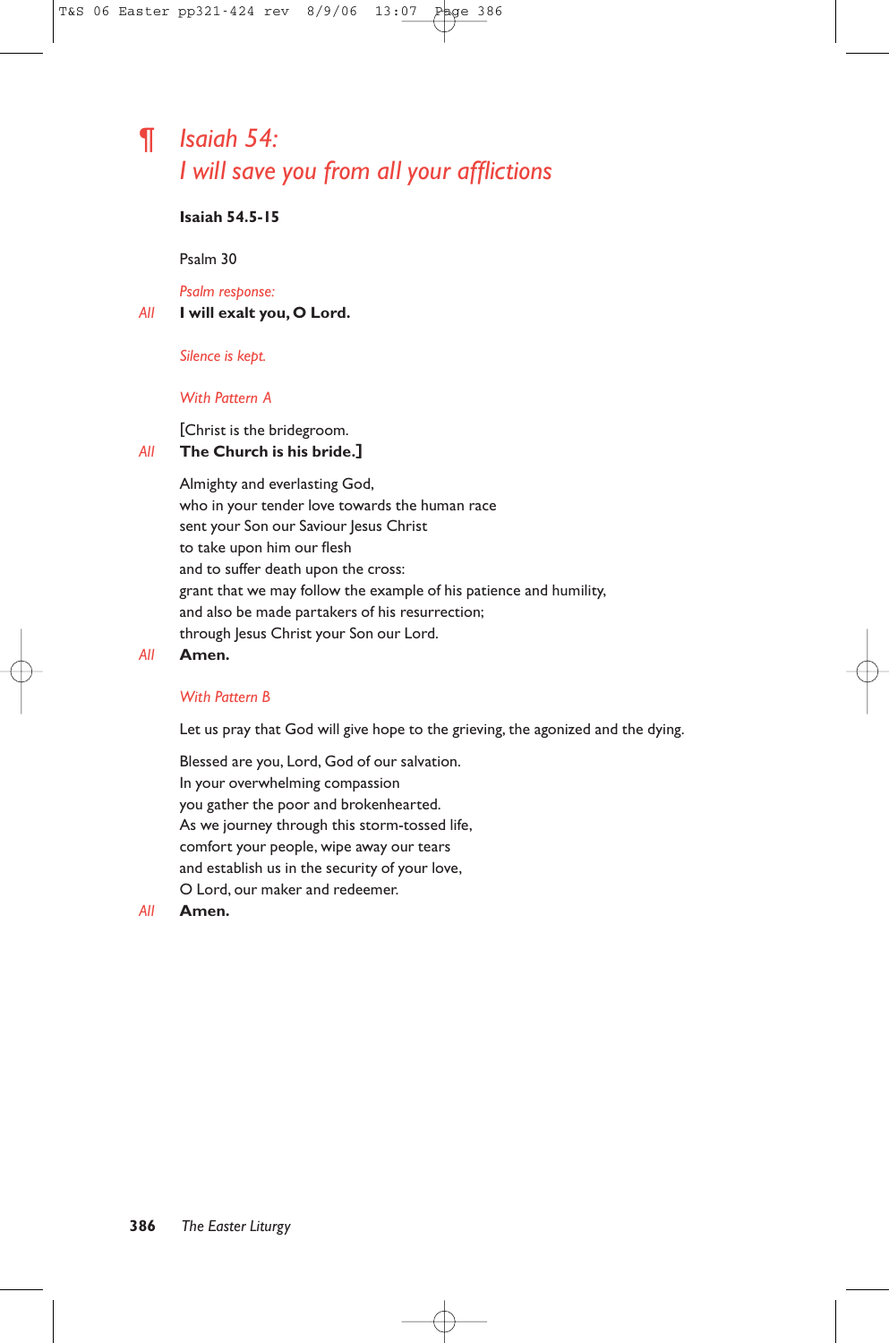# ¶ *Isaiah 54: I will save you from all your afflictions*

## **Isaiah 54.5-15**

Psalm 30

*Psalm response:*

*All* **I will exalt you, O Lord.**

*Silence is kept.*

#### *With Pattern A*

[Christ is the bridegroom.

# *All* **The Church is his bride.]**

Almighty and everlasting God, who in your tender love towards the human race sent your Son our Saviour Jesus Christ to take upon him our flesh and to suffer death upon the cross: grant that we may follow the example of his patience and humility, and also be made partakers of his resurrection; through Jesus Christ your Son our Lord.

#### *All* **Amen.**

#### *With Pattern B*

Let us pray that God will give hope to the grieving, the agonized and the dying.

Blessed are you, Lord, God of our salvation. In your overwhelming compassion you gather the poor and brokenhearted. As we journey through this storm-tossed life, comfort your people, wipe away our tears and establish us in the security of your love, O Lord, our maker and redeemer.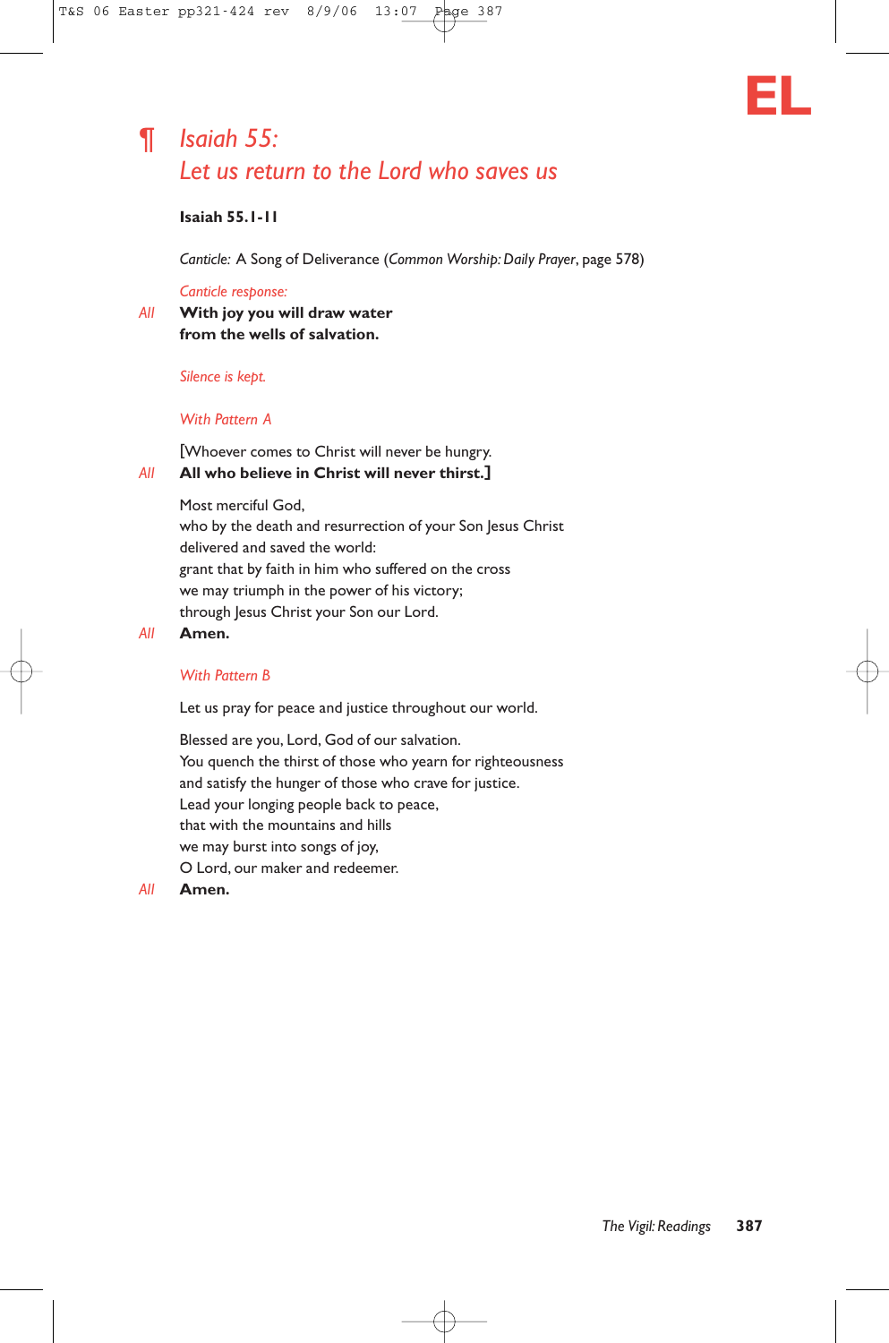

# ¶ *Isaiah 55: Let us return to the Lord who saves us*

# **Isaiah 55.1-11**

*Canticle:* A Song of Deliverance (*Common Worship: Daily Prayer*, page 578)

#### *Canticle response:*

*All* **With joy you will draw water from the wells of salvation.**

#### *Silence is kept.*

#### *With Pattern A*

[Whoever comes to Christ will never be hungry. *All* **All who believe in Christ will never thirst.]**

> Most merciful God, who by the death and resurrection of your Son Jesus Christ delivered and saved the world: grant that by faith in him who suffered on the cross we may triumph in the power of his victory; through Jesus Christ your Son our Lord.

*All* **Amen.**

#### *With Pattern B*

Let us pray for peace and justice throughout our world.

Blessed are you, Lord, God of our salvation. You quench the thirst of those who yearn for righteousness and satisfy the hunger of those who crave for justice. Lead your longing people back to peace, that with the mountains and hills we may burst into songs of joy, O Lord, our maker and redeemer.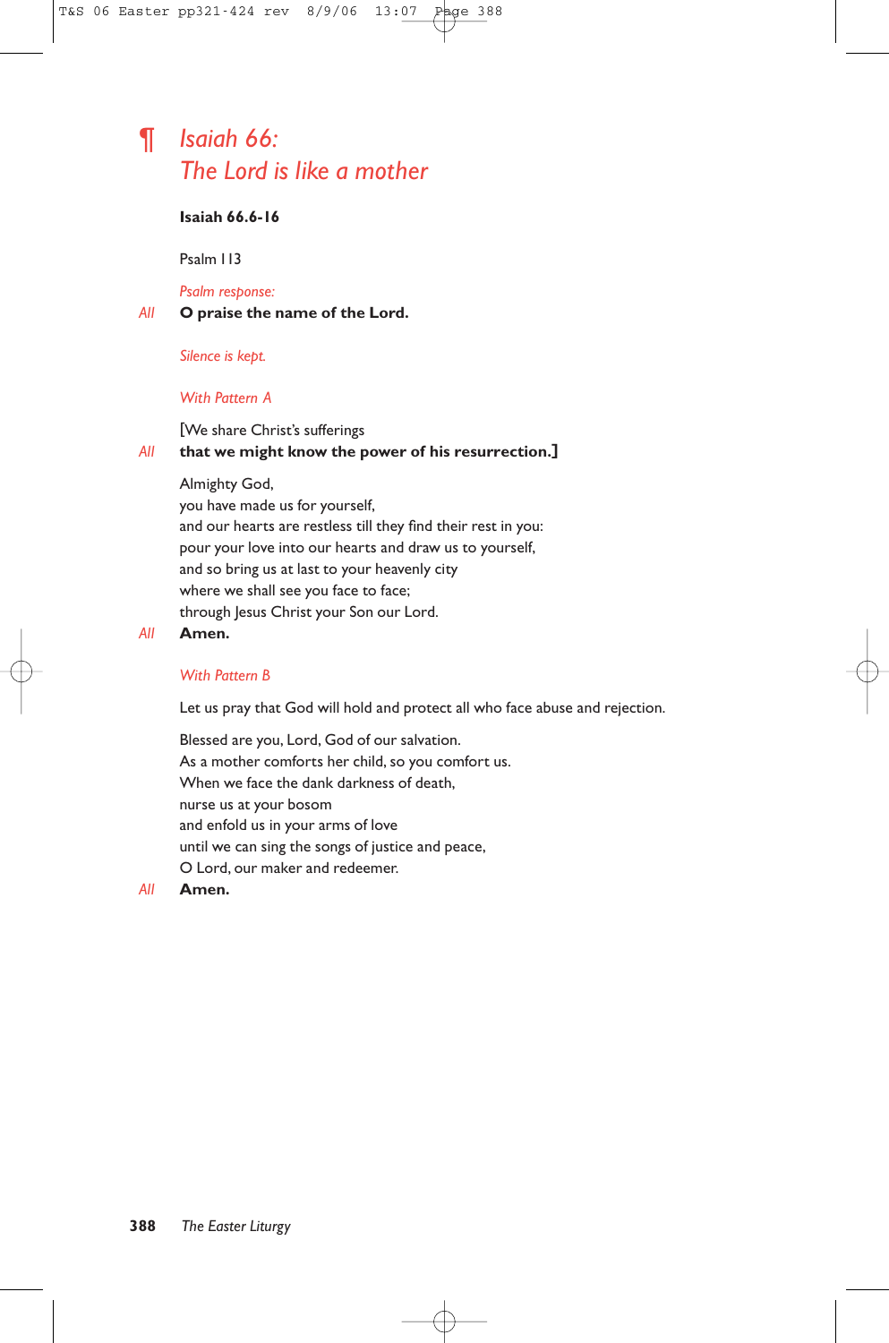# ¶ *Isaiah 66: The Lord is like a mother*

### **Isaiah 66.6-16**

Psalm 113

*Psalm response:*

#### *All* **O praise the name of the Lord.**

#### *Silence is kept.*

#### *With Pattern A*

#### [We share Christ's sufferings

#### *All* **that we might know the power of his resurrection.]**

#### Almighty God,

you have made us for yourself, and our hearts are restless till they find their rest in you: pour your love into our hearts and draw us to yourself, and so bring us at last to your heavenly city where we shall see you face to face; through Jesus Christ your Son our Lord.

#### *All* **Amen.**

#### *With Pattern B*

Let us pray that God will hold and protect all who face abuse and rejection.

Blessed are you, Lord, God of our salvation. As a mother comforts her child, so you comfort us. When we face the dank darkness of death, nurse us at your bosom and enfold us in your arms of love until we can sing the songs of justice and peace, O Lord, our maker and redeemer.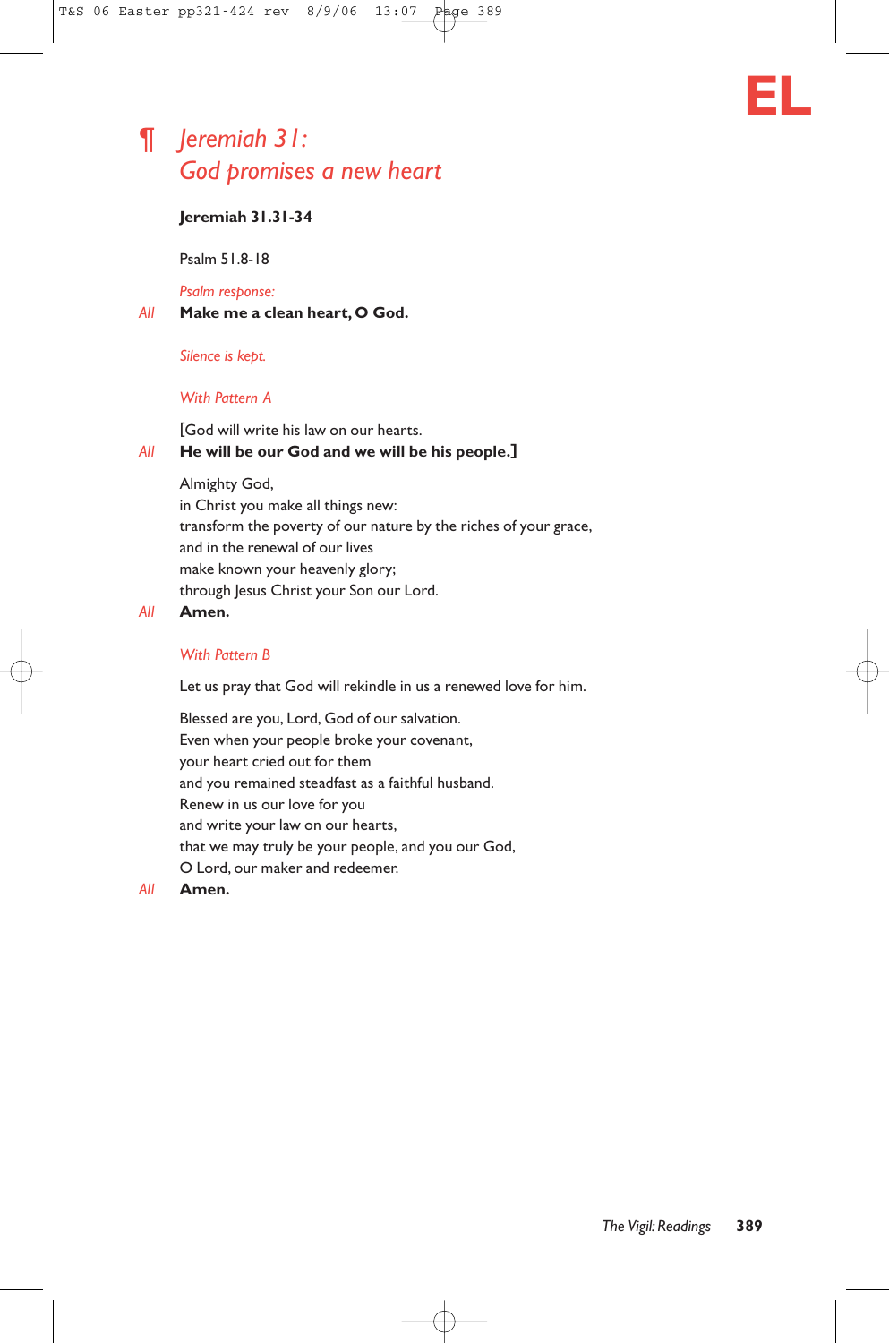# ¶ *Jeremiah 31: God promises a new heart*



Psalm 51.8-18

*Psalm response:*

#### *All* **Make me a clean heart, O God.**

#### *Silence is kept.*

#### *With Pattern A*

[God will write his law on our hearts. *All* **He will be our God and we will be his people.]**

> Almighty God, in Christ you make all things new: transform the poverty of our nature by the riches of your grace, and in the renewal of our lives make known your heavenly glory; through Jesus Christ your Son our Lord.

### *All* **Amen.**

#### *With Pattern B*

Let us pray that God will rekindle in us a renewed love for him.

Blessed are you, Lord, God of our salvation. Even when your people broke your covenant, your heart cried out for them and you remained steadfast as a faithful husband. Renew in us our love for you and write your law on our hearts, that we may truly be your people, and you our God, O Lord, our maker and redeemer.

#### *All* **Amen.**

**EL**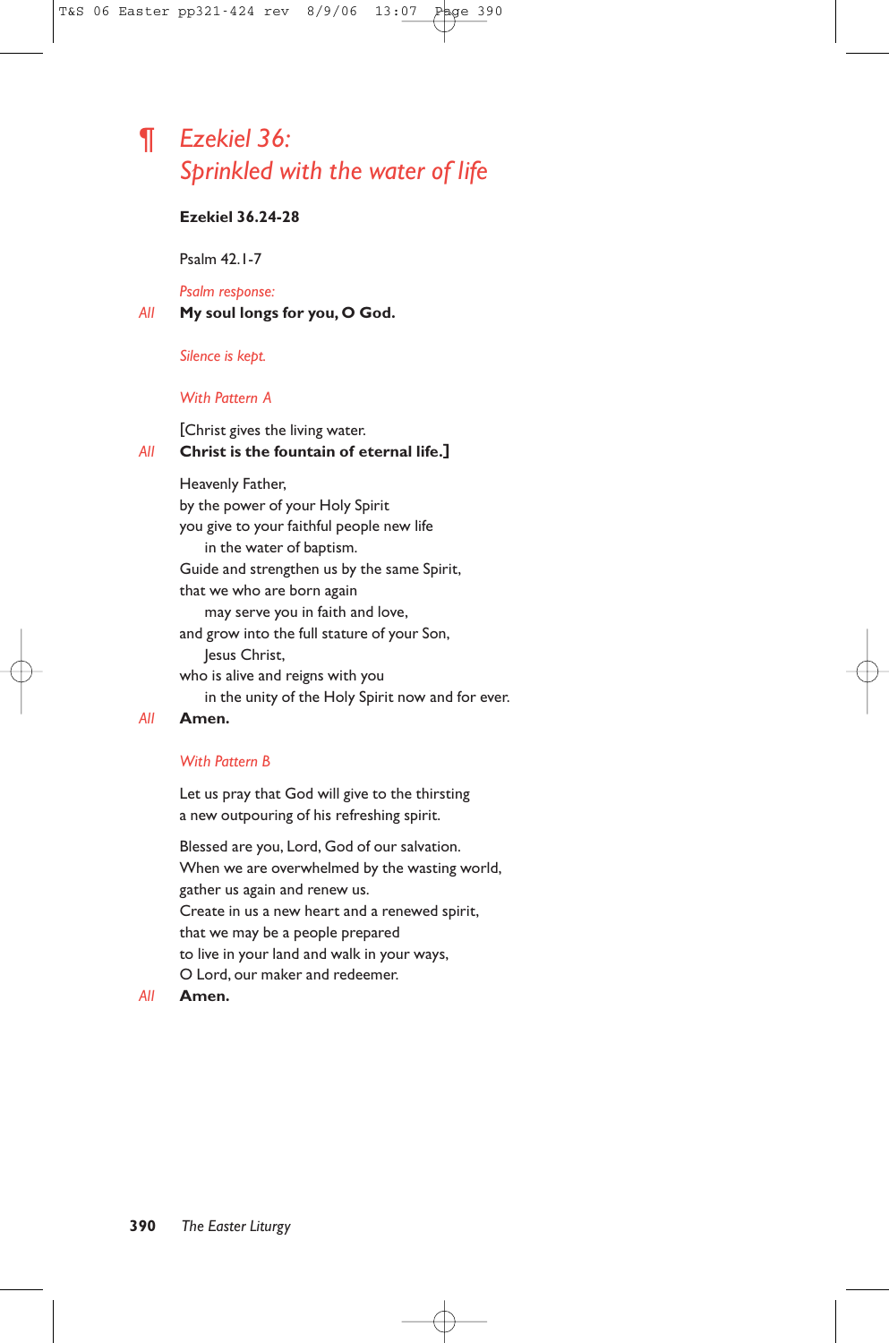# ¶ *Ezekiel 36: Sprinkled with the water of life*

### **Ezekiel 36.24-28**

Psalm 42.1-7

*Psalm response:*

*All* **My soul longs for you, O God.**

*Silence is kept.*

#### *With Pattern A*

[Christ gives the living water. *All* **Christ is the fountain of eternal life.]**

Heavenly Father, by the power of your Holy Spirit you give to your faithful people new life in the water of baptism. Guide and strengthen us by the same Spirit, that we who are born again may serve you in faith and love, and grow into the full stature of your Son, Jesus Christ, who is alive and reigns with you in the unity of the Holy Spirit now and for ever. *All* **Amen.**

#### *With Pattern B*

Let us pray that God will give to the thirsting a new outpouring of his refreshing spirit.

Blessed are you, Lord, God of our salvation. When we are overwhelmed by the wasting world, gather us again and renew us. Create in us a new heart and a renewed spirit, that we may be a people prepared to live in your land and walk in your ways, O Lord, our maker and redeemer.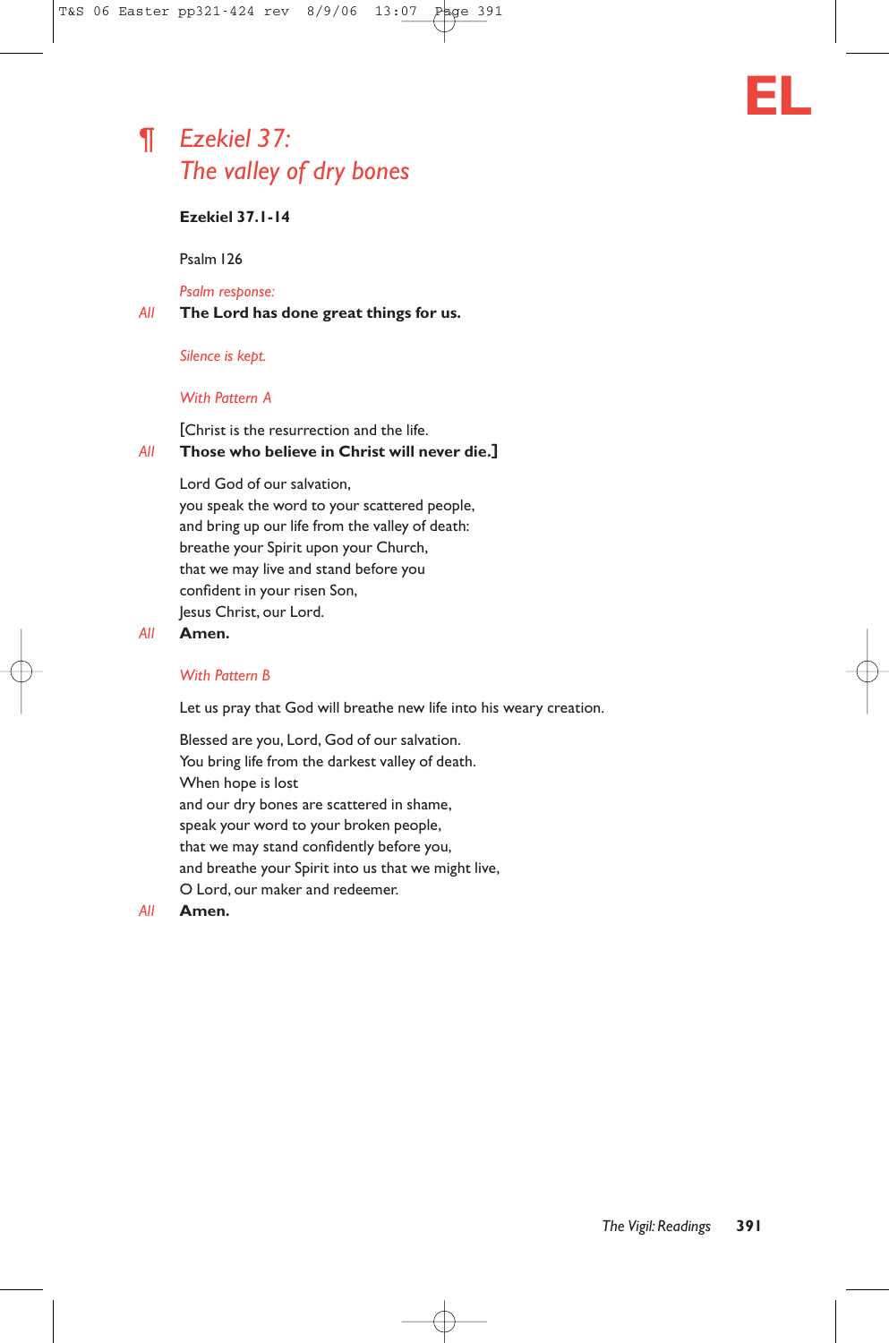# ¶ *Ezekiel 37: The valley of dry bones*

### **Ezekiel 37.1-14**

Psalm 126

*Psalm response:*

*All* **The Lord has done great things for us.**

#### *Silence is kept.*

#### *With Pattern A*

[Christ is the resurrection and the life. *All* **Those who believe in Christ will never die.]**

> Lord God of our salvation, you speak the word to your scattered people, and bring up our life from the valley of death: breathe your Spirit upon your Church, that we may live and stand before you confident in your risen Son, Jesus Christ, our Lord.

#### *All* **Amen.**

#### *With Pattern B*

Let us pray that God will breathe new life into his weary creation.

Blessed are you, Lord, God of our salvation. You bring life from the darkest valley of death. When hope is lost and our dry bones are scattered in shame, speak your word to your broken people, that we may stand confidently before you, and breathe your Spirit into us that we might live, O Lord, our maker and redeemer.

*All* **Amen.**

**EL**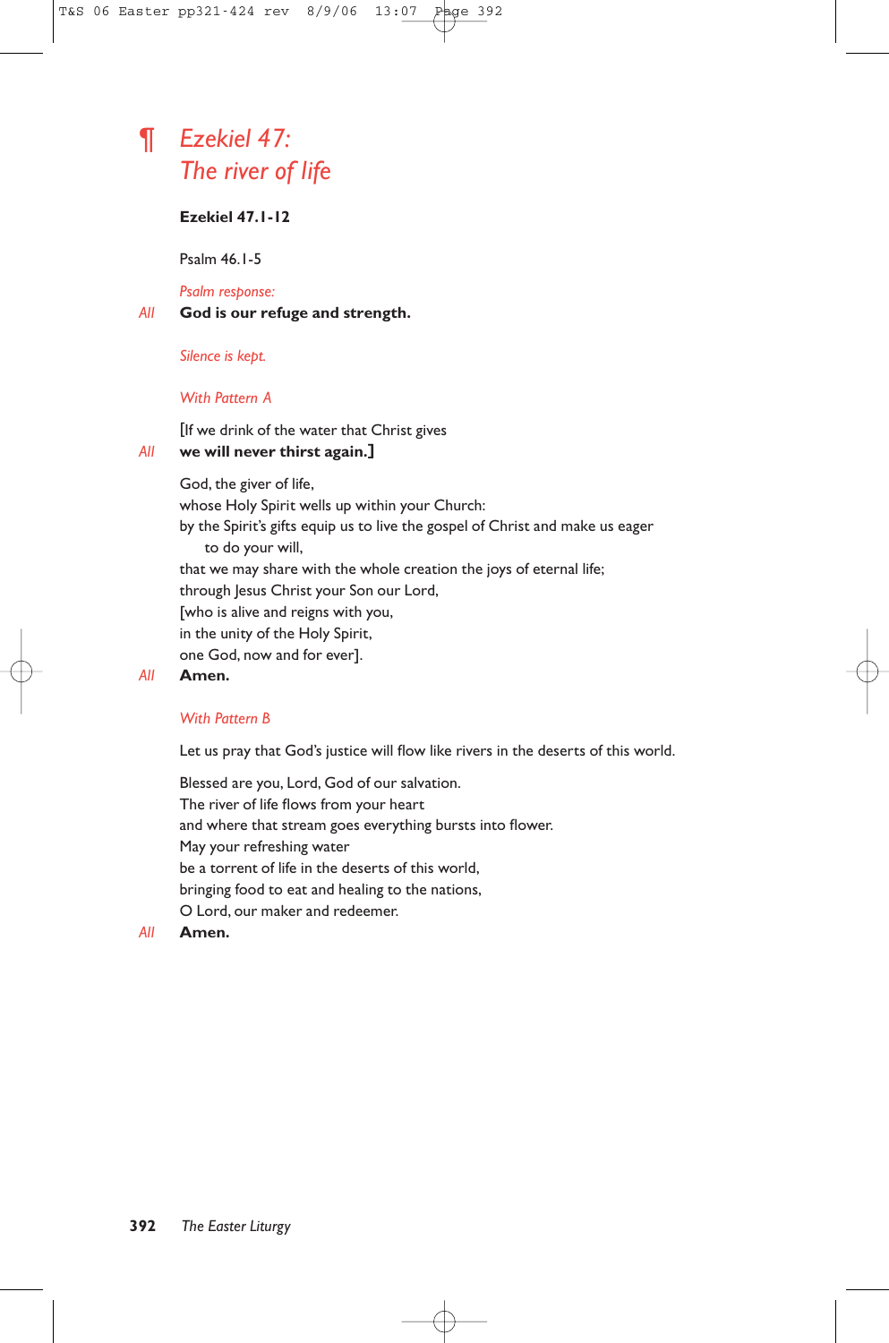# ¶ *Ezekiel 47: The river of life*

### **Ezekiel 47.1-12**

Psalm 46.1-5

*Psalm response:*

#### *All* **God is our refuge and strength.**

*Silence is kept.*

#### *With Pattern A*

[If we drink of the water that Christ gives

### *All* **we will never thirst again.]**

God, the giver of life,

whose Holy Spirit wells up within your Church:

by the Spirit's gifts equip us to live the gospel of Christ and make us eager to do your will,

that we may share with the whole creation the joys of eternal life;

through Jesus Christ your Son our Lord,

[who is alive and reigns with you,

in the unity of the Holy Spirit,

one God, now and for ever].

#### *All* **Amen.**

### *With Pattern B*

Let us pray that God's justice will flow like rivers in the deserts of this world.

Blessed are you, Lord, God of our salvation. The river of life flows from your heart and where that stream goes everything bursts into flower. May your refreshing water be a torrent of life in the deserts of this world, bringing food to eat and healing to the nations, O Lord, our maker and redeemer.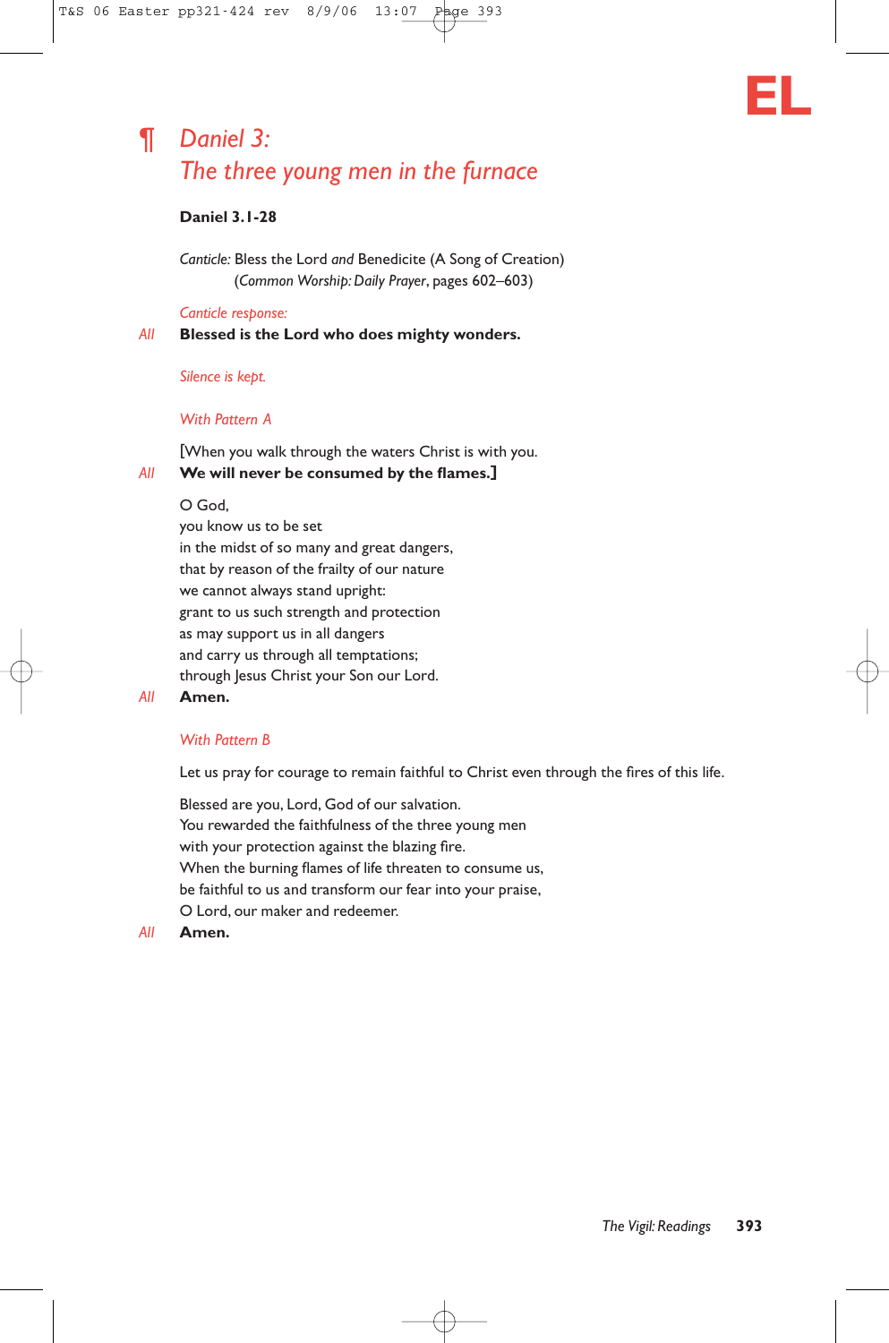

# ¶ *Daniel 3: The three young men in the furnace*

# **Daniel 3.1-28**

*Canticle:* Bless the Lord *and* Benedicite (A Song of Creation) (*Common Worship: Daily Prayer*, pages 602–603)

### *Canticle response:*

*All* **Blessed is the Lord who does mighty wonders.**

### *Silence is kept.*

### *With Pattern A*

[When you walk through the waters Christ is with you. *All* **We will never be consumed by the flames.]**

# O God,

you know us to be set in the midst of so many and great dangers, that by reason of the frailty of our nature we cannot always stand upright: grant to us such strength and protection as may support us in all dangers and carry us through all temptations; through Jesus Christ your Son our Lord.

#### *All* **Amen.**

### *With Pattern B*

Let us pray for courage to remain faithful to Christ even through the fires of this life.

Blessed are you, Lord, God of our salvation. You rewarded the faithfulness of the three young men with your protection against the blazing fire. When the burning flames of life threaten to consume us, be faithful to us and transform our fear into your praise, O Lord, our maker and redeemer.

*All* **Amen.**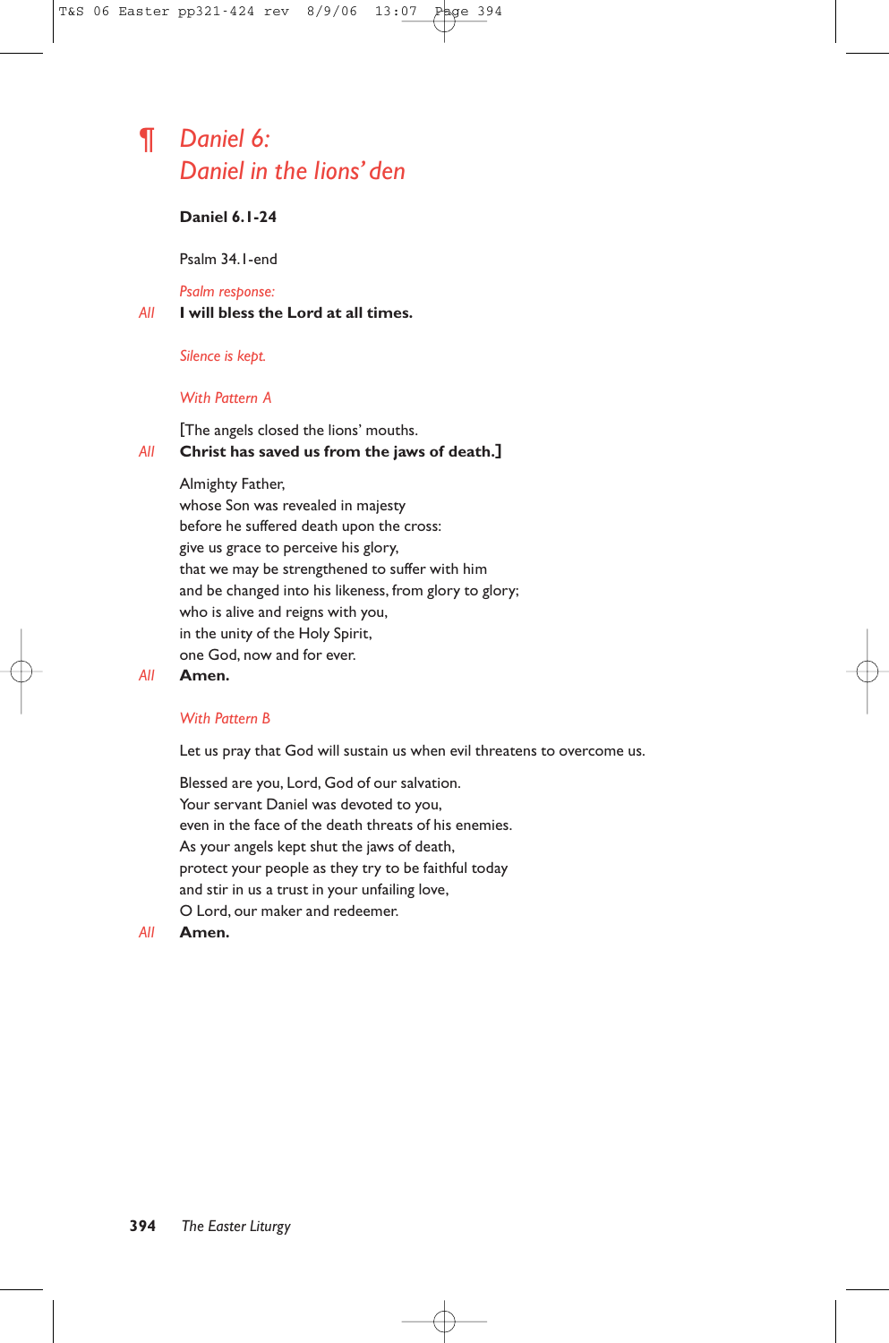# ¶ *Daniel 6: Daniel in the lions' den*

# **Daniel 6.1-24**

Psalm 34.1-end

*Psalm response:*

*All* **I will bless the Lord at all times.**

### *Silence is kept.*

#### *With Pattern A*

[The angels closed the lions' mouths.

## *All* **Christ has saved us from the jaws of death.]**

Almighty Father,

whose Son was revealed in majesty before he suffered death upon the cross: give us grace to perceive his glory, that we may be strengthened to suffer with him and be changed into his likeness, from glory to glory; who is alive and reigns with you, in the unity of the Holy Spirit, one God, now and for ever.

### *All* **Amen.**

### *With Pattern B*

Let us pray that God will sustain us when evil threatens to overcome us.

Blessed are you, Lord, God of our salvation. Your servant Daniel was devoted to you, even in the face of the death threats of his enemies. As your angels kept shut the jaws of death, protect your people as they try to be faithful today and stir in us a trust in your unfailing love, O Lord, our maker and redeemer.

*All* **Amen.**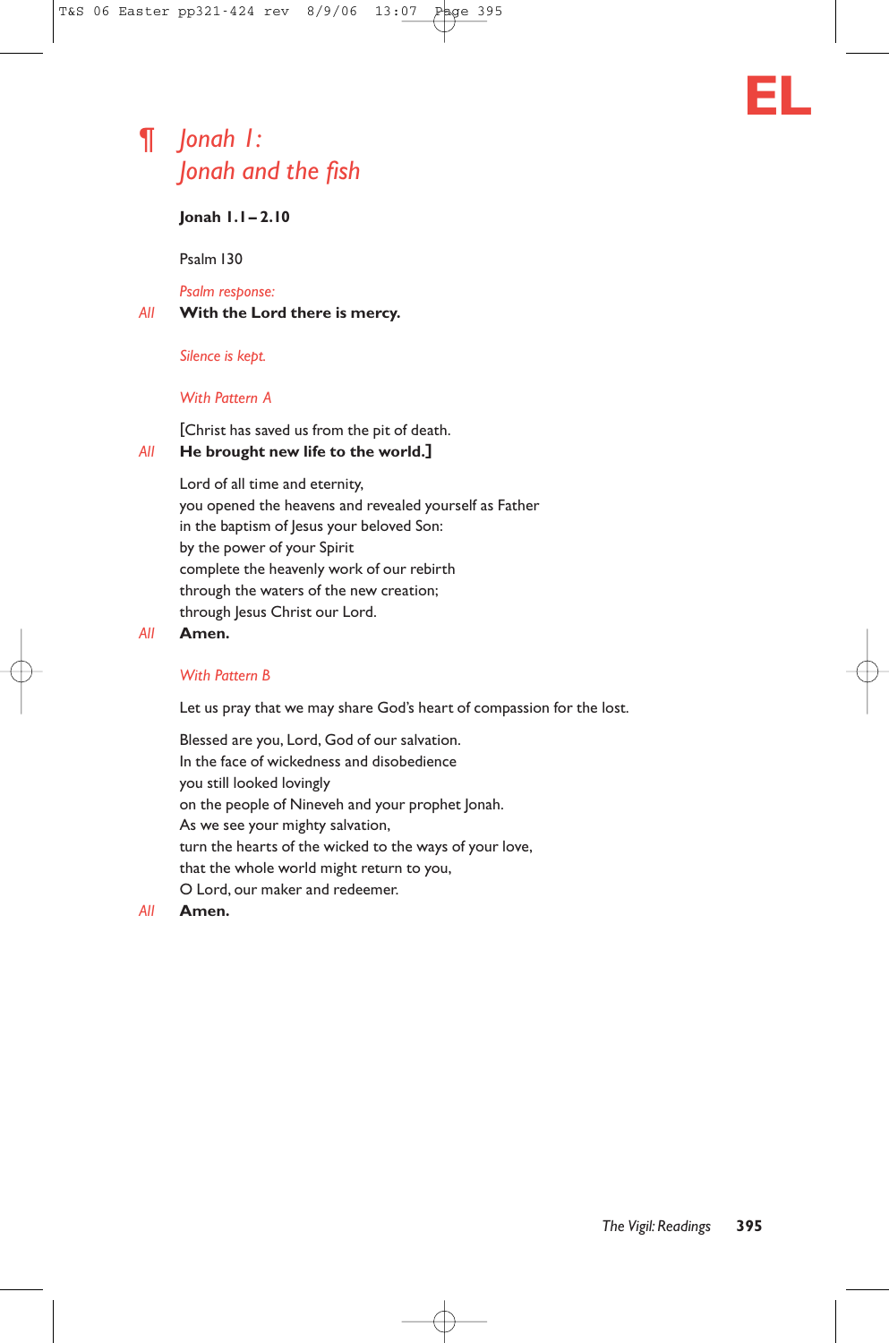# ¶ *Jonah 1: Jonah and the fish*

### **Jonah 1.1– 2.10**

Psalm 130

*Psalm response:*

### *All* **With the Lord there is mercy.**

*Silence is kept.*

### *With Pattern A*

[Christ has saved us from the pit of death. *All* **He brought new life to the world.]**

Lord of all time and eternity, you opened the heavens and revealed yourself as Father in the baptism of Jesus your beloved Son: by the power of your Spirit complete the heavenly work of our rebirth through the waters of the new creation; through Jesus Christ our Lord.

### *All* **Amen.**

# *With Pattern B*

Let us pray that we may share God's heart of compassion for the lost.

Blessed are you, Lord, God of our salvation. In the face of wickedness and disobedience you still looked lovingly on the people of Nineveh and your prophet Jonah. As we see your mighty salvation, turn the hearts of the wicked to the ways of your love, that the whole world might return to you, O Lord, our maker and redeemer.

*All* **Amen.**

**EL**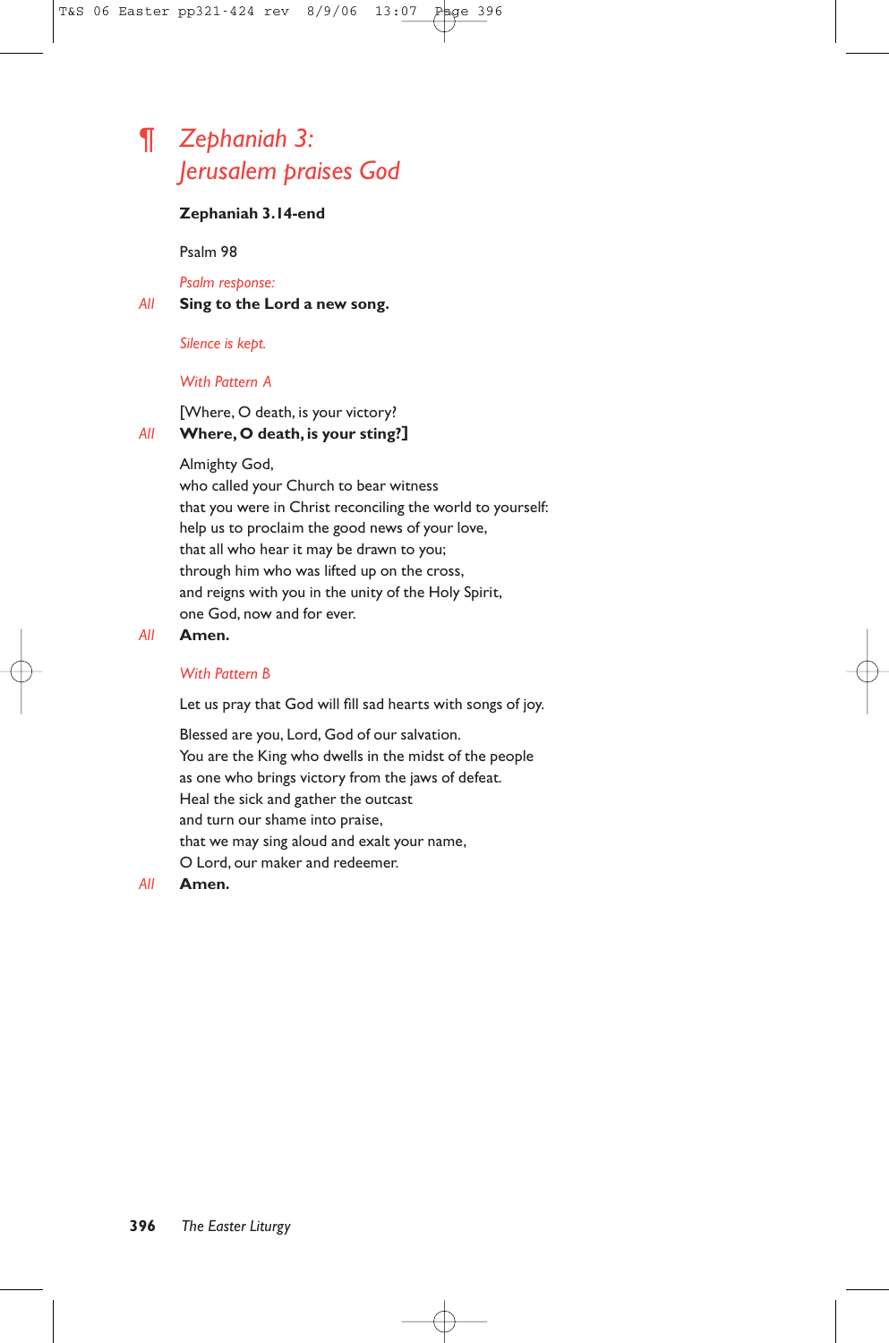# ¶ *Zephaniah 3: Jerusalem praises God*

### **Zephaniah 3.14-end**

Psalm 98

*Psalm response:*

*All* **Sing to the Lord a new song.**

*Silence is kept.*

### *With Pattern A*

[Where, O death, is your victory? *All* **Where, O death, is your sting?]**

### Almighty God,

who called your Church to bear witness that you were in Christ reconciling the world to yourself: help us to proclaim the good news of your love, that all who hear it may be drawn to you; through him who was lifted up on the cross, and reigns with you in the unity of the Holy Spirit, one God, now and for ever.

### *All* **Amen.**

### *With Pattern B*

Let us pray that God will fill sad hearts with songs of joy.

Blessed are you, Lord, God of our salvation. You are the King who dwells in the midst of the people as one who brings victory from the jaws of defeat. Heal the sick and gather the outcast and turn our shame into praise, that we may sing aloud and exalt your name, O Lord, our maker and redeemer.

### *All* **Amen.**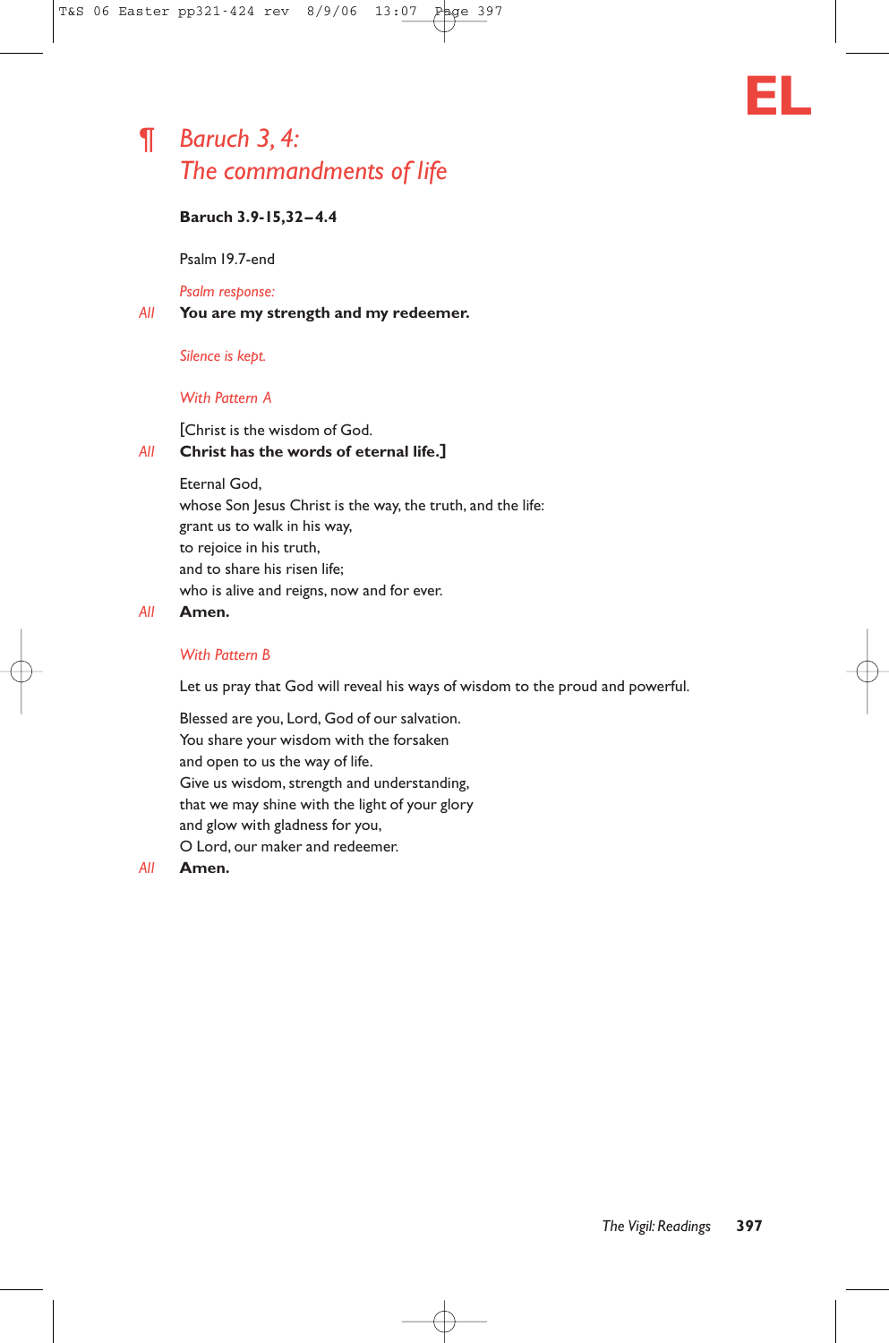# ¶ *Baruch 3, 4: The commandments of life*



# **Baruch 3.9-15,32–4.4**

Psalm 19.7-end

### *Psalm response:*

*All* **You are my strength and my redeemer.**

### *Silence is kept.*

### *With Pattern A*

### [Christ is the wisdom of God. *All* **Christ has the words of eternal life.]**

Eternal God, whose Son Jesus Christ is the way, the truth, and the life: grant us to walk in his way, to rejoice in his truth, and to share his risen life; who is alive and reigns, now and for ever.

#### *All* **Amen.**

### *With Pattern B*

Let us pray that God will reveal his ways of wisdom to the proud and powerful.

Blessed are you, Lord, God of our salvation. You share your wisdom with the forsaken and open to us the way of life. Give us wisdom, strength and understanding, that we may shine with the light of your glory and glow with gladness for you, O Lord, our maker and redeemer.

#### *All* **Amen.**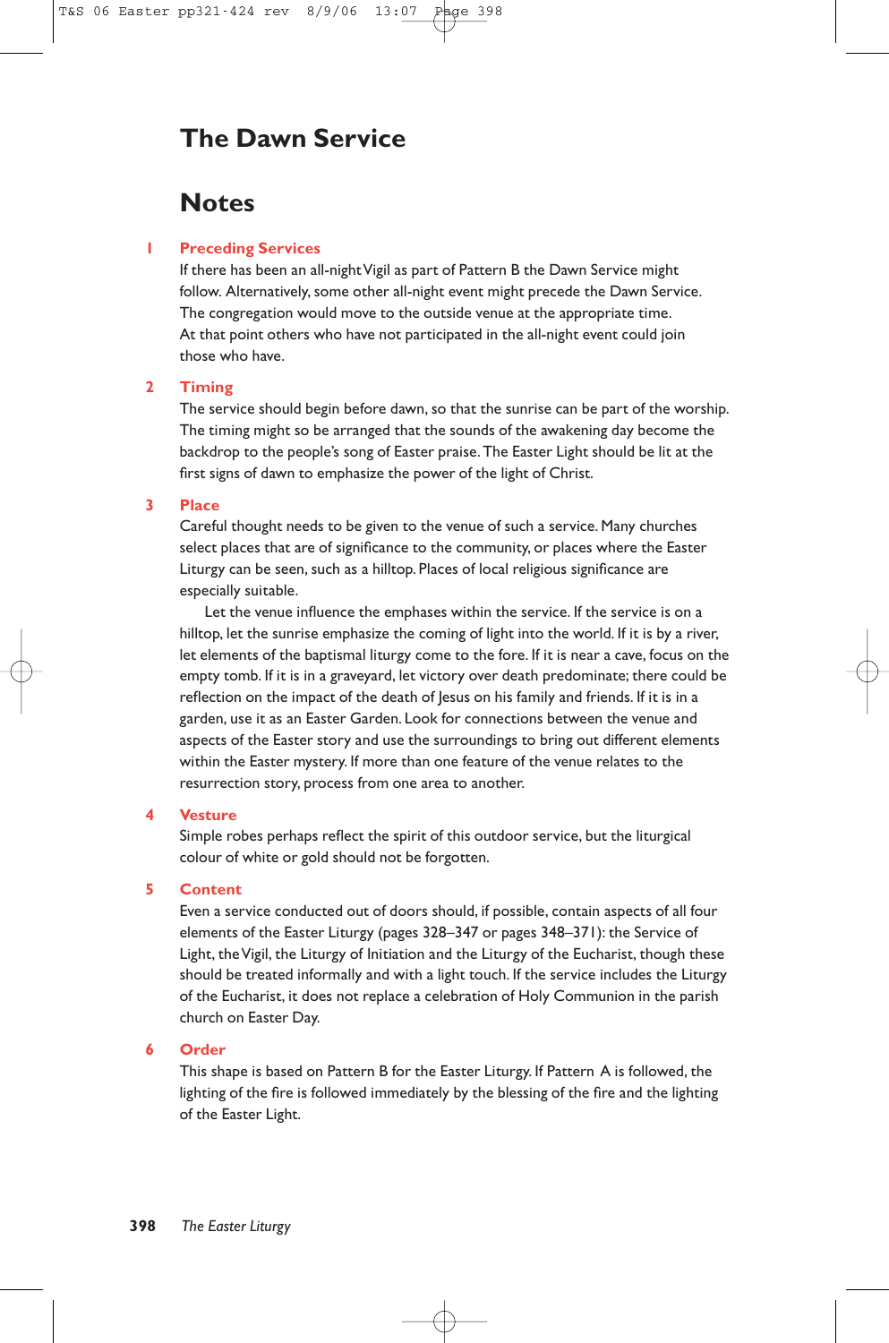# **The Dawn Service**

# **Notes**

### **1 Preceding Services**

If there has been an all-night Vigil as part of Pattern B the Dawn Service might follow. Alternatively, some other all-night event might precede the Dawn Service. The congregation would move to the outside venue at the appropriate time. At that point others who have not participated in the all-night event could join those who have.

### **2 Timing**

The service should begin before dawn, so that the sunrise can be part of the worship. The timing might so be arranged that the sounds of the awakening day become the backdrop to the people's song of Easter praise.The Easter Light should be lit at the first signs of dawn to emphasize the power of the light of Christ.

#### **3 Place**

Careful thought needs to be given to the venue of such a service. Many churches select places that are of significance to the community, or places where the Easter Liturgy can be seen, such as a hilltop. Places of local religious significance are especially suitable.

Let the venue influence the emphases within the service. If the service is on a hilltop, let the sunrise emphasize the coming of light into the world. If it is by a river, let elements of the baptismal liturgy come to the fore. If it is near a cave, focus on the empty tomb. If it is in a graveyard, let victory over death predominate; there could be reflection on the impact of the death of Jesus on his family and friends. If it is in a garden, use it as an Easter Garden. Look for connections between the venue and aspects of the Easter story and use the surroundings to bring out different elements within the Easter mystery. If more than one feature of the venue relates to the resurrection story, process from one area to another.

#### **4 Vesture**

Simple robes perhaps reflect the spirit of this outdoor service, but the liturgical colour of white or gold should not be forgotten.

#### **5 Content**

Even a service conducted out of doors should, if possible, contain aspects of all four elements of the Easter Liturgy (pages 328–347 or pages 348–371): the Service of Light, the Vigil, the Liturgy of Initiation and the Liturgy of the Eucharist, though these should be treated informally and with a light touch. If the service includes the Liturgy of the Eucharist, it does not replace a celebration of Holy Communion in the parish church on Easter Day.

### **6 Order**

This shape is based on Pattern B for the Easter Liturgy. If Pattern A is followed, the lighting of the fire is followed immediately by the blessing of the fire and the lighting of the Easter Light.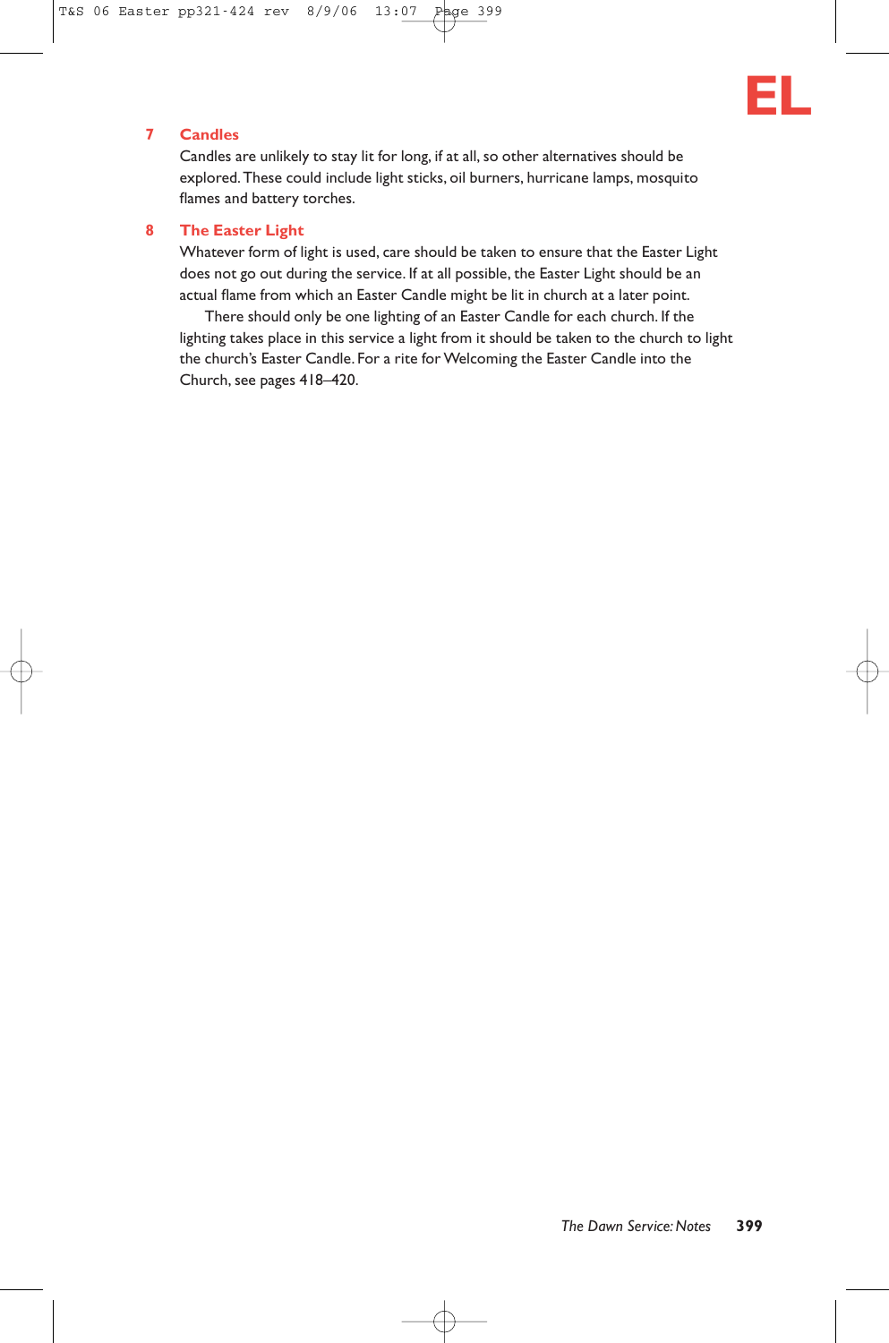

# **7 Candles**

Candles are unlikely to stay lit for long, if at all, so other alternatives should be explored.These could include light sticks, oil burners, hurricane lamps, mosquito flames and battery torches.

#### **8 The Easter Light**

Whatever form of light is used, care should be taken to ensure that the Easter Light does not go out during the service. If at all possible, the Easter Light should be an actual flame from which an Easter Candle might be lit in church at a later point.

There should only be one lighting of an Easter Candle for each church. If the lighting takes place in this service a light from it should be taken to the church to light the church's Easter Candle. For a rite for Welcoming the Easter Candle into the Church, see pages 418–420.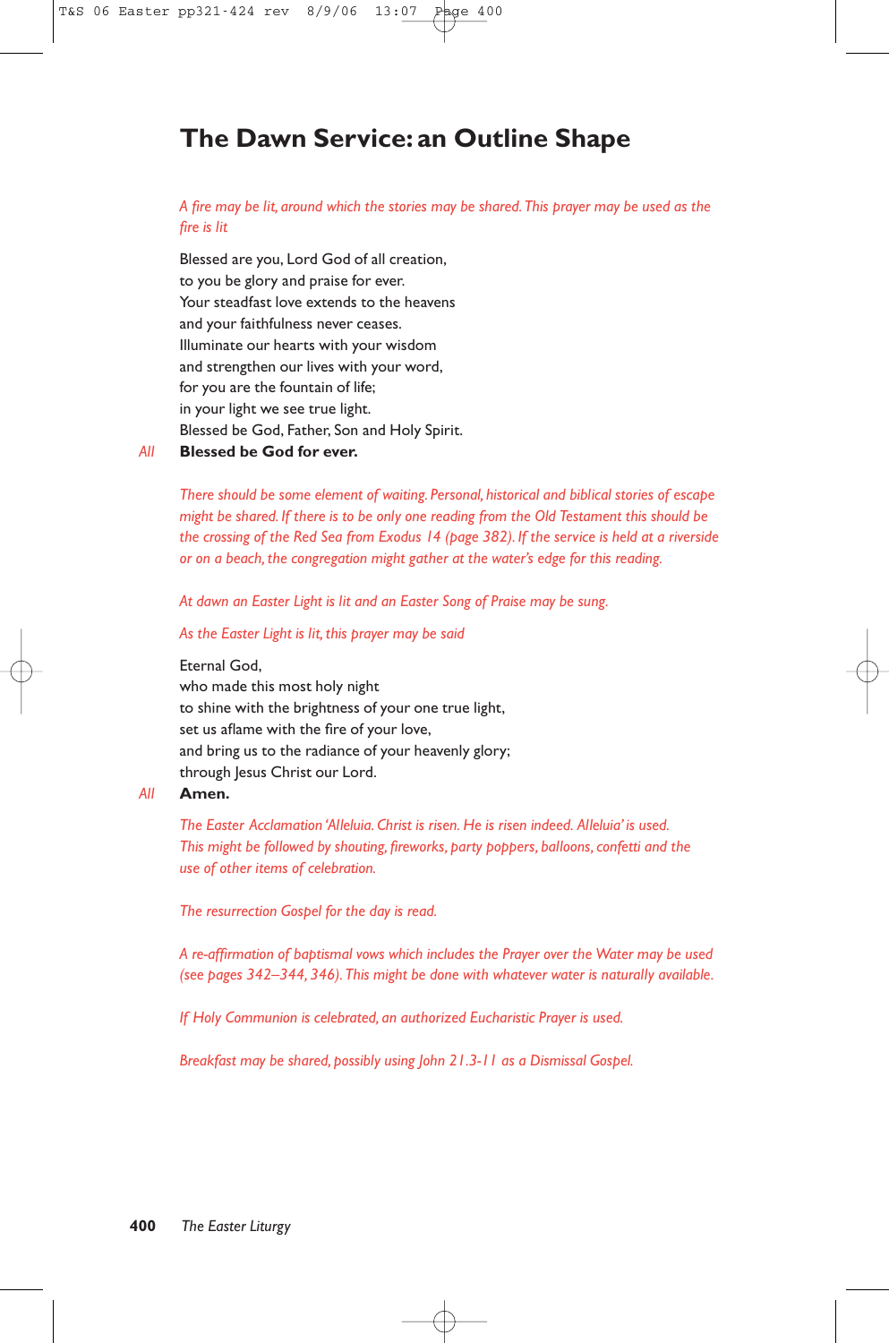# **The Dawn Service: an Outline Shape**

*A fire may be lit, around which the stories may be shared.This prayer may be used as the fire is lit*

Blessed are you, Lord God of all creation, to you be glory and praise for ever. Your steadfast love extends to the heavens and your faithfulness never ceases. Illuminate our hearts with your wisdom and strengthen our lives with your word, for you are the fountain of life; in your light we see true light. Blessed be God, Father, Son and Holy Spirit.

### *All* **Blessed be God for ever.**

*There should be some element of waiting. Personal, historical and biblical stories of escape might be shared. If there is to be only one reading from the Old Testament this should be the crossing of the Red Sea from Exodus 14 (page 382). If the service is held at a riverside or on a beach, the congregation might gather at the water's edge for this reading.*

*At dawn an Easter Light is lit and an Easter Song of Praise may be sung.*

*As the Easter Light is lit, this prayer may be said*

Eternal God,

who made this most holy night to shine with the brightness of your one true light, set us aflame with the fire of your love, and bring us to the radiance of your heavenly glory; through Jesus Christ our Lord.

#### *All* **Amen.**

*The Easter Acclamation 'Alleluia. Christ is risen. He is risen indeed. Alleluia' is used. This might be followed by shouting, fireworks, party poppers, balloons, confetti and the use of other items of celebration.*

*The resurrection Gospel for the day is read.*

*A re-affirmation of baptismal vows which includes the Prayer over the Water may be used (see pages 342–344, 346).This might be done with whatever water is naturally available.*

*If Holy Communion is celebrated, an authorized Eucharistic Prayer is used.*

*Breakfast may be shared, possibly using John 21.3-11 as a Dismissal Gospel.*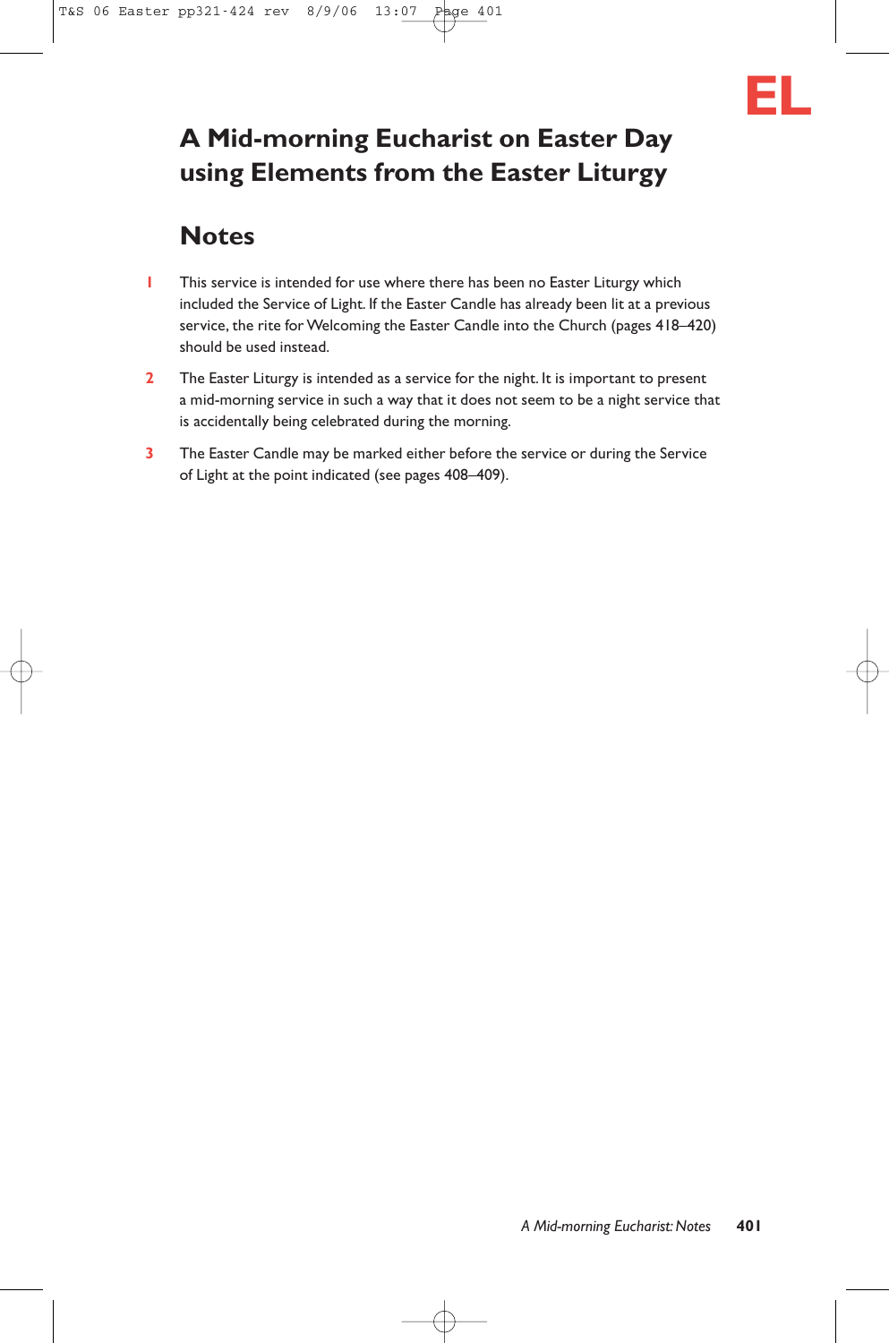

# **A Mid-morning Eucharist on Easter Day using Elements from the Easter Liturgy**

# **Notes**

- **1** This service is intended for use where there has been no Easter Liturgy which included the Service of Light. If the Easter Candle has already been lit at a previous service, the rite for Welcoming the Easter Candle into the Church (pages 418–420) should be used instead.
- **2** The Easter Liturgy is intended as a service for the night. It is important to present a mid-morning service in such a way that it does not seem to be a night service that is accidentally being celebrated during the morning.
- **3** The Easter Candle may be marked either before the service or during the Service of Light at the point indicated (see pages 408–409).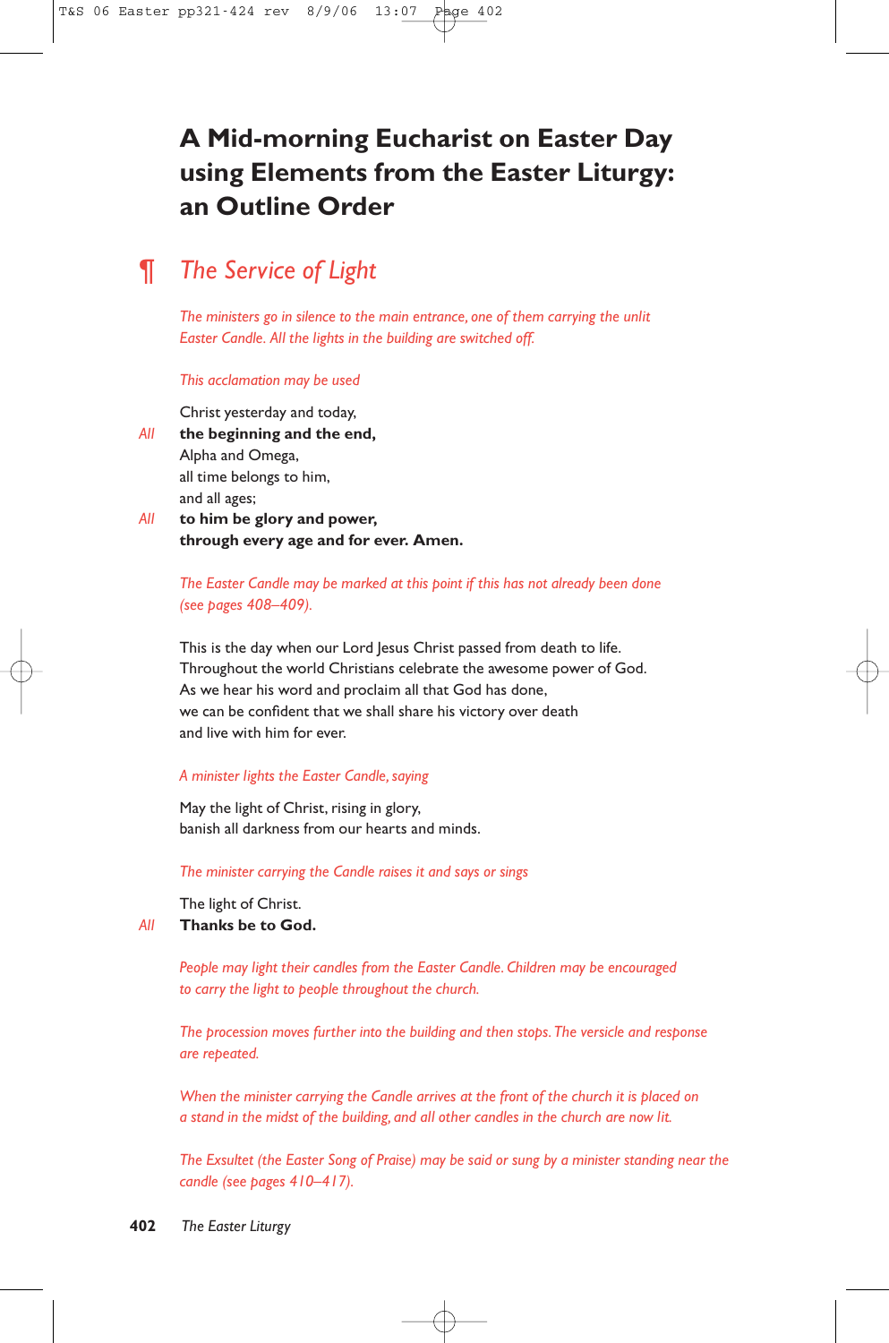# **A Mid-morning Eucharist on Easter Day using Elements from the Easter Liturgy: an Outline Order**

# ¶ *The Service of Light*

*The ministers go in silence to the main entrance, one of them carrying the unlit Easter Candle. All the lights in the building are switched off.*

#### *This acclamation may be used*

Christ yesterday and today, *All* **the beginning and the end,** Alpha and Omega, all time belongs to him, and all ages;

*All* **to him be glory and power, through every age and for ever. Amen.**

> *The Easter Candle may be marked at this point if this has not already been done (see pages 408–409).*

This is the day when our Lord Jesus Christ passed from death to life. Throughout the world Christians celebrate the awesome power of God. As we hear his word and proclaim all that God has done, we can be confident that we shall share his victory over death and live with him for ever.

### *A minister lights the Easter Candle, saying*

May the light of Christ, rising in glory, banish all darkness from our hearts and minds.

*The minister carrying the Candle raises it and says or sings*

The light of Christ.

*All* **Thanks be to God.**

*People may light their candles from the Easter Candle. Children may be encouraged to carry the light to people throughout the church.*

*The procession moves further into the building and then stops.The versicle and response are repeated.*

*When the minister carrying the Candle arrives at the front of the church it is placed on a stand in the midst of the building, and all other candles in the church are now lit.*

*The Exsultet (the Easter Song of Praise) may be said or sung by a minister standing near the candle (see pages 410–417).*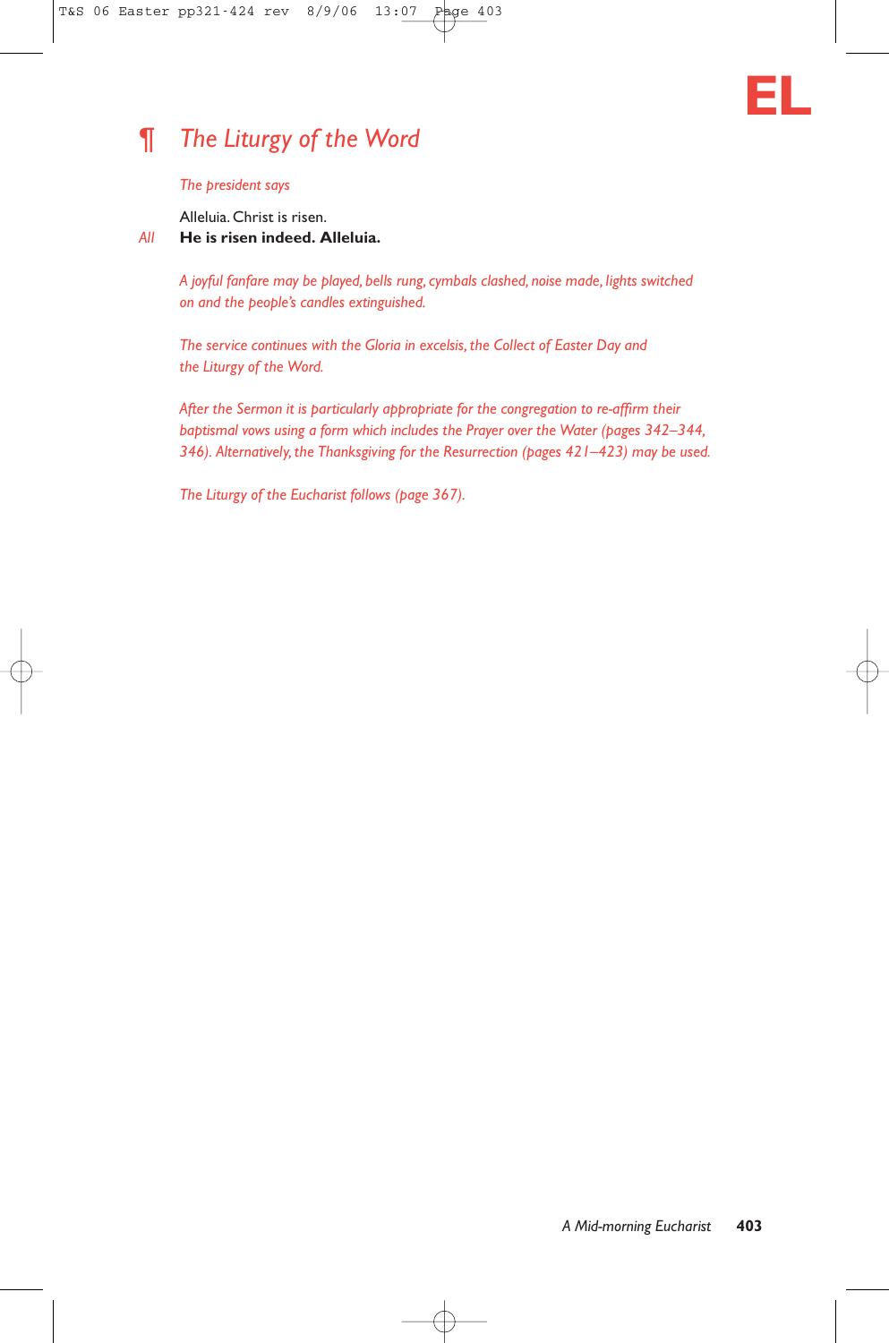# **EL**

# ¶ *The Liturgy of the Word*

### *The president says*

Alleluia. Christ is risen.

# *All* **He is risen indeed. Alleluia.**

*A joyful fanfare may be played, bells rung, cymbals clashed, noise made, lights switched on and the people's candles extinguished.*

*The service continues with the Gloria in excelsis, the Collect of Easter Day and the Liturgy of the Word.*

*After the Sermon it is particularly appropriate for the congregation to re-affirm their baptismal vows using a form which includes the Prayer over the Water (pages 342–344, 346). Alternatively, the Thanksgiving for the Resurrection (pages 421–423) may be used.*

*The Liturgy of the Eucharist follows (page 367).*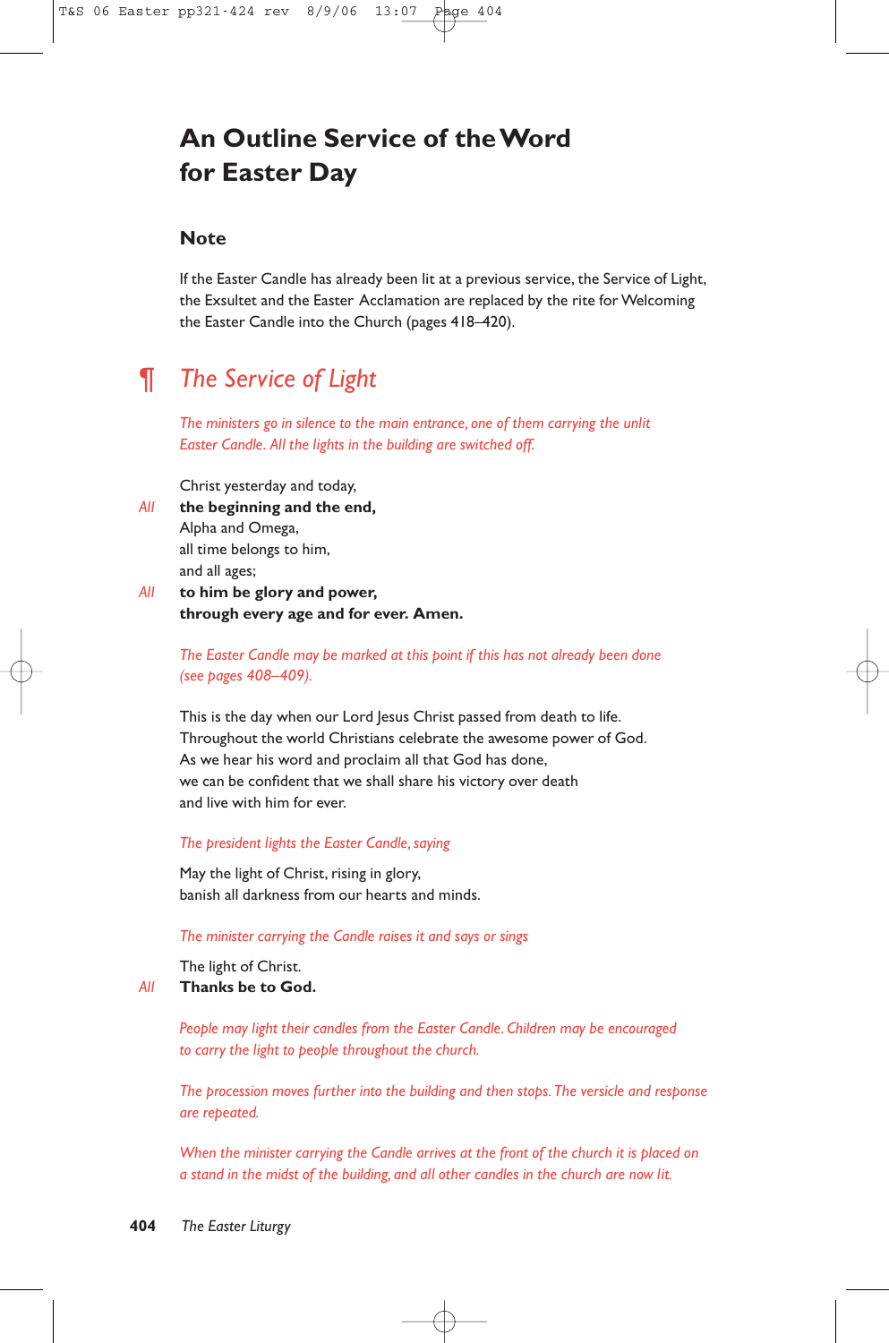# **An Outline Service of the Word for Easter Day**

# **Note**

If the Easter Candle has already been lit at a previous service, the Service of Light, the Exsultet and the Easter Acclamation are replaced by the rite for Welcoming the Easter Candle into the Church (pages 418–420).

# ¶ *The Service of Light*

*The ministers go in silence to the main entrance, one of them carrying the unlit Easter Candle. All the lights in the building are switched off.*

Christ yesterday and today,

- *All* **the beginning and the end,** Alpha and Omega, all time belongs to him, and all ages;
- *All* **to him be glory and power, through every age and for ever. Amen.**

*The Easter Candle may be marked at this point if this has not already been done (see pages 408–409).*

This is the day when our Lord Jesus Christ passed from death to life. Throughout the world Christians celebrate the awesome power of God. As we hear his word and proclaim all that God has done, we can be confident that we shall share his victory over death and live with him for ever.

#### *The president lights the Easter Candle, saying*

May the light of Christ, rising in glory, banish all darkness from our hearts and minds.

*The minister carrying the Candle raises it and says or sings*

The light of Christ. *All* **Thanks be to God.**

> *People may light their candles from the Easter Candle. Children may be encouraged to carry the light to people throughout the church.*

*The procession moves further into the building and then stops.The versicle and response are repeated.*

*When the minister carrying the Candle arrives at the front of the church it is placed on a stand in the midst of the building, and all other candles in the church are now lit.*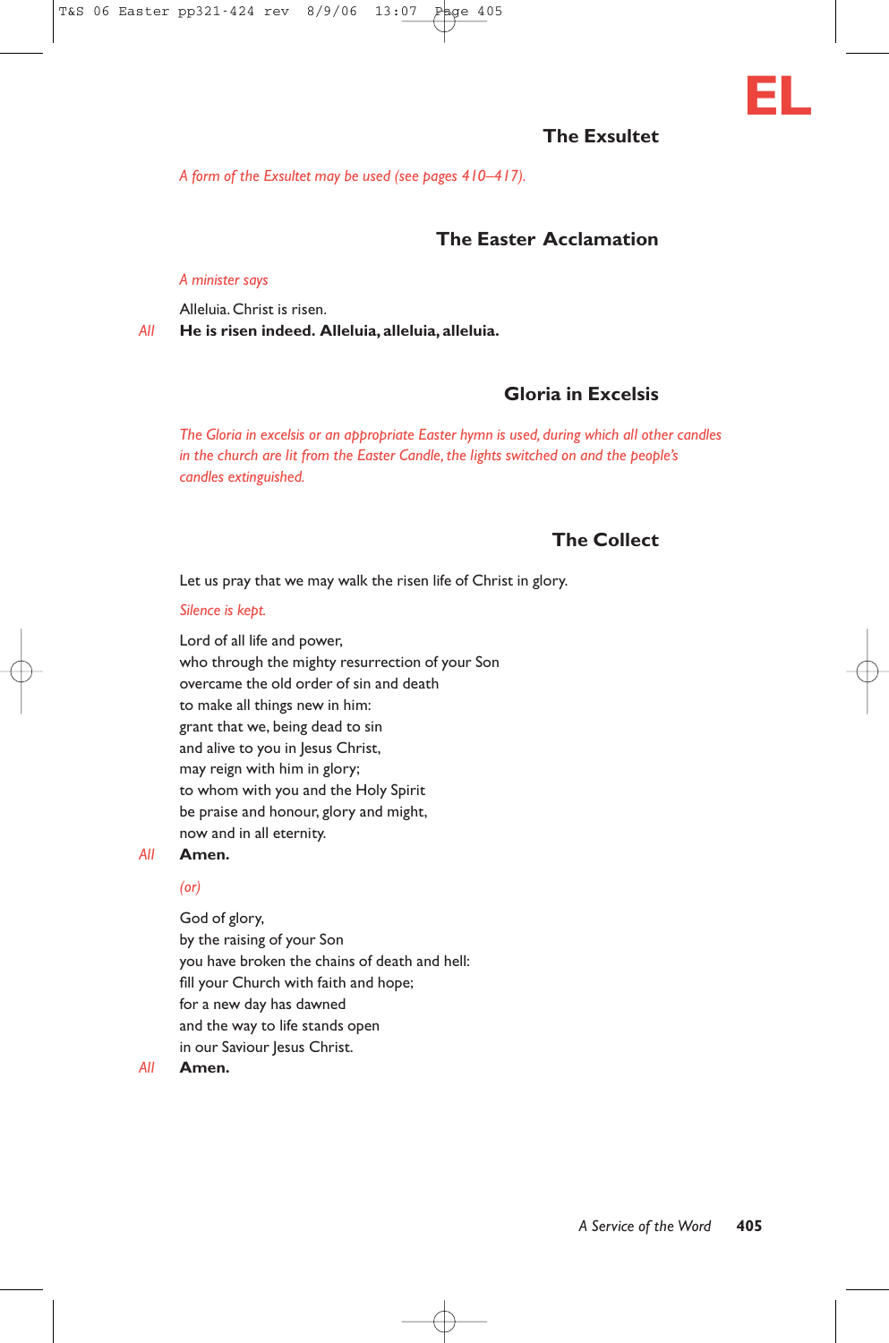# **The Exsultet**

*A form of the Exsultet may be used (see pages 410–417).*

# **The Easter Acclamation**

#### *A minister says*

Alleluia. Christ is risen.

*All* **He is risen indeed. Alleluia, alleluia, alleluia.**

# **Gloria in Excelsis**

*The Gloria in excelsis or an appropriate Easter hymn is used, during which all other candles in the church are lit from the Easter Candle, the lights switched on and the people's candles extinguished.*

# **The Collect**

Let us pray that we may walk the risen life of Christ in glory.

#### *Silence is kept.*

Lord of all life and power, who through the mighty resurrection of your Son overcame the old order of sin and death to make all things new in him: grant that we, being dead to sin and alive to you in Jesus Christ, may reign with him in glory; to whom with you and the Holy Spirit be praise and honour, glory and might, now and in all eternity.

### *All* **Amen.**

#### *(or)*

God of glory, by the raising of your Son you have broken the chains of death and hell: fill your Church with faith and hope; for a new day has dawned and the way to life stands open in our Saviour Jesus Christ.

#### *All* **Amen.**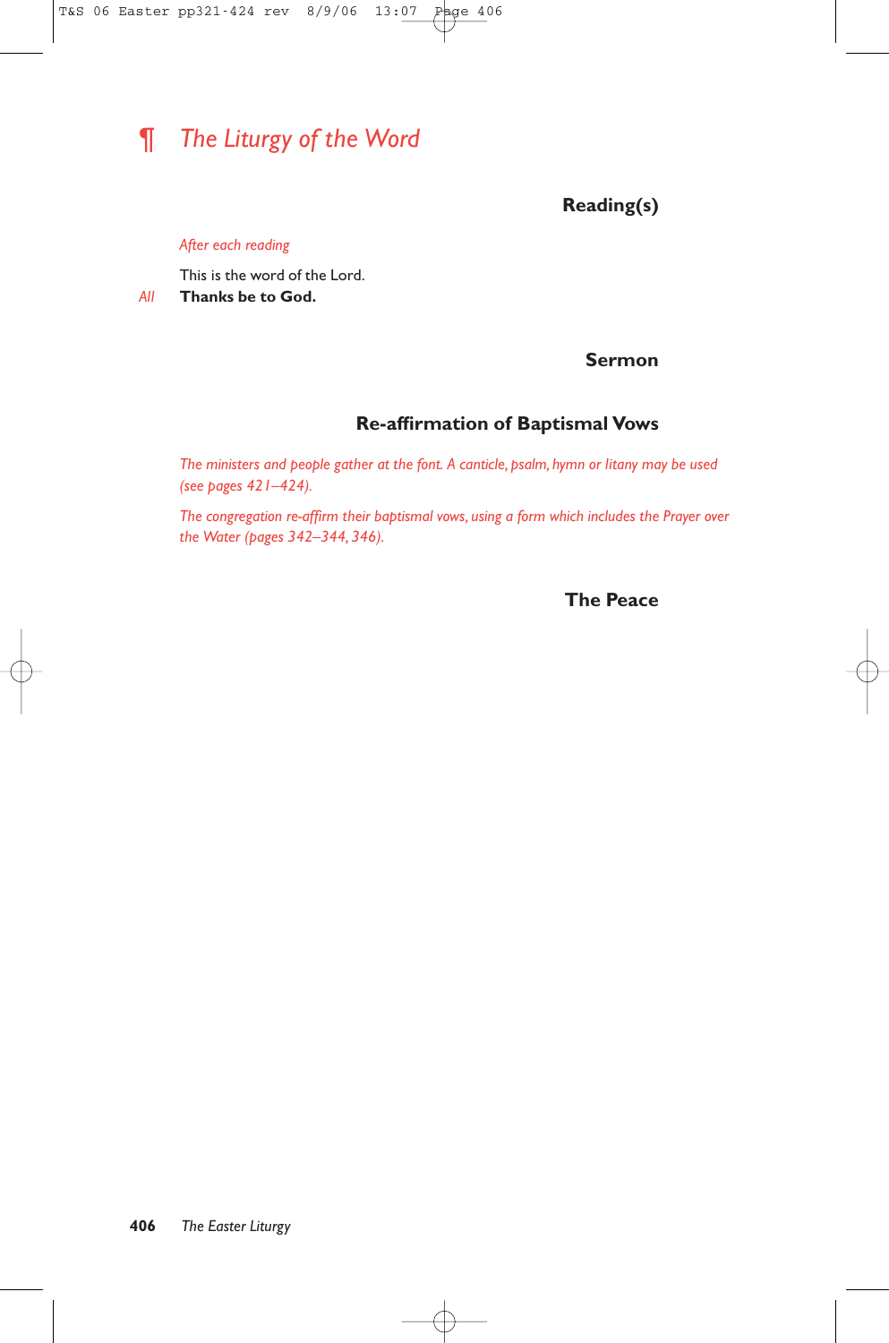# ¶ *The Liturgy of the Word*

**Reading(s)** 

### *After each reading*

This is the word of the Lord.

*All* **Thanks be to God.**

# **Sermon**

# **Re-affirmation of Baptismal Vows**

*The ministers and people gather at the font. A canticle, psalm, hymn or litany may be used (see pages 421–424).*

*The congregation re-affirm their baptismal vows, using a form which includes the Prayer over the Water (pages 342–344, 346).*

**The Peace**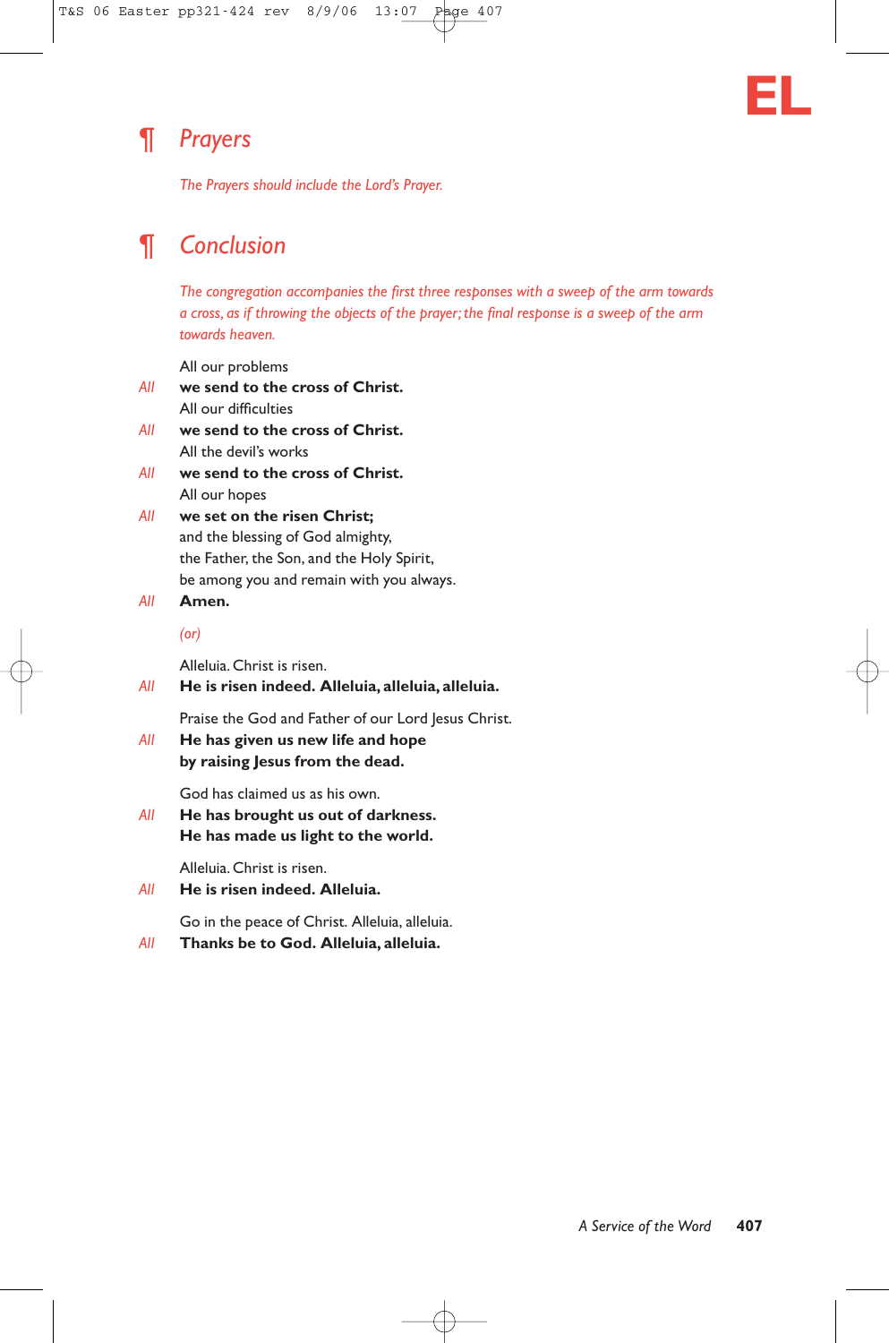# **EL**

# ¶ *Prayers*

*The Prayers should include the Lord's Prayer.*

# ¶ *Conclusion*

*The congregation accompanies the first three responses with a sweep of the arm towards a cross, as if throwing the objects of the prayer; the final response is a sweep of the arm towards heaven.*

All our problems

- *All* **we send to the cross of Christ.** All our difficulties
- *All* **we send to the cross of Christ.** All the devil's works
- *All* **we send to the cross of Christ.** All our hopes
- *All* **we set on the risen Christ;** and the blessing of God almighty, the Father, the Son, and the Holy Spirit, be among you and remain with you always.
- *All* **Amen.**

*(or)*

Alleluia. Christ is risen.

*All* **He is risen indeed. Alleluia, alleluia, alleluia.**

Praise the God and Father of our Lord Jesus Christ.

*All* **He has given us new life and hope by raising Jesus from the dead.**

God has claimed us as his own.

*All* **He has brought us out of darkness. He has made us light to the world.**

Alleluia. Christ is risen.

*All* **He is risen indeed. Alleluia.**

Go in the peace of Christ. Alleluia, alleluia.

*All* **Thanks be to God. Alleluia, alleluia.**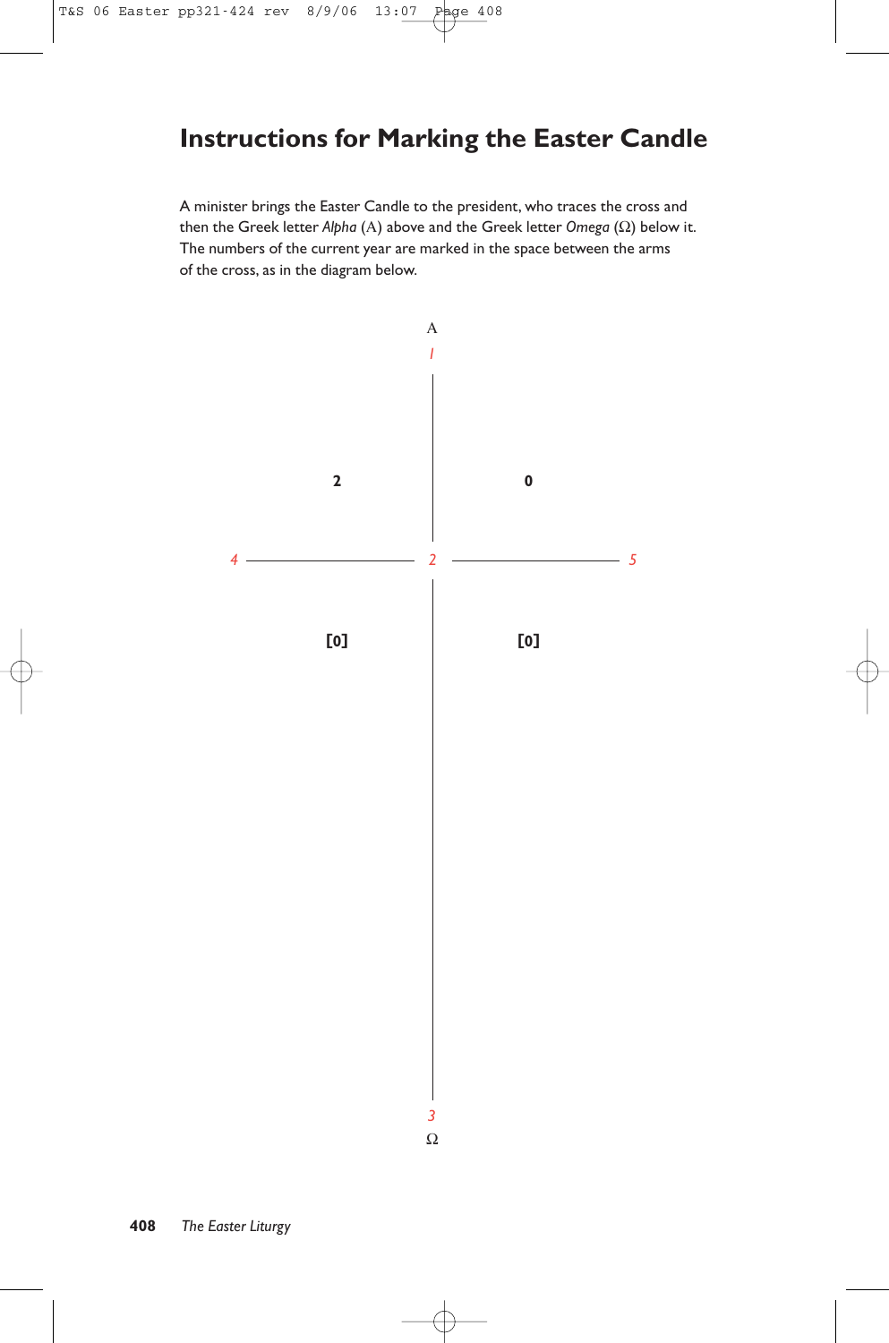# **Instructions for Marking the Easter Candle**

A minister brings the Easter Candle to the president, who traces the cross and then the Greek letter *Alpha* (Α) above and the Greek letter *Omega* (Ω) below it. The numbers of the current year are marked in the space between the arms of the cross, as in the diagram below.

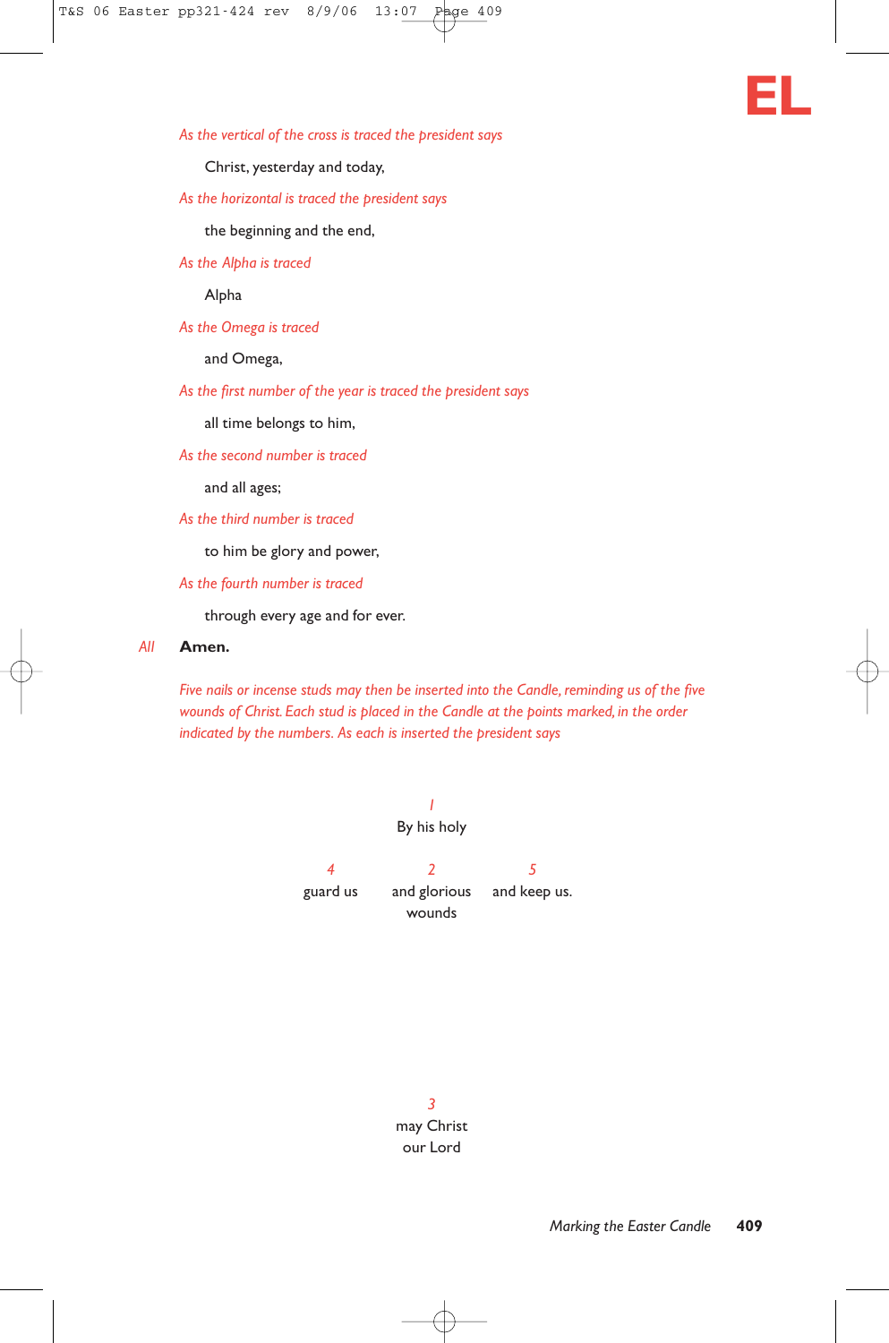

*As the vertical of the cross is traced the president says*

Christ, yesterday and today,

*As the horizontal is traced the president says*

the beginning and the end,

*As the Alpha is traced*

Alpha

*As the Omega is traced*

and Omega,

*As the first number of the year is traced the president says*

all time belongs to him,

*As the second number is traced*

and all ages;

*As the third number is traced*

to him be glory and power,

*As the fourth number is traced*

through every age and for ever.

#### *All* **Amen.**

*Five nails or incense studs may then be inserted into the Candle, reminding us of the five wounds of Christ. Each stud is placed in the Candle at the points marked, in the order indicated by the numbers. As each is inserted the president says*

> *1* By his holy *425* guard us and glorious and keep us. wounds

> > *3* may Christ our Lord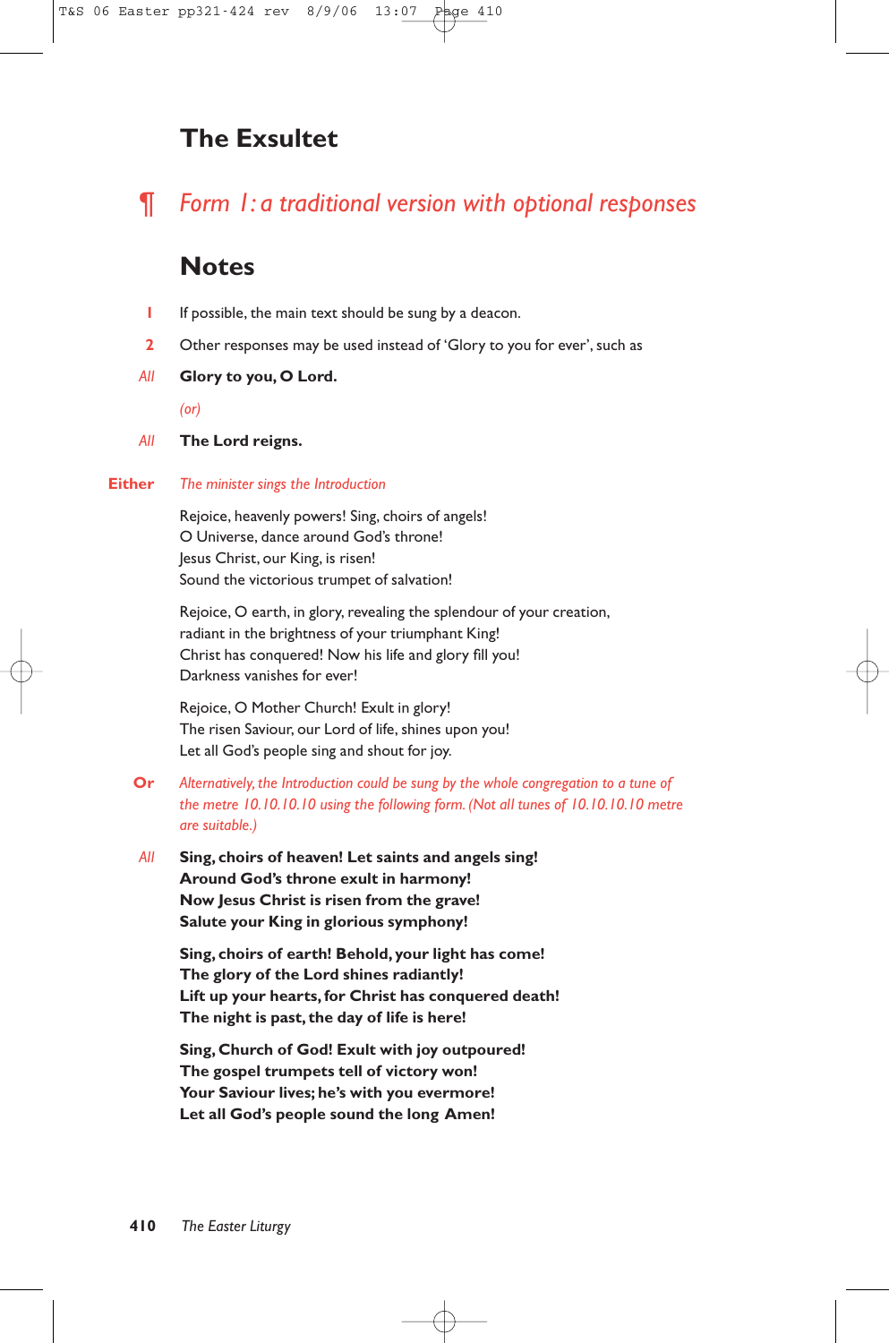# **The Exsultet**

¶ *Form 1: a traditional version with optional responses*

# **Notes**

- **1** If possible, the main text should be sung by a deacon.
- **2** Other responses may be used instead of 'Glory to you for ever', such as
- *All* **Glory to you, O Lord.**

*(or)*

*All* **The Lord reigns.**

### **Either** *The minister sings the Introduction*

Rejoice, heavenly powers! Sing, choirs of angels! O Universe, dance around God's throne! Jesus Christ, our King, is risen! Sound the victorious trumpet of salvation!

Rejoice, O earth, in glory, revealing the splendour of your creation, radiant in the brightness of your triumphant King! Christ has conquered! Now his life and glory fill you! Darkness vanishes for ever!

Rejoice, O Mother Church! Exult in glory! The risen Saviour, our Lord of life, shines upon you! Let all God's people sing and shout for joy.

- **Or** *Alternatively, the Introduction could be sung by the whole congregation to a tune of the metre 10.10.10.10 using the following form. (Not all tunes of 10.10.10.10 metre are suitable.)*
- *All* **Sing, choirs of heaven! Let saints and angels sing! Around God's throne exult in harmony! Now Jesus Christ is risen from the grave! Salute your King in glorious symphony!**

**Sing, choirs of earth! Behold, your light has come! The glory of the Lord shines radiantly! Lift up your hearts, for Christ has conquered death! The night is past, the day of life is here!**

**Sing, Church of God! Exult with joy outpoured! The gospel trumpets tell of victory won! Your Saviour lives; he's with you evermore! Let all God's people sound the long Amen!**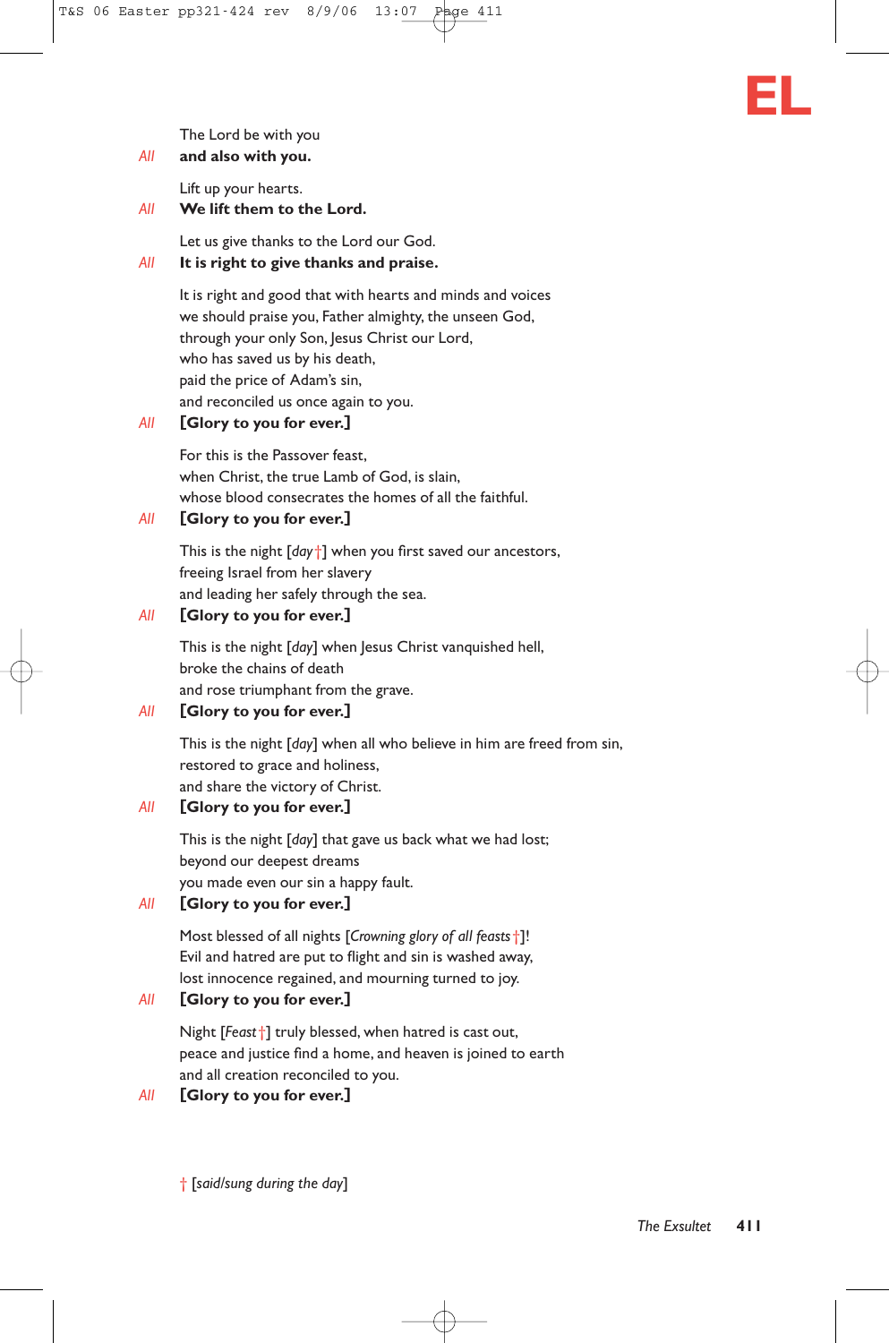

# *All* **and also with you.**

Lift up your hearts.

### *All* **We lift them to the Lord.**

Let us give thanks to the Lord our God.

### *All* **It is right to give thanks and praise.**

It is right and good that with hearts and minds and voices we should praise you, Father almighty, the unseen God, through your only Son, Jesus Christ our Lord, who has saved us by his death, paid the price of Adam's sin, and reconciled us once again to you.

### *All* **[Glory to you for ever.]**

For this is the Passover feast, when Christ, the true Lamb of God, is slain, whose blood consecrates the homes of all the faithful.

# *All* **[Glory to you for ever.]**

This is the night [*day*†] when you first saved our ancestors, freeing Israel from her slavery and leading her safely through the sea.

# *All* **[Glory to you for ever.]**

This is the night [*day*] when Jesus Christ vanquished hell, broke the chains of death and rose triumphant from the grave.

# *All* **[Glory to you for ever.]**

This is the night [*day*] when all who believe in him are freed from sin, restored to grace and holiness, and share the victory of Christ.

### *All* **[Glory to you for ever.]**

This is the night [*day*] that gave us back what we had lost; beyond our deepest dreams you made even our sin a happy fault.

# *All* **[Glory to you for ever.]**

Most blessed of all nights [*Crowning glory of all feasts*†]! Evil and hatred are put to flight and sin is washed away, lost innocence regained, and mourning turned to joy.

# *All* **[Glory to you for ever.]**

Night [*Feast*†] truly blessed, when hatred is cast out, peace and justice find a home, and heaven is joined to earth and all creation reconciled to you.

### *All* **[Glory to you for ever.]**

† [*said/sung during the day*]

**EL**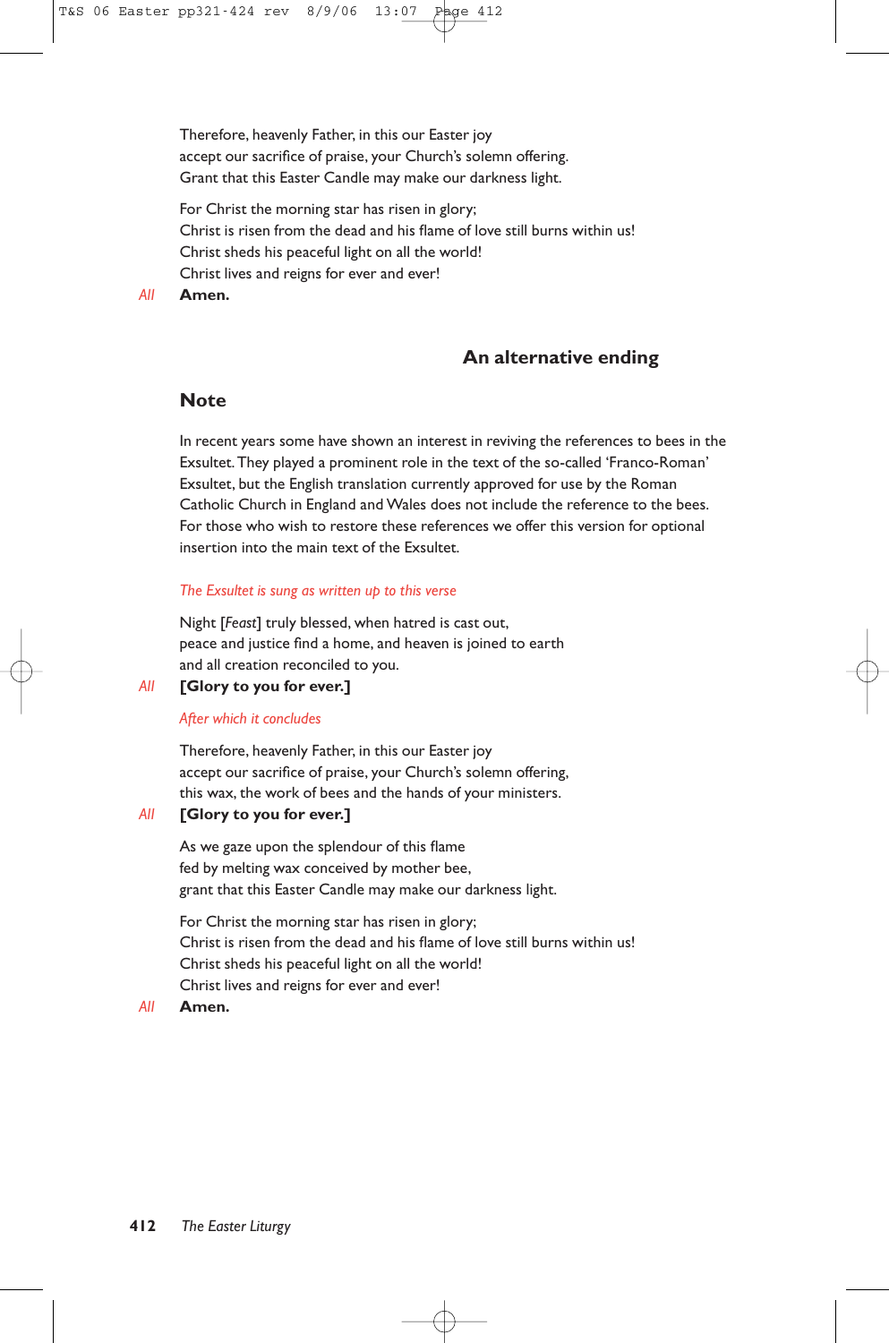Therefore, heavenly Father, in this our Easter joy accept our sacrifice of praise, your Church's solemn offering. Grant that this Easter Candle may make our darkness light.

For Christ the morning star has risen in glory; Christ is risen from the dead and his flame of love still burns within us! Christ sheds his peaceful light on all the world! Christ lives and reigns for ever and ever!

*All* **Amen.**

# **An alternative ending**

# **Note**

In recent years some have shown an interest in reviving the references to bees in the Exsultet.They played a prominent role in the text of the so-called 'Franco-Roman' Exsultet, but the English translation currently approved for use by the Roman Catholic Church in England and Wales does not include the reference to the bees. For those who wish to restore these references we offer this version for optional insertion into the main text of the Exsultet.

### *The Exsultet is sung as written up to this verse*

Night [*Feast*] truly blessed, when hatred is cast out, peace and justice find a home, and heaven is joined to earth and all creation reconciled to you.

### *All* **[Glory to you for ever.]**

### *After which it concludes*

Therefore, heavenly Father, in this our Easter joy accept our sacrifice of praise, your Church's solemn offering, this wax, the work of bees and the hands of your ministers.

### *All* **[Glory to you for ever.]**

As we gaze upon the splendour of this flame fed by melting wax conceived by mother bee, grant that this Easter Candle may make our darkness light.

For Christ the morning star has risen in glory; Christ is risen from the dead and his flame of love still burns within us! Christ sheds his peaceful light on all the world! Christ lives and reigns for ever and ever!

### *All* **Amen.**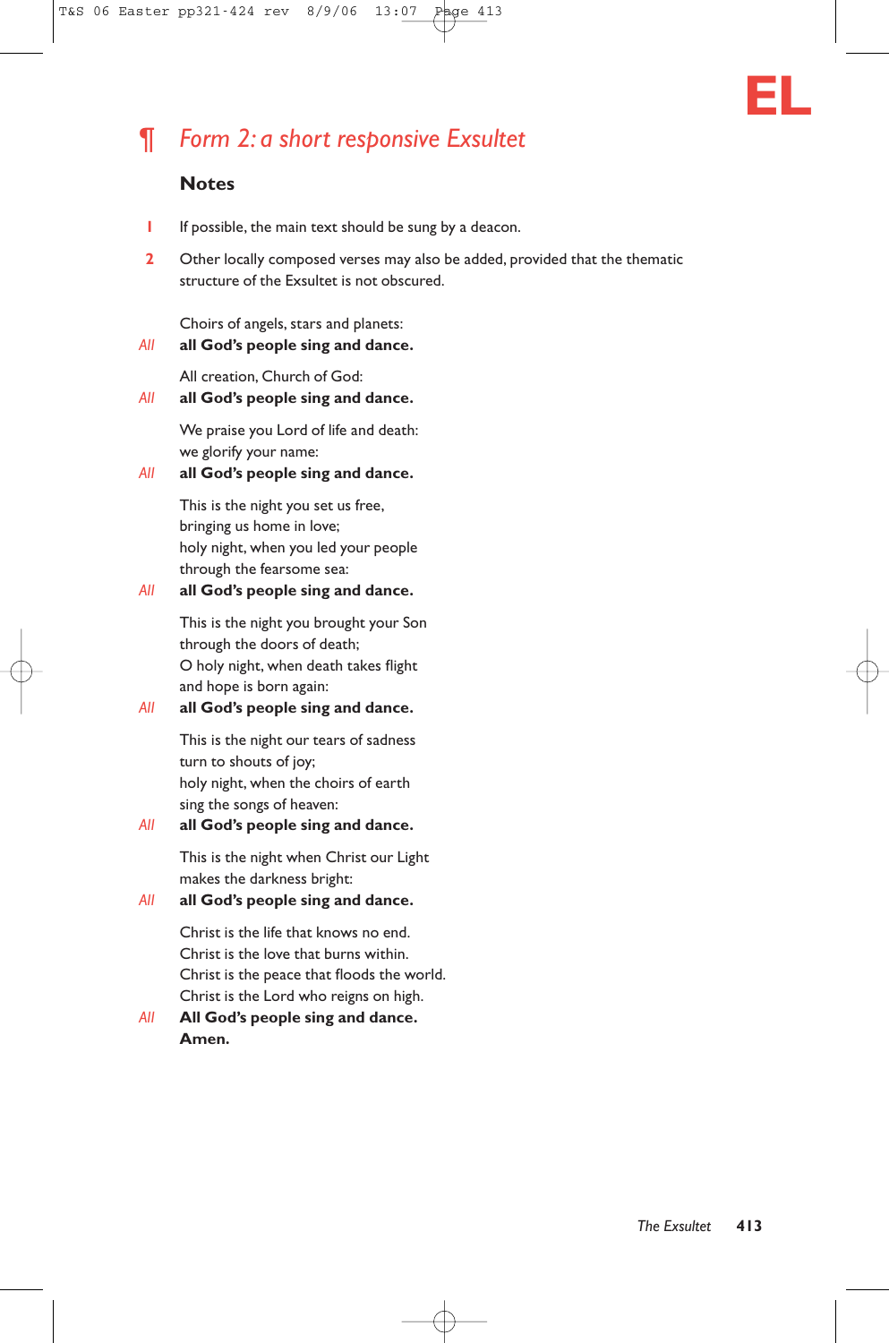

# ¶ *Form 2: a short responsive Exsultet*

# **Notes**

- **1** If possible, the main text should be sung by a deacon.
- **2** Other locally composed verses may also be added, provided that the thematic structure of the Exsultet is not obscured.

Choirs of angels, stars and planets:

*All* **all God's people sing and dance.**

All creation, Church of God:

### *All* **all God's people sing and dance.**

We praise you Lord of life and death: we glorify your name:

### *All* **all God's people sing and dance.**

This is the night you set us free, bringing us home in love; holy night, when you led your people through the fearsome sea:

### *All* **all God's people sing and dance.**

This is the night you brought your Son through the doors of death; O holy night, when death takes flight and hope is born again:

# *All* **all God's people sing and dance.**

This is the night our tears of sadness turn to shouts of joy; holy night, when the choirs of earth sing the songs of heaven:

# *All* **all God's people sing and dance.**

This is the night when Christ our Light makes the darkness bright:

# *All* **all God's people sing and dance.**

Christ is the life that knows no end. Christ is the love that burns within. Christ is the peace that floods the world. Christ is the Lord who reigns on high.

# *All* **All God's people sing and dance. Amen.**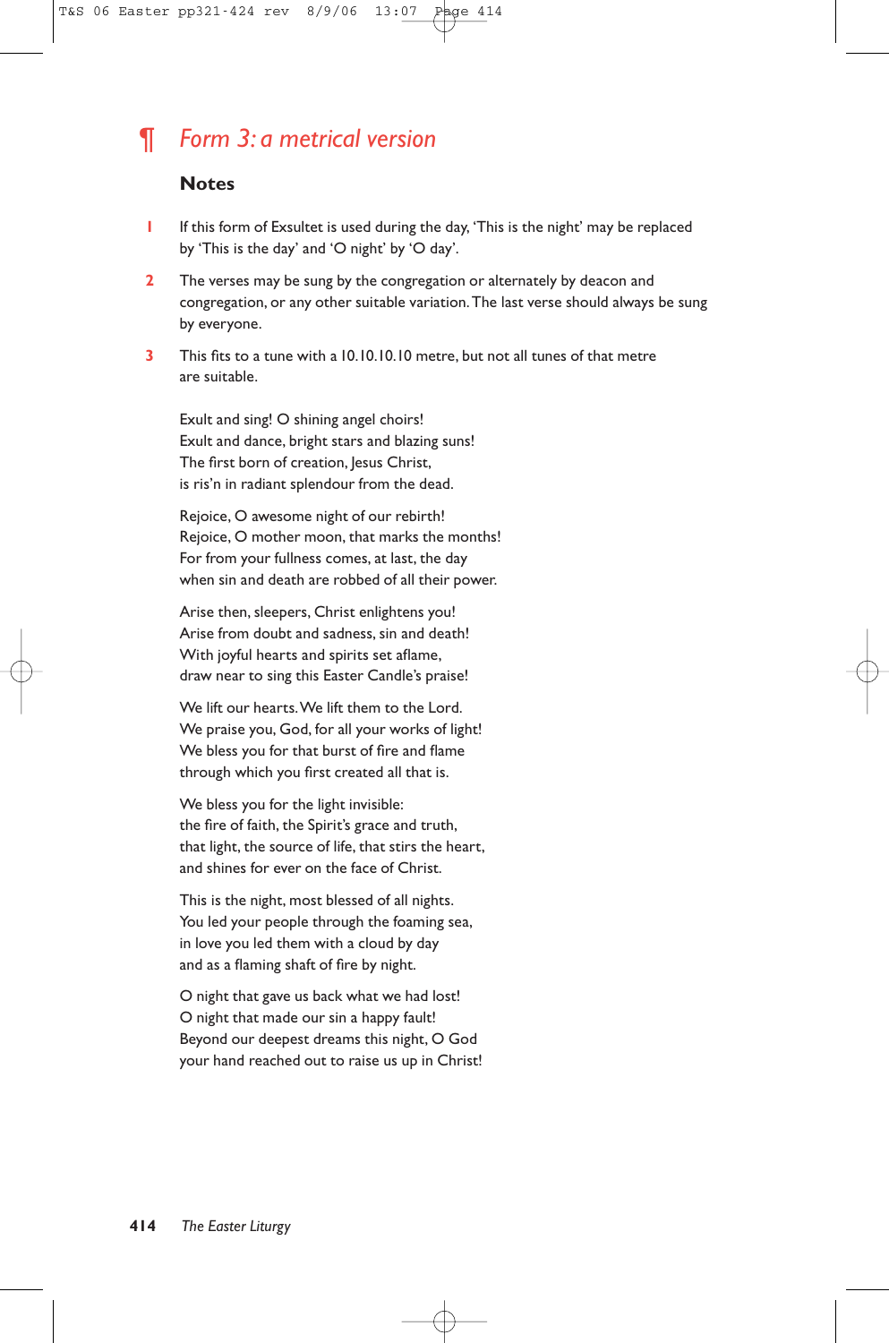# ¶ *Form 3: a metrical version*

# **Notes**

- **1** If this form of Exsultet is used during the day, 'This is the night' may be replaced by 'This is the day' and 'O night' by 'O day'.
- **2** The verses may be sung by the congregation or alternately by deacon and congregation, or any other suitable variation.The last verse should always be sung by everyone.
- **3** This fits to a tune with a 10.10.10.10 metre, but not all tunes of that metre are suitable.

Exult and sing! O shining angel choirs! Exult and dance, bright stars and blazing suns! The first born of creation, Jesus Christ, is ris'n in radiant splendour from the dead.

Rejoice, O awesome night of our rebirth! Rejoice, O mother moon, that marks the months! For from your fullness comes, at last, the day when sin and death are robbed of all their power.

Arise then, sleepers, Christ enlightens you! Arise from doubt and sadness, sin and death! With joyful hearts and spirits set aflame, draw near to sing this Easter Candle's praise!

We lift our hearts.We lift them to the Lord. We praise you, God, for all your works of light! We bless you for that burst of fire and flame through which you first created all that is.

We bless you for the light invisible: the fire of faith, the Spirit's grace and truth, that light, the source of life, that stirs the heart, and shines for ever on the face of Christ.

This is the night, most blessed of all nights. You led your people through the foaming sea, in love you led them with a cloud by day and as a flaming shaft of fire by night.

O night that gave us back what we had lost! O night that made our sin a happy fault! Beyond our deepest dreams this night, O God your hand reached out to raise us up in Christ!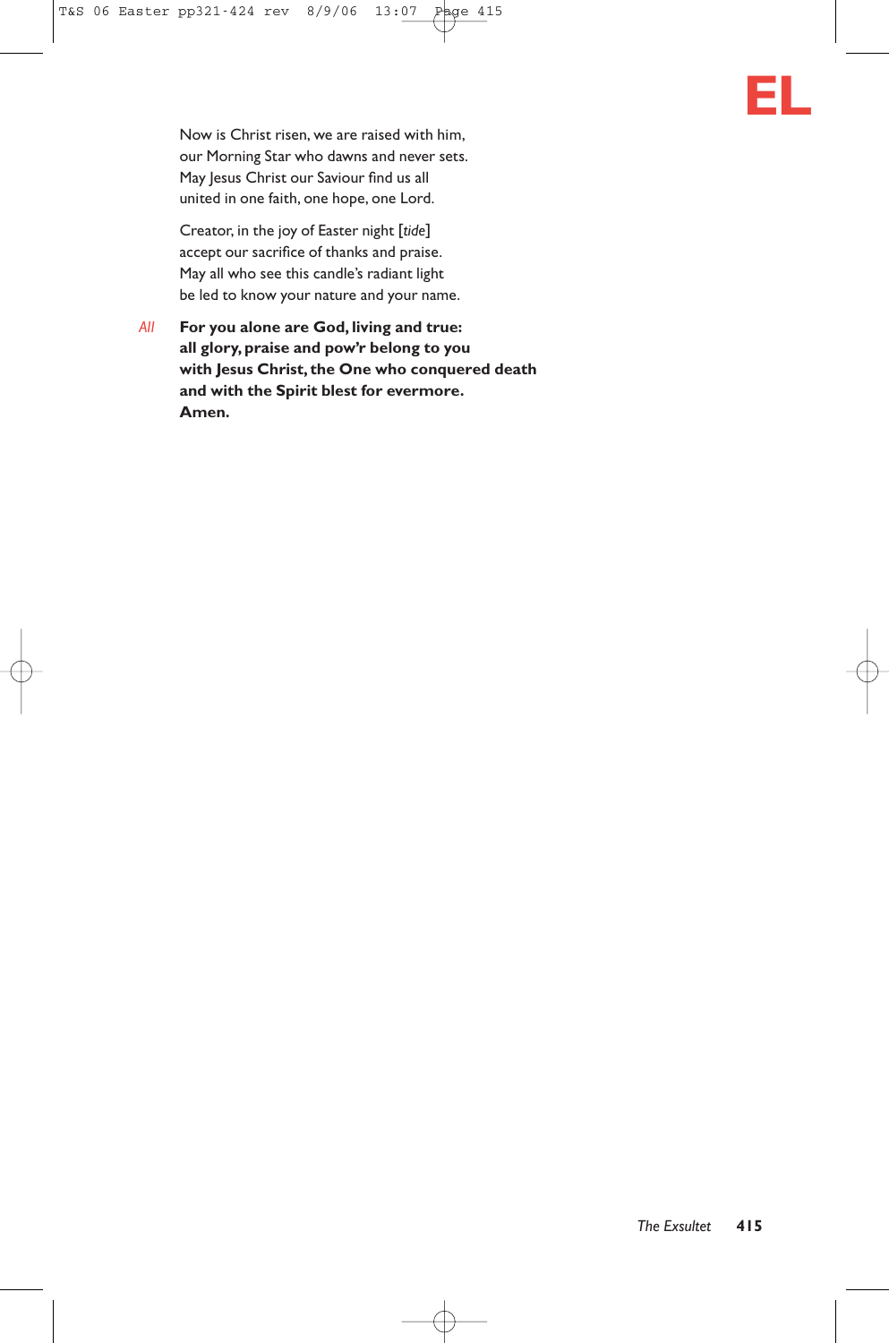

Now is Christ risen, we are raised with him, our Morning Star who dawns and never sets. May Jesus Christ our Saviour find us all united in one faith, one hope, one Lord.

Creator, in the joy of Easter night [*tide*] accept our sacrifice of thanks and praise. May all who see this candle's radiant light be led to know your nature and your name.

*All* **For you alone are God, living and true: all glory, praise and pow'r belong to you with Jesus Christ, the One who conquered death and with the Spirit blest for evermore. Amen.**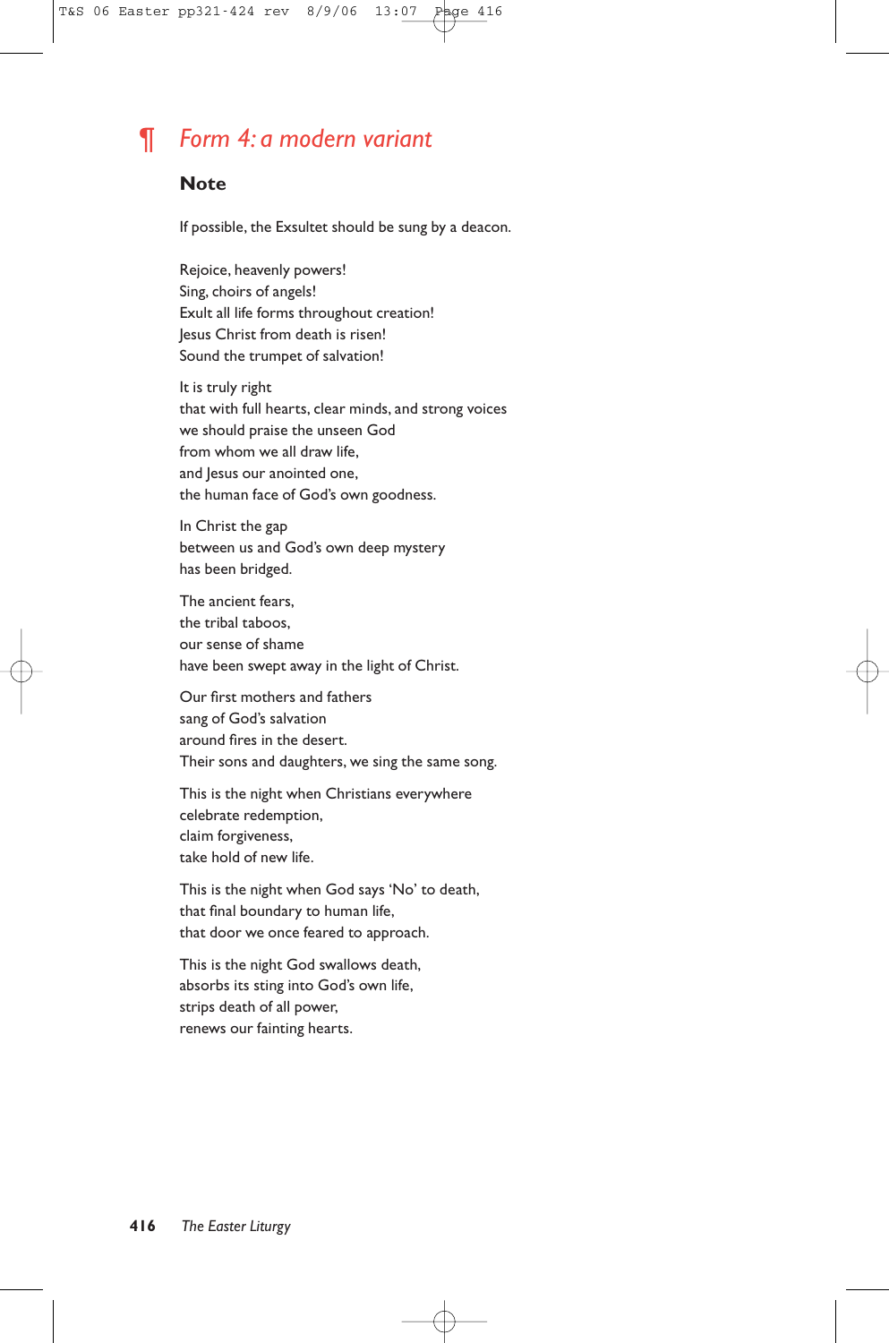# ¶ *Form 4: a modern variant*

# **Note**

If possible, the Exsultet should be sung by a deacon.

Rejoice, heavenly powers! Sing, choirs of angels! Exult all life forms throughout creation! Jesus Christ from death is risen! Sound the trumpet of salvation!

It is truly right that with full hearts, clear minds, and strong voices we should praise the unseen God from whom we all draw life, and Jesus our anointed one, the human face of God's own goodness.

In Christ the gap between us and God's own deep mystery has been bridged.

The ancient fears, the tribal taboos, our sense of shame have been swept away in the light of Christ.

Our first mothers and fathers sang of God's salvation around fires in the desert. Their sons and daughters, we sing the same song.

This is the night when Christians everywhere celebrate redemption, claim forgiveness, take hold of new life.

This is the night when God says 'No' to death, that final boundary to human life, that door we once feared to approach.

This is the night God swallows death, absorbs its sting into God's own life, strips death of all power, renews our fainting hearts.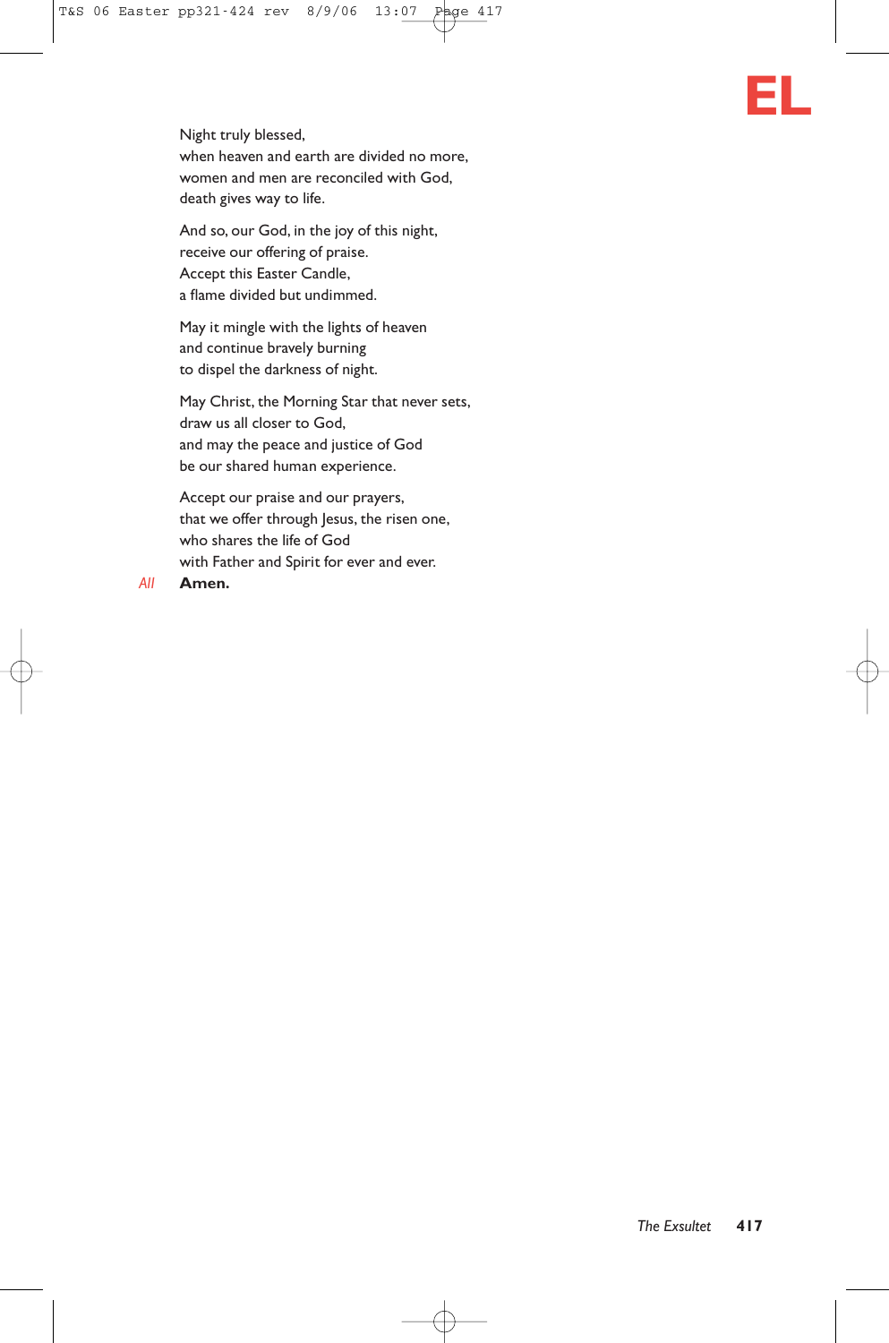Night truly blessed, when heaven and earth are divided no more, women and men are reconciled with God, death gives way to life.

And so, our God, in the joy of this night, receive our offering of praise. Accept this Easter Candle, a flame divided but undimmed.

May it mingle with the lights of heaven and continue bravely burning to dispel the darkness of night.

May Christ, the Morning Star that never sets, draw us all closer to God, and may the peace and justice of God be our shared human experience.

Accept our praise and our prayers, that we offer through Jesus, the risen one, who shares the life of God with Father and Spirit for ever and ever.

#### *All* **Amen.**

**EL**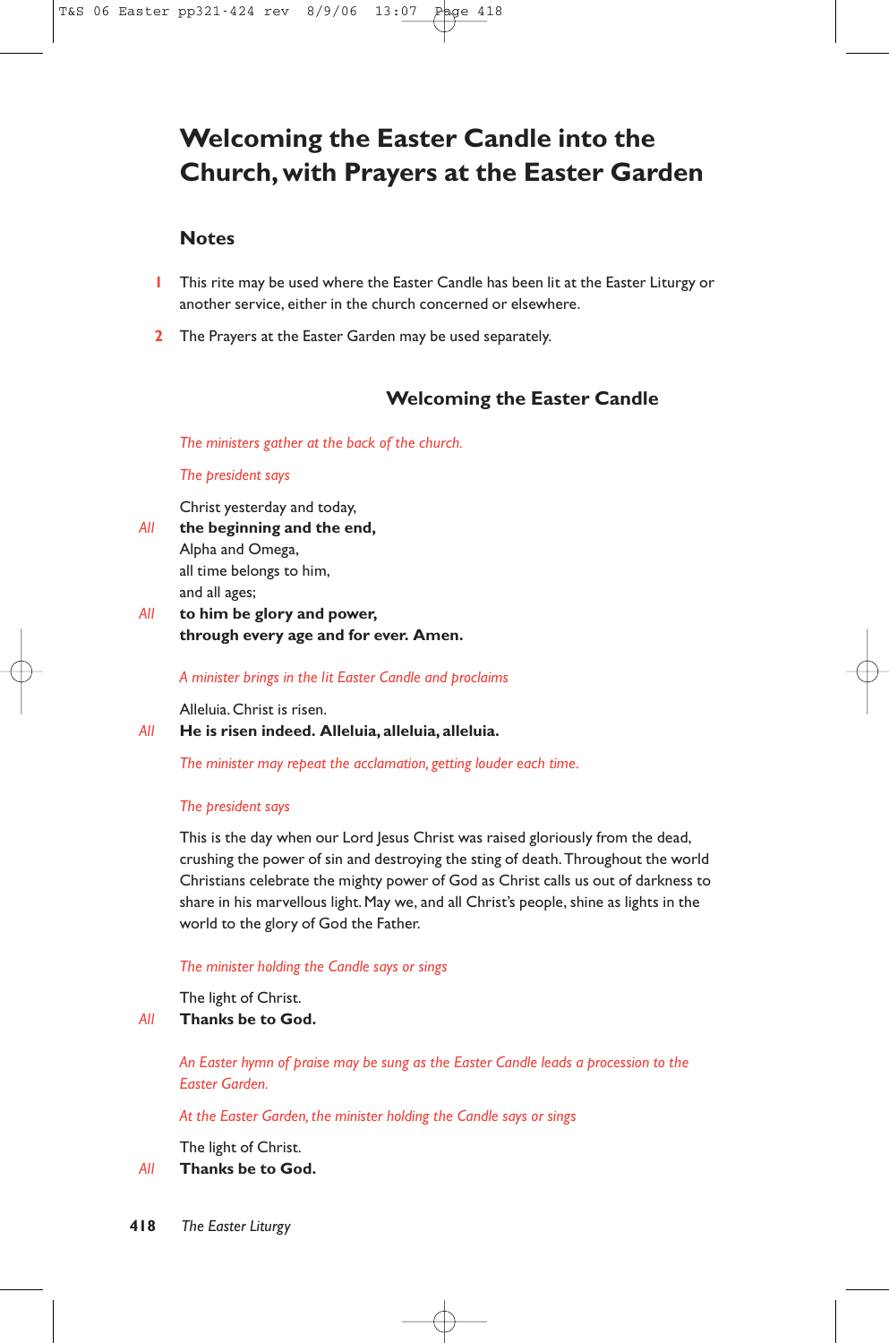# **Welcoming the Easter Candle into the Church, with Prayers at the Easter Garden**

# **Notes**

- **1** This rite may be used where the Easter Candle has been lit at the Easter Liturgy or another service, either in the church concerned or elsewhere.
- **2** The Prayers at the Easter Garden may be used separately.

# **Welcoming the Easter Candle**

*The ministers gather at the back of the church.*

### *The president says*

Christ yesterday and today,

- *All* **the beginning and the end,** Alpha and Omega, all time belongs to him, and all ages;
- *All* **to him be glory and power, through every age and for ever. Amen.**

*A minister brings in the lit Easter Candle and proclaims*

Alleluia. Christ is risen.

*All* **He is risen indeed. Alleluia, alleluia, alleluia.**

*The minister may repeat the acclamation, getting louder each time.*

### *The president says*

This is the day when our Lord Jesus Christ was raised gloriously from the dead, crushing the power of sin and destroying the sting of death.Throughout the world Christians celebrate the mighty power of God as Christ calls us out of darkness to share in his marvellous light. May we, and all Christ's people, shine as lights in the world to the glory of God the Father.

### *The minister holding the Candle says or sings*

The light of Christ.

# *All* **Thanks be to God.**

*An Easter hymn of praise may be sung as the Easter Candle leads a procession to the Easter Garden.*

*At the Easter Garden, the minister holding the Candle says or sings*

The light of Christ.

*All* **Thanks be to God.**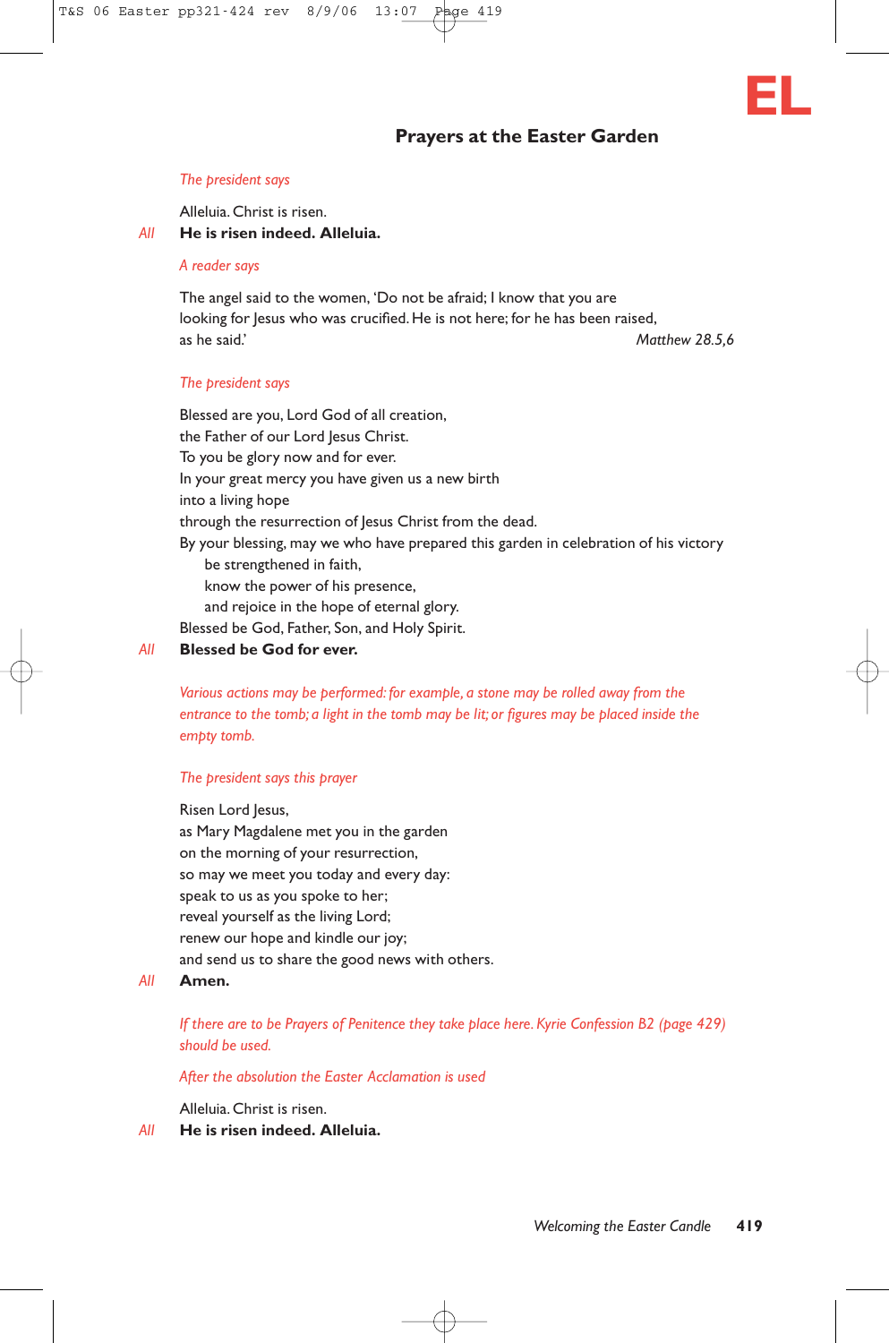# **Prayers at the Easter Garden**



#### *The president says*

Alleluia. Christ is risen.

*All* **He is risen indeed. Alleluia.**

### *A reader says*

The angel said to the women, 'Do not be afraid; I know that you are looking for Jesus who was crucified. He is not here; for he has been raised, as he said.' *Matthew 28.5,6*

### *The president says*

Blessed are you, Lord God of all creation, the Father of our Lord Jesus Christ. To you be glory now and for ever. In your great mercy you have given us a new birth into a living hope through the resurrection of Jesus Christ from the dead. By your blessing, may we who have prepared this garden in celebration of his victory be strengthened in faith, know the power of his presence, and rejoice in the hope of eternal glory. Blessed be God, Father, Son, and Holy Spirit.

# *All* **Blessed be God for ever.**

*Various actions may be performed: for example, a stone may be rolled away from the entrance to the tomb; a light in the tomb may be lit; or figures may be placed inside the empty tomb.*

#### *The president says this prayer*

### Risen Lord Jesus,

as Mary Magdalene met you in the garden on the morning of your resurrection, so may we meet you today and every day: speak to us as you spoke to her; reveal yourself as the living Lord; renew our hope and kindle our joy; and send us to share the good news with others.

#### *All* **Amen.**

*If there are to be Prayers of Penitence they take place here. Kyrie Confession B2 (page 429) should be used.*

### *After the absolution the Easter Acclamation is used*

Alleluia. Christ is risen.

*All* **He is risen indeed. Alleluia.**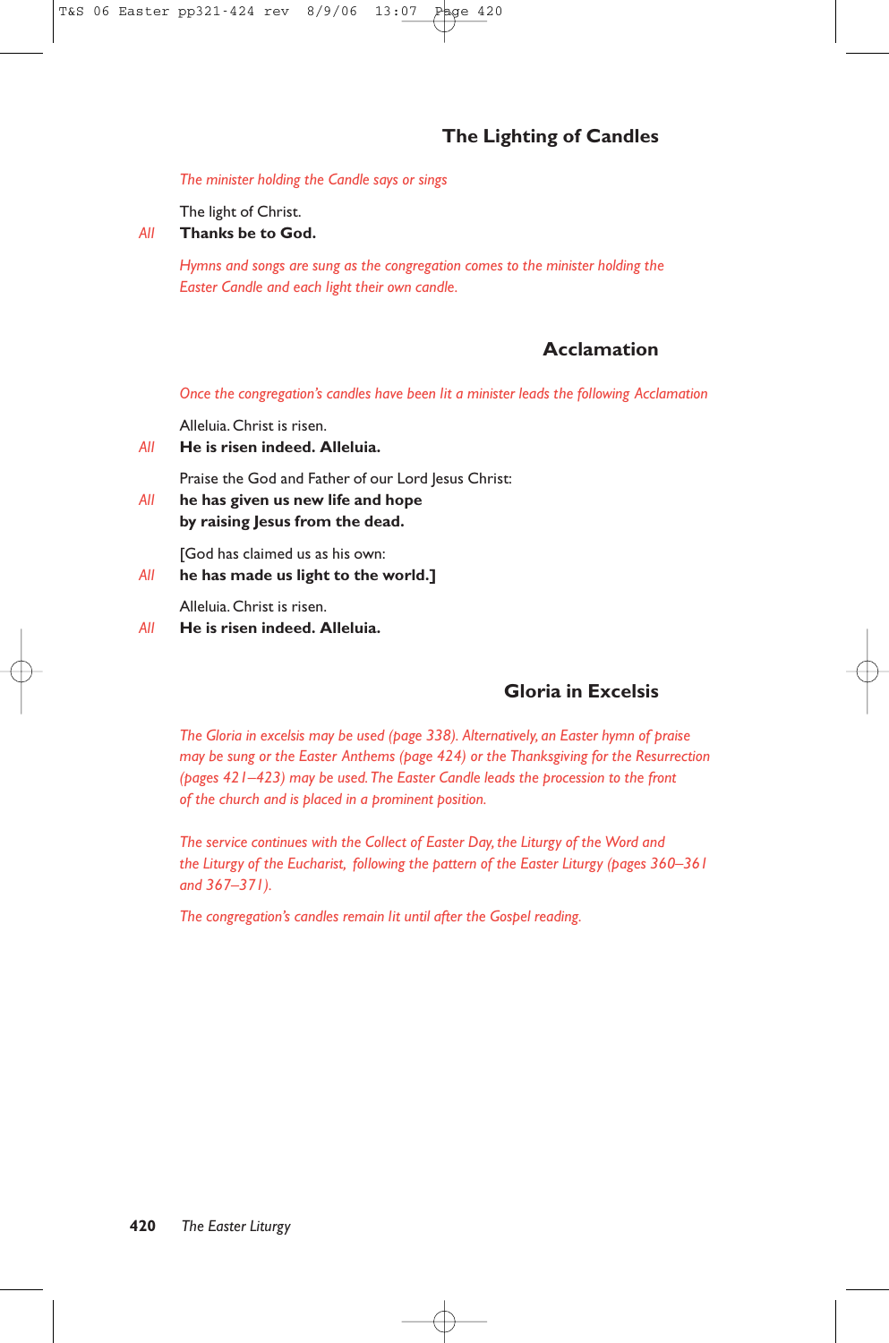# **The Lighting of Candles**

*The minister holding the Candle says or sings*

The light of Christ.

*All* **Thanks be to God.**

*Hymns and songs are sung as the congregation comes to the minister holding the Easter Candle and each light their own candle.*

# **Acclamation**

*Once the congregation's candles have been lit a minister leads the following Acclamation*

Alleluia. Christ is risen.

*All* **He is risen indeed. Alleluia.**

Praise the God and Father of our Lord Jesus Christ:

*All* **he has given us new life and hope by raising Jesus from the dead.**

[God has claimed us as his own:

*All* **he has made us light to the world.]**

Alleluia. Christ is risen.

*All* **He is risen indeed. Alleluia.**

# **Gloria in Excelsis**

*The Gloria in excelsis may be used (page 338). Alternatively, an Easter hymn of praise may be sung or the Easter Anthems (page 424) or the Thanksgiving for the Resurrection (pages 421–423) may be used.The Easter Candle leads the procession to the front of the church and is placed in a prominent position.*

*The service continues with the Collect of Easter Day, the Liturgy of the Word and the Liturgy of the Eucharist, following the pattern of the Easter Liturgy (pages 360–361 and 367–371).*

*The congregation's candles remain lit until after the Gospel reading.*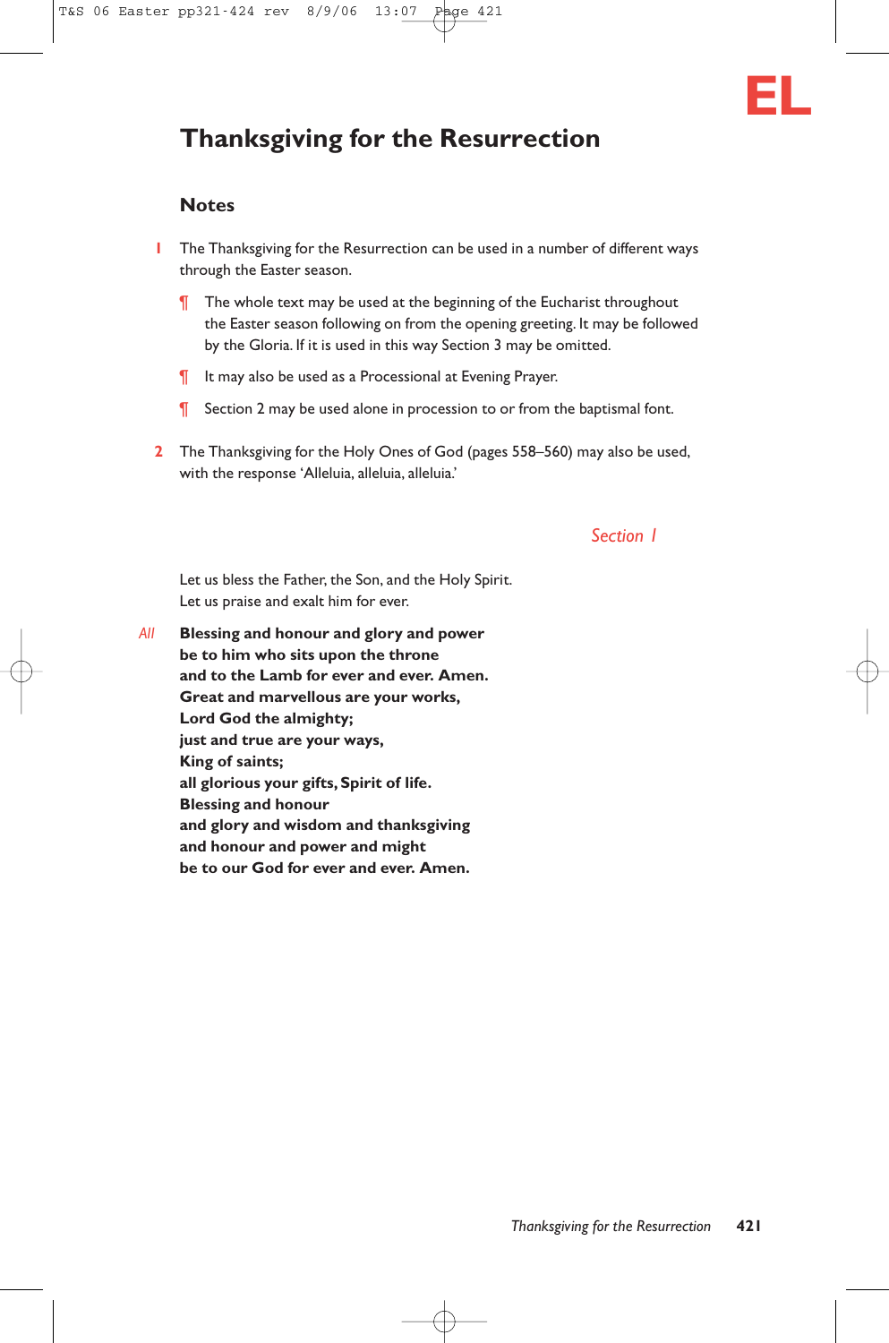

# **Thanksgiving for the Resurrection**

# **Notes**

- **1** The Thanksgiving for the Resurrection can be used in a number of different ways through the Easter season.
	- **T** The whole text may be used at the beginning of the Eucharist throughout the Easter season following on from the opening greeting. It may be followed by the Gloria. If it is used in this way Section 3 may be omitted.
	- ¶ It may also be used as a Processional at Evening Prayer.
	- **T** Section 2 may be used alone in procession to or from the baptismal font.
- **2** The Thanksgiving for the Holy Ones of God (pages 558–560) may also be used, with the response 'Alleluia, alleluia, alleluia.'

## *Section 1*

Let us bless the Father, the Son, and the Holy Spirit. Let us praise and exalt him for ever.

*All* **Blessing and honour and glory and power be to him who sits upon the throne and to the Lamb for ever and ever. Amen. Great and marvellous are your works, Lord God the almighty; just and true are your ways, King of saints; all glorious your gifts, Spirit of life. Blessing and honour and glory and wisdom and thanksgiving and honour and power and might be to our God for ever and ever. Amen.**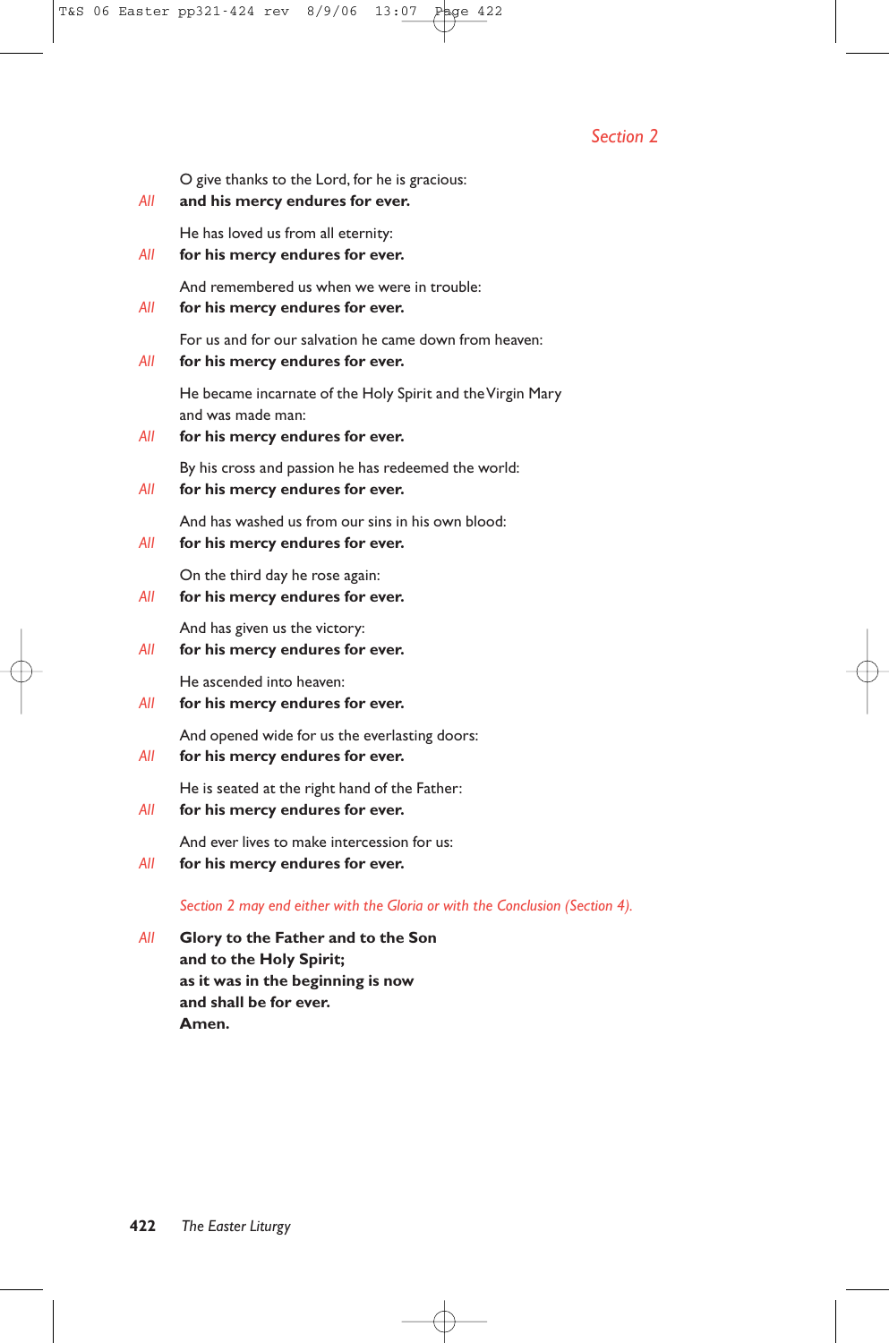# *Section 2*

O give thanks to the Lord, for he is gracious:

### *All* **and his mercy endures for ever.**

He has loved us from all eternity:

*All* **for his mercy endures for ever.**

And remembered us when we were in trouble:

*All* **for his mercy endures for ever.**

For us and for our salvation he came down from heaven:

*All* **for his mercy endures for ever.**

He became incarnate of the Holy Spirit and the Virgin Mary and was made man:

*All* **for his mercy endures for ever.**

By his cross and passion he has redeemed the world:

*All* **for his mercy endures for ever.**

And has washed us from our sins in his own blood:

*All* **for his mercy endures for ever.**

On the third day he rose again:

*All* **for his mercy endures for ever.**

And has given us the victory:

# *All* **for his mercy endures for ever.**

He ascended into heaven:

*All* **for his mercy endures for ever.**

And opened wide for us the everlasting doors:

*All* **for his mercy endures for ever.**

He is seated at the right hand of the Father:

*All* **for his mercy endures for ever.**

And ever lives to make intercession for us:

*All* **for his mercy endures for ever.**

*Section 2 may end either with the Gloria or with the Conclusion (Section 4).*

*All* **Glory to the Father and to the Son and to the Holy Spirit; as it was in the beginning is now and shall be for ever. Amen.**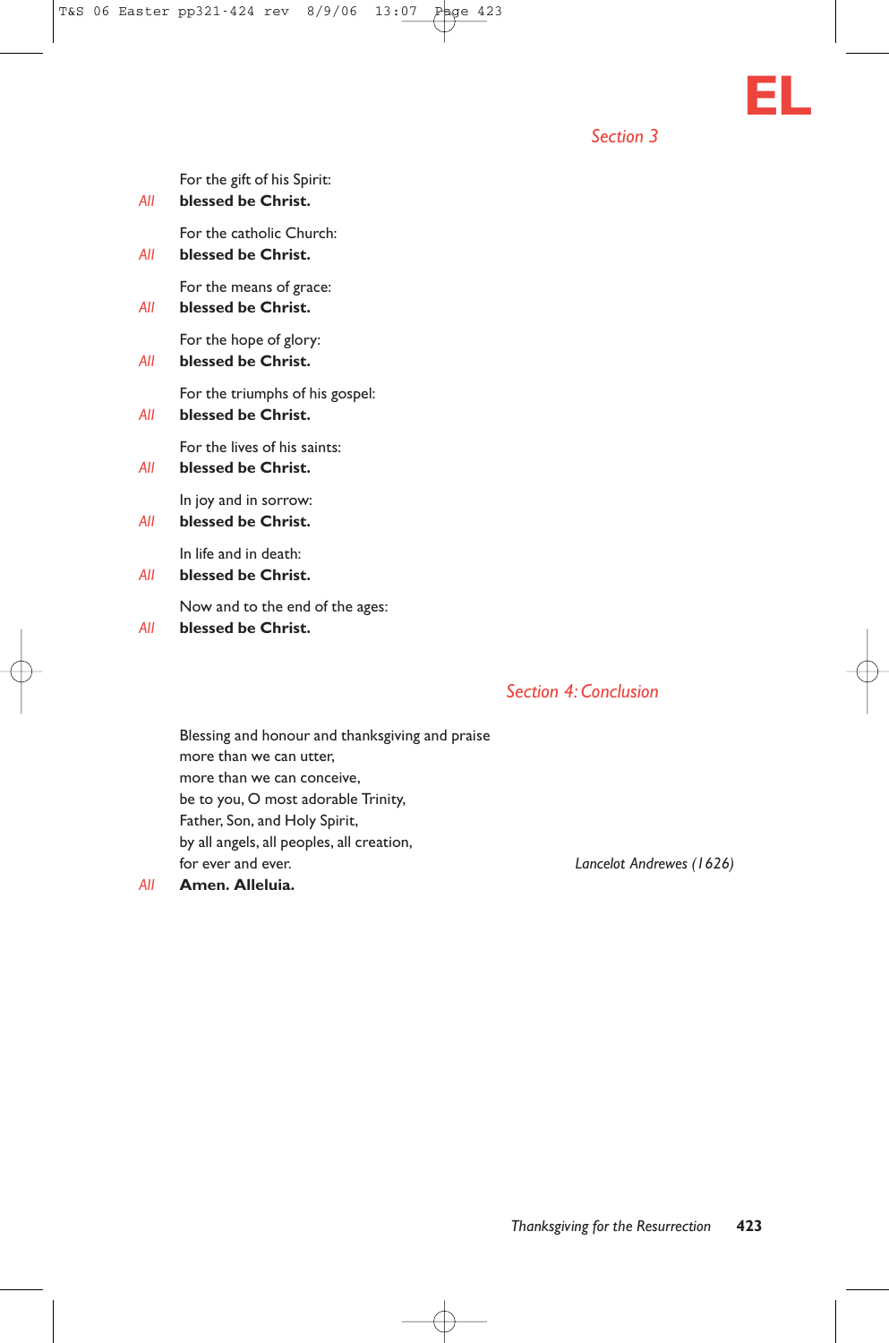

*Section 3*

| All | For the gift of his Spirit:<br>blessed be Christ.     |
|-----|-------------------------------------------------------|
| All | For the catholic Church:<br>blessed be Christ.        |
| All | For the means of grace:<br>blessed be Christ.         |
| All | For the hope of glory:<br>blessed be Christ.          |
| All | For the triumphs of his gospel:<br>blessed be Christ. |
| All | For the lives of his saints:<br>blessed be Christ.    |
| All | In joy and in sorrow:<br>blessed be Christ.           |
| All | In life and in death:<br>blessed be Christ.           |
|     |                                                       |

Now and to the end of the ages:

*All* **blessed be Christ.**

# *Section 4: Conclusion*

Blessing and honour and thanksgiving and praise more than we can utter, more than we can conceive, be to you, O most adorable Trinity, Father, Son, and Holy Spirit, by all angels, all peoples, all creation, for ever and ever. *Lancelot Andrewes (1626)*

*All* **Amen. Alleluia.**